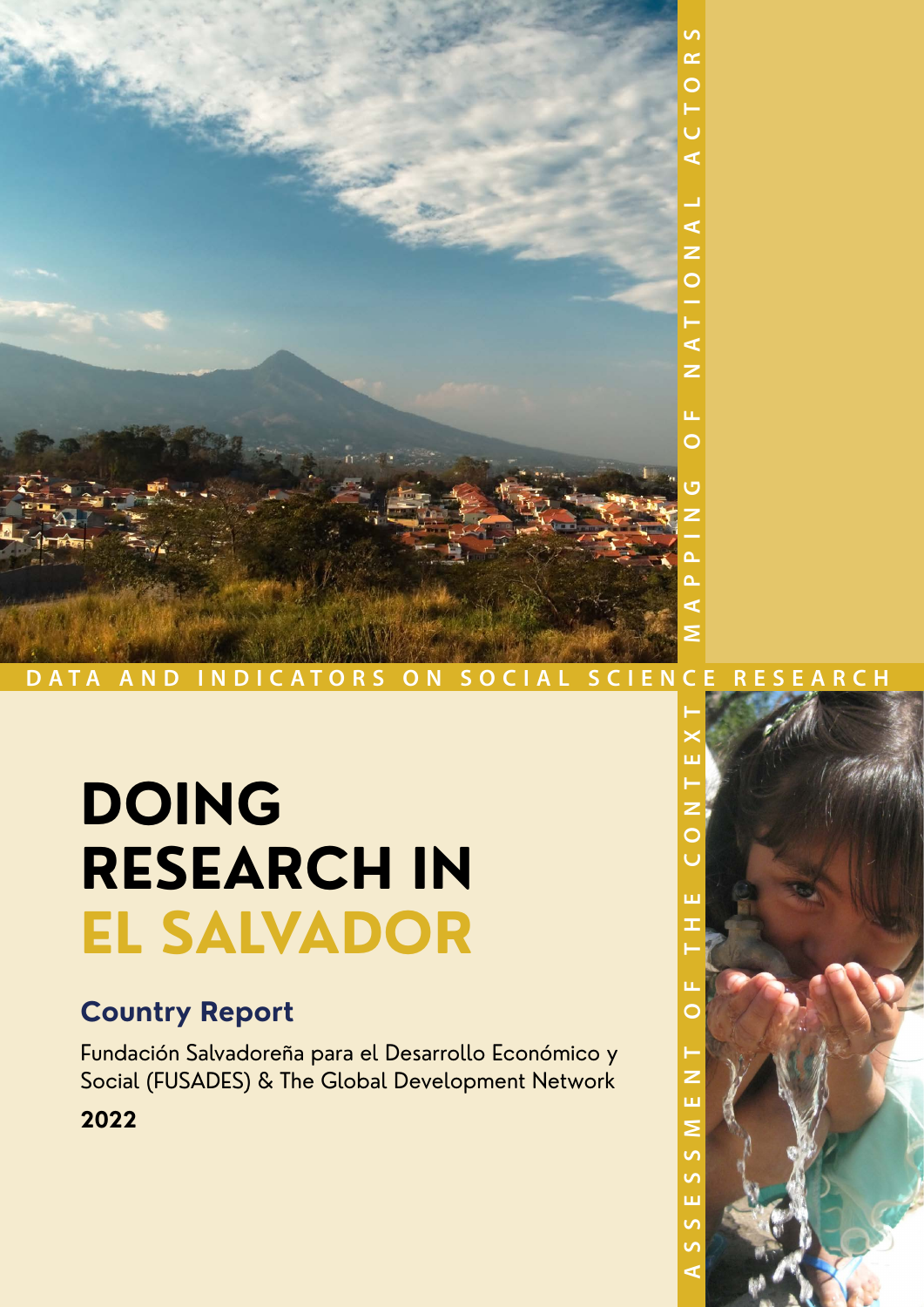

# **DOING RESEARCH IN EL SALVADOR**

### **Country Report**

Fundación Salvadoreña para el Desarrollo Económico y Social (FUSADES) & The Global Development Network

**2022**

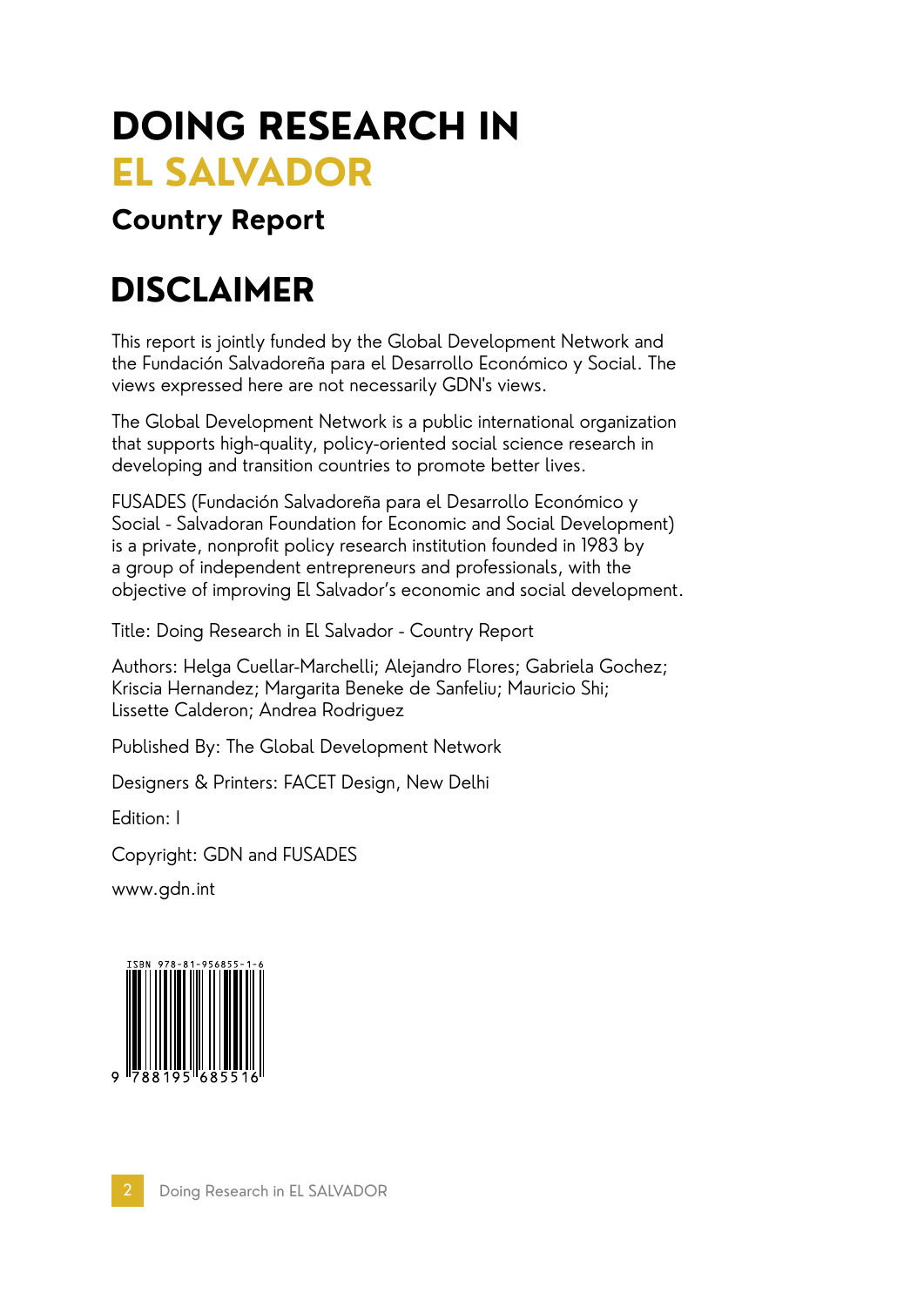# **DOING RESEARCH IN EL SALVADOR**

### **Country Report**

# **DISCLAIMER**

This report is jointly funded by the Global Development Network and the Fundación Salvadoreña para el Desarrollo Económico y Social. The views expressed here are not necessarily GDN's views.

The Global Development Network is a public international organization that supports high-quality, policy-oriented social science research in developing and transition countries to promote better lives.

FUSADES (Fundación Salvadoreña para el Desarrollo Económico y Social - Salvadoran Foundation for Economic and Social Development) is a private, nonprofit policy research institution founded in 1983 by a group of independent entrepreneurs and professionals, with the objective of improving El Salvador's economic and social development.

Title: Doing Research in El Salvador - Country Report

Authors: Helga Cuellar-Marchelli; Alejandro Flores; Gabriela Gochez; Kriscia Hernandez; Margarita Beneke de Sanfeliu; Mauricio Shi; Lissette Calderon; Andrea Rodriguez

Published By: The Global Development Network

Designers & Printers: FACET Design, New Delhi

Edition: I

Copyright: GDN and FUSADES

www.gdn.int

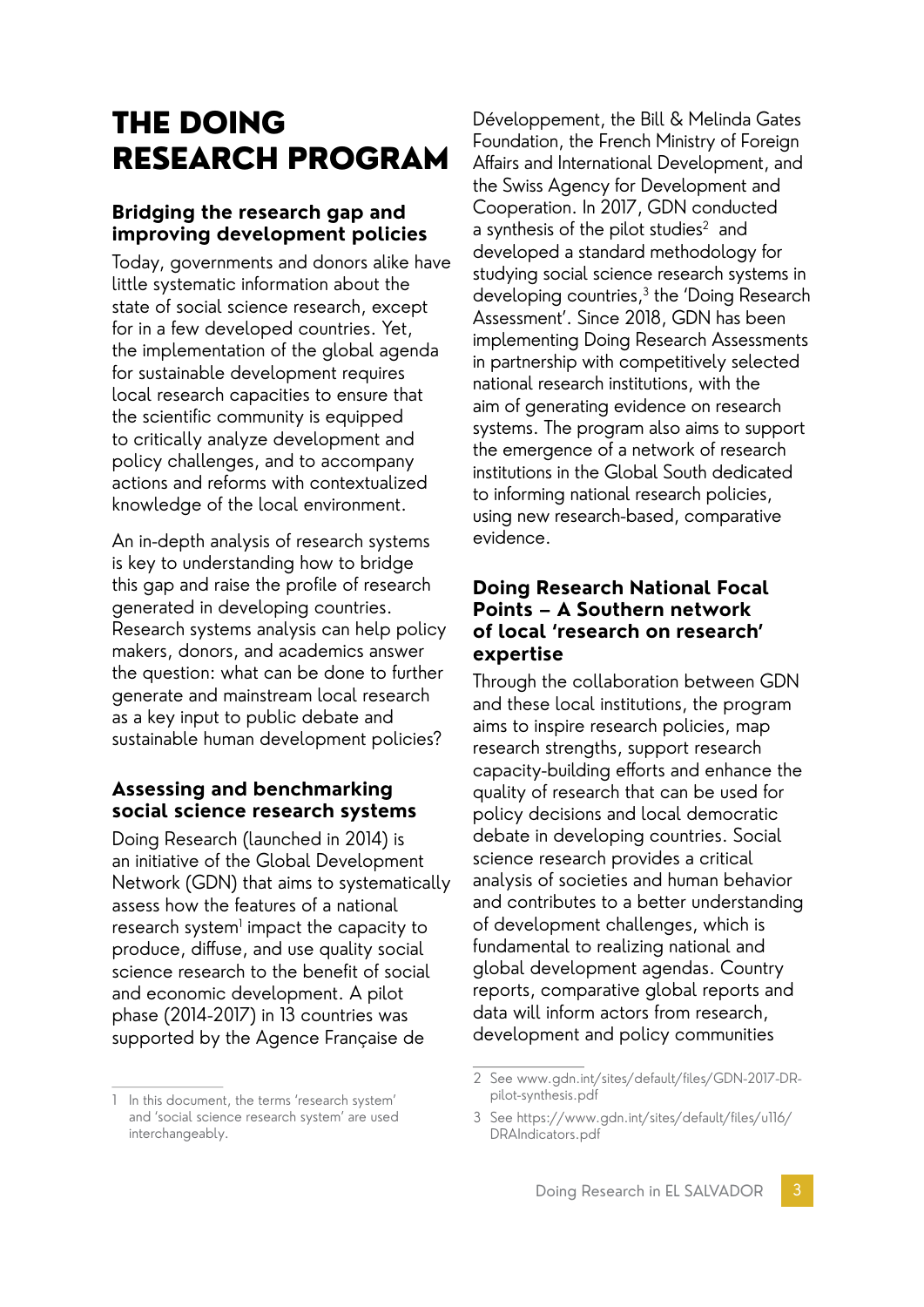### THE DOING RESEARCH PROGRAM

#### **Bridging the research gap and improving development policies**

Today, governments and donors alike have little systematic information about the state of social science research, except for in a few developed countries. Yet, the implementation of the global agenda for sustainable development requires local research capacities to ensure that the scientific community is equipped to critically analyze development and policy challenges, and to accompany actions and reforms with contextualized knowledge of the local environment.

An in-depth analysis of research systems is key to understanding how to bridge this gap and raise the profile of research generated in developing countries. Research systems analysis can help policy makers, donors, and academics answer the question: what can be done to further generate and mainstream local research as a key input to public debate and sustainable human development policies?

#### **Assessing and benchmarking social science research systems**

Doing Research (launched in 2014) is an initiative of the Global Development Network (GDN) that aims to systematically assess how the features of a national research system $^{\text{!}}$  impact the capacity to produce, diffuse, and use quality social science research to the benefit of social and economic development. A pilot phase (2014-2017) in 13 countries was supported by the Agence Française de

Développement, the Bill & Melinda Gates Foundation, the French Ministry of Foreign Affairs and International Development, and the Swiss Agency for Development and Cooperation. In 2017, GDN conducted a synthesis of the pilot studies $2$  and developed a standard methodology for studying social science research systems in developing countries,<sup>3</sup> the 'Doing Research Assessment'. Since 2018, GDN has been implementing Doing Research Assessments in partnership with competitively selected national research institutions, with the aim of generating evidence on research systems. The program also aims to support the emergence of a network of research institutions in the Global South dedicated to informing national research policies, using new research-based, comparative evidence.

#### **Doing Research National Focal Points – A Southern network of local 'research on research' expertise**

Through the collaboration between GDN and these local institutions, the program aims to inspire research policies, map research strengths, support research capacity-building efforts and enhance the quality of research that can be used for policy decisions and local democratic debate in developing countries. Social science research provides a critical analysis of societies and human behavior and contributes to a better understanding of development challenges, which is fundamental to realizing national and global development agendas. Country reports, comparative global reports and data will inform actors from research, development and policy communities

<sup>1</sup> In this document, the terms 'research system' and 'social science research system' are used interchangeably.

<sup>2</sup> See www.gdn.int/sites/default/files/GDN-2017-DRpilot-synthesis.pdf

<sup>3</sup> See https://www.gdn.int/sites/default/files/u116/ DRAIndicators.pdf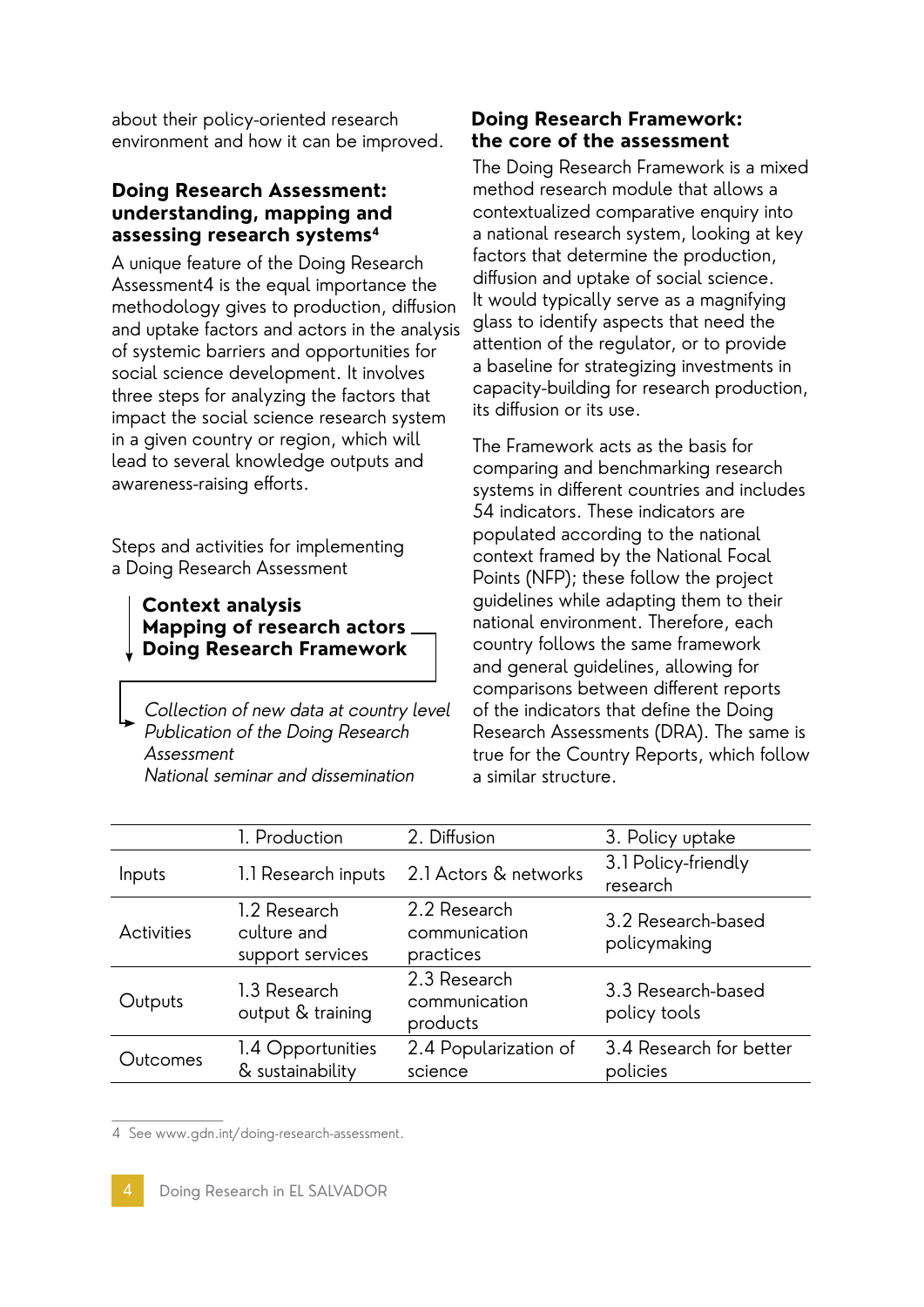about their policy-oriented research environment and how it can be improved.

#### **Doing Research Assessment: understanding, mapping and assessing research systems4**

A unique feature of the Doing Research Assessment4 is the equal importance the methodology gives to production, diffusion and uptake factors and actors in the analysis of systemic barriers and opportunities for social science development. It involves three steps for analyzing the factors that impact the social science research system in a given country or region, which will lead to several knowledge outputs and awareness-raising efforts.

Steps and activities for implementing a Doing Research Assessment

**Context analysis Mapping of research actors Doing Research Framework**

Collection of new data at country level Publication of the Doing Research Assessment National seminar and dissemination

#### **Doing Research Framework: the core of the assessment**

The Doing Research Framework is a mixed method research module that allows a contextualized comparative enquiry into a national research system, looking at key factors that determine the production, diffusion and uptake of social science. It would typically serve as a magnifying glass to identify aspects that need the attention of the regulator, or to provide a baseline for strategizing investments in capacity-building for research production, its diffusion or its use.

The Framework acts as the basis for comparing and benchmarking research systems in different countries and includes 54 indicators. These indicators are populated according to the national context framed by the National Focal Points (NFP); these follow the project guidelines while adapting them to their national environment. Therefore, each country follows the same framework and general guidelines, allowing for comparisons between different reports of the indicators that define the Doing Research Assessments (DRA). The same is true for the Country Reports, which follow a similar structure.

|                   | 1. Production                                   | 2. Diffusion                               | 3. Policy uptake                    |
|-------------------|-------------------------------------------------|--------------------------------------------|-------------------------------------|
| Inputs            | 1.1 Research inputs                             | 2.1 Actors & networks                      | 3.1 Policy-friendly<br>research     |
| <b>Activities</b> | 1.2 Research<br>culture and<br>support services | 2.2 Research<br>communication<br>practices | 3.2 Research-based<br>policymaking  |
| Outputs           | 1.3 Research<br>output & training               | 2.3 Research<br>communication<br>products  | 3.3 Research-based<br>policy tools  |
| Outcomes          | 1.4 Opportunities<br>& sustainability           | 2.4 Popularization of<br>science           | 3.4 Research for better<br>policies |
|                   |                                                 |                                            |                                     |

4 See www.gdn.int/doing-research-assessment.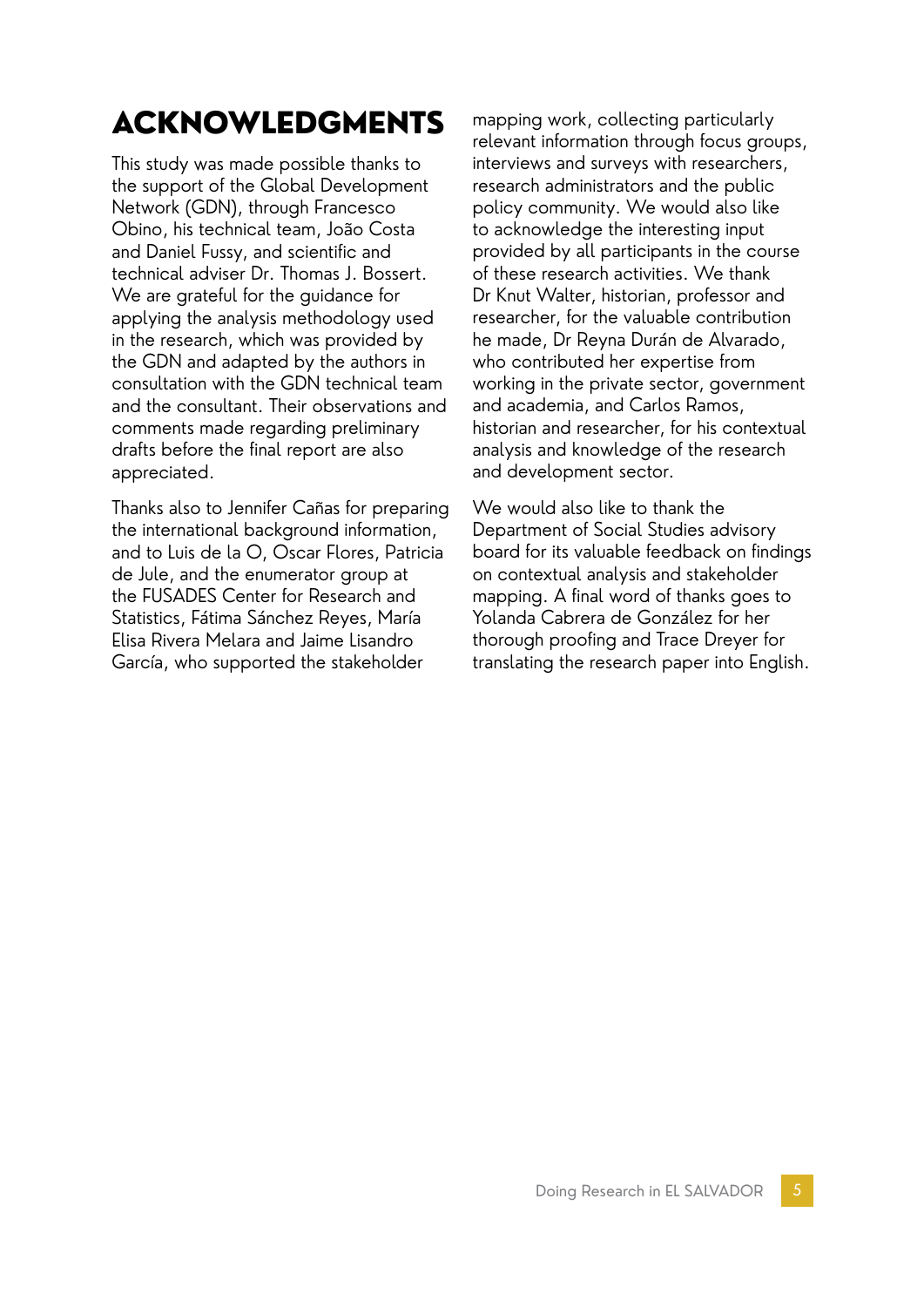# ACKNOWLEDGMENTS

This study was made possible thanks to the support of the Global Development Network (GDN), through Francesco Obino, his technical team, João Costa and Daniel Fussy, and scientific and technical adviser Dr. Thomas J. Bossert. We are grateful for the guidance for applying the analysis methodology used in the research, which was provided by the GDN and adapted by the authors in consultation with the GDN technical team and the consultant. Their observations and comments made regarding preliminary drafts before the final report are also appreciated.

Thanks also to Jennifer Cañas for preparing the international background information, and to Luis de la O, Oscar Flores, Patricia de Jule, and the enumerator group at the FUSADES Center for Research and Statistics, Fátima Sánchez Reyes, María Elisa Rivera Melara and Jaime Lisandro García, who supported the stakeholder

mapping work, collecting particularly relevant information through focus groups, interviews and surveys with researchers, research administrators and the public policy community. We would also like to acknowledge the interesting input provided by all participants in the course of these research activities. We thank Dr Knut Walter, historian, professor and researcher, for the valuable contribution he made, Dr Reyna Durán de Alvarado, who contributed her expertise from working in the private sector, government and academia, and Carlos Ramos, historian and researcher, for his contextual analysis and knowledge of the research and development sector.

We would also like to thank the Department of Social Studies advisory board for its valuable feedback on findings on contextual analysis and stakeholder mapping. A final word of thanks goes to Yolanda Cabrera de González for her thorough proofing and Trace Dreyer for translating the research paper into English.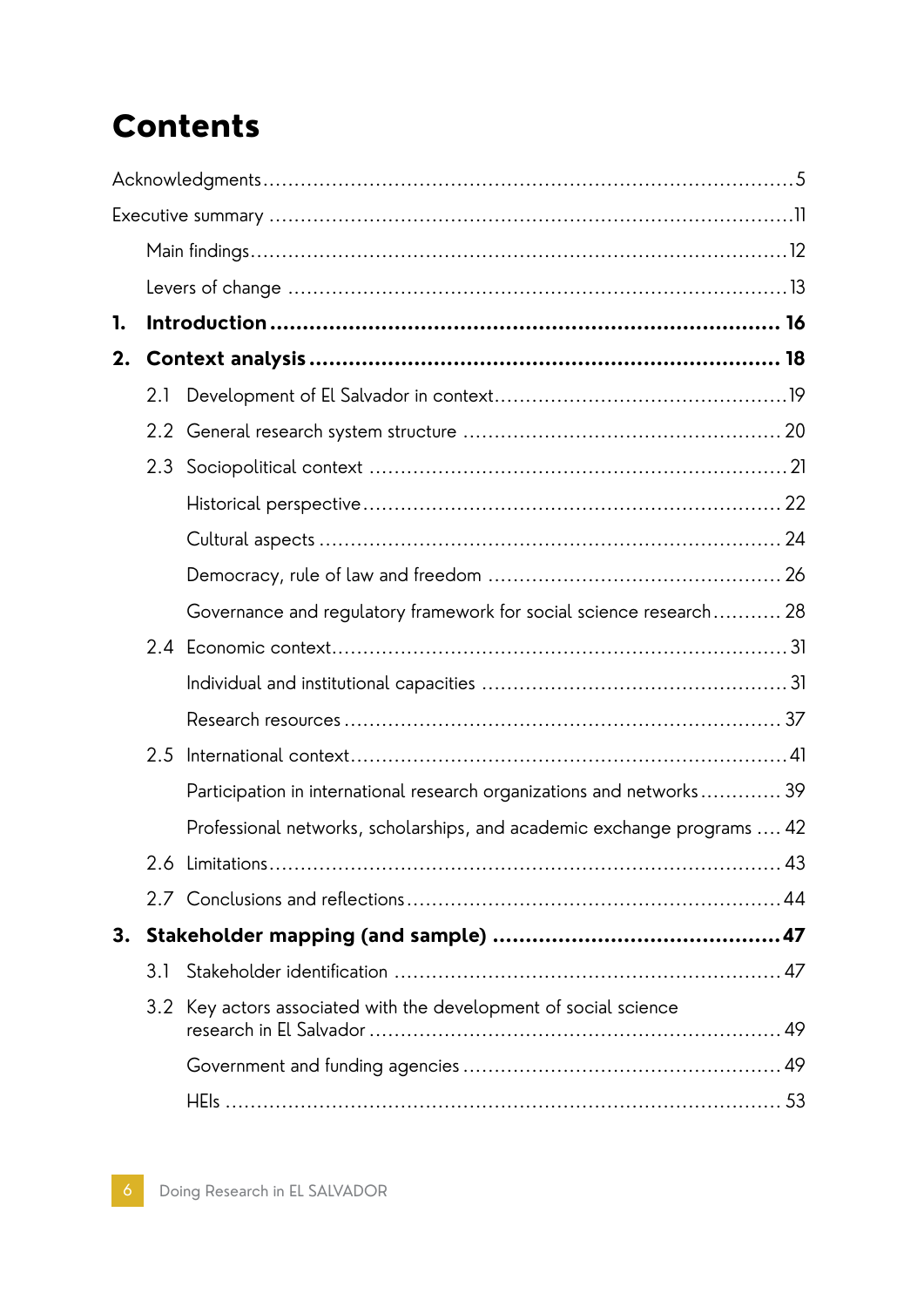# Contents

| 1. |     |                                                                         |  |
|----|-----|-------------------------------------------------------------------------|--|
| 2. |     |                                                                         |  |
|    | 2.1 |                                                                         |  |
|    |     |                                                                         |  |
|    | 2.3 |                                                                         |  |
|    |     |                                                                         |  |
|    |     |                                                                         |  |
|    |     |                                                                         |  |
|    |     | Governance and regulatory framework for social science research 28      |  |
|    |     |                                                                         |  |
|    |     |                                                                         |  |
|    |     |                                                                         |  |
|    | 2.5 |                                                                         |  |
|    |     | Participation in international research organizations and networks 39   |  |
|    |     | Professional networks, scholarships, and academic exchange programs  42 |  |
|    |     |                                                                         |  |
|    |     |                                                                         |  |
| 3. |     |                                                                         |  |
|    | 3.1 |                                                                         |  |
|    |     | 3.2 Key actors associated with the development of social science        |  |
|    |     |                                                                         |  |
|    |     |                                                                         |  |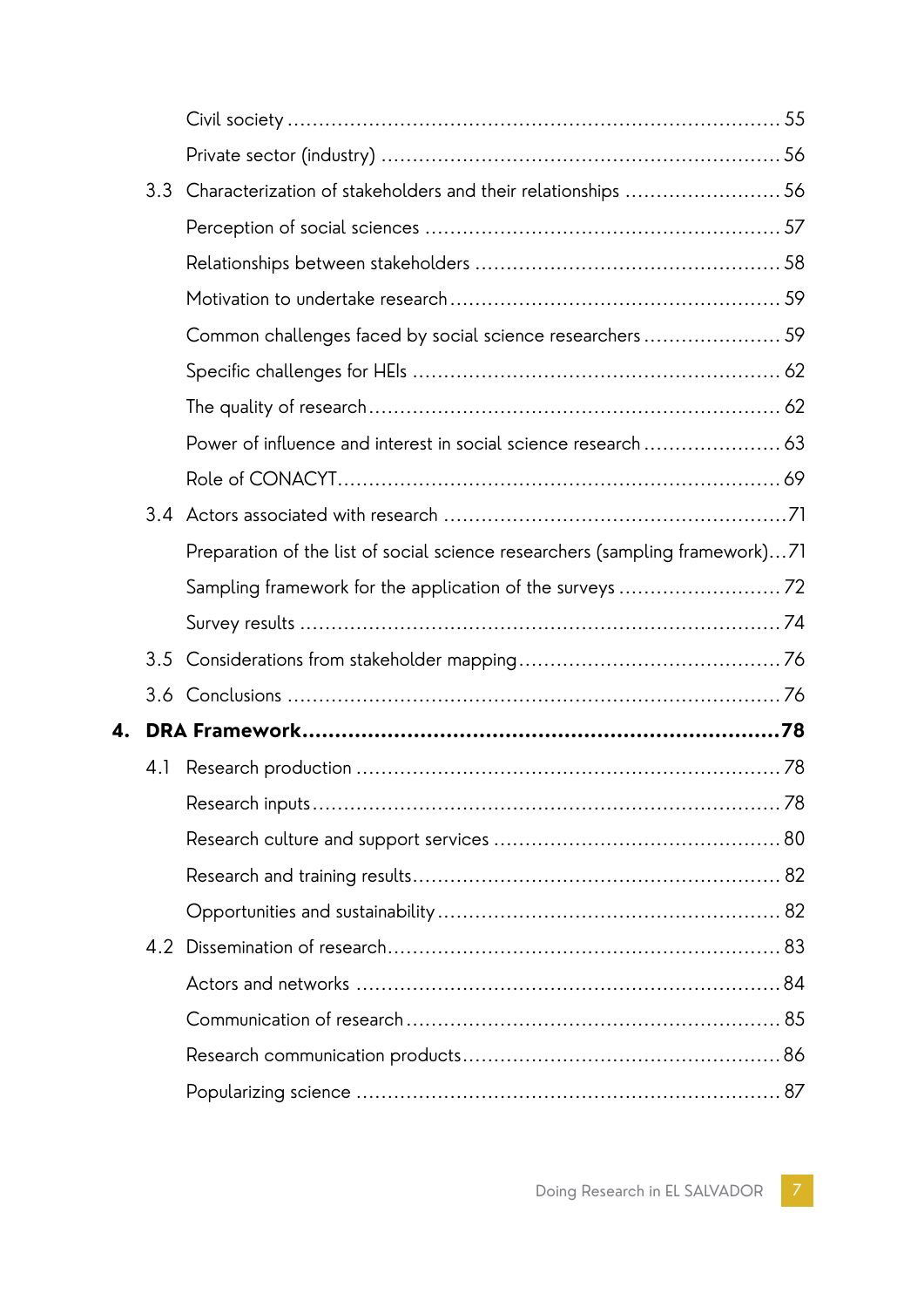|    | 3.3 | Characterization of stakeholders and their relationships 56                  |  |
|----|-----|------------------------------------------------------------------------------|--|
|    |     |                                                                              |  |
|    |     |                                                                              |  |
|    |     |                                                                              |  |
|    |     | Common challenges faced by social science researchers 59                     |  |
|    |     |                                                                              |  |
|    |     |                                                                              |  |
|    |     |                                                                              |  |
|    |     |                                                                              |  |
|    |     |                                                                              |  |
|    |     | Preparation of the list of social science researchers (sampling framework)71 |  |
|    |     |                                                                              |  |
|    |     |                                                                              |  |
|    |     |                                                                              |  |
|    |     |                                                                              |  |
| 4. |     |                                                                              |  |
|    | 4.1 |                                                                              |  |
|    |     |                                                                              |  |
|    |     |                                                                              |  |
|    |     |                                                                              |  |
|    |     |                                                                              |  |
|    |     |                                                                              |  |
|    |     |                                                                              |  |
|    |     |                                                                              |  |
|    |     |                                                                              |  |
|    |     |                                                                              |  |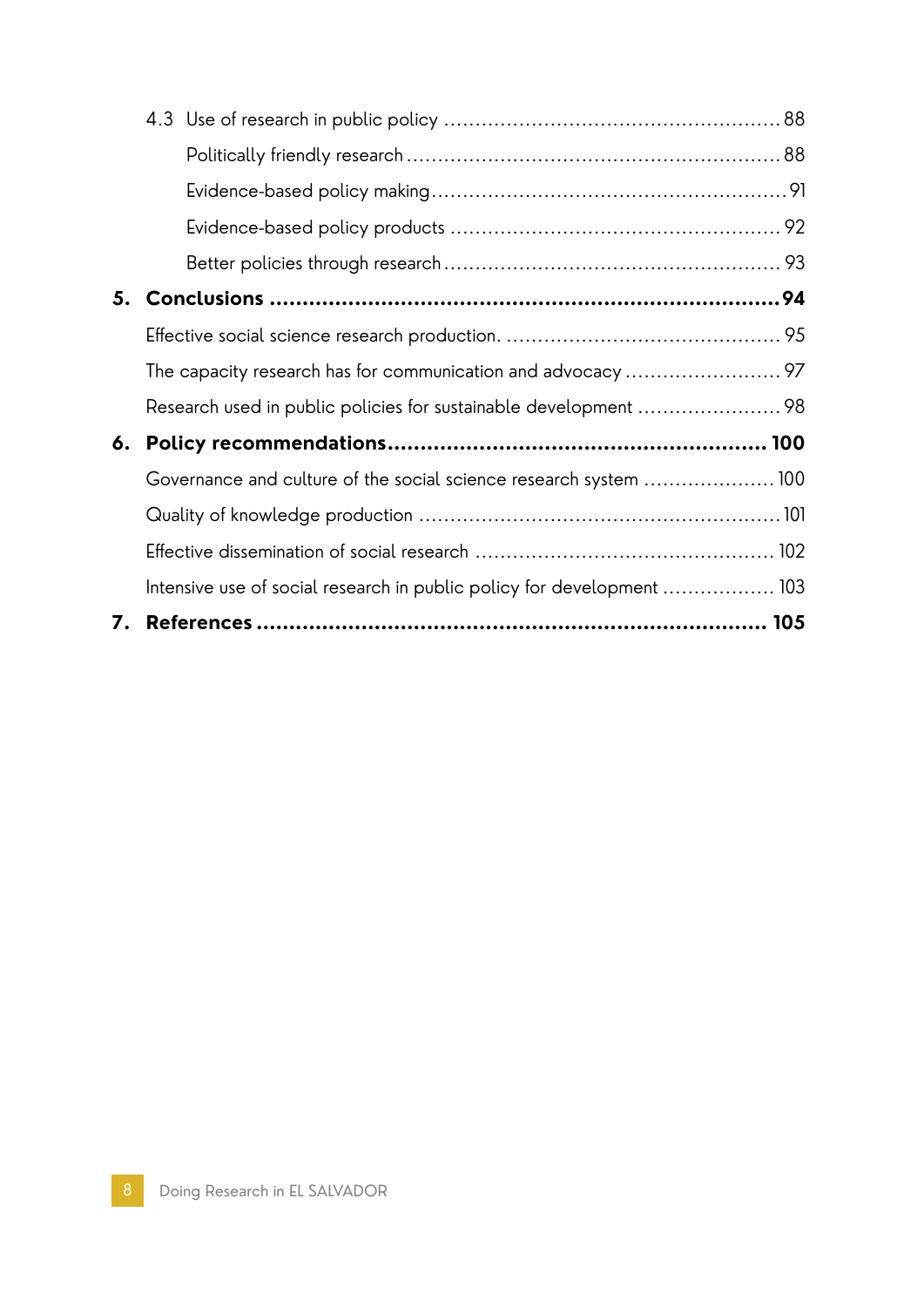| 5. |                                                                        |  |
|----|------------------------------------------------------------------------|--|
|    |                                                                        |  |
|    |                                                                        |  |
|    |                                                                        |  |
| 6. |                                                                        |  |
|    | Governance and culture of the social science research system 100       |  |
|    |                                                                        |  |
|    |                                                                        |  |
|    | Intensive use of social research in public policy for development  103 |  |
| 7. |                                                                        |  |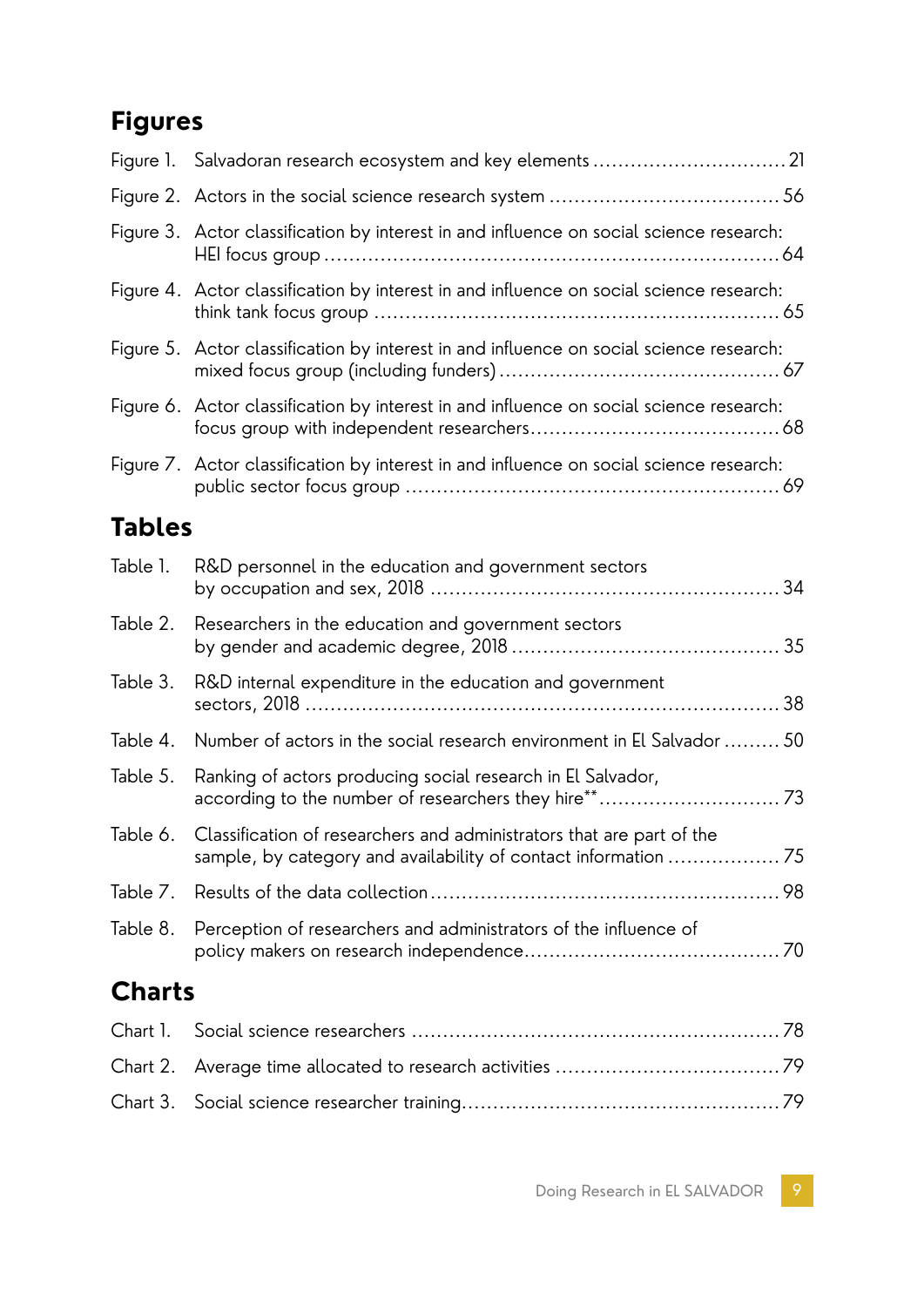### **Figures**

|               | Figure 3. Actor classification by interest in and influence on social science research: |
|---------------|-----------------------------------------------------------------------------------------|
|               | Figure 4. Actor classification by interest in and influence on social science research: |
|               | Figure 5. Actor classification by interest in and influence on social science research: |
|               | Figure 6. Actor classification by interest in and influence on social science research: |
|               | Figure 7. Actor classification by interest in and influence on social science research: |
| <b>Tables</b> |                                                                                         |
| Table 1.      | R&D personnel in the education and government sectors                                   |
| Table 2.      | Researchers in the education and government sectors                                     |
| Table 3.      | R&D internal expenditure in the education and government                                |
| Table 4.      | Number of actors in the social research environment in El Salvador  50                  |
| Table 5.      | Ranking of actors producing social research in El Salvador,                             |
| Table 6.      | Classification of researchers and administrators that are part of the                   |
| Table 7.      |                                                                                         |
| Table 8.      | Perception of researchers and administrators of the influence of                        |
| <b>Charts</b> |                                                                                         |
| Chart 1.      |                                                                                         |
| Chart 2.      |                                                                                         |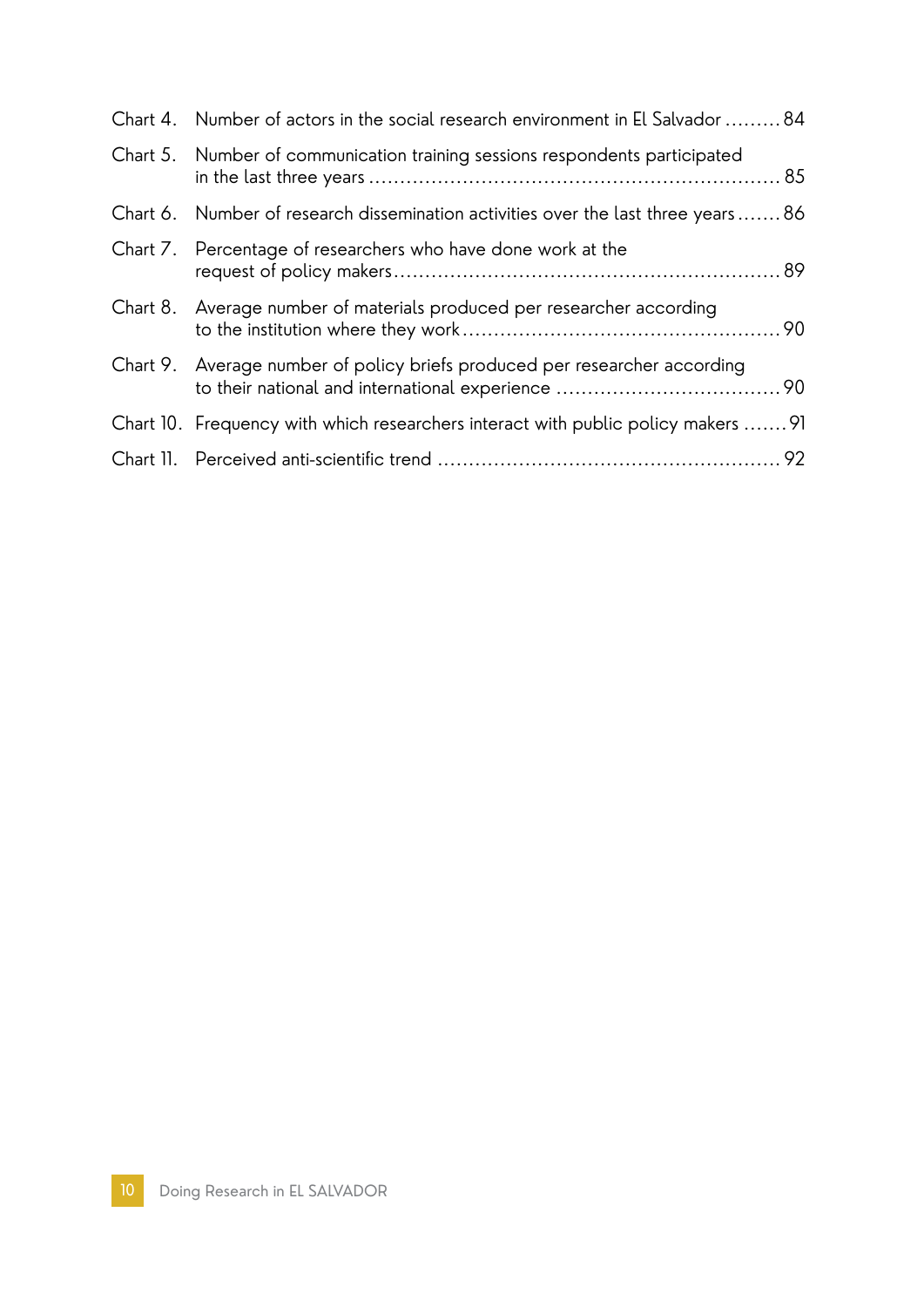| Chart 4. Number of actors in the social research environment in El Salvador 84    |  |
|-----------------------------------------------------------------------------------|--|
| Chart 5. Number of communication training sessions respondents participated       |  |
| Chart 6. Number of research dissemination activities over the last three years86  |  |
| Chart 7. Percentage of researchers who have done work at the                      |  |
| Chart 8. Average number of materials produced per researcher according            |  |
| Chart 9. Average number of policy briefs produced per researcher according        |  |
| Chart 10. Frequency with which researchers interact with public policy makers  91 |  |
|                                                                                   |  |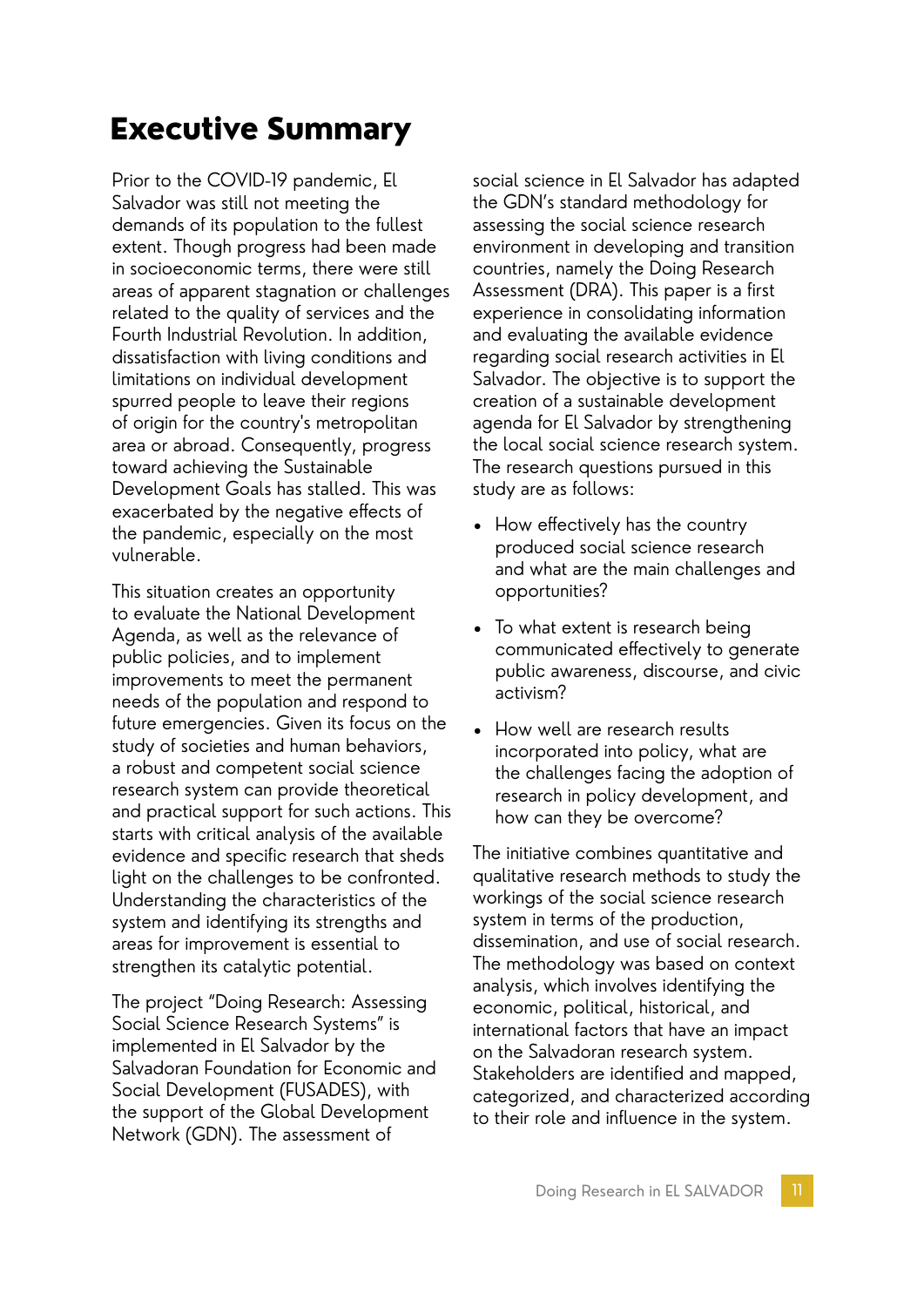### Executive Summary

Prior to the COVID-19 pandemic, El Salvador was still not meeting the demands of its population to the fullest extent. Though progress had been made in socioeconomic terms, there were still areas of apparent stagnation or challenges related to the quality of services and the Fourth Industrial Revolution. In addition, dissatisfaction with living conditions and limitations on individual development spurred people to leave their regions of origin for the country's metropolitan area or abroad. Consequently, progress toward achieving the Sustainable Development Goals has stalled. This was exacerbated by the negative effects of the pandemic, especially on the most vulnerable.

This situation creates an opportunity to evaluate the National Development Agenda, as well as the relevance of public policies, and to implement improvements to meet the permanent needs of the population and respond to future emergencies. Given its focus on the study of societies and human behaviors, a robust and competent social science research system can provide theoretical and practical support for such actions. This starts with critical analysis of the available evidence and specific research that sheds light on the challenges to be confronted. Understanding the characteristics of the system and identifying its strengths and areas for improvement is essential to strengthen its catalytic potential.

The project "Doing Research: Assessing Social Science Research Systems" is implemented in El Salvador by the Salvadoran Foundation for Economic and Social Development (FUSADES), with the support of the Global Development Network (GDN). The assessment of

social science in El Salvador has adapted the GDN's standard methodology for assessing the social science research environment in developing and transition countries, namely the Doing Research Assessment (DRA). This paper is a first experience in consolidating information and evaluating the available evidence regarding social research activities in El Salvador. The objective is to support the creation of a sustainable development agenda for El Salvador by strengthening the local social science research system. The research questions pursued in this study are as follows:

- How effectively has the country produced social science research and what are the main challenges and opportunities?
- To what extent is research being communicated effectively to generate public awareness, discourse, and civic activism?
- How well are research results incorporated into policy, what are the challenges facing the adoption of research in policy development, and how can they be overcome?

The initiative combines quantitative and qualitative research methods to study the workings of the social science research system in terms of the production, dissemination, and use of social research. The methodology was based on context analysis, which involves identifying the economic, political, historical, and international factors that have an impact on the Salvadoran research system. Stakeholders are identified and mapped, categorized, and characterized according to their role and influence in the system.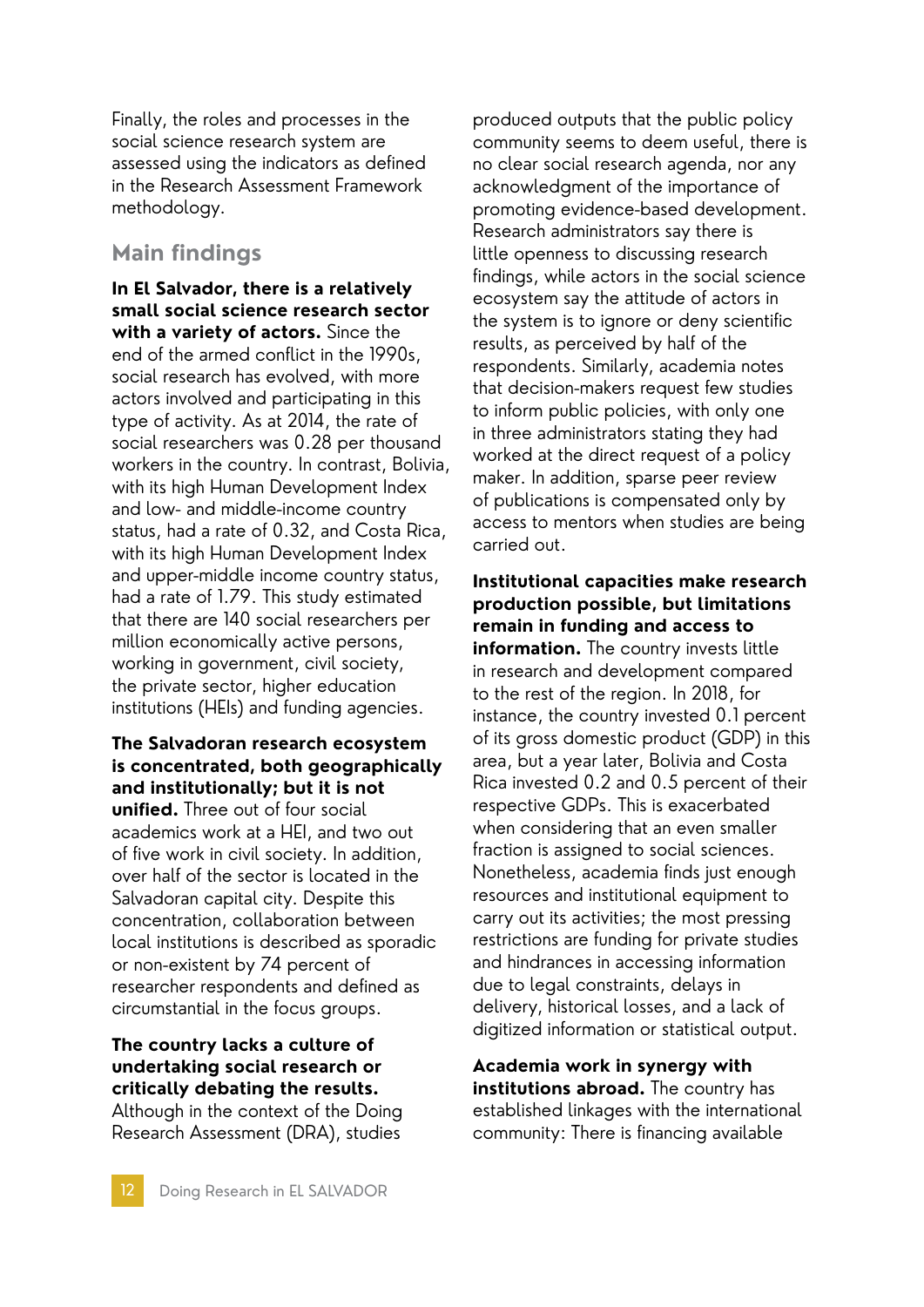Finally, the roles and processes in the social science research system are assessed using the indicators as defined in the Research Assessment Framework methodology.

#### **Main findings**

**In El Salvador, there is a relatively small social science research sector with a variety of actors.** Since the end of the armed conflict in the 1990s, social research has evolved, with more actors involved and participating in this type of activity. As at 2014, the rate of social researchers was 0.28 per thousand workers in the country. In contrast, Bolivia, with its high Human Development Index and low- and middle-income country status, had a rate of 0.32, and Costa Rica, with its high Human Development Index and upper-middle income country status, had a rate of 1.79. This study estimated that there are 140 social researchers per million economically active persons, working in government, civil society, the private sector, higher education institutions (HEIs) and funding agencies.

#### **The Salvadoran research ecosystem is concentrated, both geographically and institutionally; but it is not unified.** Three out of four social academics work at a HEI, and two out of five work in civil society. In addition, over half of the sector is located in the Salvadoran capital city. Despite this concentration, collaboration between local institutions is described as sporadic or non-existent by 74 percent of researcher respondents and defined as circumstantial in the focus groups.

#### **The country lacks a culture of undertaking social research or critically debating the results.**

Although in the context of the Doing Research Assessment (DRA), studies

produced outputs that the public policy community seems to deem useful, there is no clear social research agenda, nor any acknowledgment of the importance of promoting evidence-based development. Research administrators say there is little openness to discussing research findings, while actors in the social science ecosystem say the attitude of actors in the system is to ignore or deny scientific results, as perceived by half of the respondents. Similarly, academia notes that decision-makers request few studies to inform public policies, with only one in three administrators stating they had worked at the direct request of a policy maker. In addition, sparse peer review of publications is compensated only by access to mentors when studies are being carried out.

**Institutional capacities make research production possible, but limitations remain in funding and access to information.** The country invests little in research and development compared to the rest of the region. In 2018, for instance, the country invested 0.1 percent of its gross domestic product (GDP) in this area, but a year later, Bolivia and Costa Rica invested 0.2 and 0.5 percent of their respective GDPs. This is exacerbated when considering that an even smaller fraction is assigned to social sciences. Nonetheless, academia finds just enough resources and institutional equipment to carry out its activities; the most pressing restrictions are funding for private studies and hindrances in accessing information due to legal constraints, delays in delivery, historical losses, and a lack of digitized information or statistical output.

**Academia work in synergy with institutions abroad.** The country has established linkages with the international community: There is financing available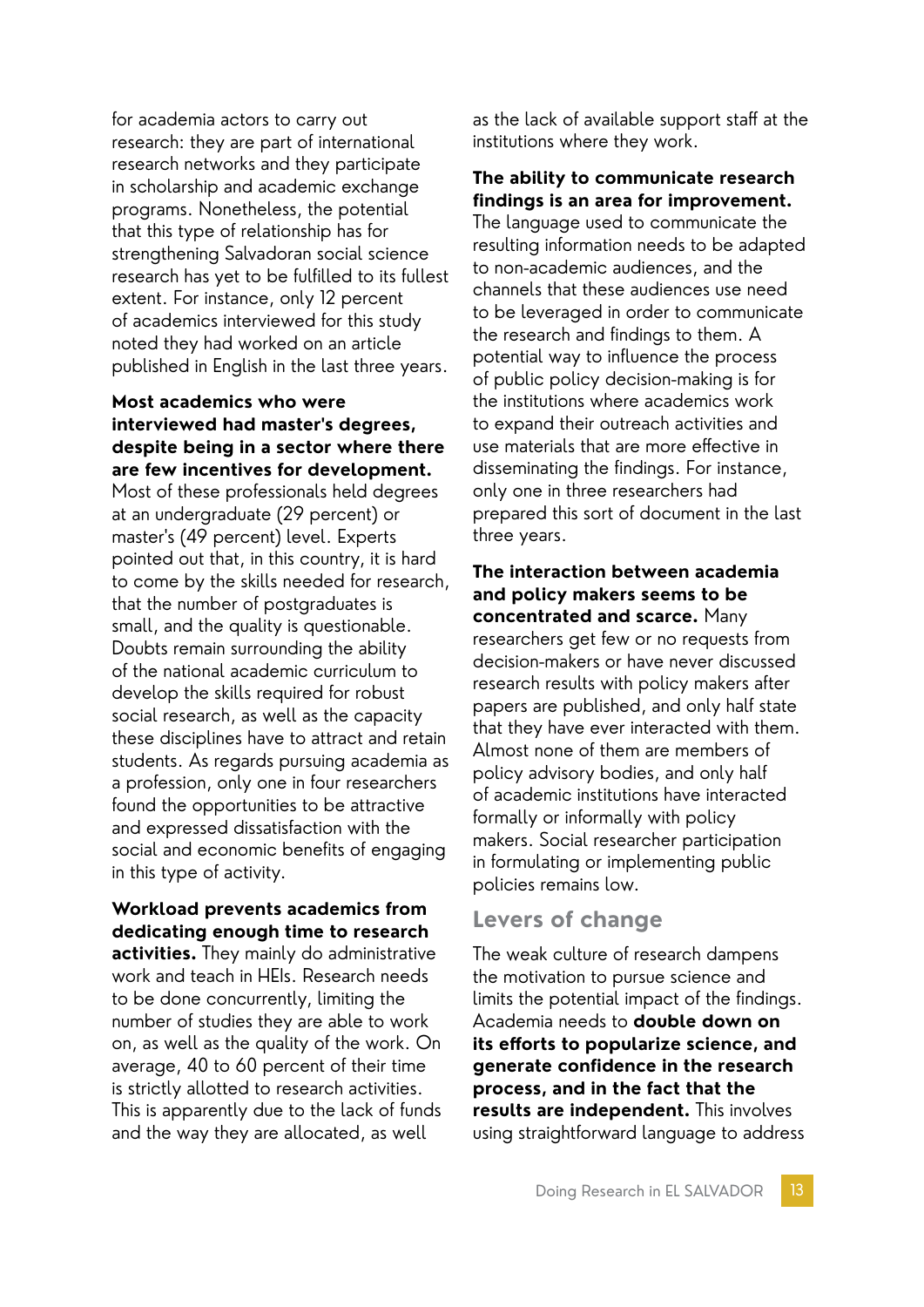for academia actors to carry out research: they are part of international research networks and they participate in scholarship and academic exchange programs. Nonetheless, the potential that this type of relationship has for strengthening Salvadoran social science research has yet to be fulfilled to its fullest extent. For instance, only 12 percent of academics interviewed for this study noted they had worked on an article published in English in the last three years.

#### **Most academics who were interviewed had master's degrees, despite being in a sector where there are few incentives for development.**

Most of these professionals held degrees at an undergraduate (29 percent) or master's (49 percent) level. Experts pointed out that, in this country, it is hard to come by the skills needed for research, that the number of postgraduates is small, and the quality is questionable. Doubts remain surrounding the ability of the national academic curriculum to develop the skills required for robust social research, as well as the capacity these disciplines have to attract and retain students. As regards pursuing academia as a profession, only one in four researchers found the opportunities to be attractive and expressed dissatisfaction with the social and economic benefits of engaging in this type of activity.

#### **Workload prevents academics from dedicating enough time to research**

**activities.** They mainly do administrative work and teach in HEIs. Research needs to be done concurrently, limiting the number of studies they are able to work on, as well as the quality of the work. On average, 40 to 60 percent of their time is strictly allotted to research activities. This is apparently due to the lack of funds and the way they are allocated, as well

as the lack of available support staff at the institutions where they work.

#### **The ability to communicate research findings is an area for improvement.**

The language used to communicate the resulting information needs to be adapted to non-academic audiences, and the channels that these audiences use need to be leveraged in order to communicate the research and findings to them. A potential way to influence the process of public policy decision-making is for the institutions where academics work to expand their outreach activities and use materials that are more effective in disseminating the findings. For instance, only one in three researchers had prepared this sort of document in the last three years.

**The interaction between academia and policy makers seems to be concentrated and scarce.** Many researchers get few or no requests from decision-makers or have never discussed research results with policy makers after papers are published, and only half state that they have ever interacted with them. Almost none of them are members of policy advisory bodies, and only half of academic institutions have interacted formally or informally with policy makers. Social researcher participation in formulating or implementing public policies remains low.

#### **Levers of change**

The weak culture of research dampens the motivation to pursue science and limits the potential impact of the findings. Academia needs to **double down on its efforts to popularize science, and generate confidence in the research process, and in the fact that the results are independent.** This involves using straightforward language to address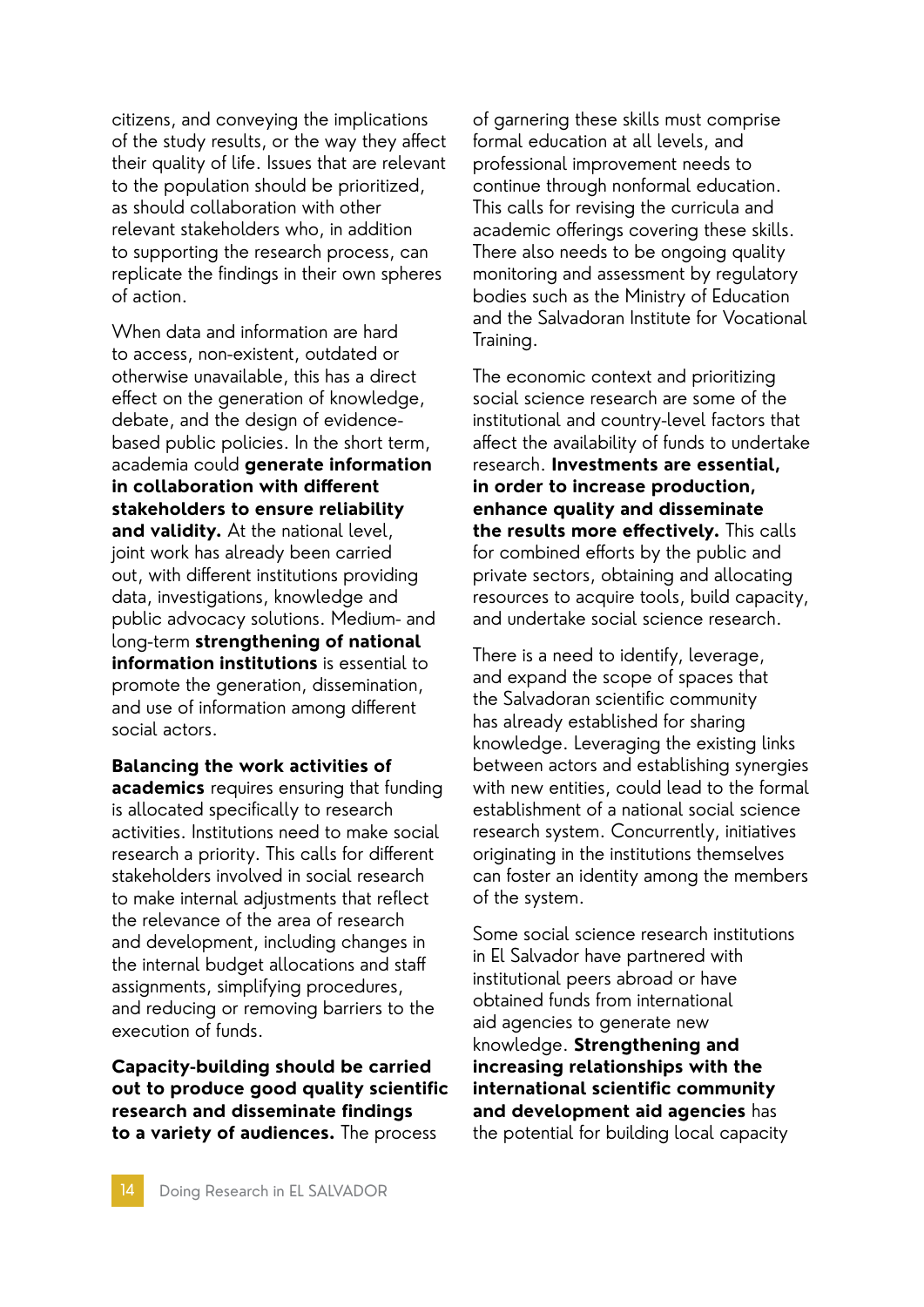citizens, and conveying the implications of the study results, or the way they affect their quality of life. Issues that are relevant to the population should be prioritized, as should collaboration with other relevant stakeholders who, in addition to supporting the research process, can replicate the findings in their own spheres of action.

When data and information are hard to access, non-existent, outdated or otherwise unavailable, this has a direct effect on the generation of knowledge, debate, and the design of evidencebased public policies. In the short term, academia could **generate information in collaboration with different stakeholders to ensure reliability and validity.** At the national level, joint work has already been carried out, with different institutions providing data, investigations, knowledge and public advocacy solutions. Medium- and long-term **strengthening of national information institutions** is essential to promote the generation, dissemination, and use of information among different social actors.

**Balancing the work activities of academics** requires ensuring that funding is allocated specifically to research activities. Institutions need to make social research a priority. This calls for different stakeholders involved in social research to make internal adjustments that reflect the relevance of the area of research and development, including changes in the internal budget allocations and staff assignments, simplifying procedures, and reducing or removing barriers to the execution of funds.

**Capacity-building should be carried out to produce good quality scientific research and disseminate findings to a variety of audiences.** The process

of garnering these skills must comprise formal education at all levels, and professional improvement needs to continue through nonformal education. This calls for revising the curricula and academic offerings covering these skills. There also needs to be ongoing quality monitoring and assessment by regulatory bodies such as the Ministry of Education and the Salvadoran Institute for Vocational Training.

The economic context and prioritizing social science research are some of the institutional and country-level factors that affect the availability of funds to undertake research. **Investments are essential, in order to increase production, enhance quality and disseminate the results more effectively.** This calls for combined efforts by the public and private sectors, obtaining and allocating resources to acquire tools, build capacity, and undertake social science research.

There is a need to identify, leverage, and expand the scope of spaces that the Salvadoran scientific community has already established for sharing knowledge. Leveraging the existing links between actors and establishing synergies with new entities, could lead to the formal establishment of a national social science research system. Concurrently, initiatives originating in the institutions themselves can foster an identity among the members of the system.

Some social science research institutions in El Salvador have partnered with institutional peers abroad or have obtained funds from international aid agencies to generate new knowledge. **Strengthening and increasing relationships with the international scientific community and development aid agencies** has the potential for building local capacity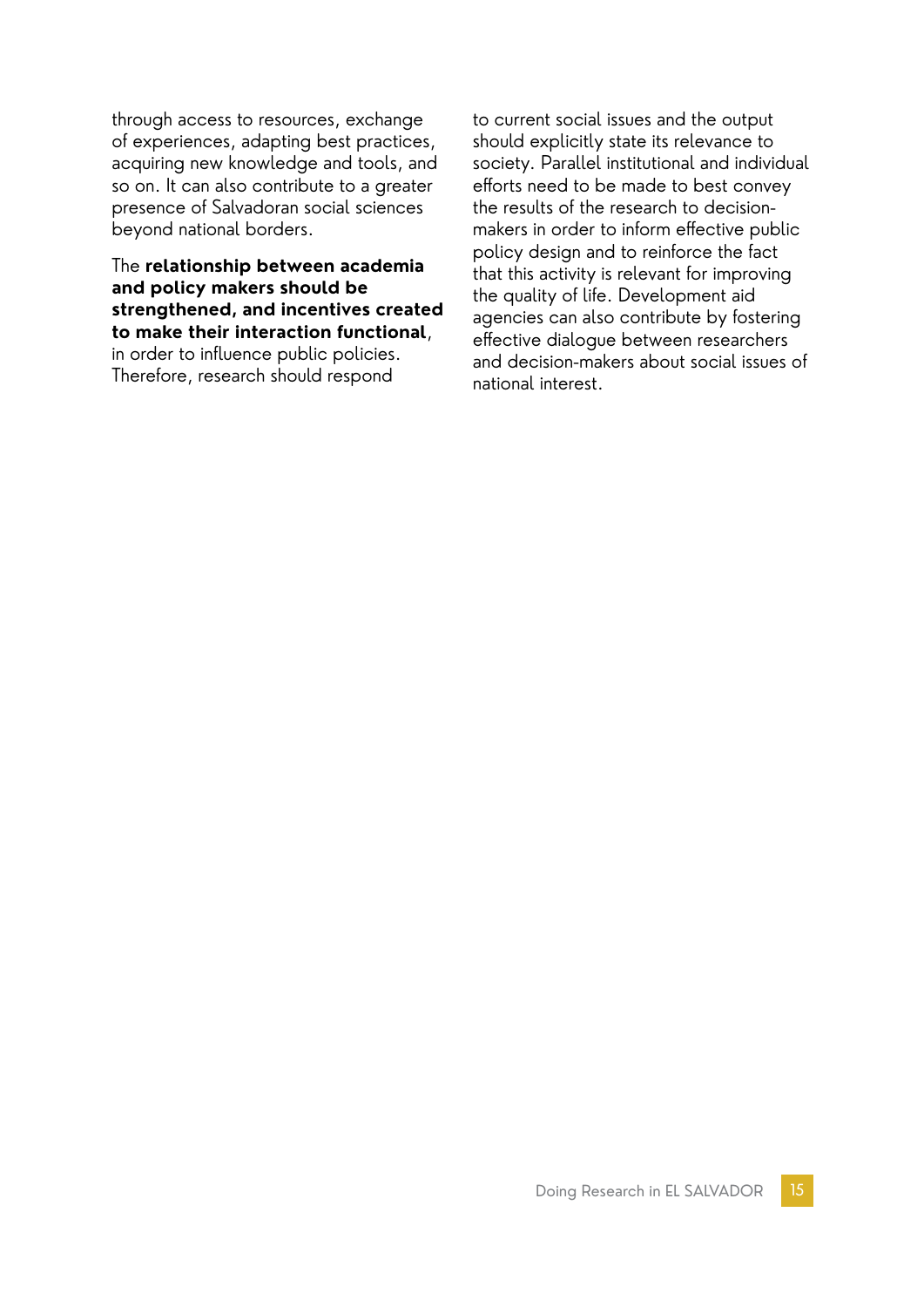through access to resources, exchange of experiences, adapting best practices, acquiring new knowledge and tools, and so on. It can also contribute to a greater presence of Salvadoran social sciences beyond national borders.

The **relationship between academia and policy makers should be strengthened, and incentives created to make their interaction functional**, in order to influence public policies. Therefore, research should respond

to current social issues and the output should explicitly state its relevance to society. Parallel institutional and individual efforts need to be made to best convey the results of the research to decisionmakers in order to inform effective public policy design and to reinforce the fact that this activity is relevant for improving the quality of life. Development aid agencies can also contribute by fostering effective dialogue between researchers and decision-makers about social issues of national interest.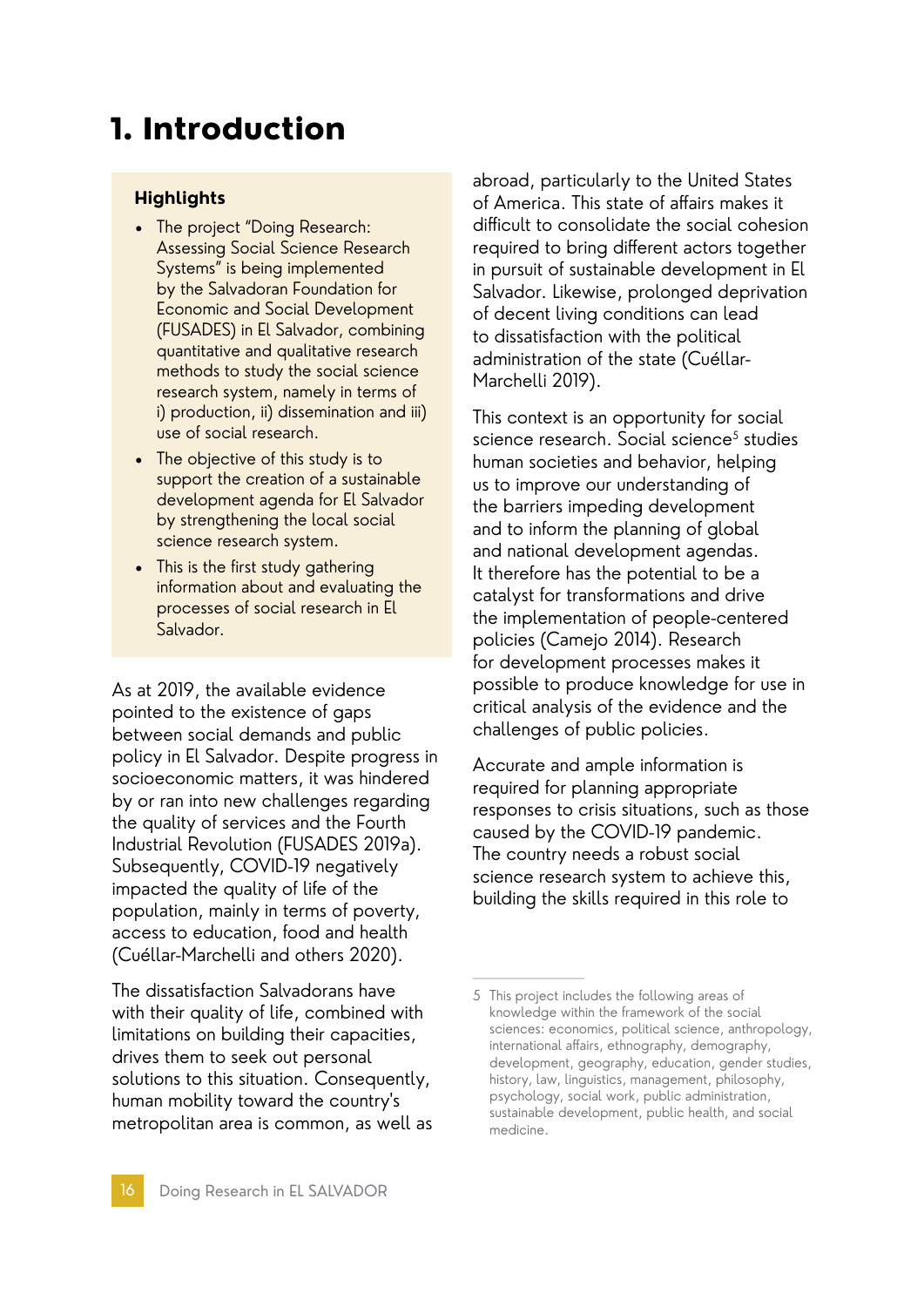## 1. Introduction

#### **Highlights**

- The project "Doing Research: Assessing Social Science Research Systems" is being implemented by the Salvadoran Foundation for Economic and Social Development (FUSADES) in El Salvador, combining quantitative and qualitative research methods to study the social science research system, namely in terms of i) production, ii) dissemination and iii) use of social research.
- The objective of this study is to support the creation of a sustainable development agenda for El Salvador by strengthening the local social science research system.
- This is the first study gathering information about and evaluating the processes of social research in El Salvador.

As at 2019, the available evidence pointed to the existence of gaps between social demands and public policy in El Salvador. Despite progress in socioeconomic matters, it was hindered by or ran into new challenges regarding the quality of services and the Fourth Industrial Revolution (FUSADES 2019a). Subsequently, COVID-19 negatively impacted the quality of life of the population, mainly in terms of poverty, access to education, food and health (Cuéllar-Marchelli and others 2020).

The dissatisfaction Salvadorans have with their quality of life, combined with limitations on building their capacities, drives them to seek out personal solutions to this situation. Consequently, human mobility toward the country's metropolitan area is common, as well as

abroad, particularly to the United States of America. This state of affairs makes it difficult to consolidate the social cohesion required to bring different actors together in pursuit of sustainable development in El Salvador. Likewise, prolonged deprivation of decent living conditions can lead to dissatisfaction with the political administration of the state (Cuéllar-Marchelli 2019).

This context is an opportunity for social science research. Social science<sup>5</sup> studies human societies and behavior, helping us to improve our understanding of the barriers impeding development and to inform the planning of global and national development agendas. It therefore has the potential to be a catalyst for transformations and drive the implementation of people-centered policies (Camejo 2014). Research for development processes makes it possible to produce knowledge for use in critical analysis of the evidence and the challenges of public policies.

Accurate and ample information is required for planning appropriate responses to crisis situations, such as those caused by the COVID-19 pandemic. The country needs a robust social science research system to achieve this, building the skills required in this role to

<sup>5</sup> This project includes the following areas of knowledge within the framework of the social sciences: economics, political science, anthropology, international affairs, ethnography, demography, development, geography, education, gender studies, history, law, linguistics, management, philosophy, psychology, social work, public administration, sustainable development, public health, and social medicine.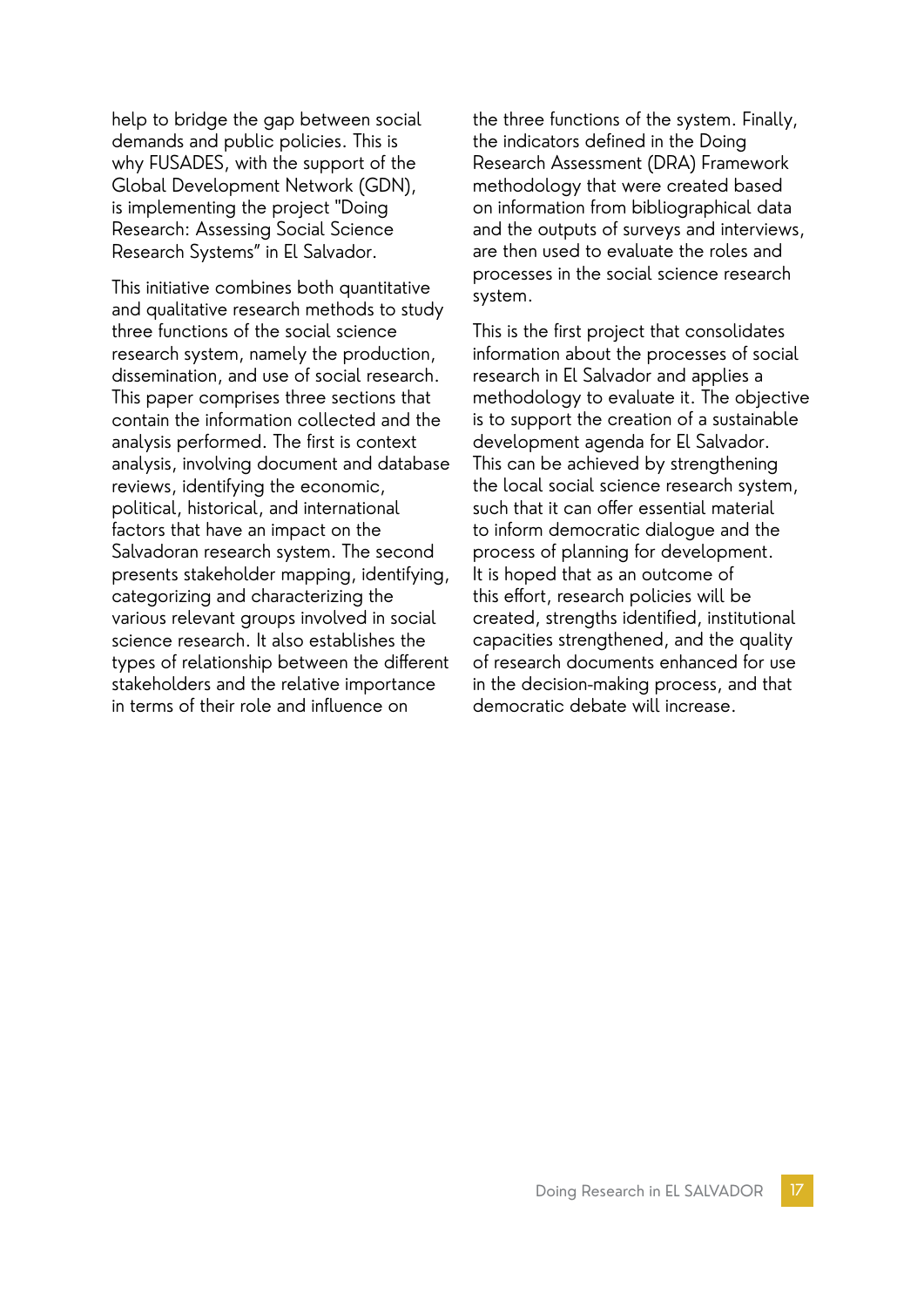help to bridge the gap between social demands and public policies. This is why FUSADES, with the support of the Global Development Network (GDN), is implementing the project "Doing Research: Assessing Social Science Research Systems" in El Salvador.

This initiative combines both quantitative and qualitative research methods to study three functions of the social science research system, namely the production, dissemination, and use of social research. This paper comprises three sections that contain the information collected and the analysis performed. The first is context analysis, involving document and database reviews, identifying the economic, political, historical, and international factors that have an impact on the Salvadoran research system. The second presents stakeholder mapping, identifying, categorizing and characterizing the various relevant groups involved in social science research. It also establishes the types of relationship between the different stakeholders and the relative importance in terms of their role and influence on

the three functions of the system. Finally, the indicators defined in the Doing Research Assessment (DRA) Framework methodology that were created based on information from bibliographical data and the outputs of surveys and interviews, are then used to evaluate the roles and processes in the social science research system.

This is the first project that consolidates information about the processes of social research in El Salvador and applies a methodology to evaluate it. The objective is to support the creation of a sustainable development agenda for El Salvador. This can be achieved by strengthening the local social science research system, such that it can offer essential material to inform democratic dialogue and the process of planning for development. It is hoped that as an outcome of this effort, research policies will be created, strengths identified, institutional capacities strengthened, and the quality of research documents enhanced for use in the decision-making process, and that democratic debate will increase.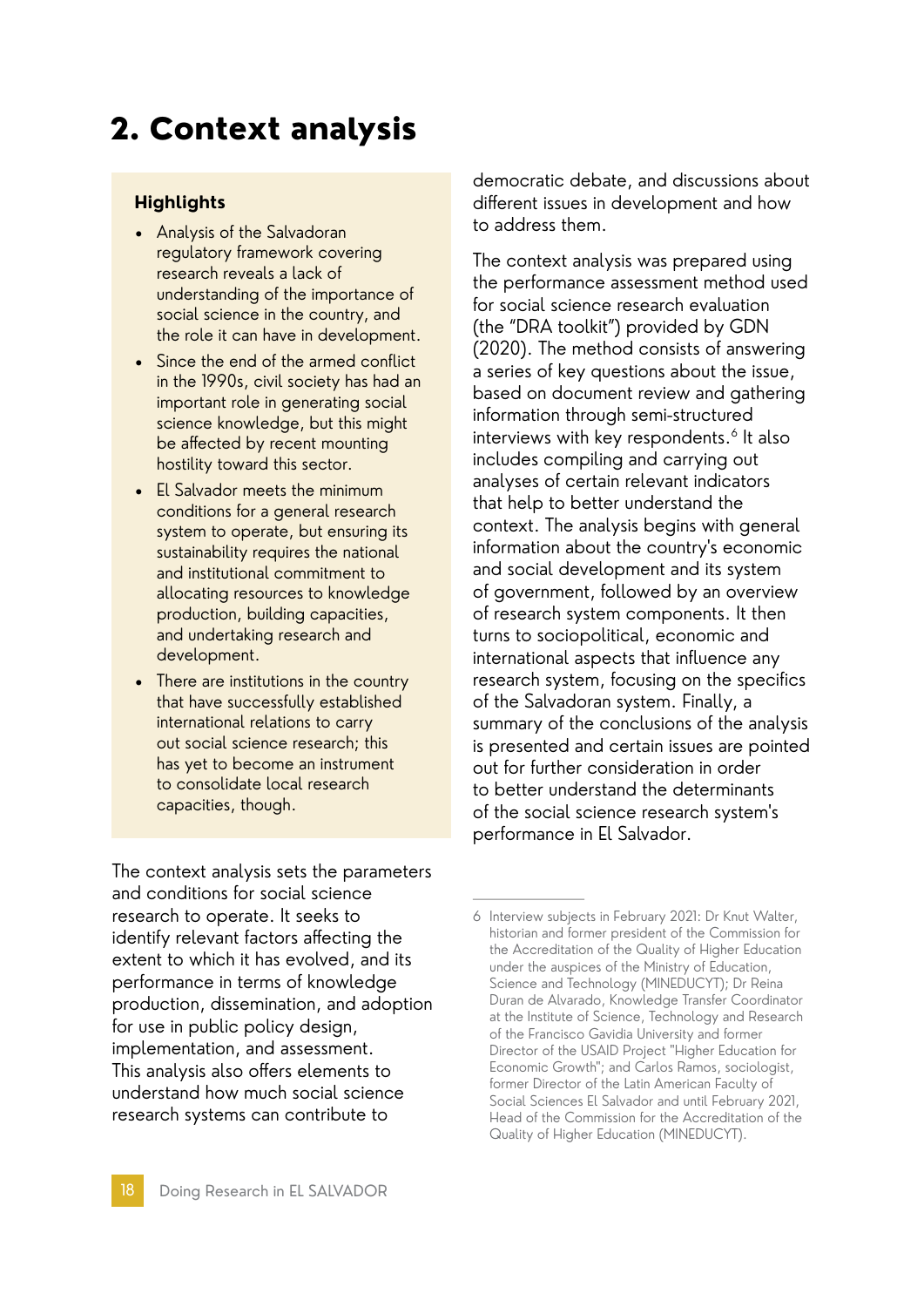# 2. Context analysis

#### **Highlights**

- Analysis of the Salvadoran regulatory framework covering research reveals a lack of understanding of the importance of social science in the country, and the role it can have in development.
- Since the end of the armed conflict in the 1990s, civil society has had an important role in generating social science knowledge, but this might be affected by recent mounting hostility toward this sector.
- El Salvador meets the minimum conditions for a general research system to operate, but ensuring its sustainability requires the national and institutional commitment to allocating resources to knowledge production, building capacities, and undertaking research and development.
- There are institutions in the country that have successfully established international relations to carry out social science research; this has yet to become an instrument to consolidate local research capacities, though.

The context analysis sets the parameters and conditions for social science research to operate. It seeks to identify relevant factors affecting the extent to which it has evolved, and its performance in terms of knowledge production, dissemination, and adoption for use in public policy design, implementation, and assessment. This analysis also offers elements to understand how much social science research systems can contribute to

democratic debate, and discussions about different issues in development and how to address them.

The context analysis was prepared using the performance assessment method used for social science research evaluation (the "DRA toolkit") provided by GDN (2020). The method consists of answering a series of key questions about the issue, based on document review and gathering information through semi-structured interviews with key respondents.<sup>6</sup> It also includes compiling and carrying out analyses of certain relevant indicators that help to better understand the context. The analysis begins with general information about the country's economic and social development and its system of government, followed by an overview of research system components. It then turns to sociopolitical, economic and international aspects that influence any research system, focusing on the specifics of the Salvadoran system. Finally, a summary of the conclusions of the analysis is presented and certain issues are pointed out for further consideration in order to better understand the determinants of the social science research system's performance in El Salvador.

<sup>6</sup> Interview subjects in February 2021: Dr Knut Walter, historian and former president of the Commission for the Accreditation of the Quality of Higher Education under the auspices of the Ministry of Education, Science and Technology (MINEDUCYT); Dr Reina Duran de Alvarado, Knowledge Transfer Coordinator at the Institute of Science, Technology and Research of the Francisco Gavidia University and former Director of the USAID Project "Higher Education for Economic Growth"; and Carlos Ramos, sociologist, former Director of the Latin American Faculty of Social Sciences El Salvador and until February 2021, Head of the Commission for the Accreditation of the Quality of Higher Education (MINEDUCYT).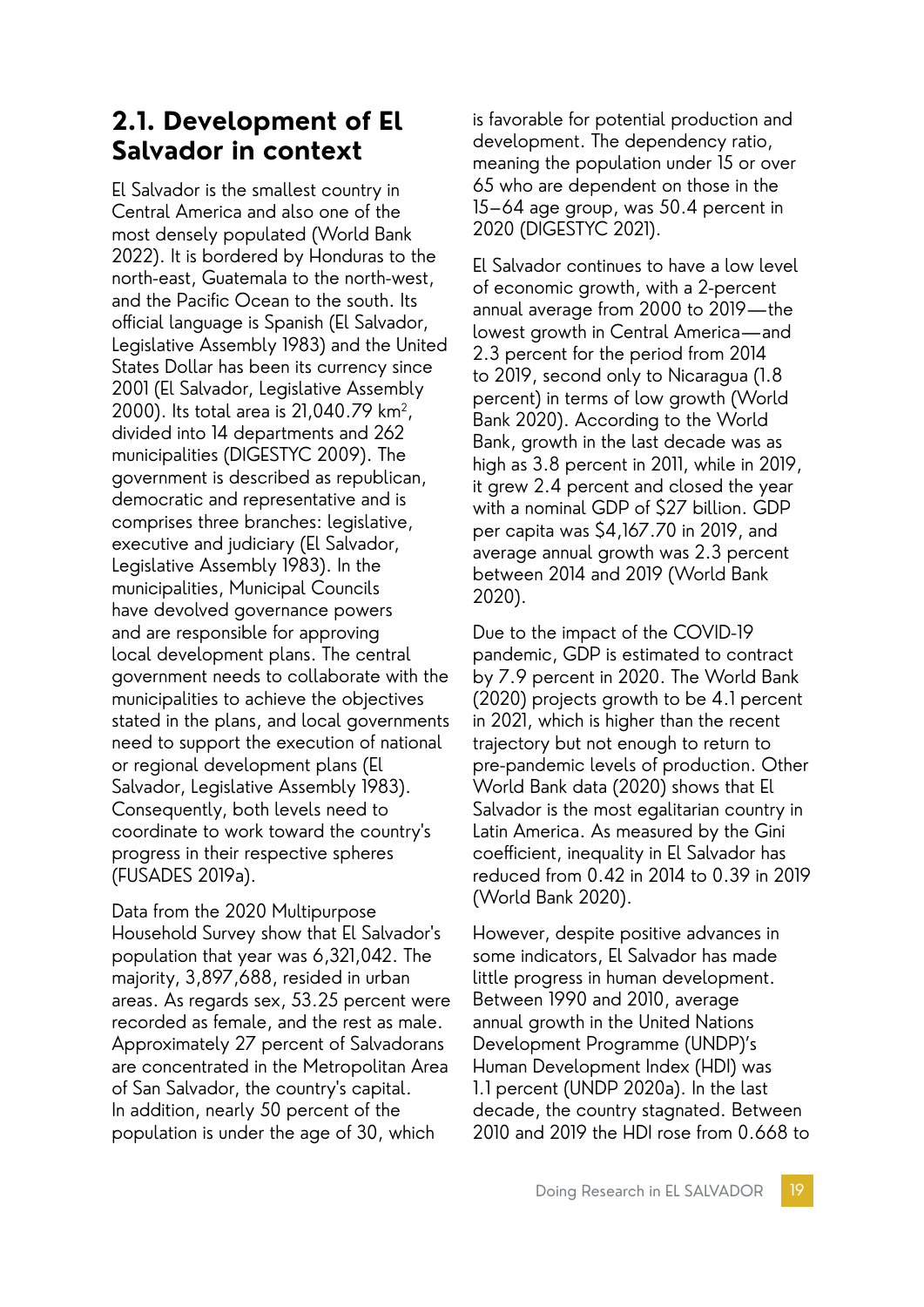### **2.1. Development of El Salvador in context**

El Salvador is the smallest country in Central America and also one of the most densely populated (World Bank 2022). It is bordered by Honduras to the north-east, Guatemala to the north-west, and the Pacific Ocean to the south. Its official language is Spanish (El Salvador, Legislative Assembly 1983) and the United States Dollar has been its currency since 2001 (El Salvador, Legislative Assembly 2000). Its total area is 21,040.79 km<sup>2</sup>, divided into 14 departments and 262 municipalities (DIGESTYC 2009). The government is described as republican, democratic and representative and is comprises three branches: legislative, executive and judiciary (El Salvador, Legislative Assembly 1983). In the municipalities, Municipal Councils have devolved governance powers and are responsible for approving local development plans. The central government needs to collaborate with the municipalities to achieve the objectives stated in the plans, and local governments need to support the execution of national or regional development plans (El Salvador, Legislative Assembly 1983). Consequently, both levels need to coordinate to work toward the country's progress in their respective spheres (FUSADES 2019a).

Data from the 2020 Multipurpose Household Survey show that El Salvador's population that year was 6,321,042. The majority, 3,897,688, resided in urban areas. As regards sex, 53.25 percent were recorded as female, and the rest as male. Approximately 27 percent of Salvadorans are concentrated in the Metropolitan Area of San Salvador, the country's capital. In addition, nearly 50 percent of the population is under the age of 30, which

is favorable for potential production and development. The dependency ratio, meaning the population under 15 or over 65 who are dependent on those in the 15–64 age group, was 50.4 percent in 2020 (DIGESTYC 2021).

El Salvador continues to have a low level of economic growth, with a 2-percent annual average from 2000 to 2019—the lowest growth in Central America—and 2.3 percent for the period from 2014 to 2019, second only to Nicaragua (1.8 percent) in terms of low growth (World Bank 2020). According to the World Bank, growth in the last decade was as high as 3.8 percent in 2011, while in 2019, it grew 2.4 percent and closed the year with a nominal GDP of \$27 billion. GDP per capita was \$4,167.70 in 2019, and average annual growth was 2.3 percent between 2014 and 2019 (World Bank 2020).

Due to the impact of the COVID-19 pandemic, GDP is estimated to contract by 7.9 percent in 2020. The World Bank (2020) projects growth to be 4.1 percent in 2021, which is higher than the recent trajectory but not enough to return to pre-pandemic levels of production. Other World Bank data (2020) shows that El Salvador is the most egalitarian country in Latin America. As measured by the Gini coefficient, inequality in El Salvador has reduced from 0.42 in 2014 to 0.39 in 2019 (World Bank 2020).

However, despite positive advances in some indicators, El Salvador has made little progress in human development. Between 1990 and 2010, average annual growth in the United Nations Development Programme (UNDP)'s Human Development Index (HDI) was 1.1 percent (UNDP 2020a). In the last decade, the country stagnated. Between 2010 and 2019 the HDI rose from 0.668 to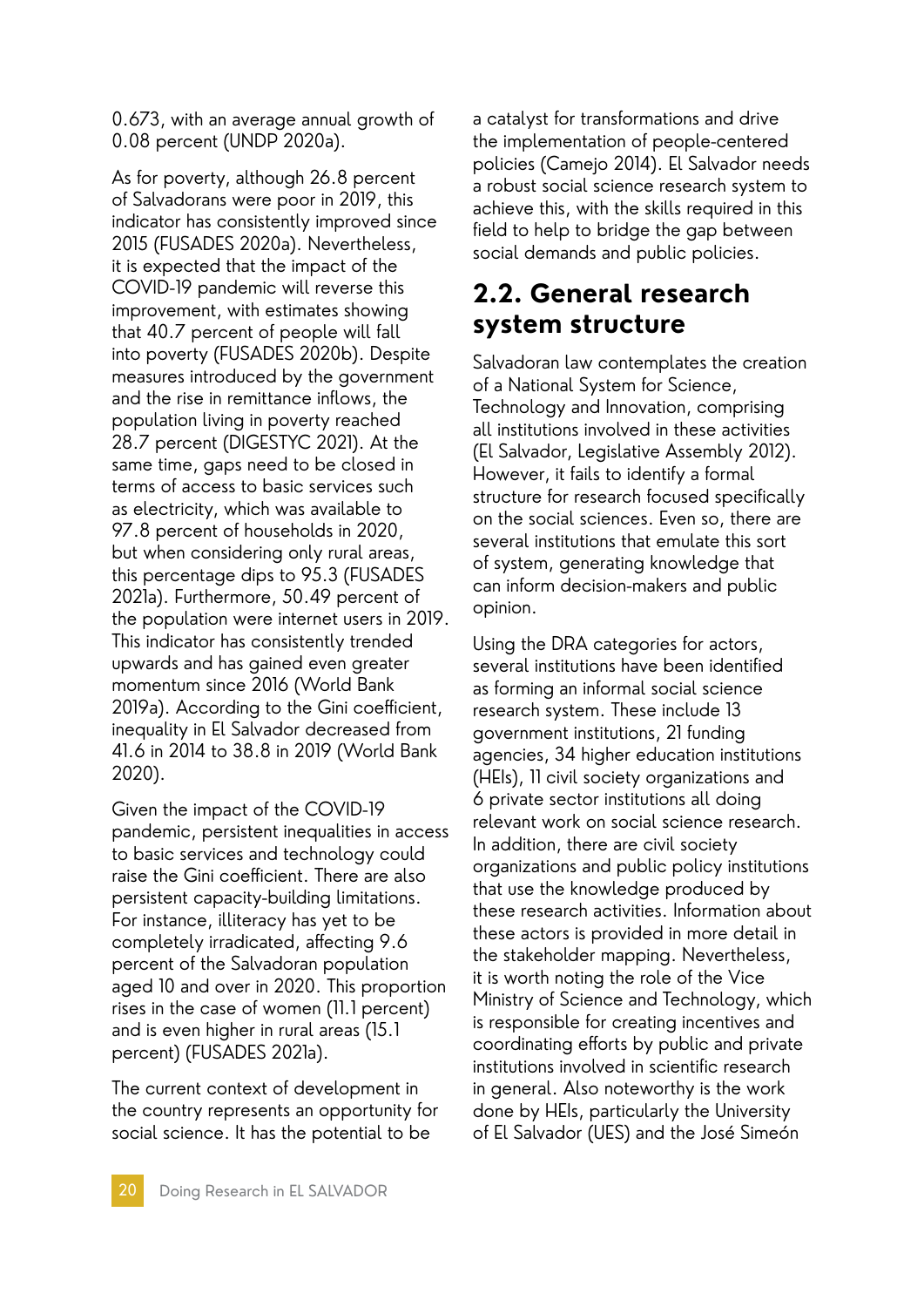0.673, with an average annual growth of 0.08 percent (UNDP 2020a).

As for poverty, although 26.8 percent of Salvadorans were poor in 2019, this indicator has consistently improved since 2015 (FUSADES 2020a). Nevertheless, it is expected that the impact of the COVID-19 pandemic will reverse this improvement, with estimates showing that 40.7 percent of people will fall into poverty (FUSADES 2020b). Despite measures introduced by the government and the rise in remittance inflows, the population living in poverty reached 28.7 percent (DIGESTYC 2021). At the same time, gaps need to be closed in terms of access to basic services such as electricity, which was available to 97.8 percent of households in 2020, but when considering only rural areas, this percentage dips to 95.3 (FUSADES 2021a). Furthermore, 50.49 percent of the population were internet users in 2019. This indicator has consistently trended upwards and has gained even greater momentum since 2016 (World Bank 2019a). According to the Gini coefficient, inequality in El Salvador decreased from 41.6 in 2014 to 38.8 in 2019 (World Bank 2020).

Given the impact of the COVID-19 pandemic, persistent inequalities in access to basic services and technology could raise the Gini coefficient. There are also persistent capacity-building limitations. For instance, illiteracy has yet to be completely irradicated, affecting 9.6 percent of the Salvadoran population aged 10 and over in 2020. This proportion rises in the case of women (11.1 percent) and is even higher in rural areas (15.1 percent) (FUSADES 2021a).

The current context of development in the country represents an opportunity for social science. It has the potential to be

a catalyst for transformations and drive the implementation of people-centered policies (Camejo 2014). El Salvador needs a robust social science research system to achieve this, with the skills required in this field to help to bridge the gap between social demands and public policies.

### **2.2. General research system structure**

Salvadoran law contemplates the creation of a National System for Science, Technology and Innovation, comprising all institutions involved in these activities (El Salvador, Legislative Assembly 2012). However, it fails to identify a formal structure for research focused specifically on the social sciences. Even so, there are several institutions that emulate this sort of system, generating knowledge that can inform decision-makers and public opinion.

Using the DRA categories for actors, several institutions have been identified as forming an informal social science research system. These include 13 government institutions, 21 funding agencies, 34 higher education institutions (HEIs), 11 civil society organizations and 6 private sector institutions all doing relevant work on social science research. In addition, there are civil society organizations and public policy institutions that use the knowledge produced by these research activities. Information about these actors is provided in more detail in the stakeholder mapping. Nevertheless, it is worth noting the role of the Vice Ministry of Science and Technology, which is responsible for creating incentives and coordinating efforts by public and private institutions involved in scientific research in general. Also noteworthy is the work done by HEIs, particularly the University of El Salvador (UES) and the José Simeón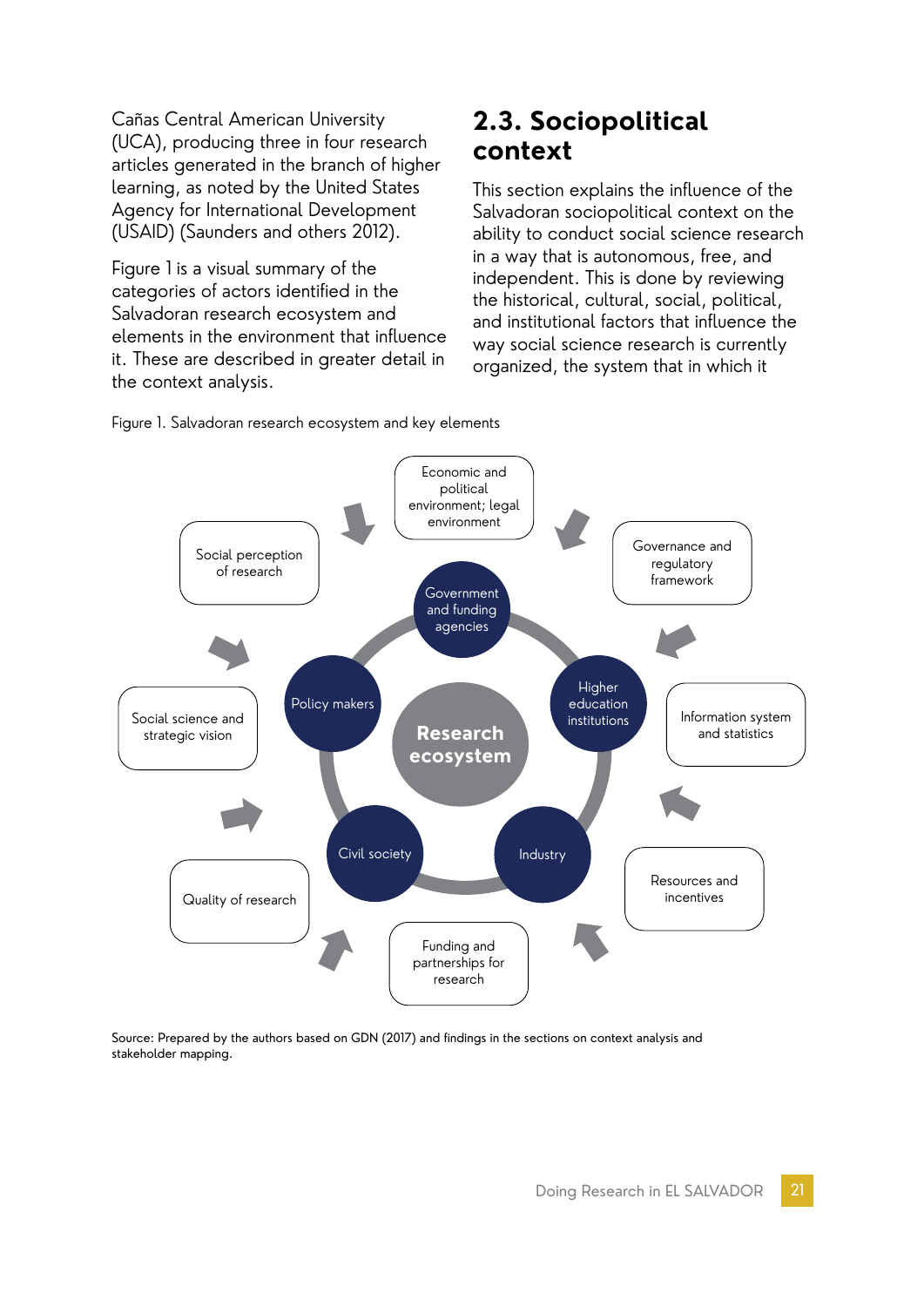Cañas Central American University (UCA), producing three in four research articles generated in the branch of higher learning, as noted by the United States Agency for International Development (USAID) (Saunders and others 2012).

Figure 1 is a visual summary of the categories of actors identified in the Salvadoran research ecosystem and elements in the environment that influence it. These are described in greater detail in the context analysis.

### **2.3. Sociopolitical context**

This section explains the influence of the Salvadoran sociopolitical context on the ability to conduct social science research in a way that is autonomous, free, and independent. This is done by reviewing the historical, cultural, social, political, and institutional factors that influence the way social science research is currently organized, the system that in which it





Source: Prepared by the authors based on GDN (2017) and findings in the sections on context analysis and stakeholder mapping.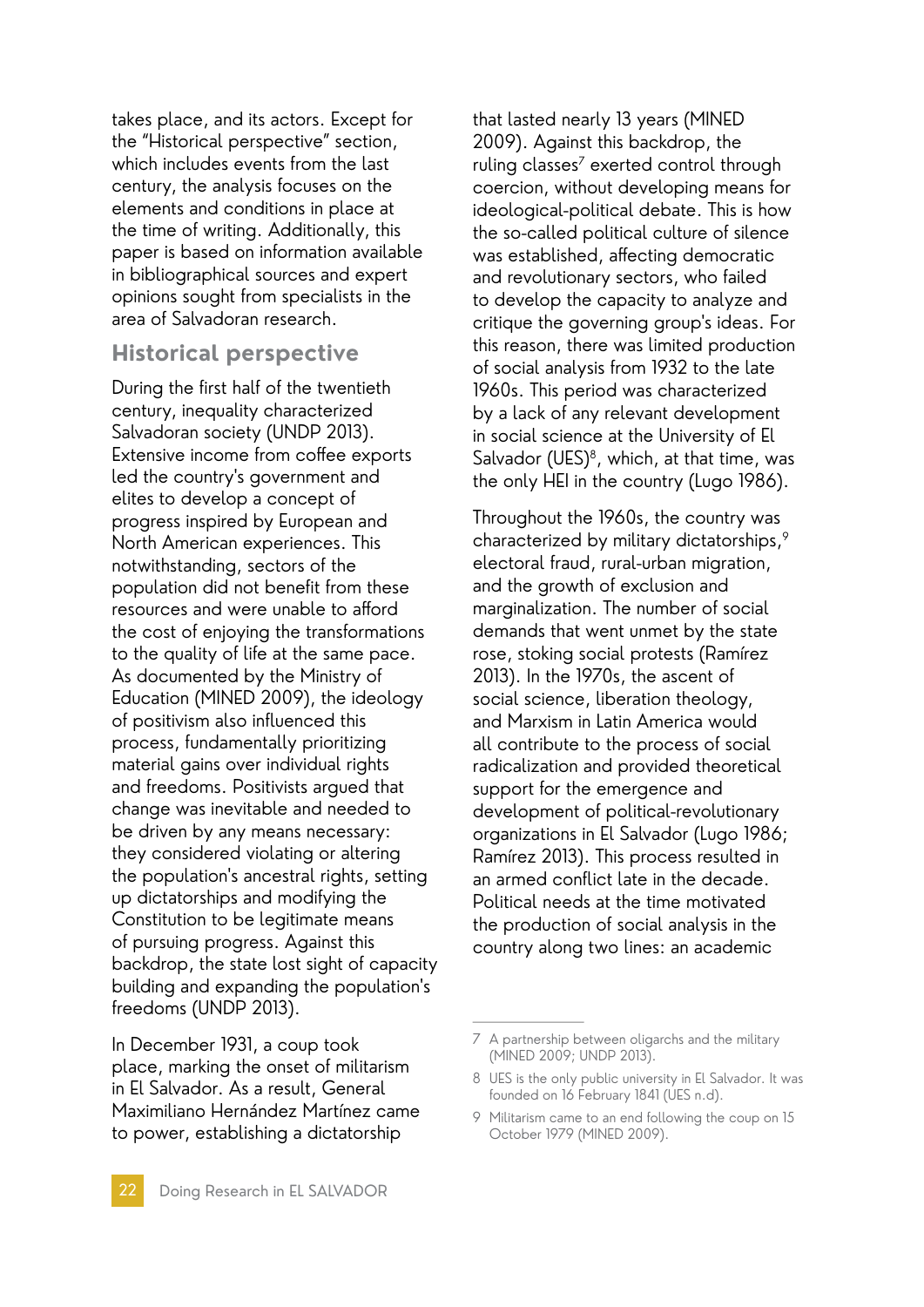takes place, and its actors. Except for the "[Historical perspective](#page-21-0)" section, which includes events from the last century, the analysis focuses on the elements and conditions in place at the time of writing. Additionally, this paper is based on information available in bibliographical sources and expert opinions sought from specialists in the area of Salvadoran research.

#### <span id="page-21-0"></span>**Historical perspective**

During the first half of the twentieth century, inequality characterized Salvadoran society (UNDP 2013). Extensive income from coffee exports led the country's government and elites to develop a concept of progress inspired by European and North American experiences. This notwithstanding, sectors of the population did not benefit from these resources and were unable to afford the cost of enjoying the transformations to the quality of life at the same pace. As documented by the Ministry of Education (MINED 2009), the ideology of positivism also influenced this process, fundamentally prioritizing material gains over individual rights and freedoms. Positivists argued that change was inevitable and needed to be driven by any means necessary: they considered violating or altering the population's ancestral rights, setting up dictatorships and modifying the Constitution to be legitimate means of pursuing progress. Against this backdrop, the state lost sight of capacity building and expanding the population's freedoms (UNDP 2013).

In December 1931, a coup took place, marking the onset of militarism in El Salvador. As a result, General Maximiliano Hernández Martínez came to power, establishing a dictatorship

that lasted nearly 13 years (MINED 2009). Against this backdrop, the ruling classes<sup>7</sup> exerted control through coercion, without developing means for ideological-political debate. This is how the so-called political culture of silence was established, affecting democratic and revolutionary sectors, who failed to develop the capacity to analyze and critique the governing group's ideas. For this reason, there was limited production of social analysis from 1932 to the late 1960s. This period was characterized by a lack of any relevant development in social science at the University of El Salvador (UES) $<sup>8</sup>$ , which, at that time, was</sup> the only HEI in the country (Lugo 1986).

Throughout the 1960s, the country was characterized by military dictatorships,9 electoral fraud, rural-urban migration, and the growth of exclusion and marginalization. The number of social demands that went unmet by the state rose, stoking social protests (Ramírez 2013). In the 1970s, the ascent of social science, liberation theology, and Marxism in Latin America would all contribute to the process of social radicalization and provided theoretical support for the emergence and development of political-revolutionary organizations in El Salvador (Lugo 1986; Ramírez 2013). This process resulted in an armed conflict late in the decade. Political needs at the time motivated the production of social analysis in the country along two lines: an academic

<sup>7</sup> A partnership between oligarchs and the military (MINED 2009; UNDP 2013).

<sup>8</sup> UES is the only public university in El Salvador. It was founded on 16 February 1841 (UES n.d).

<sup>9</sup> Militarism came to an end following the coup on 15 October 1979 (MINED 2009).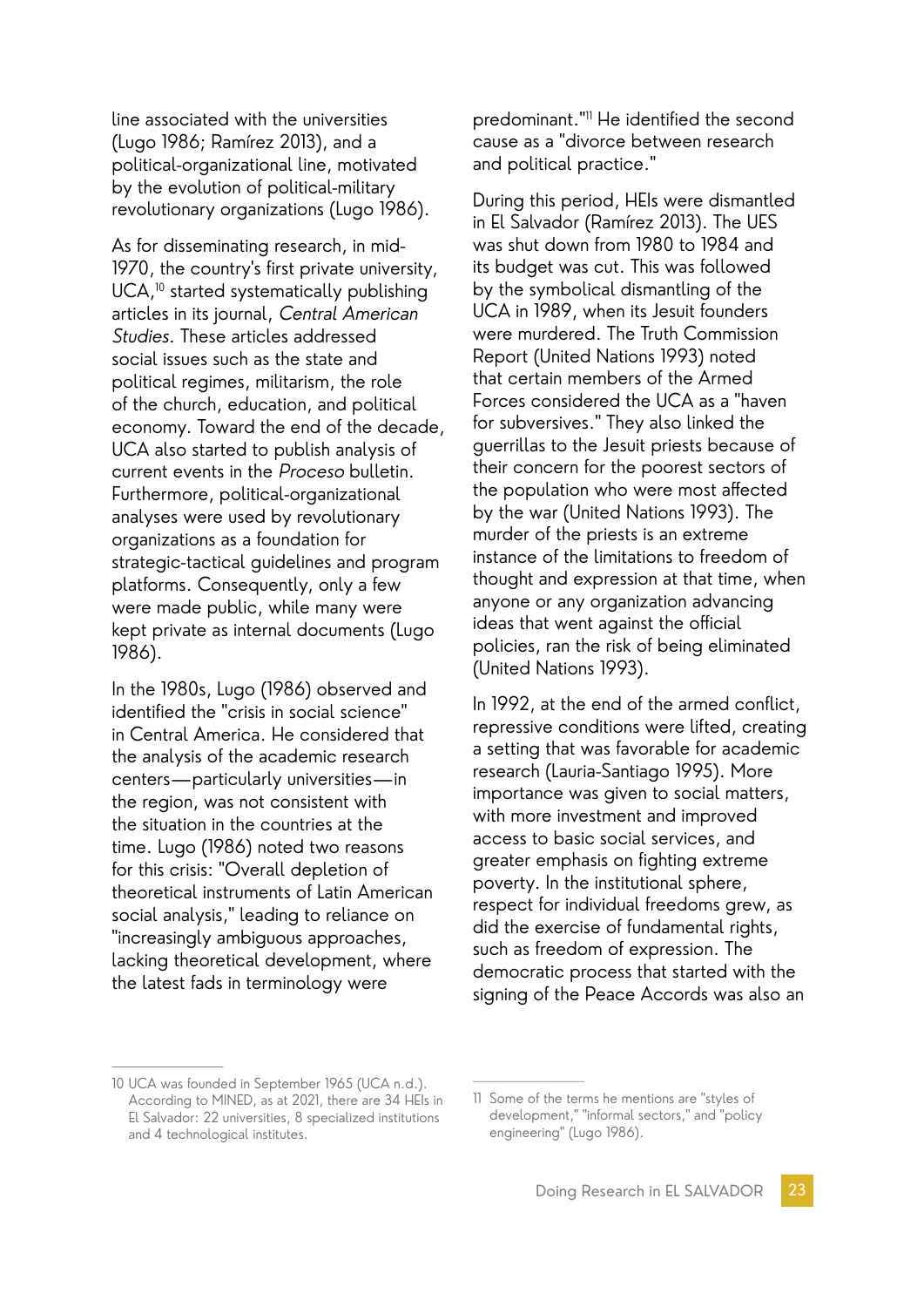line associated with the universities (Lugo 1986; Ramírez 2013), and a political-organizational line, motivated by the evolution of political-military revolutionary organizations (Lugo 1986).

As for disseminating research, in mid-1970, the country's first private university, UCA,<sup>10</sup> started systematically publishing articles in its journal, Central American Studies. These articles addressed social issues such as the state and political regimes, militarism, the role of the church, education, and political economy. Toward the end of the decade, UCA also started to publish analysis of current events in the Proceso bulletin. Furthermore, political-organizational analyses were used by revolutionary organizations as a foundation for strategic-tactical guidelines and program platforms. Consequently, only a few were made public, while many were kept private as internal documents (Lugo 1986).

In the 1980s, Lugo (1986) observed and identified the "crisis in social science" in Central America. He considered that the analysis of the academic research centers—particularly universities—in the region, was not consistent with the situation in the countries at the time. Lugo (1986) noted two reasons for this crisis: "Overall depletion of theoretical instruments of Latin American social analysis," leading to reliance on "increasingly ambiguous approaches, lacking theoretical development, where the latest fads in terminology were

predominant."11 He identified the second cause as a "divorce between research and political practice."

During this period, HEIs were dismantled in El Salvador (Ramírez 2013). The UES was shut down from 1980 to 1984 and its budget was cut. This was followed by the symbolical dismantling of the UCA in 1989, when its Jesuit founders were murdered. The Truth Commission Report (United Nations 1993) noted that certain members of the Armed Forces considered the UCA as a "haven for subversives." They also linked the guerrillas to the Jesuit priests because of their concern for the poorest sectors of the population who were most affected by the war (United Nations 1993). The murder of the priests is an extreme instance of the limitations to freedom of thought and expression at that time, when anyone or any organization advancing ideas that went against the official policies, ran the risk of being eliminated (United Nations 1993).

In 1992, at the end of the armed conflict, repressive conditions were lifted, creating a setting that was favorable for academic research (Lauria-Santiago 1995). More importance was given to social matters, with more investment and improved access to basic social services, and greater emphasis on fighting extreme poverty. In the institutional sphere, respect for individual freedoms grew, as did the exercise of fundamental rights, such as freedom of expression. The democratic process that started with the signing of the Peace Accords was also an

<sup>10</sup> UCA was founded in September 1965 (UCA n.d.). According to MINED, as at 2021, there are 34 HEIs in El Salvador: 22 universities, 8 specialized institutions and 4 technological institutes.

<sup>11</sup> Some of the terms he mentions are "styles of development," "informal sectors," and "policy engineering" (Lugo 1986).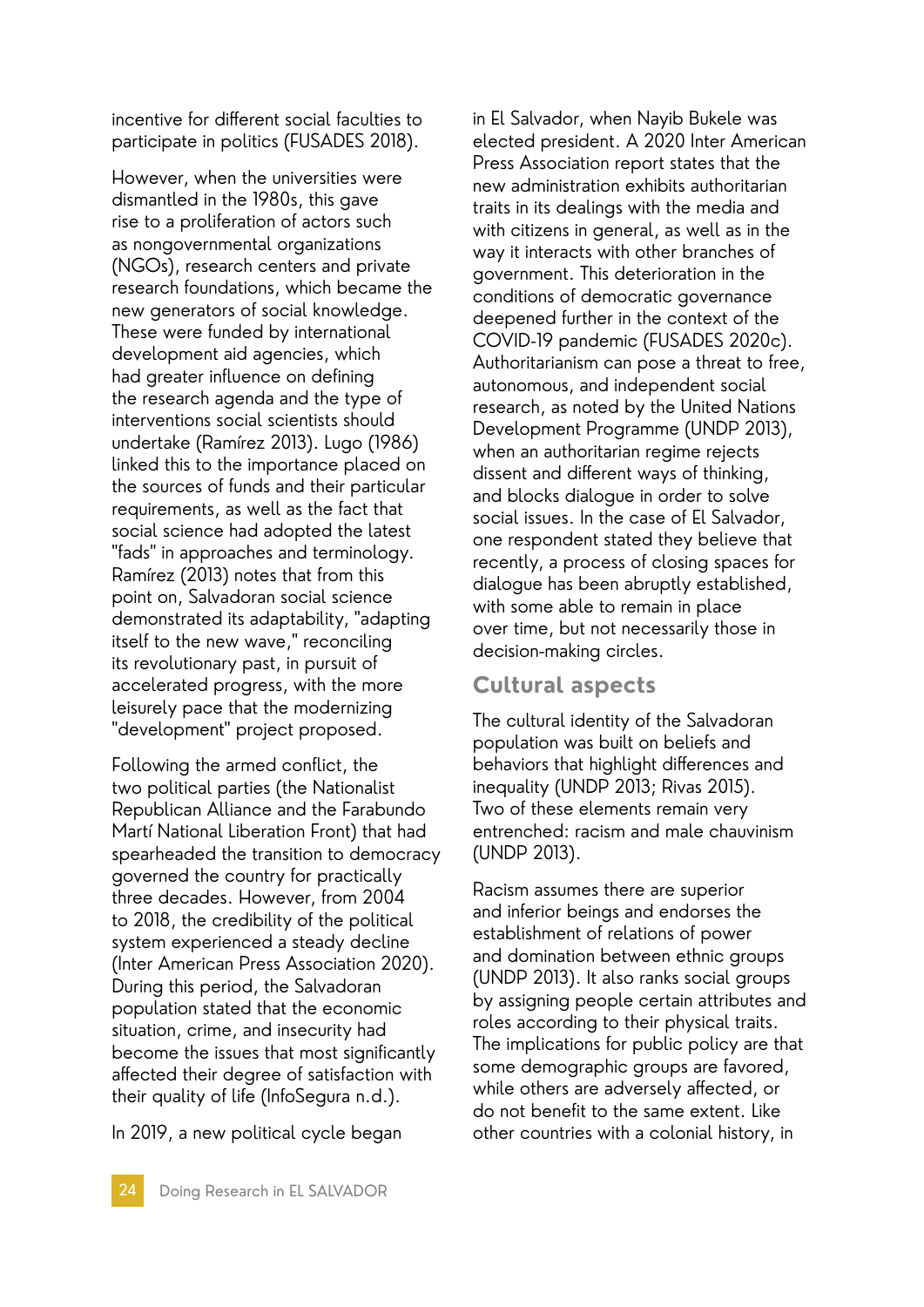incentive for different social faculties to participate in politics (FUSADES 2018).

However, when the universities were dismantled in the 1980s, this gave rise to a proliferation of actors such as nongovernmental organizations (NGOs), research centers and private research foundations, which became the new generators of social knowledge. These were funded by international development aid agencies, which had greater influence on defining the research agenda and the type of interventions social scientists should undertake (Ramírez 2013). Lugo (1986) linked this to the importance placed on the sources of funds and their particular requirements, as well as the fact that social science had adopted the latest "fads" in approaches and terminology. Ramírez (2013) notes that from this point on, Salvadoran social science demonstrated its adaptability, "adapting itself to the new wave," reconciling its revolutionary past, in pursuit of accelerated progress, with the more leisurely pace that the modernizing "development" project proposed.

Following the armed conflict, the two political parties (the Nationalist Republican Alliance and the Farabundo Martí National Liberation Front) that had spearheaded the transition to democracy governed the country for practically three decades. However, from 2004 to 2018, the credibility of the political system experienced a steady decline (Inter American Press Association 2020). During this period, the Salvadoran population stated that the economic situation, crime, and insecurity had become the issues that most significantly affected their degree of satisfaction with their quality of life (InfoSegura n.d.).

In 2019, a new political cycle began

in El Salvador, when Nayib Bukele was elected president. A 2020 Inter American Press Association report states that the new administration exhibits authoritarian traits in its dealings with the media and with citizens in general, as well as in the way it interacts with other branches of government. This deterioration in the conditions of democratic governance deepened further in the context of the COVID-19 pandemic (FUSADES 2020c). Authoritarianism can pose a threat to free, autonomous, and independent social research, as noted by the United Nations Development Programme (UNDP 2013), when an authoritarian regime rejects dissent and different ways of thinking, and blocks dialogue in order to solve social issues. In the case of El Salvador, one respondent stated they believe that recently, a process of closing spaces for dialogue has been abruptly established, with some able to remain in place over time, but not necessarily those in decision-making circles.

#### **Cultural aspects**

The cultural identity of the Salvadoran population was built on beliefs and behaviors that highlight differences and inequality (UNDP 2013; Rivas 2015). Two of these elements remain very entrenched: racism and male chauvinism (UNDP 2013).

Racism assumes there are superior and inferior beings and endorses the establishment of relations of power and domination between ethnic groups (UNDP 2013). It also ranks social groups by assigning people certain attributes and roles according to their physical traits. The implications for public policy are that some demographic groups are favored, while others are adversely affected, or do not benefit to the same extent. Like other countries with a colonial history, in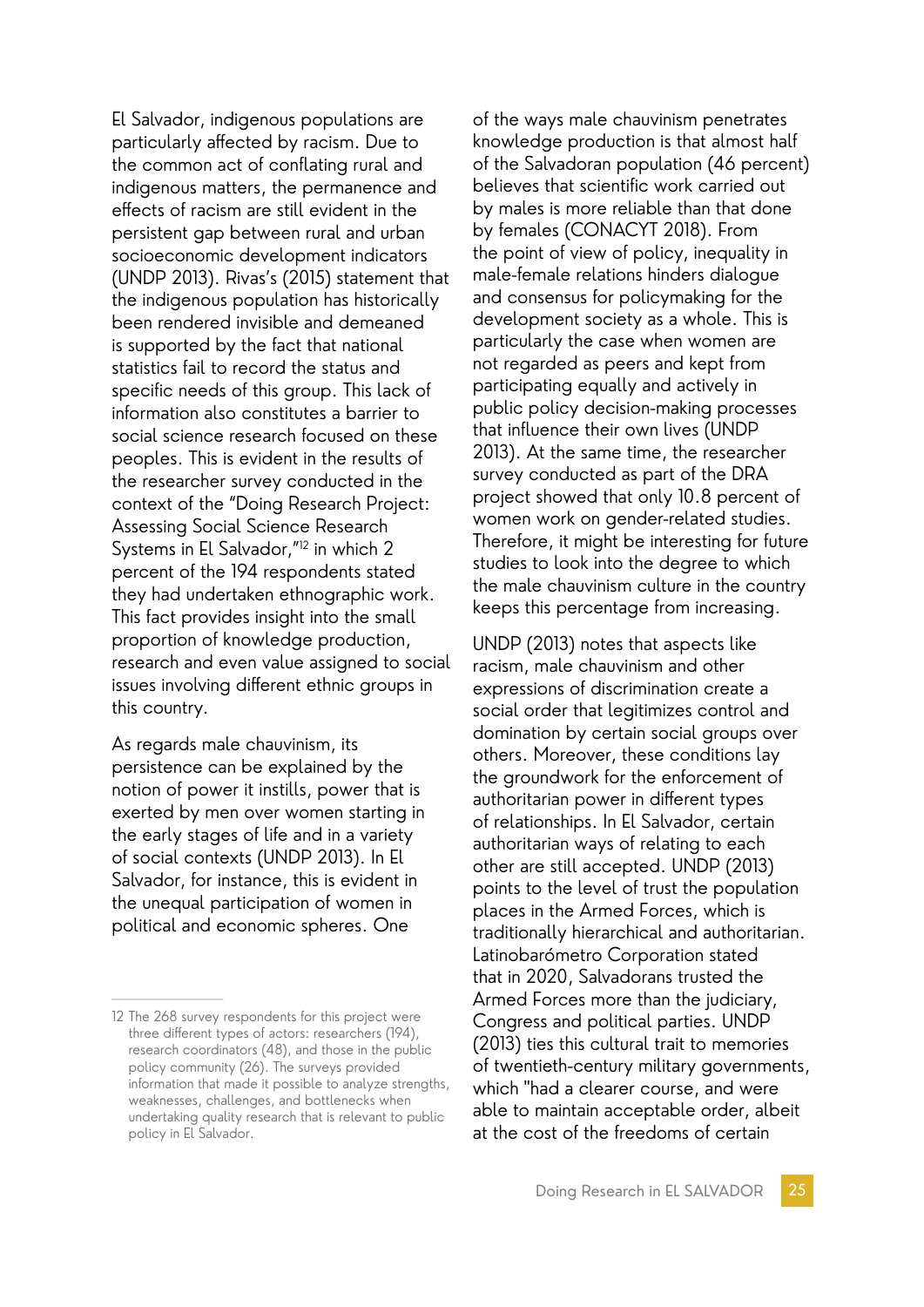El Salvador, indigenous populations are particularly affected by racism. Due to the common act of conflating rural and indigenous matters, the permanence and effects of racism are still evident in the persistent gap between rural and urban socioeconomic development indicators (UNDP 2013). Rivas's (2015) statement that the indigenous population has historically been rendered invisible and demeaned is supported by the fact that national statistics fail to record the status and specific needs of this group. This lack of information also constitutes a barrier to social science research focused on these peoples. This is evident in the results of the researcher survey conducted in the context of the "Doing Research Project: Assessing Social Science Research Systems in El Salvador,"12 in which 2 percent of the 194 respondents stated they had undertaken ethnographic work. This fact provides insight into the small proportion of knowledge production, research and even value assigned to social issues involving different ethnic groups in this country.

As regards male chauvinism, its persistence can be explained by the notion of power it instills, power that is exerted by men over women starting in the early stages of life and in a variety of social contexts (UNDP 2013). In El Salvador, for instance, this is evident in the unequal participation of women in political and economic spheres. One

of the ways male chauvinism penetrates knowledge production is that almost half of the Salvadoran population (46 percent) believes that scientific work carried out by males is more reliable than that done by females (CONACYT 2018). From the point of view of policy, inequality in male-female relations hinders dialogue and consensus for policymaking for the development society as a whole. This is particularly the case when women are not regarded as peers and kept from participating equally and actively in public policy decision-making processes that influence their own lives (UNDP 2013). At the same time, the researcher survey conducted as part of the DRA project showed that only 10.8 percent of women work on gender-related studies. Therefore, it might be interesting for future studies to look into the degree to which the male chauvinism culture in the country keeps this percentage from increasing.

UNDP (2013) notes that aspects like racism, male chauvinism and other expressions of discrimination create a social order that legitimizes control and domination by certain social groups over others. Moreover, these conditions lay the groundwork for the enforcement of authoritarian power in different types of relationships. In El Salvador, certain authoritarian ways of relating to each other are still accepted. UNDP (2013) points to the level of trust the population places in the Armed Forces, which is traditionally hierarchical and authoritarian. Latinobarómetro Corporation stated that in 2020, Salvadorans trusted the Armed Forces more than the judiciary, Congress and political parties. UNDP (2013) ties this cultural trait to memories of twentieth-century military governments, which "had a clearer course, and were able to maintain acceptable order, albeit at the cost of the freedoms of certain

<sup>12</sup> The 268 survey respondents for this project were three different types of actors: researchers (194), research coordinators (48), and those in the public policy community (26). The surveys provided information that made it possible to analyze strengths, weaknesses, challenges, and bottlenecks when undertaking quality research that is relevant to public policy in El Salvador.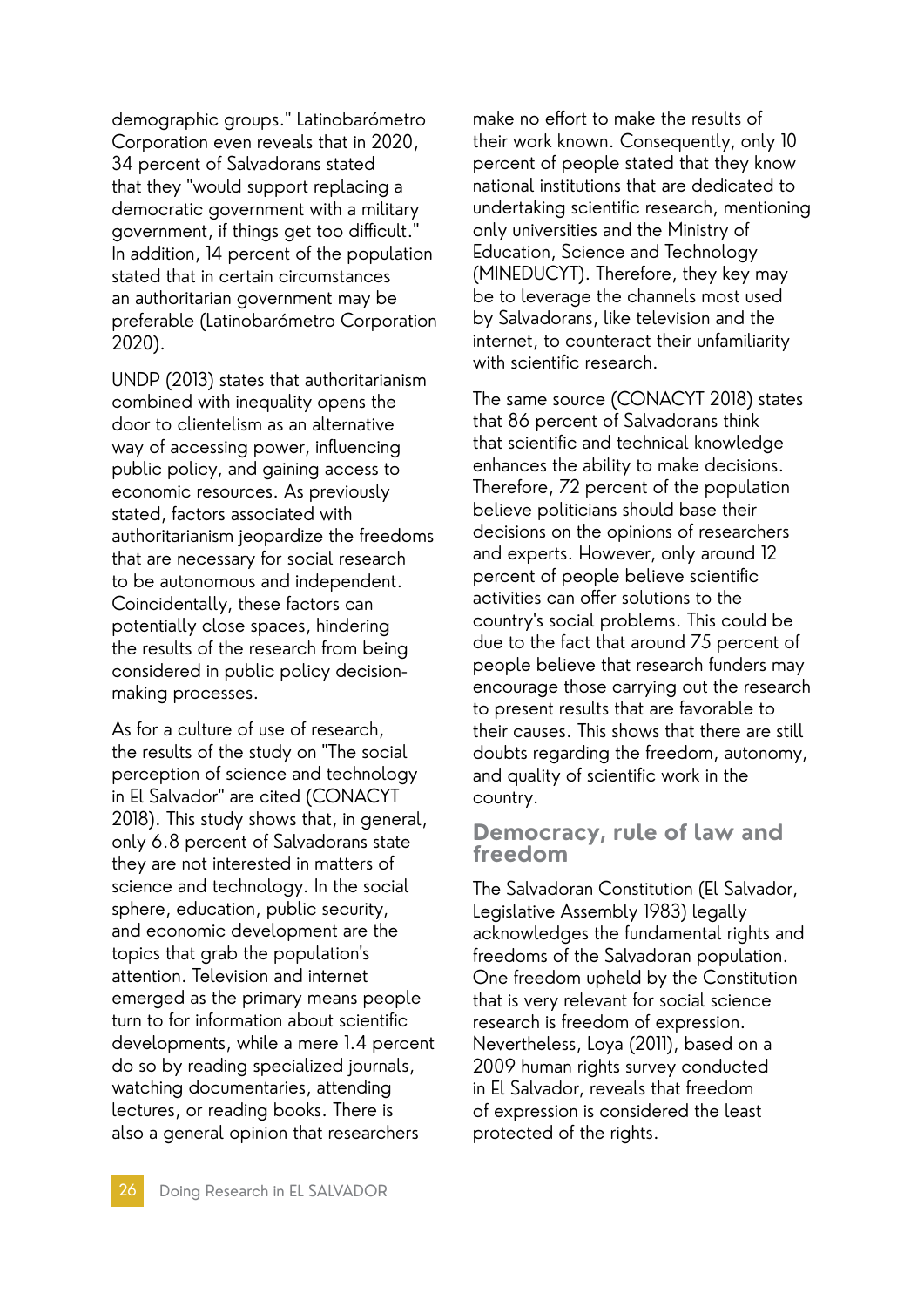demographic groups." Latinobarómetro Corporation even reveals that in 2020, 34 percent of Salvadorans stated that they "would support replacing a democratic government with a military government, if things get too difficult." In addition, 14 percent of the population stated that in certain circumstances an authoritarian government may be preferable (Latinobarómetro Corporation 2020).

UNDP (2013) states that authoritarianism combined with inequality opens the door to clientelism as an alternative way of accessing power, influencing public policy, and gaining access to economic resources. As previously stated, factors associated with authoritarianism jeopardize the freedoms that are necessary for social research to be autonomous and independent. Coincidentally, these factors can potentially close spaces, hindering the results of the research from being considered in public policy decisionmaking processes.

As for a culture of use of research, the results of the study on "The social perception of science and technology in El Salvador" are cited (CONACYT 2018). This study shows that, in general, only 6.8 percent of Salvadorans state they are not interested in matters of science and technology. In the social sphere, education, public security, and economic development are the topics that grab the population's attention. Television and internet emerged as the primary means people turn to for information about scientific developments, while a mere 1.4 percent do so by reading specialized journals, watching documentaries, attending lectures, or reading books. There is also a general opinion that researchers

make no effort to make the results of their work known. Consequently, only 10 percent of people stated that they know national institutions that are dedicated to undertaking scientific research, mentioning only universities and the Ministry of Education, Science and Technology (MINEDUCYT). Therefore, they key may be to leverage the channels most used by Salvadorans, like television and the internet, to counteract their unfamiliarity with scientific research.

The same source (CONACYT 2018) states that 86 percent of Salvadorans think that scientific and technical knowledge enhances the ability to make decisions. Therefore, 72 percent of the population believe politicians should base their decisions on the opinions of researchers and experts. However, only around 12 percent of people believe scientific activities can offer solutions to the country's social problems. This could be due to the fact that around 75 percent of people believe that research funders may encourage those carrying out the research to present results that are favorable to their causes. This shows that there are still doubts regarding the freedom, autonomy, and quality of scientific work in the country.

#### **Democracy, rule of law and freedom**

The Salvadoran Constitution (El Salvador, Legislative Assembly 1983) legally acknowledges the fundamental rights and freedoms of the Salvadoran population. One freedom upheld by the Constitution that is very relevant for social science research is freedom of expression. Nevertheless, Loya (2011), based on a 2009 human rights survey conducted in El Salvador, reveals that freedom of expression is considered the least protected of the rights.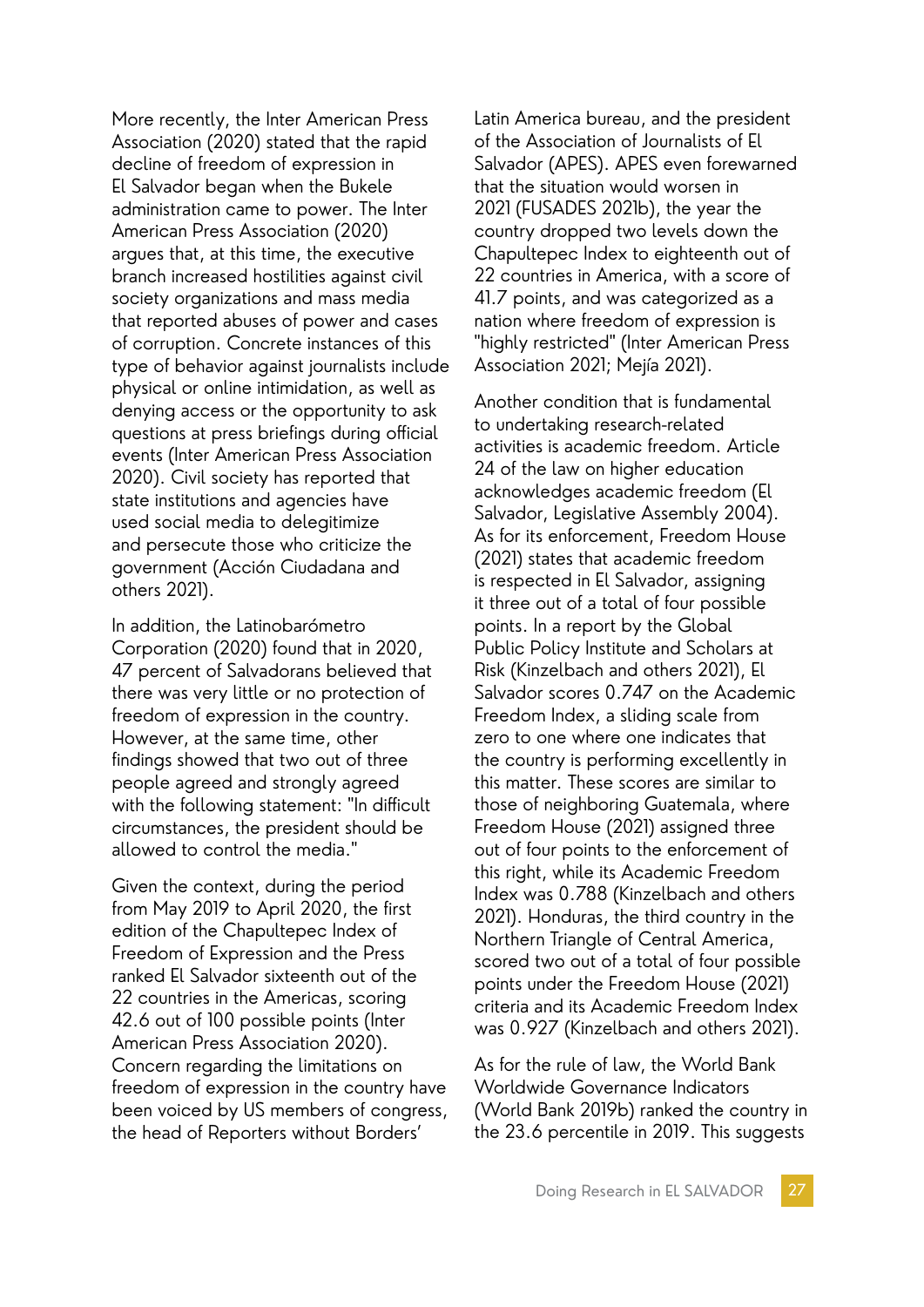More recently, the Inter American Press Association (2020) stated that the rapid decline of freedom of expression in El Salvador began when the Bukele administration came to power. The Inter American Press Association (2020) argues that, at this time, the executive branch increased hostilities against civil society organizations and mass media that reported abuses of power and cases of corruption. Concrete instances of this type of behavior against journalists include physical or online intimidation, as well as denying access or the opportunity to ask questions at press briefings during official events (Inter American Press Association 2020). Civil society has reported that state institutions and agencies have used social media to delegitimize and persecute those who criticize the government (Acción Ciudadana and others 2021).

In addition, the Latinobarómetro Corporation (2020) found that in 2020, 47 percent of Salvadorans believed that there was very little or no protection of freedom of expression in the country. However, at the same time, other findings showed that two out of three people agreed and strongly agreed with the following statement: "In difficult circumstances, the president should be allowed to control the media."

Given the context, during the period from May 2019 to April 2020, the first edition of the Chapultepec Index of Freedom of Expression and the Press ranked El Salvador sixteenth out of the 22 countries in the Americas, scoring 42.6 out of 100 possible points (Inter American Press Association 2020). Concern regarding the limitations on freedom of expression in the country have been voiced by US members of congress, the head of Reporters without Borders'

Latin America bureau, and the president of the Association of Journalists of El Salvador (APES). APES even forewarned that the situation would worsen in 2021 (FUSADES 2021b), the year the country dropped two levels down the Chapultepec Index to eighteenth out of 22 countries in America, with a score of 41.7 points, and was categorized as a nation where freedom of expression is "highly restricted" (Inter American Press Association 2021; Mejía 2021).

Another condition that is fundamental to undertaking research-related activities is academic freedom. Article 24 of the law on higher education acknowledges academic freedom (El Salvador, Legislative Assembly 2004). As for its enforcement, Freedom House (2021) states that academic freedom is respected in El Salvador, assigning it three out of a total of four possible points. In a report by the Global Public Policy Institute and Scholars at Risk (Kinzelbach and others 2021), El Salvador scores 0.747 on the Academic Freedom Index, a sliding scale from zero to one where one indicates that the country is performing excellently in this matter. These scores are similar to those of neighboring Guatemala, where Freedom House (2021) assigned three out of four points to the enforcement of this right, while its Academic Freedom Index was 0.788 (Kinzelbach and others 2021). Honduras, the third country in the Northern Triangle of Central America, scored two out of a total of four possible points under the Freedom House (2021) criteria and its Academic Freedom Index was 0.927 (Kinzelbach and others 2021).

As for the rule of law, the World Bank Worldwide Governance Indicators (World Bank 2019b) ranked the country in the 23.6 percentile in 2019. This suggests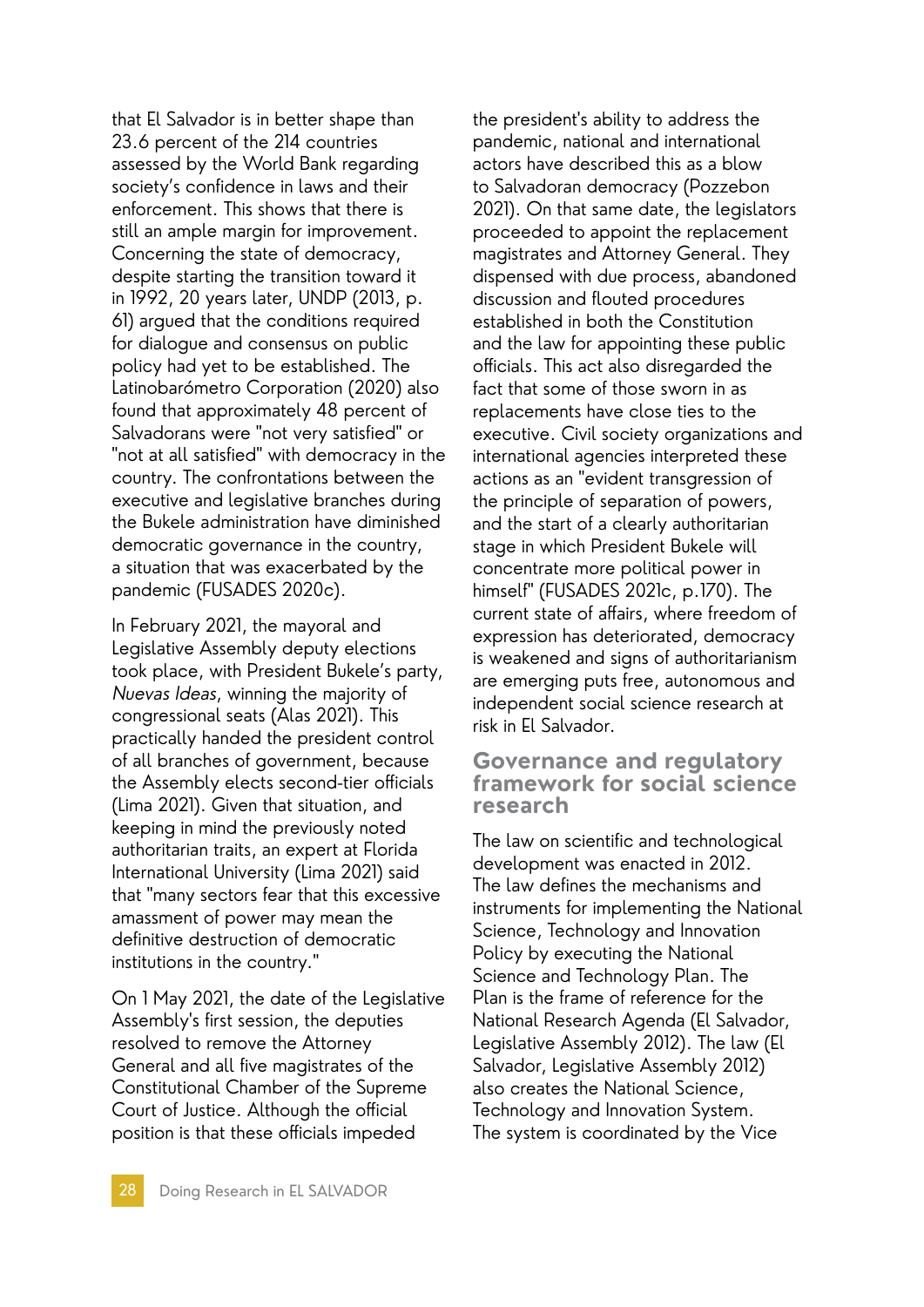that El Salvador is in better shape than 23.6 percent of the 214 countries assessed by the World Bank regarding society's confidence in laws and their enforcement. This shows that there is still an ample margin for improvement. Concerning the state of democracy, despite starting the transition toward it in 1992, 20 years later, UNDP (2013, p. 61) argued that the conditions required for dialogue and consensus on public policy had yet to be established. The Latinobarómetro Corporation (2020) also found that approximately 48 percent of Salvadorans were "not very satisfied" or "not at all satisfied" with democracy in the country. The confrontations between the executive and legislative branches during the Bukele administration have diminished democratic governance in the country, a situation that was exacerbated by the pandemic (FUSADES 2020c).

In February 2021, the mayoral and Legislative Assembly deputy elections took place, with President Bukele's party, Nuevas Ideas, winning the majority of congressional seats (Alas 2021). This practically handed the president control of all branches of government, because the Assembly elects second-tier officials (Lima 2021). Given that situation, and keeping in mind the previously noted authoritarian traits, an expert at Florida International University (Lima 2021) said that "many sectors fear that this excessive amassment of power may mean the definitive destruction of democratic institutions in the country."

On 1 May 2021, the date of the Legislative Assembly's first session, the deputies resolved to remove the Attorney General and all five magistrates of the Constitutional Chamber of the Supreme Court of Justice. Although the official position is that these officials impeded

the president's ability to address the pandemic, national and international actors have described this as a blow to Salvadoran democracy (Pozzebon 2021). On that same date, the legislators proceeded to appoint the replacement magistrates and Attorney General. They dispensed with due process, abandoned discussion and flouted procedures established in both the Constitution and the law for appointing these public officials. This act also disregarded the fact that some of those sworn in as replacements have close ties to the executive. Civil society organizations and international agencies interpreted these actions as an "evident transgression of the principle of separation of powers, and the start of a clearly authoritarian stage in which President Bukele will concentrate more political power in himself" (FUSADES 2021c, p.170). The current state of affairs, where freedom of expression has deteriorated, democracy is weakened and signs of authoritarianism are emerging puts free, autonomous and independent social science research at risk in El Salvador.

#### **Governance and regulatory framework for social science research**

The law on scientific and technological development was enacted in 2012. The law defines the mechanisms and instruments for implementing the National Science, Technology and Innovation Policy by executing the National Science and Technology Plan. The Plan is the frame of reference for the National Research Agenda (El Salvador, Legislative Assembly 2012). The law (El Salvador, Legislative Assembly 2012) also creates the National Science, Technology and Innovation System. The system is coordinated by the Vice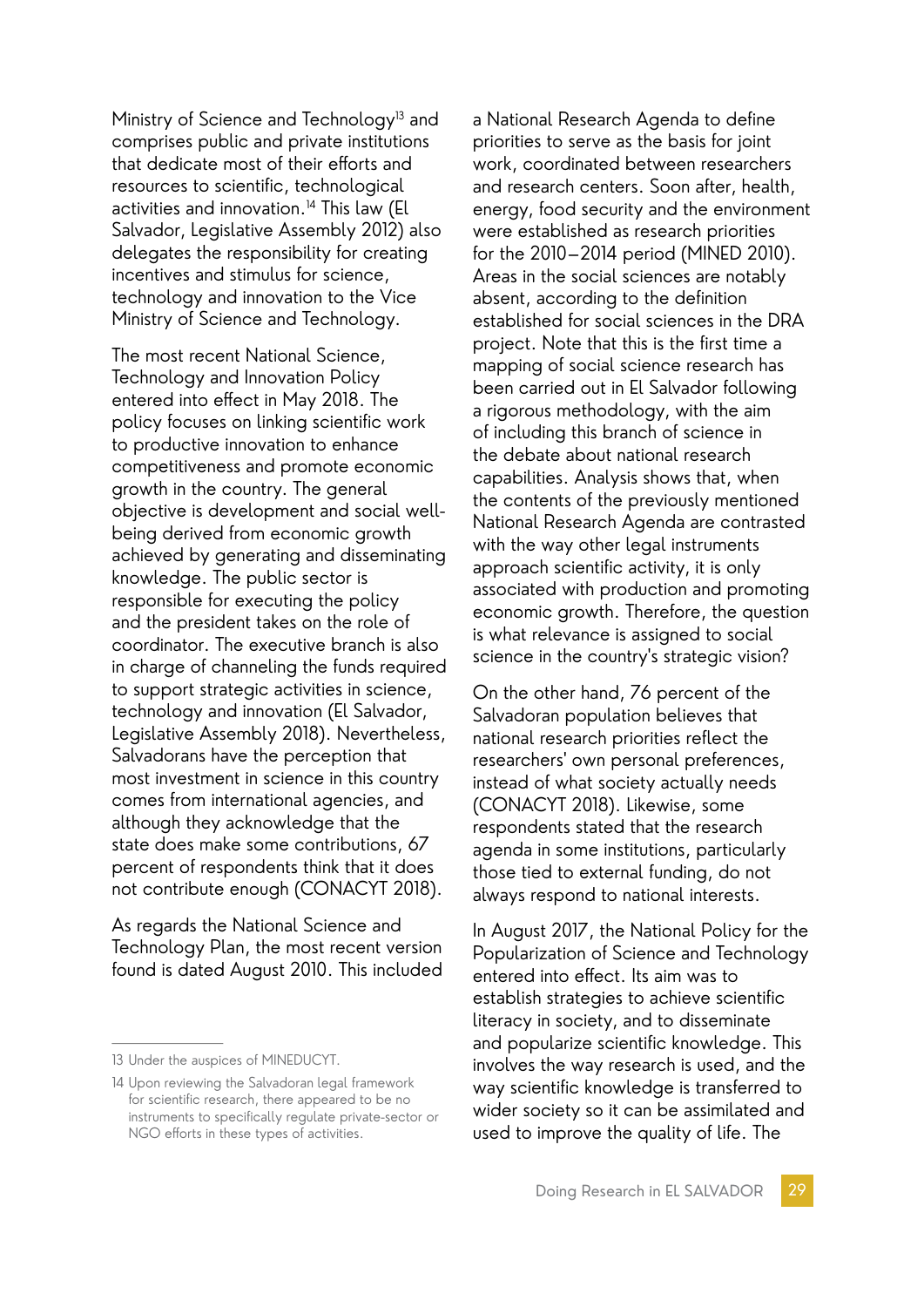Ministry of Science and Technology<sup>13</sup> and comprises public and private institutions that dedicate most of their efforts and resources to scientific, technological activities and innovation.<sup>14</sup> This law (El Salvador, Legislative Assembly 2012) also delegates the responsibility for creating incentives and stimulus for science, technology and innovation to the Vice Ministry of Science and Technology.

The most recent National Science, Technology and Innovation Policy entered into effect in May 2018. The policy focuses on linking scientific work to productive innovation to enhance competitiveness and promote economic growth in the country. The general objective is development and social wellbeing derived from economic growth achieved by generating and disseminating knowledge. The public sector is responsible for executing the policy and the president takes on the role of coordinator. The executive branch is also in charge of channeling the funds required to support strategic activities in science, technology and innovation (El Salvador, Legislative Assembly 2018). Nevertheless, Salvadorans have the perception that most investment in science in this country comes from international agencies, and although they acknowledge that the state does make some contributions, 67 percent of respondents think that it does not contribute enough (CONACYT 2018).

As regards the National Science and Technology Plan, the most recent version found is dated August 2010. This included

a National Research Agenda to define priorities to serve as the basis for joint work, coordinated between researchers and research centers. Soon after, health, energy, food security and the environment were established as research priorities for the 2010–2014 period (MINED 2010). Areas in the social sciences are notably absent, according to the definition established for social sciences in the DRA project. Note that this is the first time a mapping of social science research has been carried out in El Salvador following a rigorous methodology, with the aim of including this branch of science in the debate about national research capabilities. Analysis shows that, when the contents of the previously mentioned National Research Agenda are contrasted with the way other legal instruments approach scientific activity, it is only associated with production and promoting economic growth. Therefore, the question is what relevance is assigned to social science in the country's strategic vision?

On the other hand, 76 percent of the Salvadoran population believes that national research priorities reflect the researchers' own personal preferences, instead of what society actually needs (CONACYT 2018). Likewise, some respondents stated that the research agenda in some institutions, particularly those tied to external funding, do not always respond to national interests.

In August 2017, the National Policy for the Popularization of Science and Technology entered into effect. Its aim was to establish strategies to achieve scientific literacy in society, and to disseminate and popularize scientific knowledge. This involves the way research is used, and the way scientific knowledge is transferred to wider society so it can be assimilated and used to improve the quality of life. The

<sup>13</sup> Under the auspices of MINEDUCYT.

<sup>14</sup> Upon reviewing the Salvadoran legal framework for scientific research, there appeared to be no instruments to specifically regulate private-sector or NGO efforts in these types of activities.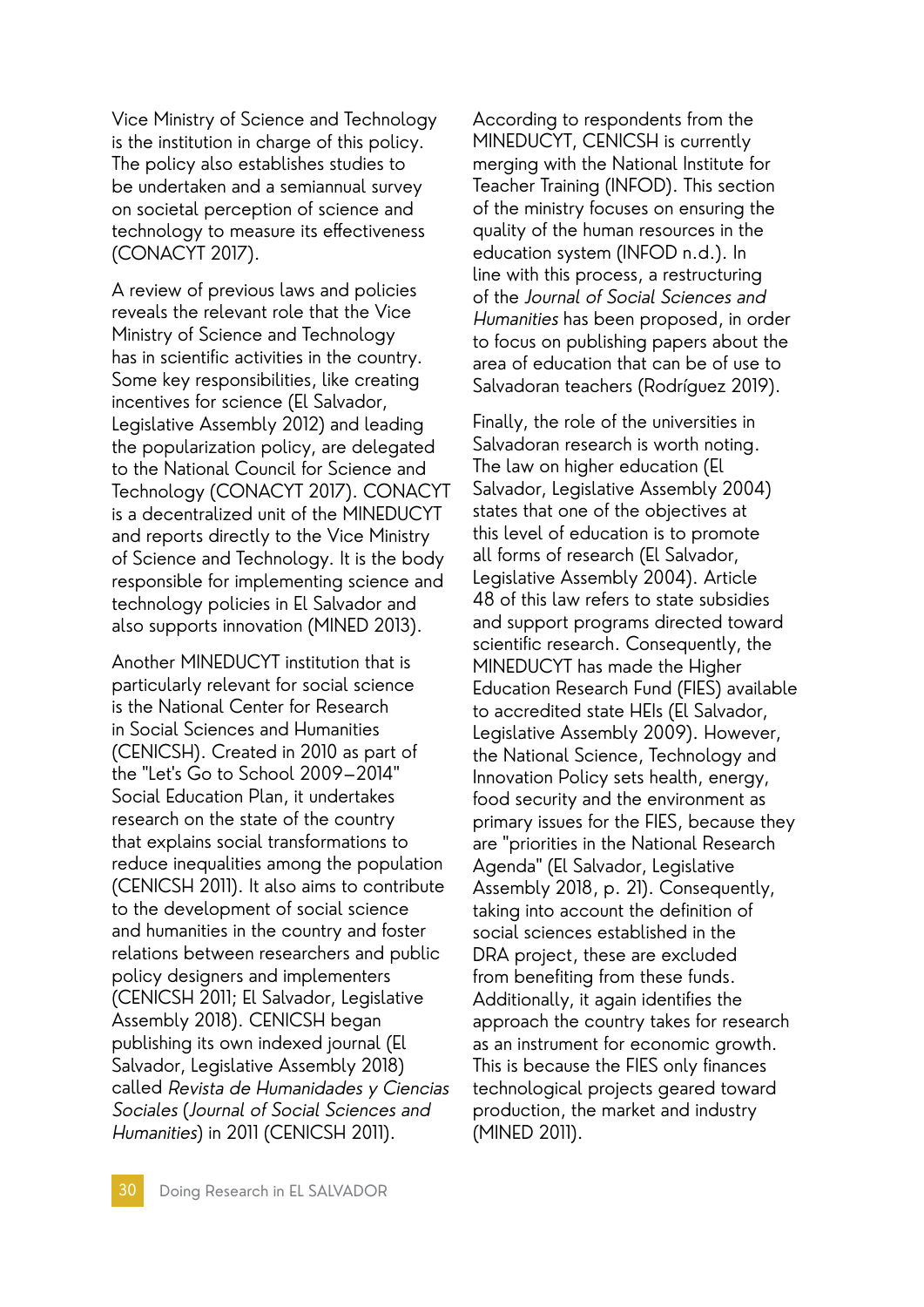Vice Ministry of Science and Technology is the institution in charge of this policy. The policy also establishes studies to be undertaken and a semiannual survey on societal perception of science and technology to measure its effectiveness (CONACYT 2017).

A review of previous laws and policies reveals the relevant role that the Vice Ministry of Science and Technology has in scientific activities in the country. Some key responsibilities, like creating incentives for science (El Salvador, Legislative Assembly 2012) and leading the popularization policy, are delegated to the National Council for Science and Technology (CONACYT 2017). CONACYT is a decentralized unit of the MINEDUCYT and reports directly to the Vice Ministry of Science and Technology. It is the body responsible for implementing science and technology policies in El Salvador and also supports innovation (MINED 2013).

Another MINEDUCYT institution that is particularly relevant for social science is the National Center for Research in Social Sciences and Humanities (CENICSH). Created in 2010 as part of the "Let's Go to School 2009–2014" Social Education Plan, it undertakes research on the state of the country that explains social transformations to reduce inequalities among the population (CENICSH 2011). It also aims to contribute to the development of social science and humanities in the country and foster relations between researchers and public policy designers and implementers (CENICSH 2011; El Salvador, Legislative Assembly 2018). CENICSH began publishing its own indexed journal (El Salvador, Legislative Assembly 2018) called Revista de Humanidades y Ciencias Sociales (Journal of Social Sciences and Humanities) in 2011 (CENICSH 2011).

According to respondents from the MINEDUCYT, CENICSH is currently merging with the National Institute for Teacher Training (INFOD). This section of the ministry focuses on ensuring the quality of the human resources in the education system (INFOD n.d.). In line with this process, a restructuring of the Journal of Social Sciences and Humanities has been proposed, in order to focus on publishing papers about the area of education that can be of use to Salvadoran teachers (Rodríguez 2019).

Finally, the role of the universities in Salvadoran research is worth noting. The law on higher education (El Salvador, Legislative Assembly 2004) states that one of the objectives at this level of education is to promote all forms of research (El Salvador, Legislative Assembly 2004). Article 48 of this law refers to state subsidies and support programs directed toward scientific research. Consequently, the MINEDUCYT has made the Higher Education Research Fund (FIES) available to accredited state HEIs (El Salvador, Legislative Assembly 2009). However, the National Science, Technology and Innovation Policy sets health, energy, food security and the environment as primary issues for the FIES, because they are "priorities in the National Research Agenda" (El Salvador, Legislative Assembly 2018, p. 21). Consequently, taking into account the definition of social sciences established in the DRA project, these are excluded from benefiting from these funds. Additionally, it again identifies the approach the country takes for research as an instrument for economic growth. This is because the FIES only finances technological projects geared toward production, the market and industry (MINED 2011).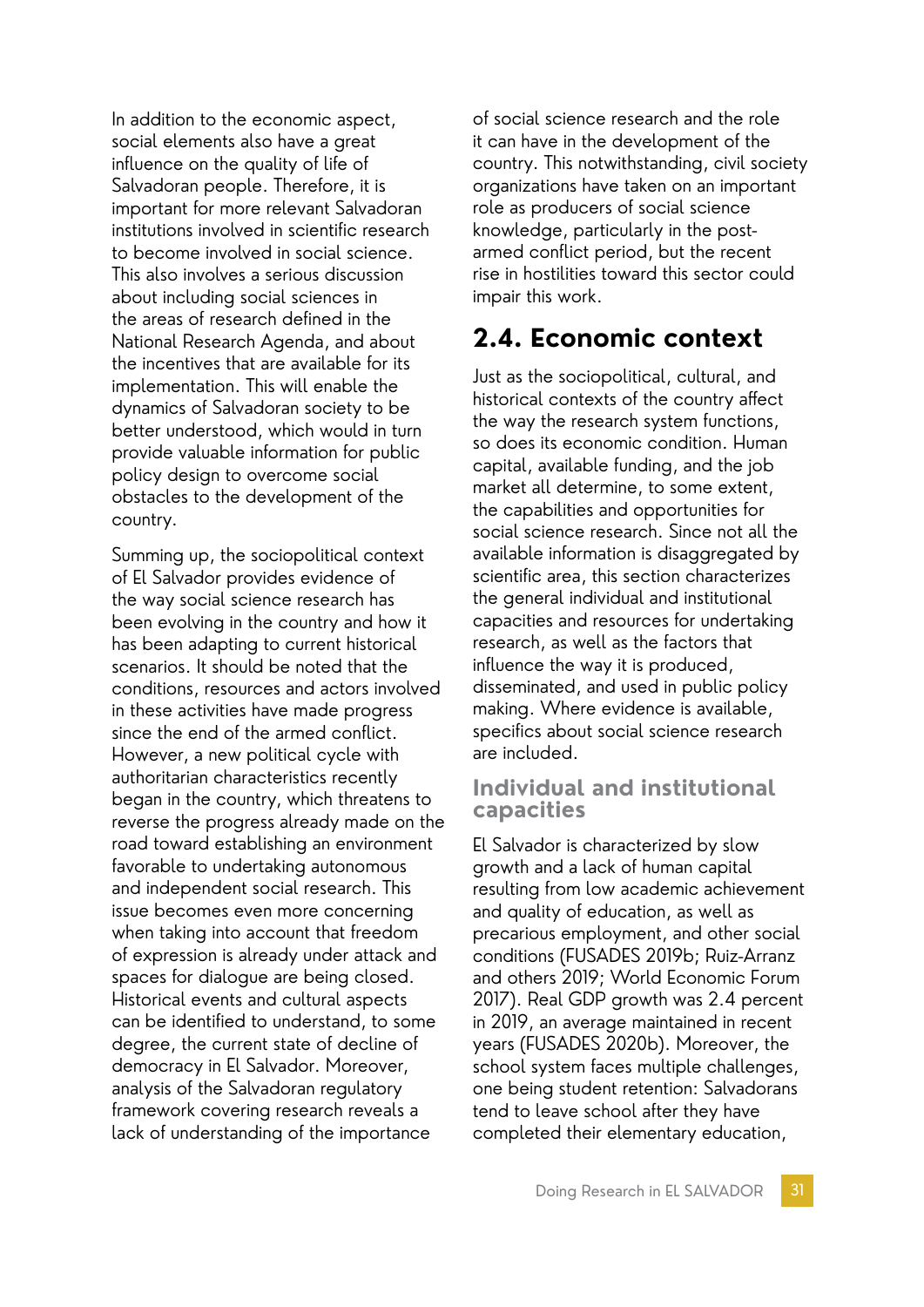In addition to the economic aspect, social elements also have a great influence on the quality of life of Salvadoran people. Therefore, it is important for more relevant Salvadoran institutions involved in scientific research to become involved in social science. This also involves a serious discussion about including social sciences in the areas of research defined in the National Research Agenda, and about the incentives that are available for its implementation. This will enable the dynamics of Salvadoran society to be better understood, which would in turn provide valuable information for public policy design to overcome social obstacles to the development of the country.

Summing up, the sociopolitical context of El Salvador provides evidence of the way social science research has been evolving in the country and how it has been adapting to current historical scenarios. It should be noted that the conditions, resources and actors involved in these activities have made progress since the end of the armed conflict. However, a new political cycle with authoritarian characteristics recently began in the country, which threatens to reverse the progress already made on the road toward establishing an environment favorable to undertaking autonomous and independent social research. This issue becomes even more concerning when taking into account that freedom of expression is already under attack and spaces for dialogue are being closed. Historical events and cultural aspects can be identified to understand, to some degree, the current state of decline of democracy in El Salvador. Moreover, analysis of the Salvadoran regulatory framework covering research reveals a lack of understanding of the importance

of social science research and the role it can have in the development of the country. This notwithstanding, civil society organizations have taken on an important role as producers of social science knowledge, particularly in the postarmed conflict period, but the recent rise in hostilities toward this sector could impair this work.

### **2.4. Economic context**

Just as the sociopolitical, cultural, and historical contexts of the country affect the way the research system functions, so does its economic condition. Human capital, available funding, and the job market all determine, to some extent, the capabilities and opportunities for social science research. Since not all the available information is disaggregated by scientific area, this section characterizes the general individual and institutional capacities and resources for undertaking research, as well as the factors that influence the way it is produced, disseminated, and used in public policy making. Where evidence is available, specifics about social science research are included.

#### **Individual and institutional capacities**

El Salvador is characterized by slow growth and a lack of human capital resulting from low academic achievement and quality of education, as well as precarious employment, and other social conditions (FUSADES 2019b; Ruiz-Arranz and others 2019; World Economic Forum 2017). Real GDP growth was 2.4 percent in 2019, an average maintained in recent years (FUSADES 2020b). Moreover, the school system faces multiple challenges, one being student retention: Salvadorans tend to leave school after they have completed their elementary education,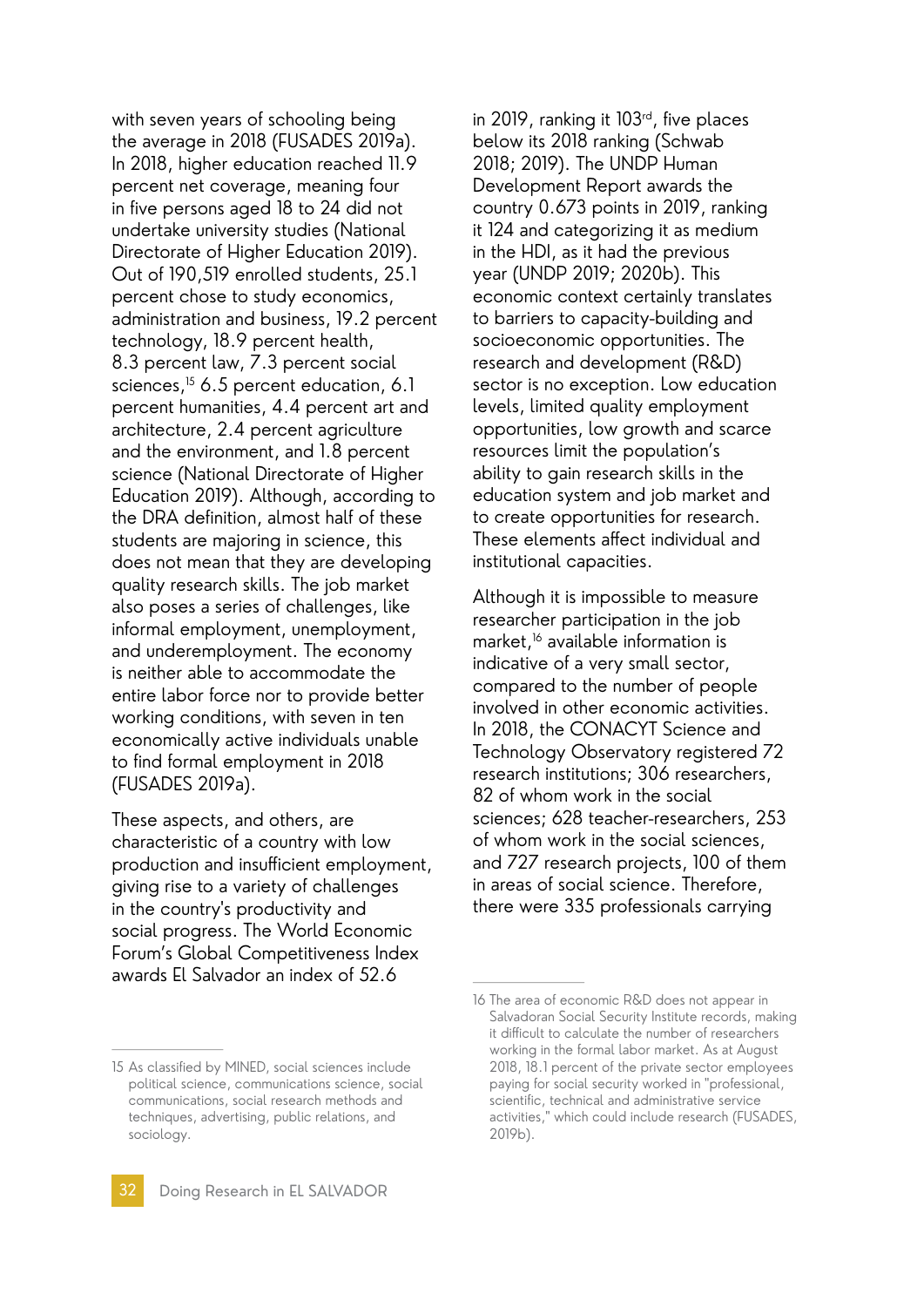with seven years of schooling being the average in 2018 (FUSADES 2019a). In 2018, higher education reached 11.9 percent net coverage, meaning four in five persons aged 18 to 24 did not undertake university studies (National Directorate of Higher Education 2019). Out of 190,519 enrolled students, 25.1 percent chose to study economics, administration and business, 19.2 percent technology, 18.9 percent health, 8.3 percent law, 7.3 percent social sciences,<sup>15</sup> 6.5 percent education, 6.1 percent humanities, 4.4 percent art and architecture, 2.4 percent agriculture and the environment, and 1.8 percent science (National Directorate of Higher Education 2019). Although, according to the DRA definition, almost half of these students are majoring in science, this does not mean that they are developing quality research skills. The job market also poses a series of challenges, like informal employment, unemployment, and underemployment. The economy is neither able to accommodate the entire labor force nor to provide better working conditions, with seven in ten economically active individuals unable to find formal employment in 2018 (FUSADES 2019a).

These aspects, and others, are characteristic of a country with low production and insufficient employment, giving rise to a variety of challenges in the country's productivity and social progress. The World Economic Forum's Global Competitiveness Index awards El Salvador an index of 52.6

in 2019, ranking it 103rd, five places below its 2018 ranking (Schwab 2018; 2019). The UNDP Human Development Report awards the country 0.673 points in 2019, ranking it 124 and categorizing it as medium in the HDI, as it had the previous year (UNDP 2019; 2020b). This economic context certainly translates to barriers to capacity-building and socioeconomic opportunities. The research and development (R&D) sector is no exception. Low education levels, limited quality employment opportunities, low growth and scarce resources limit the population's ability to gain research skills in the education system and job market and to create opportunities for research. These elements affect individual and institutional capacities.

Although it is impossible to measure researcher participation in the job market,<sup>16</sup> available information is indicative of a very small sector, compared to the number of people involved in other economic activities. In 2018, the CONACYT Science and Technology Observatory registered 72 research institutions; 306 researchers, 82 of whom work in the social sciences; 628 teacher-researchers, 253 of whom work in the social sciences, and 727 research projects, 100 of them in areas of social science. Therefore, there were 335 professionals carrying

<sup>15</sup> As classified by MINED, social sciences include political science, communications science, social communications, social research methods and techniques, advertising, public relations, and sociology.

<sup>16</sup> The area of economic R&D does not appear in Salvadoran Social Security Institute records, making it difficult to calculate the number of researchers working in the formal labor market. As at August 2018, 18.1 percent of the private sector employees paying for social security worked in "professional, scientific, technical and administrative service activities," which could include research (FUSADES, 2019b).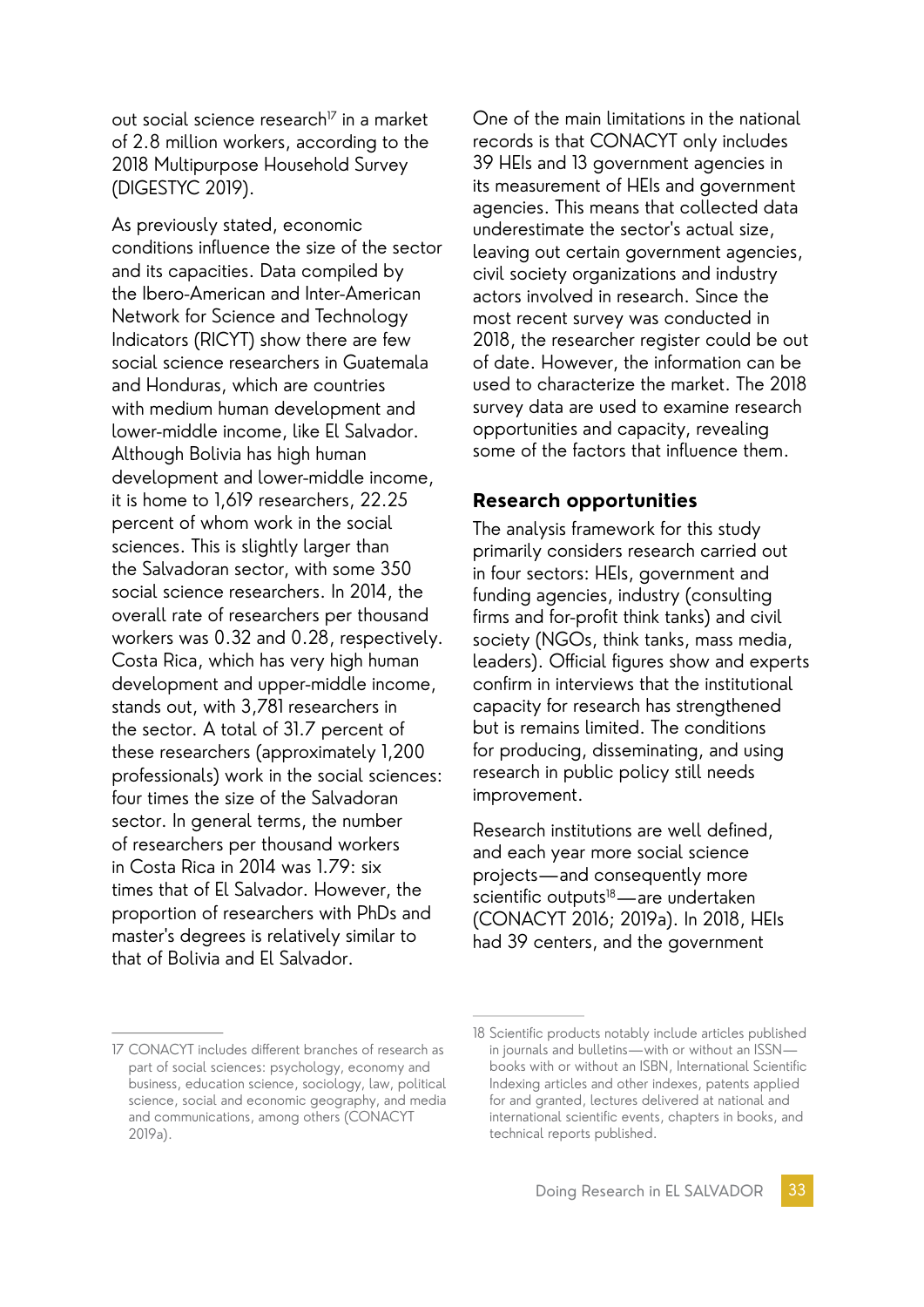out social science research<sup> $7$ </sup> in a market of 2.8 million workers, according to the 2018 Multipurpose Household Survey (DIGESTYC 2019).

As previously stated, economic conditions influence the size of the sector and its capacities. Data compiled by the Ibero-American and Inter-American Network for Science and Technology Indicators (RICYT) show there are few social science researchers in Guatemala and Honduras, which are countries with medium human development and lower-middle income, like El Salvador. Although Bolivia has high human development and lower-middle income, it is home to 1,619 researchers, 22.25 percent of whom work in the social sciences. This is slightly larger than the Salvadoran sector, with some 350 social science researchers. In 2014, the overall rate of researchers per thousand workers was 0.32 and 0.28, respectively. Costa Rica, which has very high human development and upper-middle income, stands out, with 3,781 researchers in the sector. A total of 31.7 percent of these researchers (approximately 1,200 professionals) work in the social sciences: four times the size of the Salvadoran sector. In general terms, the number of researchers per thousand workers in Costa Rica in 2014 was 1.79: six times that of El Salvador. However, the proportion of researchers with PhDs and master's degrees is relatively similar to that of Bolivia and El Salvador.

One of the main limitations in the national records is that CONACYT only includes 39 HEIs and 13 government agencies in its measurement of HEIs and government agencies. This means that collected data underestimate the sector's actual size, leaving out certain government agencies, civil society organizations and industry actors involved in research. Since the most recent survey was conducted in 2018, the researcher register could be out of date. However, the information can be used to characterize the market. The 2018 survey data are used to examine research opportunities and capacity, revealing some of the factors that influence them.

#### **Research opportunities**

The analysis framework for this study primarily considers research carried out in four sectors: HEIs, government and funding agencies, industry (consulting firms and for-profit think tanks) and civil society (NGOs, think tanks, mass media, leaders). Official figures show and experts confirm in interviews that the institutional capacity for research has strengthened but is remains limited. The conditions for producing, disseminating, and using research in public policy still needs improvement.

Research institutions are well defined, and each year more social science projects—and consequently more scientific outputs<sup>18</sup>—are undertaken (CONACYT 2016; 2019a). In 2018, HEIs had 39 centers, and the government

<sup>17</sup> CONACYT includes different branches of research as part of social sciences: psychology, economy and business, education science, sociology, law, political science, social and economic geography, and media and communications, among others (CONACYT 2019a).

<sup>18</sup> Scientific products notably include articles published in journals and bulletins—with or without an ISSN books with or without an ISBN, International Scientific Indexing articles and other indexes, patents applied for and granted, lectures delivered at national and international scientific events, chapters in books, and technical reports published.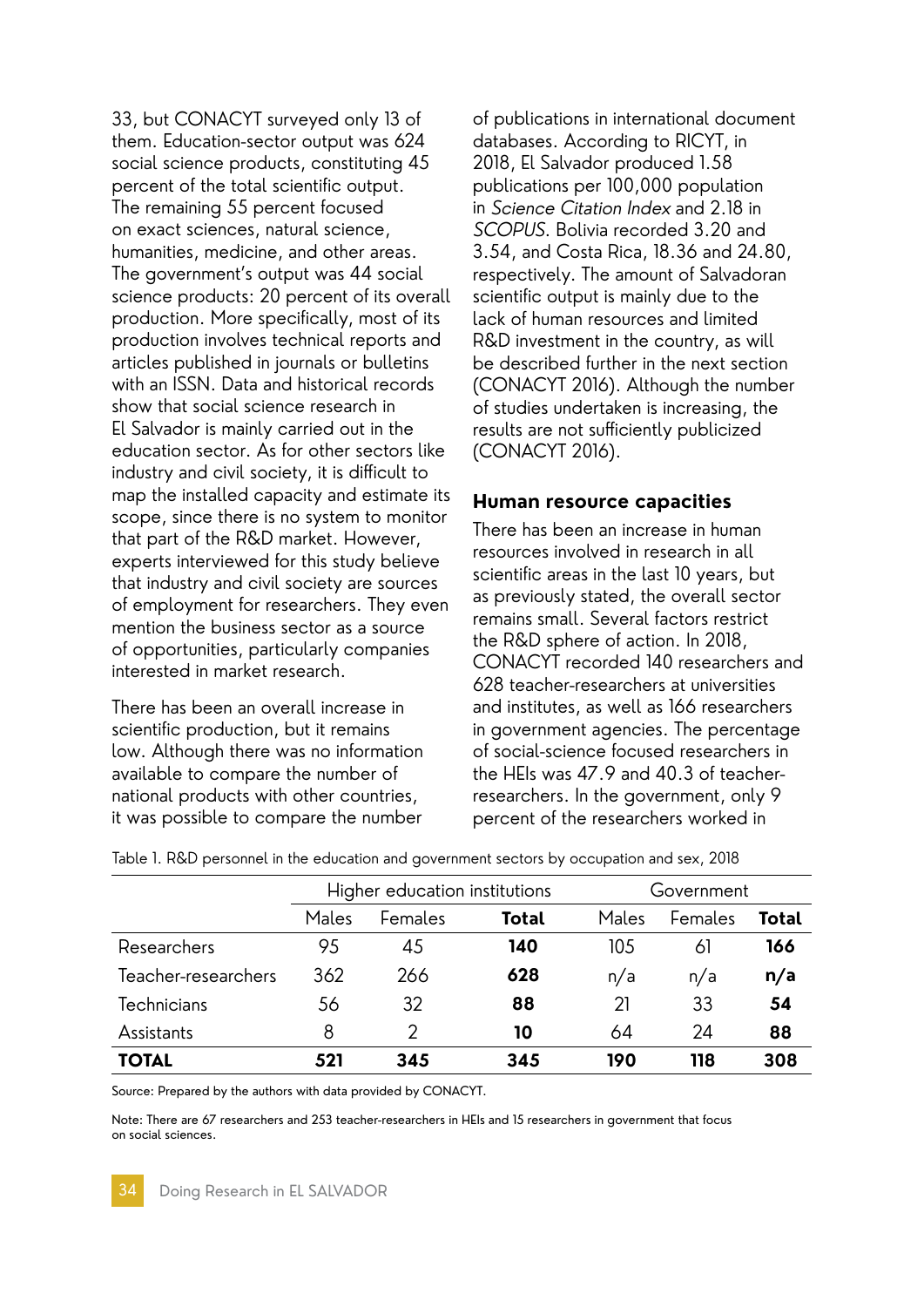33, but CONACYT surveyed only 13 of them. Education-sector output was 624 social science products, constituting 45 percent of the total scientific output. The remaining 55 percent focused on exact sciences, natural science, humanities, medicine, and other areas. The government's output was 44 social science products: 20 percent of its overall production. More specifically, most of its production involves technical reports and articles published in journals or bulletins with an ISSN. Data and historical records show that social science research in El Salvador is mainly carried out in the education sector. As for other sectors like industry and civil society, it is difficult to map the installed capacity and estimate its scope, since there is no system to monitor that part of the R&D market. However, experts interviewed for this study believe that industry and civil society are sources of employment for researchers. They even mention the business sector as a source of opportunities, particularly companies interested in market research.

There has been an overall increase in scientific production, but it remains low. Although there was no information available to compare the number of national products with other countries, it was possible to compare the number

of publications in international document databases. According to RICYT, in 2018, El Salvador produced 1.58 publications per 100,000 population in Science Citation Index and 2.18 in SCOPUS. Bolivia recorded 3.20 and 3.54, and Costa Rica, 18.36 and 24.80, respectively. The amount of Salvadoran scientific output is mainly due to the lack of human resources and limited R&D investment in the country, as will be described further in the next section (CONACYT 2016). Although the number of studies undertaken is increasing, the results are not sufficiently publicized (CONACYT 2016).

#### **Human resource capacities**

There has been an increase in human resources involved in research in all scientific areas in the last 10 years, but as previously stated, the overall sector remains small. Several factors restrict the R&D sphere of action. In 2018, CONACYT recorded 140 researchers and 628 teacher-researchers at universities and institutes, as well as 166 researchers in government agencies. The percentage of social-science focused researchers in the HEIs was 47.9 and 40.3 of teacherresearchers. In the government, only 9 percent of the researchers worked in

|                     | Higher education institutions |         | Government   |       |         |              |
|---------------------|-------------------------------|---------|--------------|-------|---------|--------------|
|                     | Males                         | Females | <b>Total</b> | Males | Females | <b>Total</b> |
| Researchers         | 95                            | 45      | 140          | 105   | 61      | 166          |
| Teacher-researchers | 362                           | 266     | 628          | n/a   | n/a     | n/a          |
| Technicians         | 56                            | 32      | 88           | 21    | 33      | 54           |
| Assistants          | 8                             |         | 10           | 64    | 24      | 88           |
| <b>TOTAL</b>        | 521                           | 345     | 345          | 190   | 118     | 308          |

Table 1. R&D personnel in the education and government sectors by occupation and sex, 2018

Source: Prepared by the authors with data provided by CONACYT.

Note: There are 67 researchers and 253 teacher-researchers in HEIs and 15 researchers in government that focus on social sciences.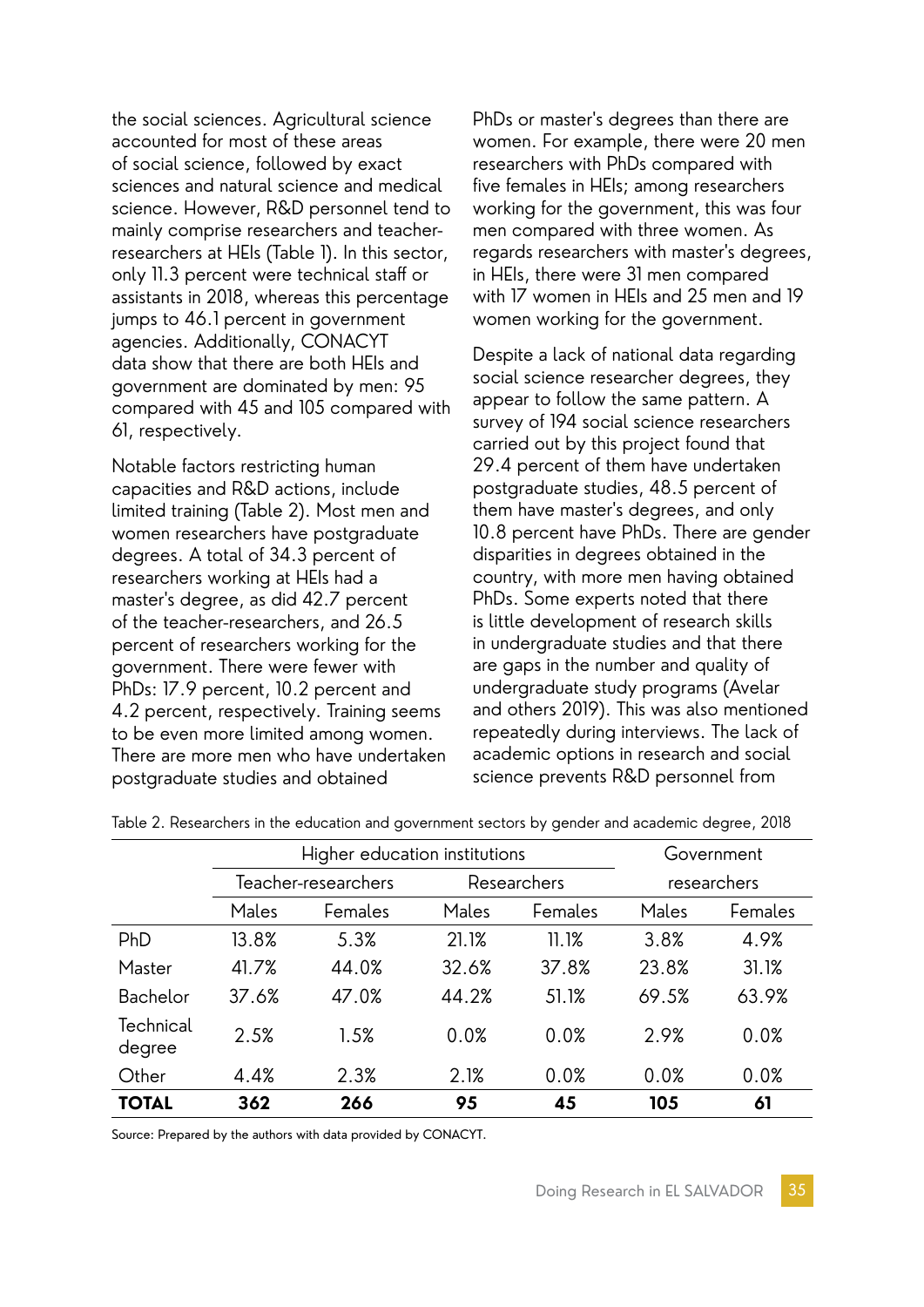the social sciences. Agricultural science accounted for most of these areas of social science, followed by exact sciences and natural science and medical science. However, R&D personnel tend to mainly comprise researchers and teacherresearchers at HEIs (Table 1). In this sector, only 11.3 percent were technical staff or assistants in 2018, whereas this percentage jumps to 46.1 percent in government agencies. Additionally, CONACYT data show that there are both HEIs and government are dominated by men: 95 compared with 45 and 105 compared with 61, respectively.

Notable factors restricting human capacities and R&D actions, include limited training (Table 2). Most men and women researchers have postgraduate degrees. A total of 34.3 percent of researchers working at HEIs had a master's degree, as did 42.7 percent of the teacher-researchers, and 26.5 percent of researchers working for the government. There were fewer with PhDs: 17.9 percent, 10.2 percent and 4.2 percent, respectively. Training seems to be even more limited among women. There are more men who have undertaken postgraduate studies and obtained

PhDs or master's degrees than there are women. For example, there were 20 men researchers with PhDs compared with five females in HEIs; among researchers working for the government, this was four men compared with three women. As regards researchers with master's degrees, in HEIs, there were 31 men compared with 17 women in HEIs and 25 men and 19 women working for the government.

Despite a lack of national data regarding social science researcher degrees, they appear to follow the same pattern. A survey of 194 social science researchers carried out by this project found that 29.4 percent of them have undertaken postgraduate studies, 48.5 percent of them have master's degrees, and only 10.8 percent have PhDs. There are gender disparities in degrees obtained in the country, with more men having obtained PhDs. Some experts noted that there is little development of research skills in undergraduate studies and that there are gaps in the number and quality of undergraduate study programs (Avelar and others 2019). This was also mentioned repeatedly during interviews. The lack of academic options in research and social science prevents R&D personnel from

|                     | Higher education institutions |         |             |         | Government  |         |  |
|---------------------|-------------------------------|---------|-------------|---------|-------------|---------|--|
|                     | Teacher-researchers           |         | Researchers |         | researchers |         |  |
|                     | Males                         | Females | Males       | Females | Males       | Females |  |
| PhD                 | 13.8%                         | 5.3%    | 21.1%       | 11.1%   | 3.8%        | 4.9%    |  |
| Master              | 41.7%                         | 44.0%   | 32.6%       | 37.8%   | 23.8%       | 31.1%   |  |
| Bachelor            | 37.6%                         | 47.0%   | 44.2%       | 51.1%   | 69.5%       | 63.9%   |  |
| Technical<br>degree | 2.5%                          | 1.5%    | 0.0%        | 0.0%    | 2.9%        | 0.0%    |  |
| Other               | 4.4%                          | 2.3%    | 2.1%        | 0.0%    | 0.0%        | 0.0%    |  |
| <b>TOTAL</b>        | 362                           | 266     | 95          | 45      | 105         | 61      |  |

Table 2. Researchers in the education and government sectors by gender and academic degree, 2018

Source: Prepared by the authors with data provided by CONACYT.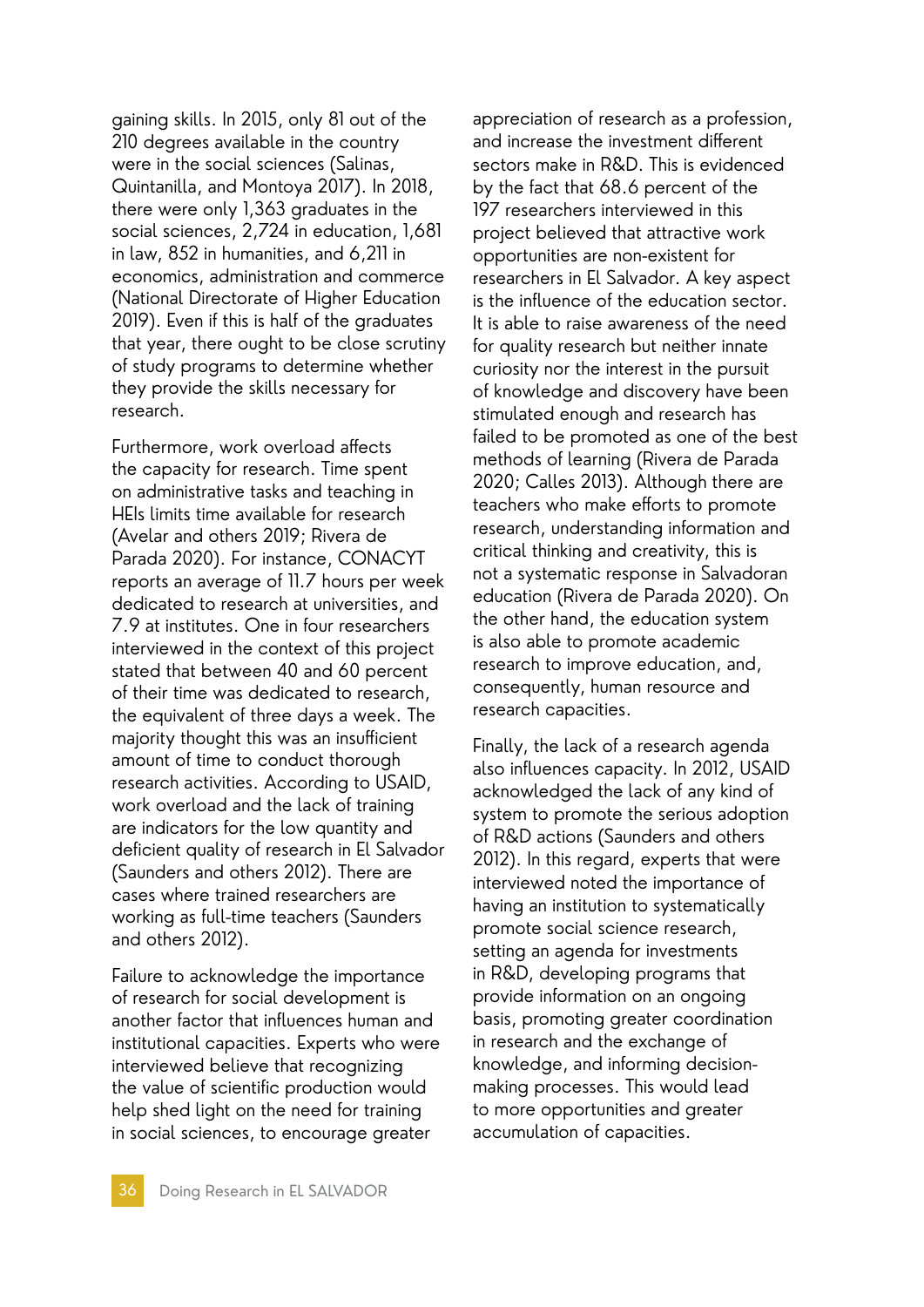gaining skills. In 2015, only 81 out of the 210 degrees available in the country were in the social sciences (Salinas, Quintanilla, and Montoya 2017). In 2018, there were only 1,363 graduates in the social sciences, 2,724 in education, 1,681 in law, 852 in humanities, and 6,211 in economics, administration and commerce (National Directorate of Higher Education 2019). Even if this is half of the graduates that year, there ought to be close scrutiny of study programs to determine whether they provide the skills necessary for research.

Furthermore, work overload affects the capacity for research. Time spent on administrative tasks and teaching in HEIs limits time available for research (Avelar and others 2019; Rivera de Parada 2020). For instance, CONACYT reports an average of 11.7 hours per week dedicated to research at universities, and 7.9 at institutes. One in four researchers interviewed in the context of this project stated that between 40 and 60 percent of their time was dedicated to research, the equivalent of three days a week. The majority thought this was an insufficient amount of time to conduct thorough research activities. According to USAID, work overload and the lack of training are indicators for the low quantity and deficient quality of research in El Salvador (Saunders and others 2012). There are cases where trained researchers are working as full-time teachers (Saunders and others 2012).

Failure to acknowledge the importance of research for social development is another factor that influences human and institutional capacities. Experts who were interviewed believe that recognizing the value of scientific production would help shed light on the need for training in social sciences, to encourage greater

appreciation of research as a profession, and increase the investment different sectors make in R&D. This is evidenced by the fact that 68.6 percent of the 197 researchers interviewed in this project believed that attractive work opportunities are non-existent for researchers in El Salvador. A key aspect is the influence of the education sector. It is able to raise awareness of the need for quality research but neither innate curiosity nor the interest in the pursuit of knowledge and discovery have been stimulated enough and research has failed to be promoted as one of the best methods of learning (Rivera de Parada 2020; Calles 2013). Although there are teachers who make efforts to promote research, understanding information and critical thinking and creativity, this is not a systematic response in Salvadoran education (Rivera de Parada 2020). On the other hand, the education system is also able to promote academic research to improve education, and, consequently, human resource and research capacities.

Finally, the lack of a research agenda also influences capacity. In 2012, USAID acknowledged the lack of any kind of system to promote the serious adoption of R&D actions (Saunders and others 2012). In this regard, experts that were interviewed noted the importance of having an institution to systematically promote social science research, setting an agenda for investments in R&D, developing programs that provide information on an ongoing basis, promoting greater coordination in research and the exchange of knowledge, and informing decisionmaking processes. This would lead to more opportunities and greater accumulation of capacities.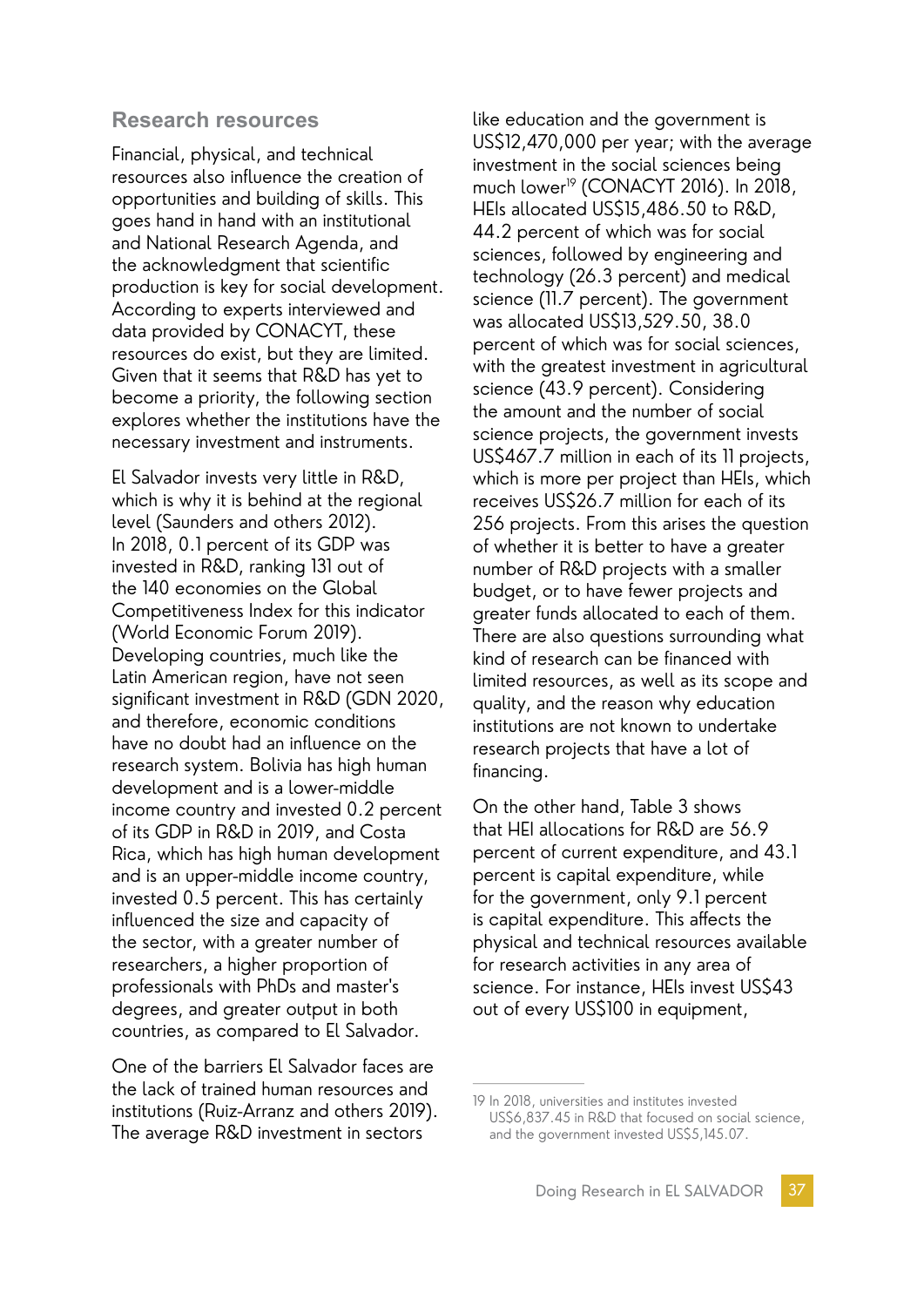#### **Research resources**

Financial, physical, and technical resources also influence the creation of opportunities and building of skills. This goes hand in hand with an institutional and National Research Agenda, and the acknowledgment that scientific production is key for social development. According to experts interviewed and data provided by CONACYT, these resources do exist, but they are limited. Given that it seems that R&D has yet to become a priority, the following section explores whether the institutions have the necessary investment and instruments.

El Salvador invests very little in R&D, which is why it is behind at the regional level (Saunders and others 2012). In 2018, 0.1 percent of its GDP was invested in R&D, ranking 131 out of the 140 economies on the Global Competitiveness Index for this indicator (World Economic Forum 2019). Developing countries, much like the Latin American region, have not seen significant investment in R&D (GDN 2020, and therefore, economic conditions have no doubt had an influence on the research system. Bolivia has high human development and is a lower-middle income country and invested 0.2 percent of its GDP in R&D in 2019, and Costa Rica, which has high human development and is an upper-middle income country, invested 0.5 percent. This has certainly influenced the size and capacity of the sector, with a greater number of researchers, a higher proportion of professionals with PhDs and master's degrees, and greater output in both countries, as compared to El Salvador.

One of the barriers El Salvador faces are the lack of trained human resources and institutions (Ruiz-Arranz and others 2019). The average R&D investment in sectors

like education and the government is US\$12,470,000 per year; with the average investment in the social sciences being much lower<sup>19</sup> (CONACYT 2016). In 2018, HEIs allocated US\$15,486.50 to R&D, 44.2 percent of which was for social sciences, followed by engineering and technology (26.3 percent) and medical science (11.7 percent). The government was allocated US\$13,529.50, 38.0 percent of which was for social sciences, with the greatest investment in agricultural science (43.9 percent). Considering the amount and the number of social science projects, the government invests US\$467.7 million in each of its 11 projects, which is more per project than HEIs, which receives US\$26.7 million for each of its 256 projects. From this arises the question of whether it is better to have a greater number of R&D projects with a smaller budget, or to have fewer projects and greater funds allocated to each of them. There are also questions surrounding what kind of research can be financed with limited resources, as well as its scope and quality, and the reason why education institutions are not known to undertake research projects that have a lot of financing.

On the other hand, Table 3 shows that HEI allocations for R&D are 56.9 percent of current expenditure, and 43.1 percent is capital expenditure, while for the government, only 9.1 percent is capital expenditure. This affects the physical and technical resources available for research activities in any area of science. For instance, HEIs invest US\$43 out of every US\$100 in equipment,

<sup>19</sup> In 2018, universities and institutes invested US\$6,837.45 in R&D that focused on social science, and the government invested US\$5,145.07.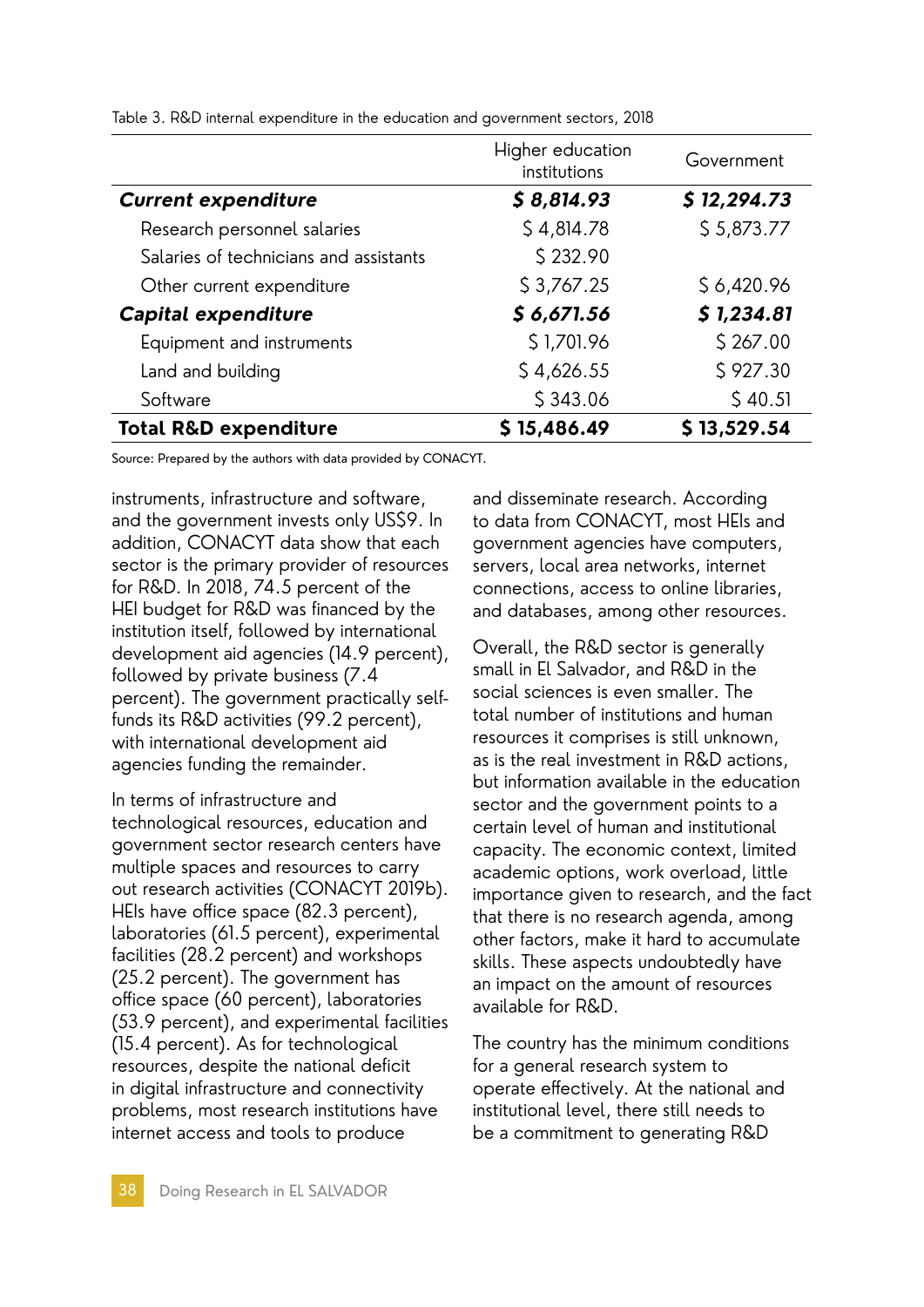|                                        | Higher education<br>institutions | Government  |  |  |
|----------------------------------------|----------------------------------|-------------|--|--|
| <b>Current expenditure</b>             | \$8,814.93                       | \$12,294.73 |  |  |
| Research personnel salaries            | \$4,814.78                       | \$5,873.77  |  |  |
| Salaries of technicians and assistants | \$232.90                         |             |  |  |
| Other current expenditure              | \$3,767.25                       | \$6,420.96  |  |  |
| <b>Capital expenditure</b>             | \$6,671.56                       | \$1,234.81  |  |  |
| Equipment and instruments              | \$1,701.96                       | \$267.00    |  |  |
| Land and building                      | \$4,626.55                       | \$927.30    |  |  |
| Software                               | \$343.06                         | \$40.51     |  |  |
| <b>Total R&amp;D expenditure</b>       | \$15,486.49                      | \$13,529.54 |  |  |

Table 3. R&D internal expenditure in the education and government sectors, 2018

Source: Prepared by the authors with data provided by CONACYT.

instruments, infrastructure and software, and the government invests only US\$9. In addition, CONACYT data show that each sector is the primary provider of resources for R&D. In 2018, 74.5 percent of the HEI budget for R&D was financed by the institution itself, followed by international development aid agencies (14.9 percent), followed by private business (7.4 percent). The government practically selffunds its R&D activities (99.2 percent), with international development aid agencies funding the remainder.

In terms of infrastructure and technological resources, education and government sector research centers have multiple spaces and resources to carry out research activities (CONACYT 2019b). HEIs have office space (82.3 percent), laboratories (61.5 percent), experimental facilities (28.2 percent) and workshops (25.2 percent). The government has office space (60 percent), laboratories (53.9 percent), and experimental facilities (15.4 percent). As for technological resources, despite the national deficit in digital infrastructure and connectivity problems, most research institutions have internet access and tools to produce

and disseminate research. According to data from CONACYT, most HEIs and government agencies have computers, servers, local area networks, internet connections, access to online libraries, and databases, among other resources.

Overall, the R&D sector is generally small in El Salvador, and R&D in the social sciences is even smaller. The total number of institutions and human resources it comprises is still unknown, as is the real investment in R&D actions, but information available in the education sector and the government points to a certain level of human and institutional capacity. The economic context, limited academic options, work overload, little importance given to research, and the fact that there is no research agenda, among other factors, make it hard to accumulate skills. These aspects undoubtedly have an impact on the amount of resources available for R&D.

The country has the minimum conditions for a general research system to operate effectively. At the national and institutional level, there still needs to be a commitment to generating R&D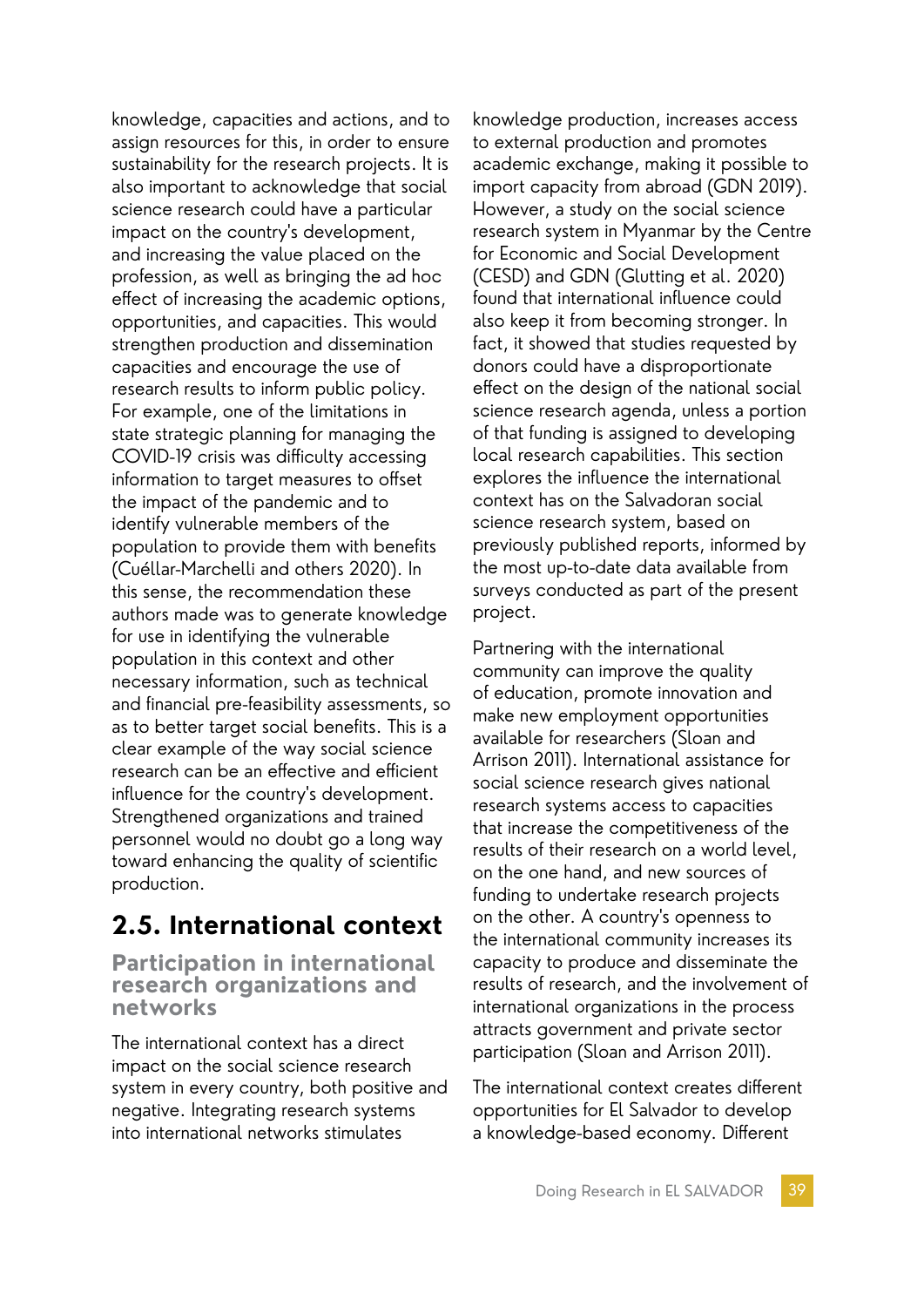knowledge, capacities and actions, and to assign resources for this, in order to ensure sustainability for the research projects. It is also important to acknowledge that social science research could have a particular impact on the country's development, and increasing the value placed on the profession, as well as bringing the ad hoc effect of increasing the academic options, opportunities, and capacities. This would strengthen production and dissemination capacities and encourage the use of research results to inform public policy. For example, one of the limitations in state strategic planning for managing the COVID-19 crisis was difficulty accessing information to target measures to offset the impact of the pandemic and to identify vulnerable members of the population to provide them with benefits (Cuéllar-Marchelli and others 2020). In this sense, the recommendation these authors made was to generate knowledge for use in identifying the vulnerable population in this context and other necessary information, such as technical and financial pre-feasibility assessments, so as to better target social benefits. This is a clear example of the way social science research can be an effective and efficient influence for the country's development. Strengthened organizations and trained personnel would no doubt go a long way toward enhancing the quality of scientific production.

# **2.5. International context**

**Participation in international research organizations and networks**

The international context has a direct impact on the social science research system in every country, both positive and negative. Integrating research systems into international networks stimulates

knowledge production, increases access to external production and promotes academic exchange, making it possible to import capacity from abroad (GDN 2019). However, a study on the social science research system in Myanmar by the Centre for Economic and Social Development (CESD) and GDN (Glutting et al. 2020) found that international influence could also keep it from becoming stronger. In fact, it showed that studies requested by donors could have a disproportionate effect on the design of the national social science research agenda, unless a portion of that funding is assigned to developing local research capabilities. This section explores the influence the international context has on the Salvadoran social science research system, based on previously published reports, informed by the most up-to-date data available from surveys conducted as part of the present project.

Partnering with the international community can improve the quality of education, promote innovation and make new employment opportunities available for researchers (Sloan and Arrison 2011). International assistance for social science research gives national research systems access to capacities that increase the competitiveness of the results of their research on a world level, on the one hand, and new sources of funding to undertake research projects on the other. A country's openness to the international community increases its capacity to produce and disseminate the results of research, and the involvement of international organizations in the process attracts government and private sector participation (Sloan and Arrison 2011).

The international context creates different opportunities for El Salvador to develop a knowledge-based economy. Different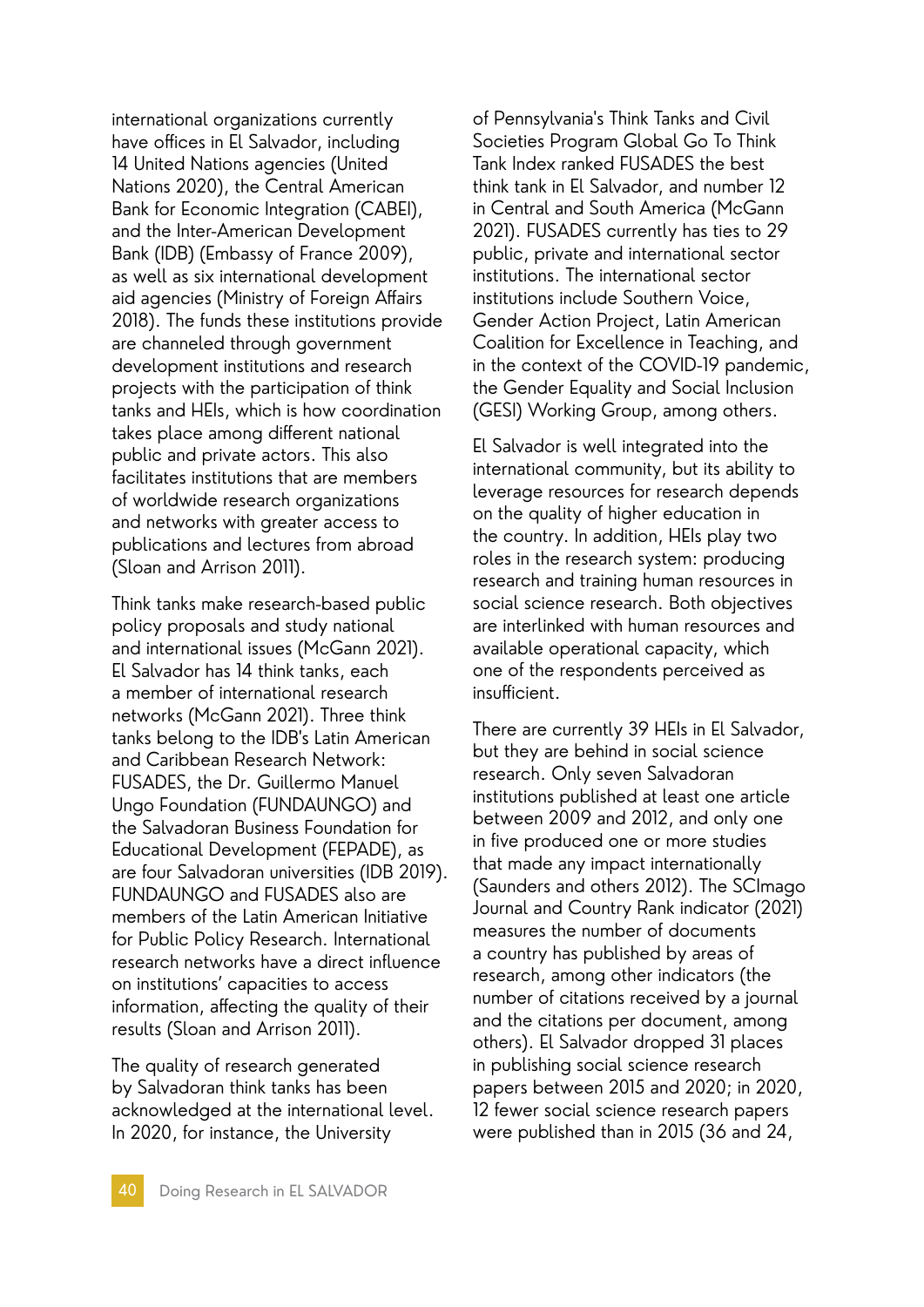international organizations currently have offices in El Salvador, including 14 United Nations agencies (United Nations 2020), the Central American Bank for Economic Integration (CABEI), and the Inter-American Development Bank (IDB) (Embassy of France 2009), as well as six international development aid agencies (Ministry of Foreign Affairs 2018). The funds these institutions provide are channeled through government development institutions and research projects with the participation of think tanks and HEIs, which is how coordination takes place among different national public and private actors. This also facilitates institutions that are members of worldwide research organizations and networks with greater access to publications and lectures from abroad (Sloan and Arrison 2011).

Think tanks make research-based public policy proposals and study national and international issues (McGann 2021). El Salvador has 14 think tanks, each a member of international research networks (McGann 2021). Three think tanks belong to the IDB's Latin American and Caribbean Research Network: FUSADES, the Dr. Guillermo Manuel Ungo Foundation (FUNDAUNGO) and the Salvadoran Business Foundation for Educational Development (FEPADE), as are four Salvadoran universities (IDB 2019). FUNDAUNGO and FUSADES also are members of the Latin American Initiative for Public Policy Research. International research networks have a direct influence on institutions' capacities to access information, affecting the quality of their results (Sloan and Arrison 2011).

The quality of research generated by Salvadoran think tanks has been acknowledged at the international level. In 2020, for instance, the University

of Pennsylvania's Think Tanks and Civil Societies Program Global Go To Think Tank Index ranked FUSADES the best think tank in El Salvador, and number 12 in Central and South America (McGann 2021). FUSADES currently has ties to 29 public, private and international sector institutions. The international sector institutions include Southern Voice, Gender Action Project, Latin American Coalition for Excellence in Teaching, and in the context of the COVID-19 pandemic, the Gender Equality and Social Inclusion (GESI) Working Group, among others.

El Salvador is well integrated into the international community, but its ability to leverage resources for research depends on the quality of higher education in the country. In addition, HEIs play two roles in the research system: producing research and training human resources in social science research. Both objectives are interlinked with human resources and available operational capacity, which one of the respondents perceived as insufficient.

There are currently 39 HEIs in El Salvador, but they are behind in social science research. Only seven Salvadoran institutions published at least one article between 2009 and 2012, and only one in five produced one or more studies that made any impact internationally (Saunders and others 2012). The SCImago Journal and Country Rank indicator (2021) measures the number of documents a country has published by areas of research, among other indicators (the number of citations received by a journal and the citations per document, among others). El Salvador dropped 31 places in publishing social science research papers between 2015 and 2020; in 2020, 12 fewer social science research papers were published than in 2015 (36 and 24,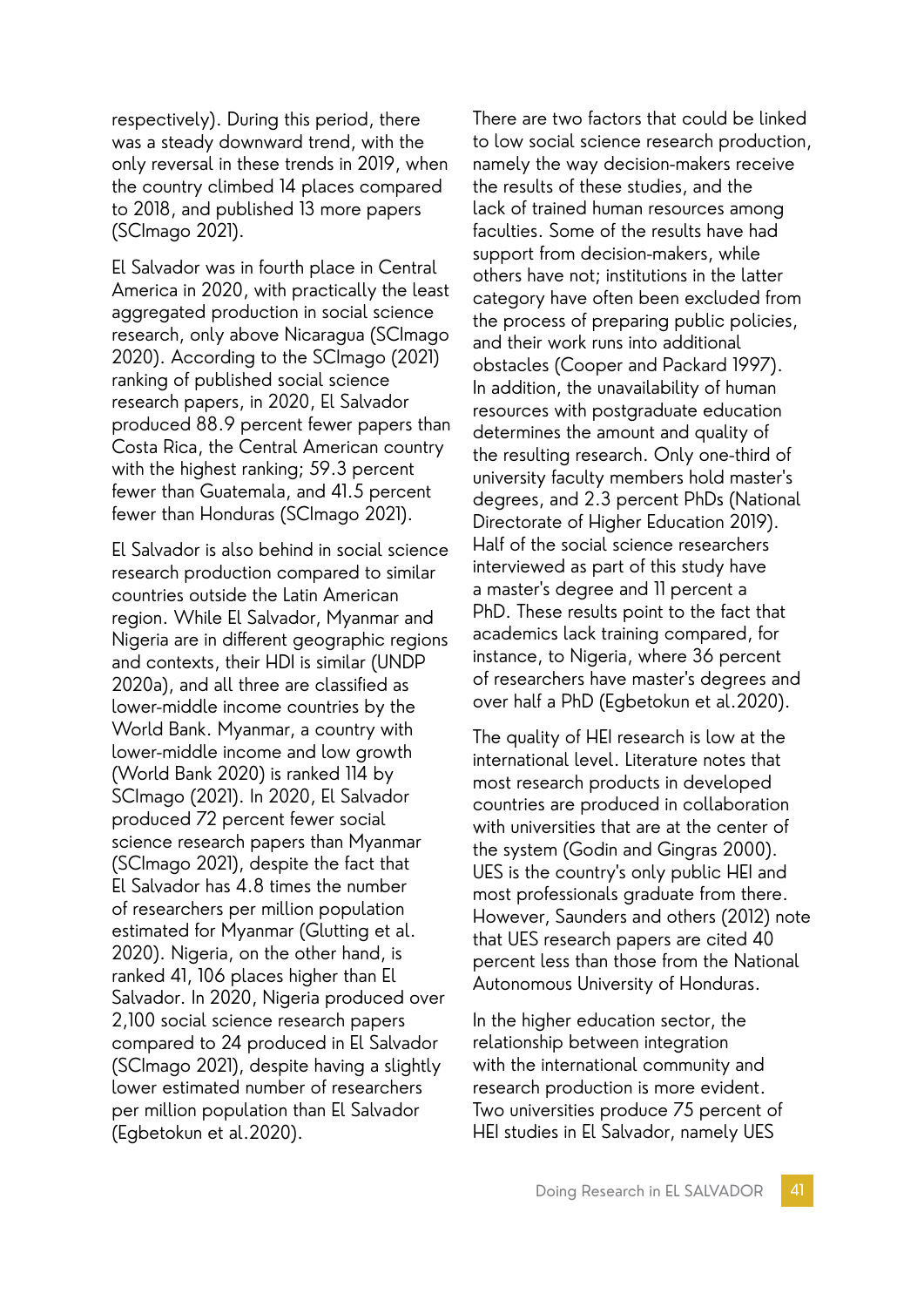respectively). During this period, there was a steady downward trend, with the only reversal in these trends in 2019, when the country climbed 14 places compared to 2018, and published 13 more papers (SCImago 2021).

El Salvador was in fourth place in Central America in 2020, with practically the least aggregated production in social science research, only above Nicaragua (SCImago 2020). According to the SCImago (2021) ranking of published social science research papers, in 2020, El Salvador produced 88.9 percent fewer papers than Costa Rica, the Central American country with the highest ranking; 59.3 percent fewer than Guatemala, and 41.5 percent fewer than Honduras (SCImago 2021).

El Salvador is also behind in social science research production compared to similar countries outside the Latin American region. While El Salvador, Myanmar and Nigeria are in different geographic regions and contexts, their HDI is similar (UNDP 2020a), and all three are classified as lower-middle income countries by the World Bank. Myanmar, a country with lower-middle income and low growth (World Bank 2020) is ranked 114 by SCImago (2021). In 2020, El Salvador produced 72 percent fewer social science research papers than Myanmar (SCImago 2021), despite the fact that El Salvador has 4.8 times the number of researchers per million population estimated for Myanmar (Glutting et al. 2020). Nigeria, on the other hand, is ranked 41, 106 places higher than El Salvador. In 2020, Nigeria produced over 2,100 social science research papers compared to 24 produced in El Salvador (SCImago 2021), despite having a slightly lower estimated number of researchers per million population than El Salvador (Egbetokun et al.2020).

There are two factors that could be linked to low social science research production, namely the way decision-makers receive the results of these studies, and the lack of trained human resources among faculties. Some of the results have had support from decision-makers, while others have not; institutions in the latter category have often been excluded from the process of preparing public policies, and their work runs into additional obstacles (Cooper and Packard 1997). In addition, the unavailability of human resources with postgraduate education determines the amount and quality of the resulting research. Only one-third of university faculty members hold master's degrees, and 2.3 percent PhDs (National Directorate of Higher Education 2019). Half of the social science researchers interviewed as part of this study have a master's degree and 11 percent a PhD. These results point to the fact that academics lack training compared, for instance, to Nigeria, where 36 percent of researchers have master's degrees and over half a PhD (Egbetokun et al.2020).

The quality of HEI research is low at the international level. Literature notes that most research products in developed countries are produced in collaboration with universities that are at the center of the system (Godin and Gingras 2000). UES is the country's only public HEI and most professionals graduate from there. However, Saunders and others (2012) note that UES research papers are cited 40 percent less than those from the National Autonomous University of Honduras.

In the higher education sector, the relationship between integration with the international community and research production is more evident. Two universities produce 75 percent of HEI studies in El Salvador, namely UES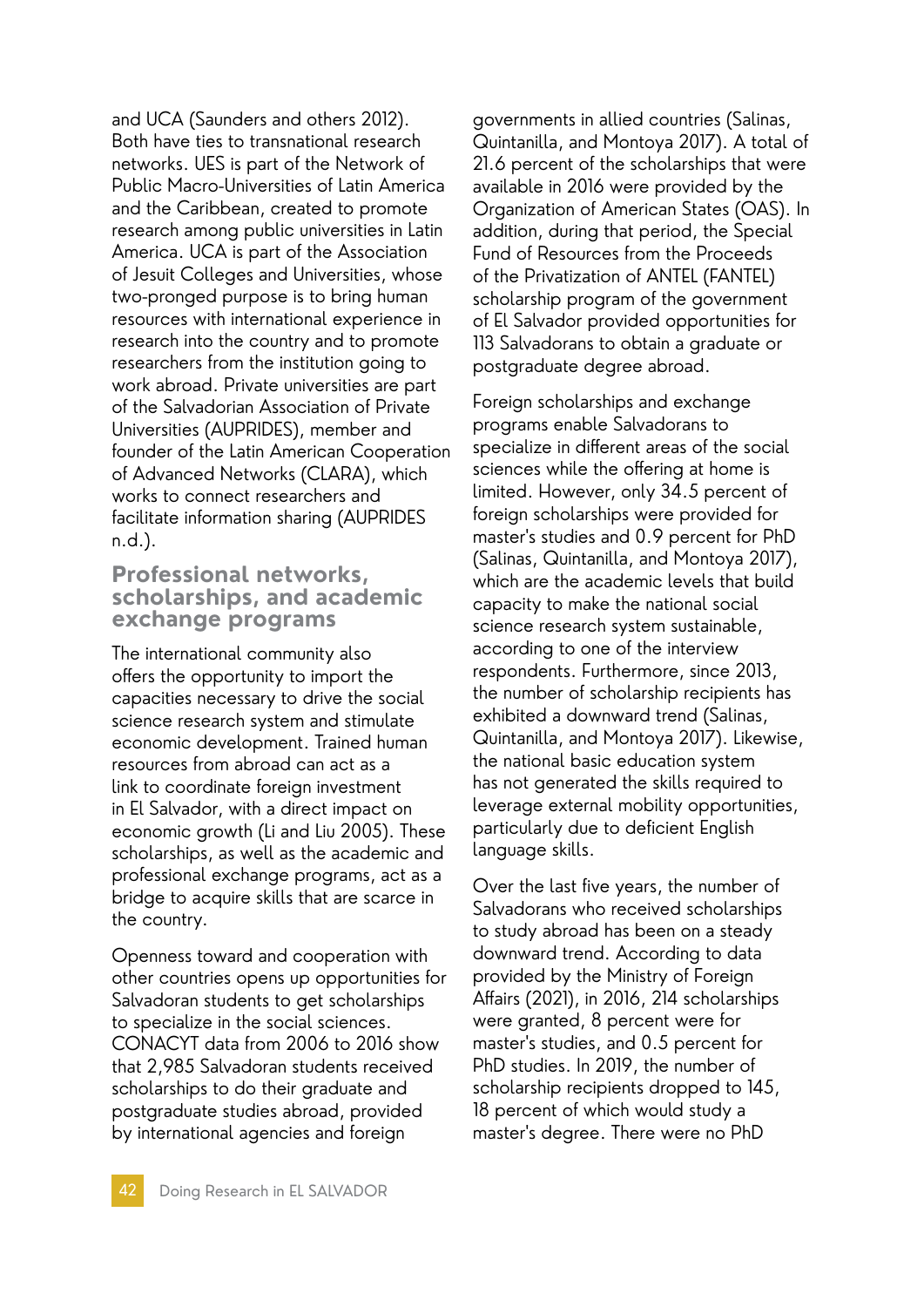and UCA (Saunders and others 2012). Both have ties to transnational research networks. UES is part of the Network of Public Macro-Universities of Latin America and the Caribbean, created to promote research among public universities in Latin America. UCA is part of the Association of Jesuit Colleges and Universities, whose two-pronged purpose is to bring human resources with international experience in research into the country and to promote researchers from the institution going to work abroad. Private universities are part of the Salvadorian Association of Private Universities (AUPRIDES), member and founder of the Latin American Cooperation of Advanced Networks (CLARA), which works to connect researchers and facilitate information sharing (AUPRIDES n.d.).

#### **Professional networks, scholarships, and academic exchange programs**

The international community also offers the opportunity to import the capacities necessary to drive the social science research system and stimulate economic development. Trained human resources from abroad can act as a link to coordinate foreign investment in El Salvador, with a direct impact on economic growth (Li and Liu 2005). These scholarships, as well as the academic and professional exchange programs, act as a bridge to acquire skills that are scarce in the country.

Openness toward and cooperation with other countries opens up opportunities for Salvadoran students to get scholarships to specialize in the social sciences. CONACYT data from 2006 to 2016 show that 2,985 Salvadoran students received scholarships to do their graduate and postgraduate studies abroad, provided by international agencies and foreign

governments in allied countries (Salinas, Quintanilla, and Montoya 2017). A total of 21.6 percent of the scholarships that were available in 2016 were provided by the Organization of American States (OAS). In addition, during that period, the Special Fund of Resources from the Proceeds of the Privatization of ANTEL (FANTEL) scholarship program of the government of El Salvador provided opportunities for 113 Salvadorans to obtain a graduate or postgraduate degree abroad.

Foreign scholarships and exchange programs enable Salvadorans to specialize in different areas of the social sciences while the offering at home is limited. However, only 34.5 percent of foreign scholarships were provided for master's studies and 0.9 percent for PhD (Salinas, Quintanilla, and Montoya 2017), which are the academic levels that build capacity to make the national social science research system sustainable, according to one of the interview respondents. Furthermore, since 2013, the number of scholarship recipients has exhibited a downward trend (Salinas, Quintanilla, and Montoya 2017). Likewise, the national basic education system has not generated the skills required to leverage external mobility opportunities, particularly due to deficient English language skills.

Over the last five years, the number of Salvadorans who received scholarships to study abroad has been on a steady downward trend. According to data provided by the Ministry of Foreign Affairs (2021), in 2016, 214 scholarships were granted, 8 percent were for master's studies, and 0.5 percent for PhD studies. In 2019, the number of scholarship recipients dropped to 145, 18 percent of which would study a master's degree. There were no PhD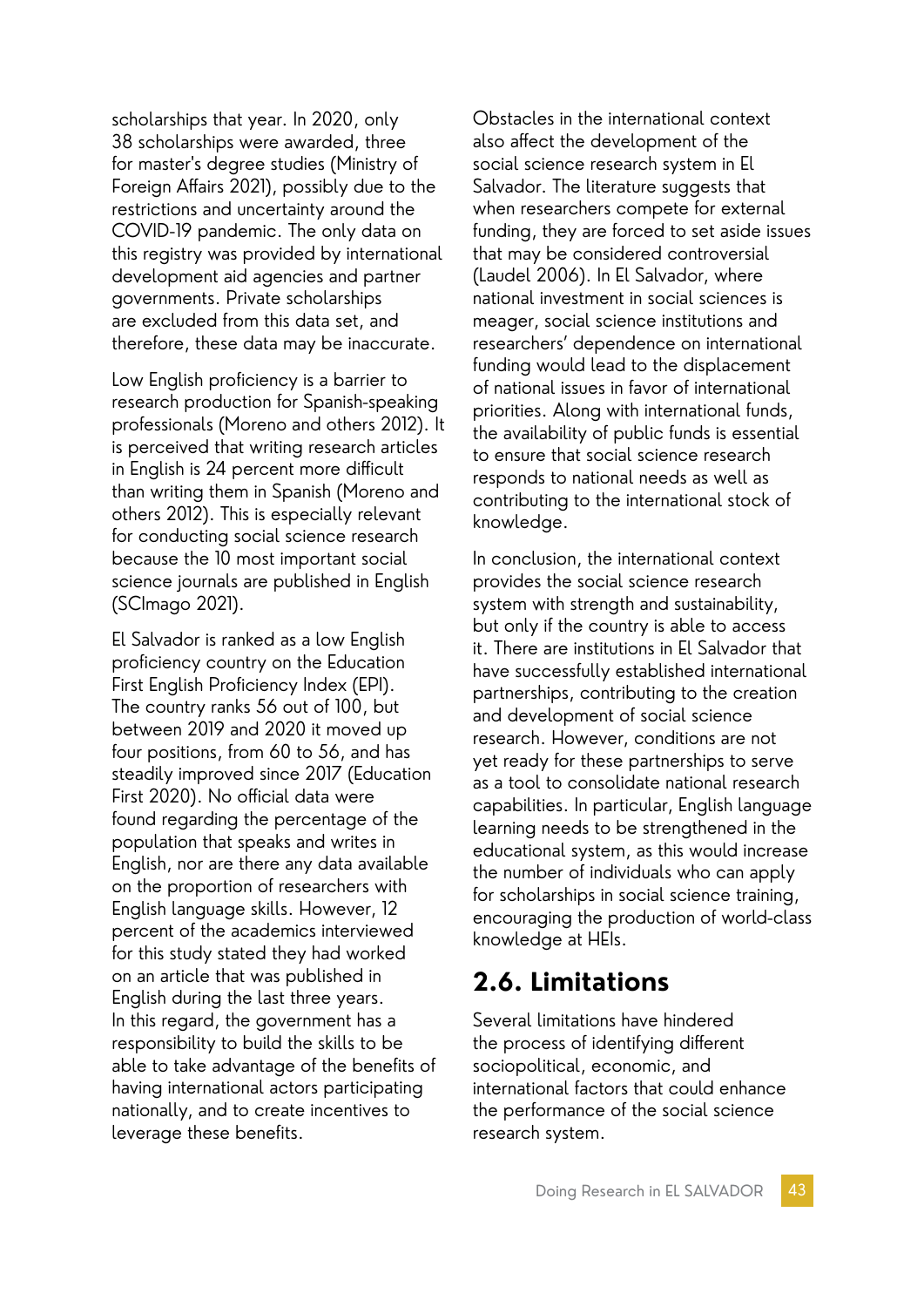scholarships that year. In 2020, only 38 scholarships were awarded, three for master's degree studies (Ministry of Foreign Affairs 2021), possibly due to the restrictions and uncertainty around the COVID-19 pandemic. The only data on this registry was provided by international development aid agencies and partner governments. Private scholarships are excluded from this data set, and therefore, these data may be inaccurate.

Low English proficiency is a barrier to research production for Spanish-speaking professionals (Moreno and others 2012). It is perceived that writing research articles in English is 24 percent more difficult than writing them in Spanish (Moreno and others 2012). This is especially relevant for conducting social science research because the 10 most important social science journals are published in English (SCImago 2021).

El Salvador is ranked as a low English proficiency country on the Education First English Proficiency Index (EPI). The country ranks 56 out of 100, but between 2019 and 2020 it moved up four positions, from 60 to 56, and has steadily improved since 2017 (Education First 2020). No official data were found regarding the percentage of the population that speaks and writes in English, nor are there any data available on the proportion of researchers with English language skills. However, 12 percent of the academics interviewed for this study stated they had worked on an article that was published in English during the last three years. In this regard, the government has a responsibility to build the skills to be able to take advantage of the benefits of having international actors participating nationally, and to create incentives to leverage these benefits.

Obstacles in the international context also affect the development of the social science research system in El Salvador. The literature suggests that when researchers compete for external funding, they are forced to set aside issues that may be considered controversial (Laudel 2006). In El Salvador, where national investment in social sciences is meager, social science institutions and researchers' dependence on international funding would lead to the displacement of national issues in favor of international priorities. Along with international funds, the availability of public funds is essential to ensure that social science research responds to national needs as well as contributing to the international stock of knowledge.

In conclusion, the international context provides the social science research system with strength and sustainability, but only if the country is able to access it. There are institutions in El Salvador that have successfully established international partnerships, contributing to the creation and development of social science research. However, conditions are not yet ready for these partnerships to serve as a tool to consolidate national research capabilities. In particular, English language learning needs to be strengthened in the educational system, as this would increase the number of individuals who can apply for scholarships in social science training, encouraging the production of world-class knowledge at HEIs.

# **2.6. Limitations**

Several limitations have hindered the process of identifying different sociopolitical, economic, and international factors that could enhance the performance of the social science research system.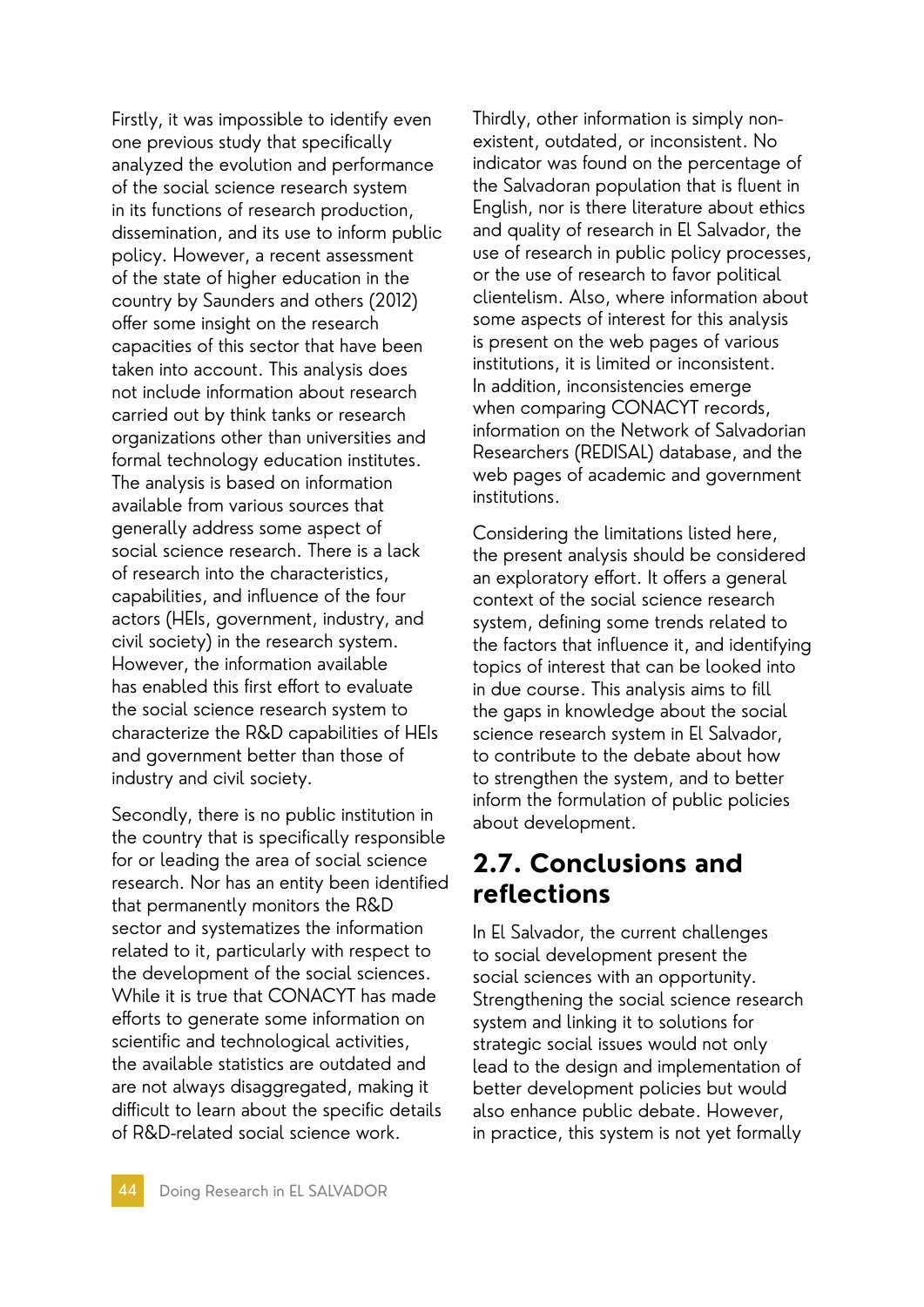Firstly, it was impossible to identify even one previous study that specifically analyzed the evolution and performance of the social science research system in its functions of research production, dissemination, and its use to inform public policy. However, a recent assessment of the state of higher education in the country by Saunders and others (2012) offer some insight on the research capacities of this sector that have been taken into account. This analysis does not include information about research carried out by think tanks or research organizations other than universities and formal technology education institutes. The analysis is based on information available from various sources that generally address some aspect of social science research. There is a lack of research into the characteristics, capabilities, and influence of the four actors (HEIs, government, industry, and civil society) in the research system. However, the information available has enabled this first effort to evaluate the social science research system to characterize the R&D capabilities of HEIs and government better than those of industry and civil society.

Secondly, there is no public institution in the country that is specifically responsible for or leading the area of social science research. Nor has an entity been identified that permanently monitors the R&D sector and systematizes the information related to it, particularly with respect to the development of the social sciences. While it is true that CONACYT has made efforts to generate some information on scientific and technological activities, the available statistics are outdated and are not always disaggregated, making it difficult to learn about the specific details of R&D-related social science work.

Thirdly, other information is simply nonexistent, outdated, or inconsistent. No indicator was found on the percentage of the Salvadoran population that is fluent in English, nor is there literature about ethics and quality of research in El Salvador, the use of research in public policy processes, or the use of research to favor political clientelism. Also, where information about some aspects of interest for this analysis is present on the web pages of various institutions, it is limited or inconsistent. In addition, inconsistencies emerge when comparing CONACYT records, information on the Network of Salvadorian Researchers (REDISAL) database, and the web pages of academic and government institutions.

Considering the limitations listed here, the present analysis should be considered an exploratory effort. It offers a general context of the social science research system, defining some trends related to the factors that influence it, and identifying topics of interest that can be looked into in due course. This analysis aims to fill the gaps in knowledge about the social science research system in El Salvador, to contribute to the debate about how to strengthen the system, and to better inform the formulation of public policies about development.

# **2.7. Conclusions and reflections**

In El Salvador, the current challenges to social development present the social sciences with an opportunity. Strengthening the social science research system and linking it to solutions for strategic social issues would not only lead to the design and implementation of better development policies but would also enhance public debate. However, in practice, this system is not yet formally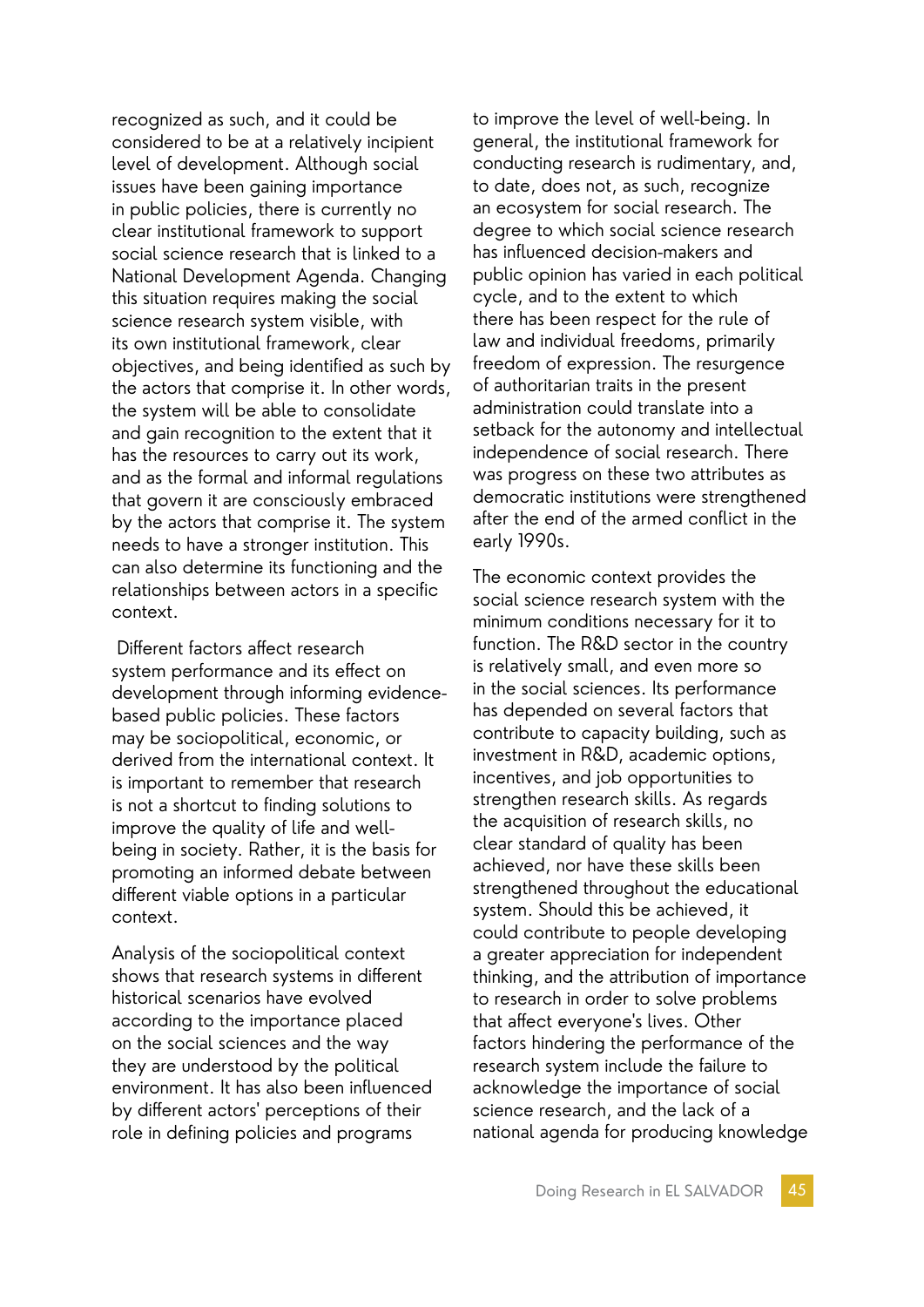recognized as such, and it could be considered to be at a relatively incipient level of development. Although social issues have been gaining importance in public policies, there is currently no clear institutional framework to support social science research that is linked to a National Development Agenda. Changing this situation requires making the social science research system visible, with its own institutional framework, clear objectives, and being identified as such by the actors that comprise it. In other words, the system will be able to consolidate and gain recognition to the extent that it has the resources to carry out its work, and as the formal and informal regulations that govern it are consciously embraced by the actors that comprise it. The system needs to have a stronger institution. This can also determine its functioning and the relationships between actors in a specific context.

 Different factors affect research system performance and its effect on development through informing evidencebased public policies. These factors may be sociopolitical, economic, or derived from the international context. It is important to remember that research is not a shortcut to finding solutions to improve the quality of life and wellbeing in society. Rather, it is the basis for promoting an informed debate between different viable options in a particular context.

Analysis of the sociopolitical context shows that research systems in different historical scenarios have evolved according to the importance placed on the social sciences and the way they are understood by the political environment. It has also been influenced by different actors' perceptions of their role in defining policies and programs

to improve the level of well-being. In general, the institutional framework for conducting research is rudimentary, and, to date, does not, as such, recognize an ecosystem for social research. The degree to which social science research has influenced decision-makers and public opinion has varied in each political cycle, and to the extent to which there has been respect for the rule of law and individual freedoms, primarily freedom of expression. The resurgence of authoritarian traits in the present administration could translate into a setback for the autonomy and intellectual independence of social research. There was progress on these two attributes as democratic institutions were strengthened after the end of the armed conflict in the early 1990s.

The economic context provides the social science research system with the minimum conditions necessary for it to function. The R&D sector in the country is relatively small, and even more so in the social sciences. Its performance has depended on several factors that contribute to capacity building, such as investment in R&D, academic options, incentives, and job opportunities to strengthen research skills. As regards the acquisition of research skills, no clear standard of quality has been achieved, nor have these skills been strengthened throughout the educational system. Should this be achieved, it could contribute to people developing a greater appreciation for independent thinking, and the attribution of importance to research in order to solve problems that affect everyone's lives. Other factors hindering the performance of the research system include the failure to acknowledge the importance of social science research, and the lack of a national agenda for producing knowledge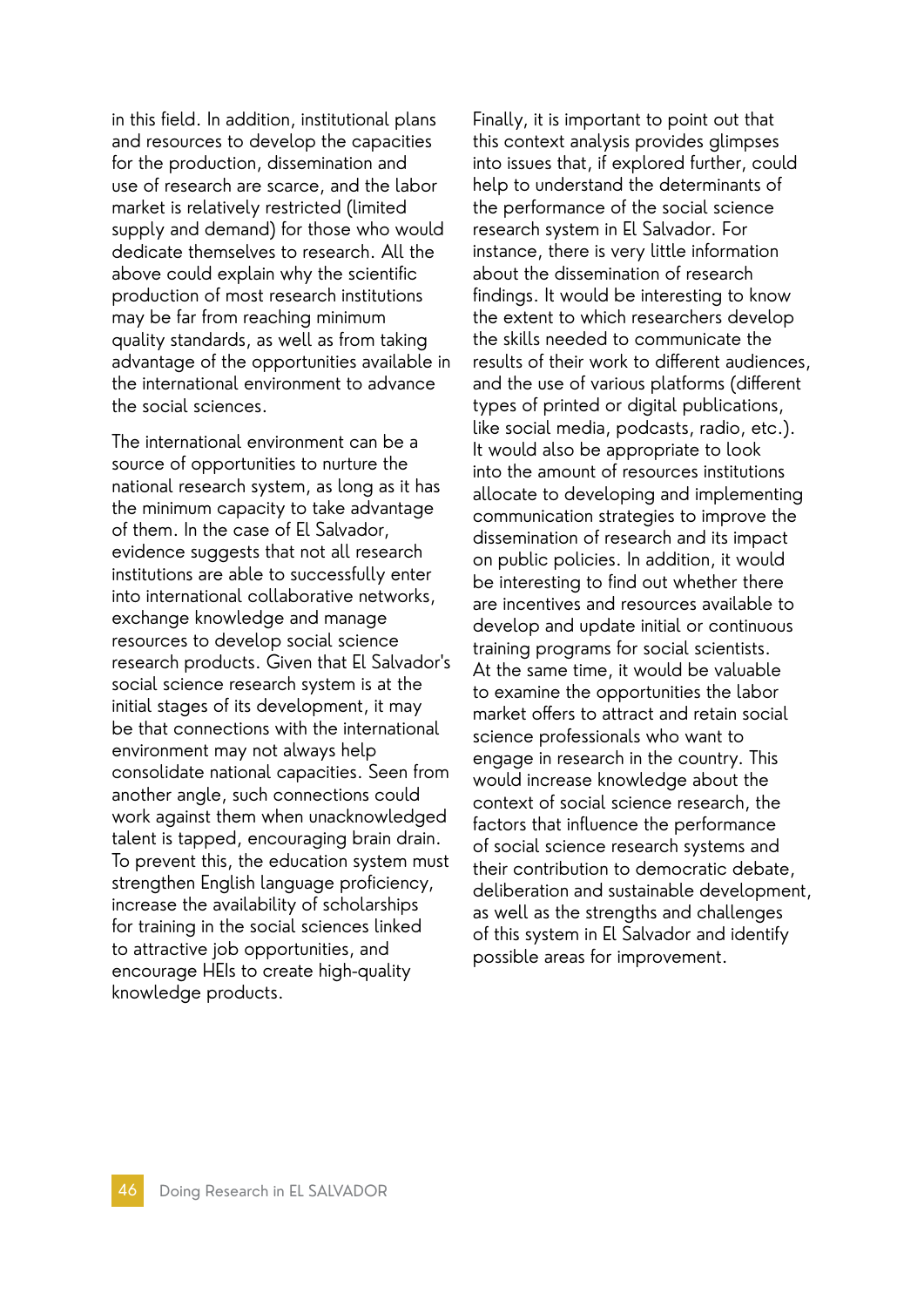in this field. In addition, institutional plans and resources to develop the capacities for the production, dissemination and use of research are scarce, and the labor market is relatively restricted (limited supply and demand) for those who would dedicate themselves to research. All the above could explain why the scientific production of most research institutions may be far from reaching minimum quality standards, as well as from taking advantage of the opportunities available in the international environment to advance the social sciences.

The international environment can be a source of opportunities to nurture the national research system, as long as it has the minimum capacity to take advantage of them. In the case of El Salvador, evidence suggests that not all research institutions are able to successfully enter into international collaborative networks, exchange knowledge and manage resources to develop social science research products. Given that El Salvador's social science research system is at the initial stages of its development, it may be that connections with the international environment may not always help consolidate national capacities. Seen from another angle, such connections could work against them when unacknowledged talent is tapped, encouraging brain drain. To prevent this, the education system must strengthen English language proficiency, increase the availability of scholarships for training in the social sciences linked to attractive job opportunities, and encourage HEIs to create high-quality knowledge products.

Finally, it is important to point out that this context analysis provides glimpses into issues that, if explored further, could help to understand the determinants of the performance of the social science research system in El Salvador. For instance, there is very little information about the dissemination of research findings. It would be interesting to know the extent to which researchers develop the skills needed to communicate the results of their work to different audiences, and the use of various platforms (different types of printed or digital publications, like social media, podcasts, radio, etc.). It would also be appropriate to look into the amount of resources institutions allocate to developing and implementing communication strategies to improve the dissemination of research and its impact on public policies. In addition, it would be interesting to find out whether there are incentives and resources available to develop and update initial or continuous training programs for social scientists. At the same time, it would be valuable to examine the opportunities the labor market offers to attract and retain social science professionals who want to engage in research in the country. This would increase knowledge about the context of social science research, the factors that influence the performance of social science research systems and their contribution to democratic debate, deliberation and sustainable development, as well as the strengths and challenges of this system in El Salvador and identify possible areas for improvement.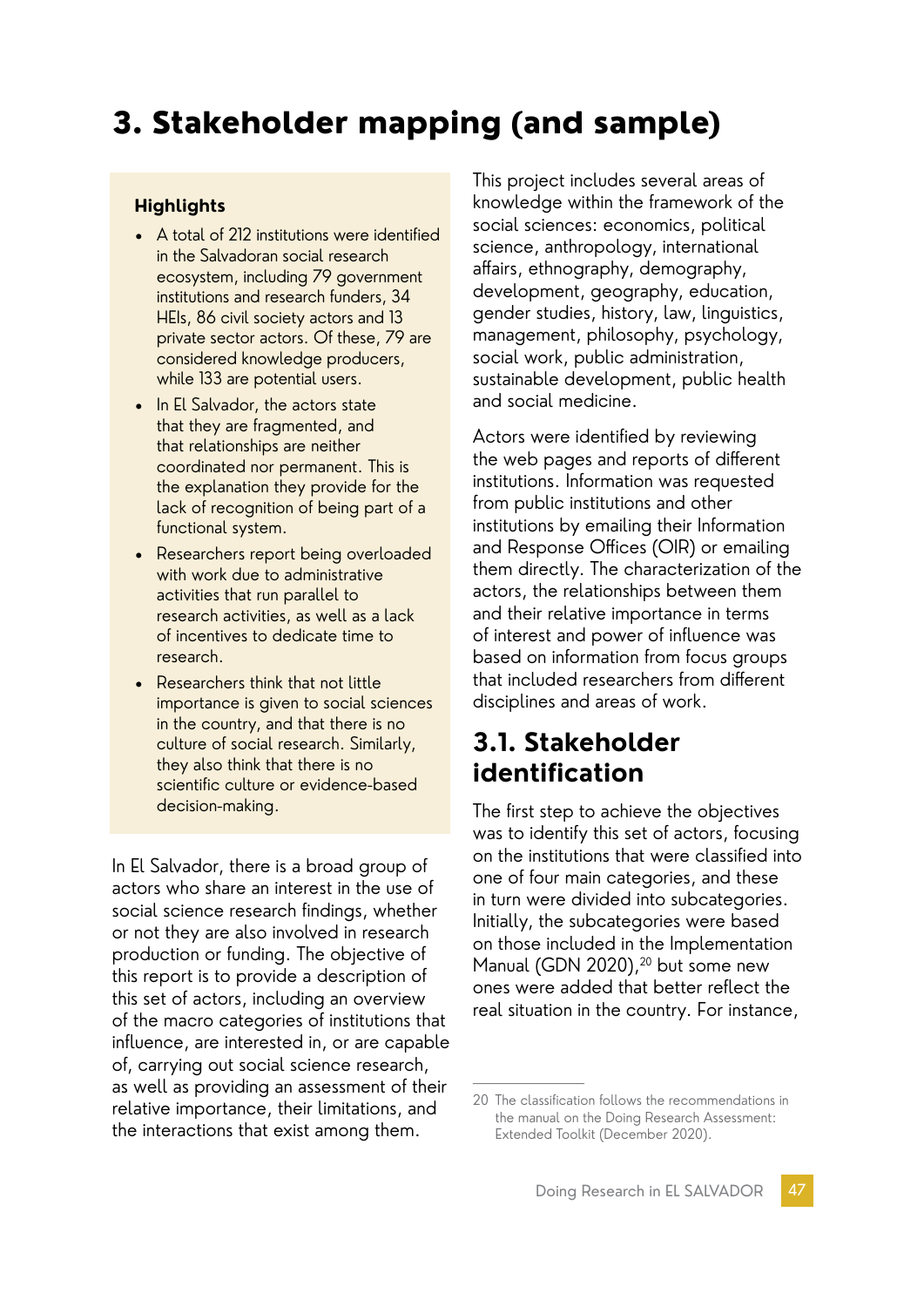# 3. Stakeholder mapping (and sample)

#### **Highlights**

- A total of 212 institutions were identified in the Salvadoran social research ecosystem, including 79 government institutions and research funders, 34 HEIs, 86 civil society actors and 13 private sector actors. Of these, 79 are considered knowledge producers, while 133 are potential users.
- In El Salvador, the actors state that they are fragmented, and that relationships are neither coordinated nor permanent. This is the explanation they provide for the lack of recognition of being part of a functional system.
- Researchers report being overloaded with work due to administrative activities that run parallel to research activities, as well as a lack of incentives to dedicate time to research.
- Researchers think that not little importance is given to social sciences in the country, and that there is no culture of social research. Similarly, they also think that there is no scientific culture or evidence-based decision-making.

In El Salvador, there is a broad group of actors who share an interest in the use of social science research findings, whether or not they are also involved in research production or funding. The objective of this report is to provide a description of this set of actors, including an overview of the macro categories of institutions that influence, are interested in, or are capable of, carrying out social science research, as well as providing an assessment of their relative importance, their limitations, and the interactions that exist among them.

This project includes several areas of knowledge within the framework of the social sciences: economics, political science, anthropology, international affairs, ethnography, demography, development, geography, education, gender studies, history, law, linguistics, management, philosophy, psychology, social work, public administration, sustainable development, public health and social medicine.

Actors were identified by reviewing the web pages and reports of different institutions. Information was requested from public institutions and other institutions by emailing their Information and Response Offices (OIR) or emailing them directly. The characterization of the actors, the relationships between them and their relative importance in terms of interest and power of influence was based on information from focus groups that included researchers from different disciplines and areas of work.

# **3.1. Stakeholder identification**

The first step to achieve the objectives was to identify this set of actors, focusing on the institutions that were classified into one of four main categories, and these in turn were divided into subcategories. Initially, the subcategories were based on those included in the Implementation Manual (GDN 2020),<sup>20</sup> but some new ones were added that better reflect the real situation in the country. For instance,

<sup>20</sup> The classification follows the recommendations in the manual on the Doing Research Assessment: Extended Toolkit (December 2020).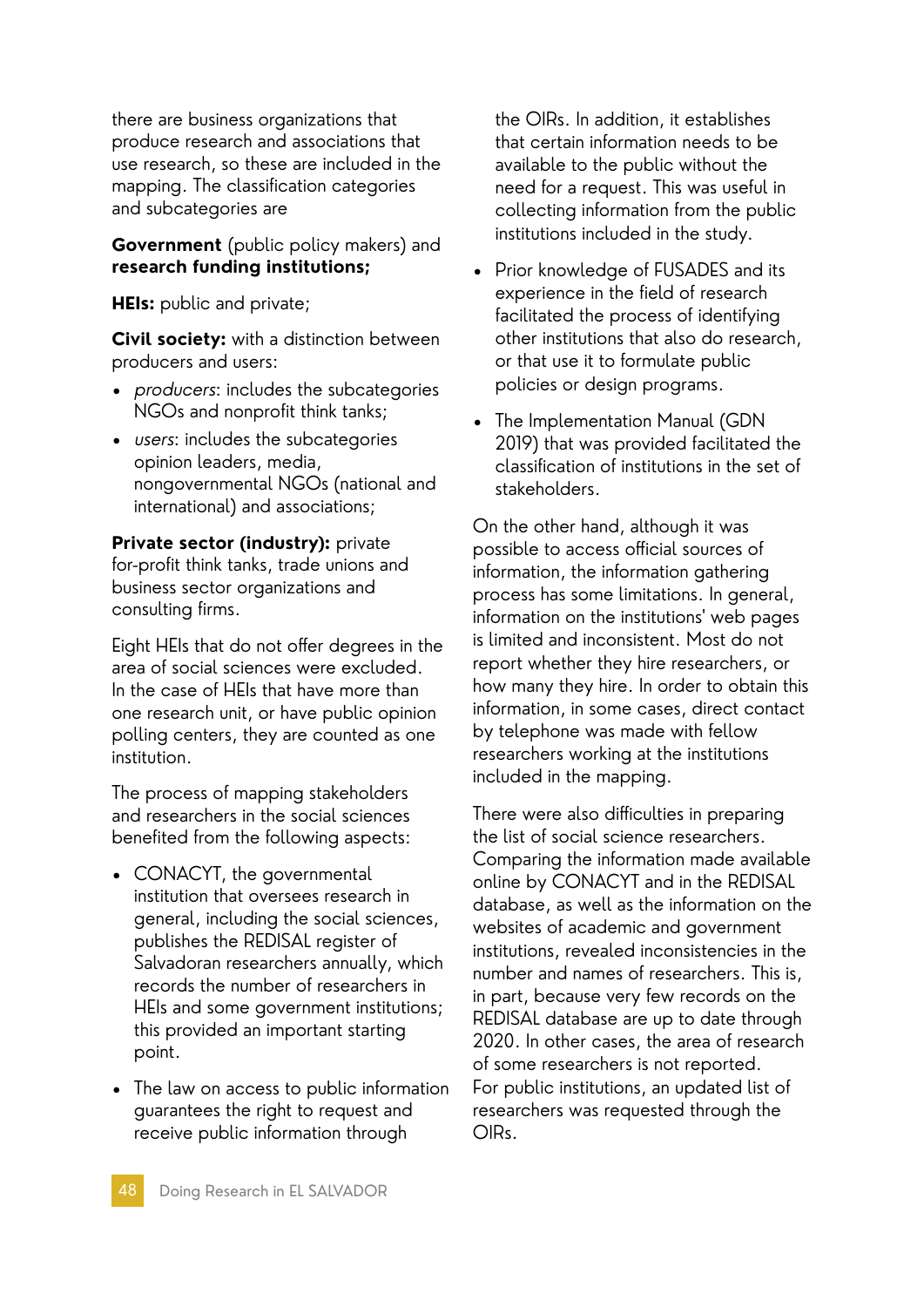there are business organizations that produce research and associations that use research, so these are included in the mapping. The classification categories and subcategories are

#### **Government** (public policy makers) and **research funding institutions;**

**HEIs:** public and private;

**Civil society:** with a distinction between producers and users:

- producers: includes the subcategories NGOs and nonprofit think tanks;
- users: includes the subcategories opinion leaders, media, nongovernmental NGOs (national and international) and associations;

**Private sector (industry):** private for-profit think tanks, trade unions and business sector organizations and consulting firms.

Eight HEIs that do not offer degrees in the area of social sciences were excluded. In the case of HEIs that have more than one research unit, or have public opinion polling centers, they are counted as one institution.

The process of mapping stakeholders and researchers in the social sciences benefited from the following aspects:

- CONACYT, the governmental institution that oversees research in general, including the social sciences, publishes the REDISAL register of Salvadoran researchers annually, which records the number of researchers in HEIs and some government institutions; this provided an important starting point.
- The law on access to public information guarantees the right to request and receive public information through

the OIRs. In addition, it establishes that certain information needs to be available to the public without the need for a request. This was useful in collecting information from the public institutions included in the study.

- Prior knowledge of FUSADES and its experience in the field of research facilitated the process of identifying other institutions that also do research, or that use it to formulate public policies or design programs.
- The Implementation Manual (GDN 2019) that was provided facilitated the classification of institutions in the set of stakeholders.

On the other hand, although it was possible to access official sources of information, the information gathering process has some limitations. In general, information on the institutions' web pages is limited and inconsistent. Most do not report whether they hire researchers, or how many they hire. In order to obtain this information, in some cases, direct contact by telephone was made with fellow researchers working at the institutions included in the mapping.

There were also difficulties in preparing the list of social science researchers. Comparing the information made available online by CONACYT and in the REDISAL database, as well as the information on the websites of academic and government institutions, revealed inconsistencies in the number and names of researchers. This is, in part, because very few records on the REDISAL database are up to date through 2020. In other cases, the area of research of some researchers is not reported. For public institutions, an updated list of researchers was requested through the OIRs.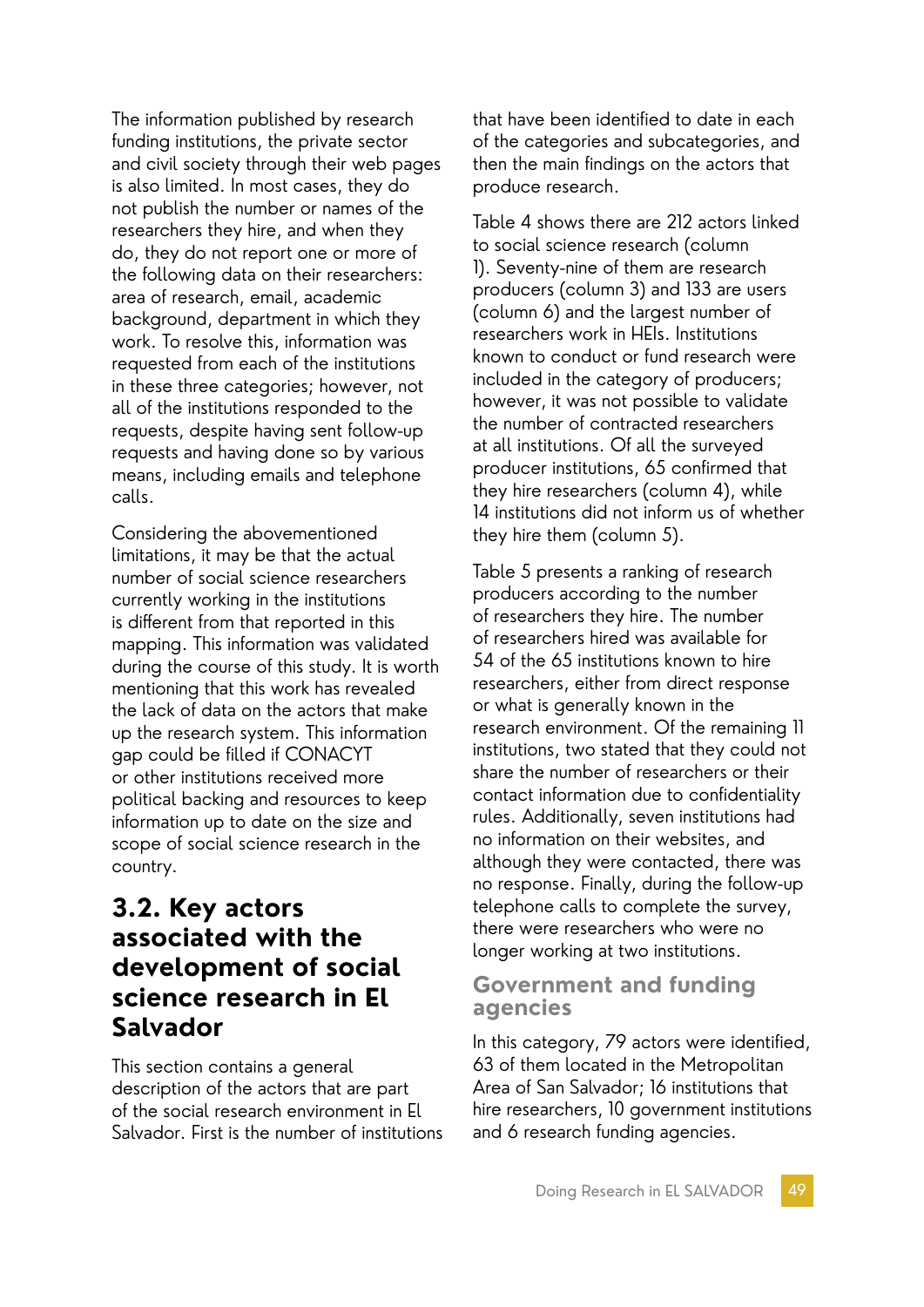The information published by research funding institutions, the private sector and civil society through their web pages is also limited. In most cases, they do not publish the number or names of the researchers they hire, and when they do, they do not report one or more of the following data on their researchers: area of research, email, academic background, department in which they work. To resolve this, information was requested from each of the institutions in these three categories; however, not all of the institutions responded to the requests, despite having sent follow-up requests and having done so by various means, including emails and telephone calls.

Considering the abovementioned limitations, it may be that the actual number of social science researchers currently working in the institutions is different from that reported in this mapping. This information was validated during the course of this study. It is worth mentioning that this work has revealed the lack of data on the actors that make up the research system. This information gap could be filled if CONACYT or other institutions received more political backing and resources to keep information up to date on the size and scope of social science research in the country.

# **3.2. Key actors associated with the development of social science research in El Salvador**

This section contains a general description of the actors that are part of the social research environment in El Salvador. First is the number of institutions that have been identified to date in each of the categories and subcategories, and then the main findings on the actors that produce research.

Table 4 shows there are 212 actors linked to social science research (column 1). Seventy-nine of them are research producers (column 3) and 133 are users (column 6) and the largest number of researchers work in HEIs. Institutions known to conduct or fund research were included in the category of producers; however, it was not possible to validate the number of contracted researchers at all institutions. Of all the surveyed producer institutions, 65 confirmed that they hire researchers (column 4), while 14 institutions did not inform us of whether they hire them (column 5).

Table 5 presents a ranking of research producers according to the number of researchers they hire. The number of researchers hired was available for 54 of the 65 institutions known to hire researchers, either from direct response or what is generally known in the research environment. Of the remaining 11 institutions, two stated that they could not share the number of researchers or their contact information due to confidentiality rules. Additionally, seven institutions had no information on their websites, and although they were contacted, there was no response. Finally, during the follow-up telephone calls to complete the survey, there were researchers who were no longer working at two institutions.

### **Government and funding agencies**

In this category, 79 actors were identified, 63 of them located in the Metropolitan Area of San Salvador; 16 institutions that hire researchers, 10 government institutions and 6 research funding agencies.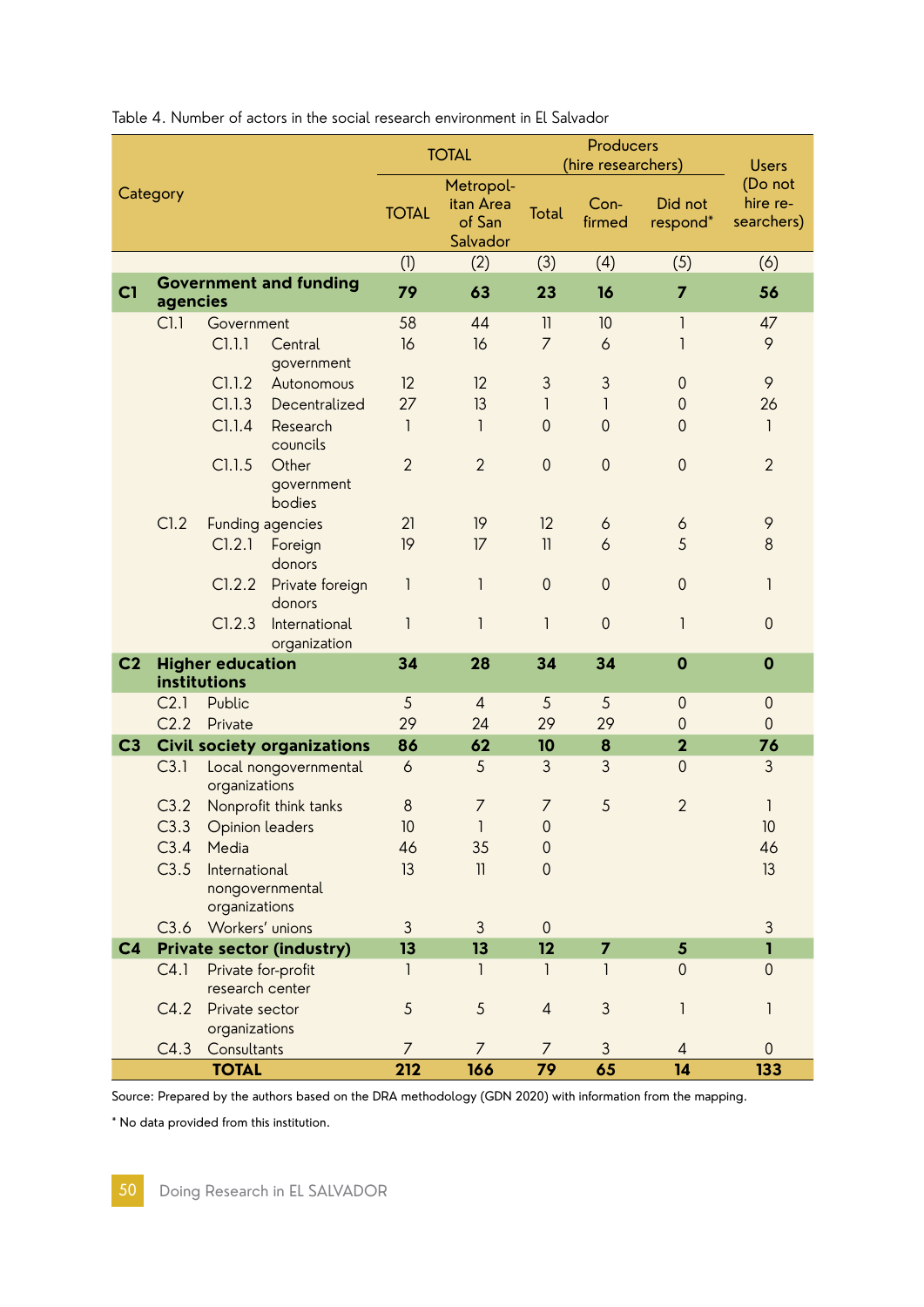|                |                                                |                                         |                                              | <b>TOTAL</b>             |                         | Producers<br>(hire researchers) | <b>Users</b>                      |                     |
|----------------|------------------------------------------------|-----------------------------------------|----------------------------------------------|--------------------------|-------------------------|---------------------------------|-----------------------------------|---------------------|
| Category       |                                                | <b>TOTAL</b>                            | Metropol-<br>itan Area<br>of San<br>Salvador | <b>Total</b>             | $Con-$<br>firmed        | Did not<br>respond*             | (Do not<br>hire re-<br>searchers) |                     |
|                |                                                |                                         | (1)                                          | (2)                      | (3)                     | (4)                             | (5)                               | (6)                 |
| C1             | agencies                                       | <b>Government and funding</b>           | 79                                           | 63                       | 23                      | 16                              | $\overline{7}$                    | 56                  |
|                | Cl.1                                           | Government                              | 58                                           | 44                       | $\mathbf{1}$            | 10                              | 1                                 | 47                  |
|                |                                                | C1.1.1<br>Central<br>government         | 16                                           | 16                       | $\overline{7}$          | 6                               | 1                                 | 9                   |
|                |                                                | C1.1.2<br>Autonomous                    | 12                                           | 12                       | $\mathfrak{Z}$          | 3                               | $\theta$                          | 9                   |
|                |                                                | C1.1.3<br>Decentralized                 | 27                                           | 13                       | 1                       | 1                               | $\mathbf 0$                       | 26                  |
|                |                                                | C1.1.4<br>Research<br>councils          | $\mathbf{1}$                                 | 1                        | $\mathbf{0}$            | $\mathbf 0$                     | $\overline{0}$                    | $\mathbf{1}$        |
|                |                                                | C1.1.5<br>Other<br>government<br>bodies | $\overline{2}$                               | $\overline{2}$           | $\mathbf 0$             | $\mathsf{O}\xspace$             | $\mathbf 0$                       | $\overline{2}$      |
|                | C1.2                                           | Funding agencies                        | 21                                           | 19                       | 12                      | 6                               | 6                                 | 9                   |
|                |                                                | Cl.2.1<br>Foreign<br>donors             | 19                                           | 17                       | $\overline{\mathbf{1}}$ | 6                               | 5                                 | $\,8\,$             |
|                |                                                | C1.2.2<br>Private foreign<br>donors     | 1                                            | $\mathsf{I}$             | $\mathbf 0$             | $\mathbf 0$                     | $\theta$                          | 1                   |
|                |                                                | C1.2.3<br>International<br>organization | 1                                            | $\mathsf{I}$             | 1                       | $\mathbf 0$                     | 1                                 | $\mathbf 0$         |
| C <sub>2</sub> |                                                | <b>Higher education</b><br>institutions | 34                                           | 28                       | 34                      | 34                              | $\mathbf 0$                       | $\mathbf 0$         |
|                | C <sub>2.1</sub>                               | Public<br>Private                       |                                              | $\overline{4}$           | 5                       | 5                               | $\theta$                          | $\mathbf 0$         |
|                | C2.2                                           |                                         |                                              | 24                       | 29                      | 29                              | $\theta$                          | $\mathbf 0$         |
| C <sub>3</sub> |                                                | <b>Civil society organizations</b>      | 86                                           | 62                       | 10                      | 8                               | $\overline{\mathbf{2}}$           | 76                  |
|                | C3.1<br>Local nongovernmental<br>organizations |                                         | 6                                            | 5                        | 3                       | 3                               | $\overline{0}$                    | 3                   |
|                | C3.2                                           | Nonprofit think tanks                   | 8                                            | $\overline{7}$           | $\overline{7}$          | 5                               | $\overline{2}$                    | 1                   |
|                |                                                | C3.3 Opinion leaders                    | 10                                           | $\mathbf{1}$             | $\mathbf 0$             |                                 |                                   | 10                  |
|                | C3.4                                           | Media                                   | 46                                           | 35                       | $\mbox{O}$              |                                 |                                   | 46                  |
|                | C3.5                                           | International<br>nongovernmental        | 13                                           | $\overline{\phantom{a}}$ | $\overline{0}$          |                                 |                                   | 13                  |
|                | organizations                                  |                                         |                                              |                          |                         |                                 |                                   |                     |
|                | C3.6                                           | Workers' unions                         | 3                                            | 3                        | $\theta$                |                                 |                                   | 3                   |
| C <sub>4</sub> |                                                | <b>Private sector (industry)</b>        | 13                                           | 13                       | 12                      | $\overline{7}$                  | $5\overline{)}$                   | $\mathbf{I}$        |
|                | C4.1                                           | Private for-profit<br>research center   | 1                                            | 1                        | 1                       | 1                               | $\mathbf 0$                       | $\mathbf 0$         |
|                | C4.2                                           | Private sector<br>organizations         | 5                                            | 5                        | $\overline{4}$          | $\mathfrak{Z}$                  | 1                                 | 1                   |
|                | C4.3                                           | Consultants                             | $\overline{7}$                               | $\overline{7}$           | $\overline{7}$          | $\mathfrak{Z}$                  | $\overline{4}$                    | $\mathsf{O}\xspace$ |
|                |                                                | <b>TOTAL</b>                            | 212                                          | 166                      | 79                      | 65                              | 14                                | 133                 |

Table 4. Number of actors in the social research environment in El Salvador

Source: Prepared by the authors based on the DRA methodology (GDN 2020) with information from the mapping.

\* No data provided from this institution.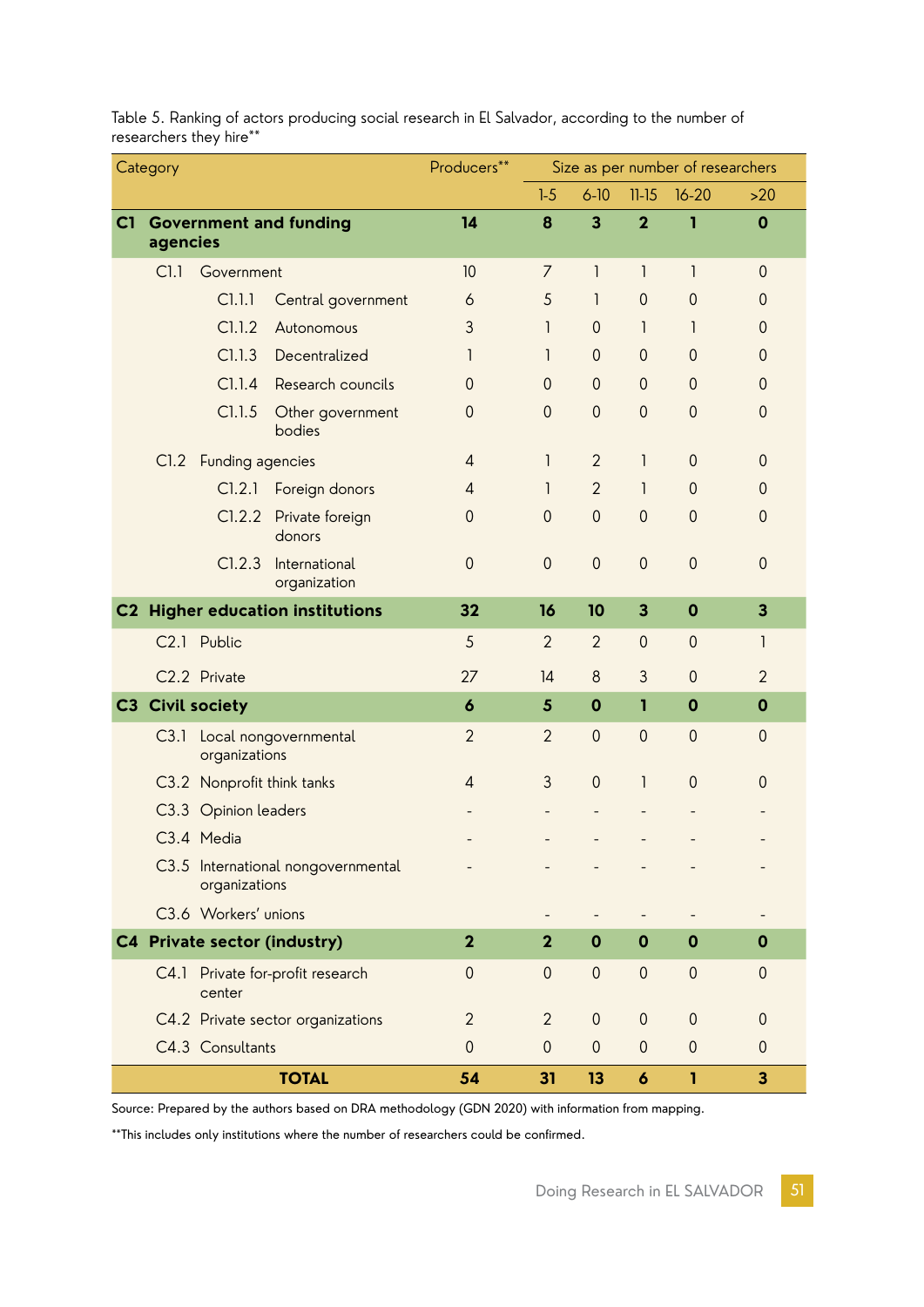| Category     |                                 | Producers**                                         | Size as per number of researchers    |                  |                |                  |                         |                         |                         |
|--------------|---------------------------------|-----------------------------------------------------|--------------------------------------|------------------|----------------|------------------|-------------------------|-------------------------|-------------------------|
|              |                                 |                                                     |                                      | $1-5$            | $6 - 10$       | $11-15$          | $16 - 20$               | $>20$                   |                         |
| C1           | <b>Government and funding</b>   |                                                     |                                      | 14               | 8              | 3                | $\mathbf{2}$            | I.                      | $\mathbf 0$             |
|              | agencies                        |                                                     |                                      |                  |                |                  |                         |                         |                         |
|              |                                 | Cl.1<br>Government                                  |                                      | 10               | 7              | $\mathsf{I}$     | $\mathsf{I}$            | $\mathbf{I}$            | $\mathbf 0$             |
|              |                                 | C1.1.1                                              | Central government                   | 6                | 5              | 1                | $\mathbf{0}$            | $\mathbf 0$             | $\mathbf{0}$            |
|              |                                 | C1.1.2                                              | Autonomous                           | 3                | 1              | $\mathbf 0$      | 1                       | 1                       | $\mathbf 0$             |
|              |                                 | C1.1.3                                              | Decentralized                        | 1                | 1              | $\mathbf 0$      | $\overline{0}$          | $\mathbf 0$             | $\mathbf 0$             |
|              |                                 | C1.1.4                                              | Research councils                    | 0                | $\mathbf 0$    | $\mathbf 0$      | $\theta$                | $\mathbf 0$             | $\mathbf 0$             |
|              |                                 | C1.1.5                                              | Other government<br>bodies           | 0                | $\mathbf 0$    | $\mathbf 0$      | $\overline{0}$          | $\mathbf 0$             | $\mathbf 0$             |
|              | <b>Funding agencies</b><br>CI.2 |                                                     | 4                                    | 1                | $\overline{2}$ | 1                | $\theta$                | $\mathbf 0$             |                         |
|              |                                 | C1.2.1                                              | Foreign donors                       | 4                | 1              | $\overline{2}$   | 1                       | $\theta$                | $\mathbf 0$             |
|              |                                 | C1.2.2                                              | Private foreign<br>donors            | 0                | $\mathbf 0$    | $\mathbf 0$      | $\mathbf{0}$            | $\mathbf 0$             | $\mathbf 0$             |
|              |                                 | C1.2.3                                              | International<br>organization        | $\mathbf 0$      | $\mathbf 0$    | $\mathbf 0$      | $\mathbf 0$             | $\mathbf 0$             | $\mathbf 0$             |
| C2           |                                 |                                                     | <b>Higher education institutions</b> | 32               | 16             | 10               | $\overline{\mathbf{3}}$ | $\mathbf 0$             | $\overline{\mathbf{3}}$ |
|              |                                 | C2.1 Public                                         |                                      | 5                | $\overline{2}$ | $\overline{2}$   | $\mathbf{0}$            | $\mathbf{0}$            | $\mathsf{I}$            |
|              |                                 | C2.2 Private                                        |                                      | 27               | 4              | $\boldsymbol{8}$ | 3                       | $\mathbf{0}$            | $\overline{2}$          |
|              |                                 | C3 Civil society                                    |                                      | $\boldsymbol{6}$ | $\sqrt{5}$     | $\mathbf 0$      | 1                       | $\mathbf 0$             | $\mathbf 0$             |
|              |                                 | C3.1 Local nongovernmental<br>organizations         |                                      | $\overline{2}$   | $\overline{2}$ | $\overline{0}$   | $\mathbf{0}$            | $\mathbf 0$             | $\mathbf 0$             |
|              |                                 | C3.2 Nonprofit think tanks                          |                                      | 4                | 3              | $\mathbf 0$      | $\mathsf{I}$            | $\mathbf{0}$            | $\mathbf 0$             |
|              |                                 | C3.3 Opinion leaders                                |                                      |                  |                |                  |                         |                         |                         |
|              |                                 | C3.4 Media                                          |                                      |                  |                |                  |                         |                         |                         |
|              |                                 | C3.5 International nongovernmental<br>organizations |                                      |                  |                |                  |                         |                         |                         |
|              |                                 | C3.6 Workers' unions                                |                                      |                  |                |                  |                         |                         |                         |
|              |                                 |                                                     | C4 Private sector (industry)         | $\overline{2}$   | $\overline{2}$ | $\mathbf 0$      | $\mathbf 0$             | $\mathbf 0$             | $\mathbf 0$             |
|              |                                 | center                                              | C4.1 Private for-profit research     | $\mathbf 0$      | $\mathbf 0$    | $\mathbf 0$      | $\mathbf 0$             | $\mathbf 0$             | $\mathbf 0$             |
|              |                                 |                                                     | C4.2 Private sector organizations    | $\overline{2}$   | $\overline{2}$ | $\theta$         | $\boldsymbol{0}$        | $\theta$                | $\mathbf 0$             |
|              |                                 | C4.3 Consultants                                    |                                      | $\overline{0}$   | $\mathbf 0$    | $\mathbf 0$      | $\mathbf 0$             | $\mathbf 0$             | $\mathbf 0$             |
| <b>TOTAL</b> |                                 |                                                     | 54                                   | 31               | 13             | $\boldsymbol{6}$ | I.                      | $\overline{\mathbf{3}}$ |                         |

Table 5. Ranking of actors producing social research in El Salvador, according to the number of researchers they hire\*\*

Source: Prepared by the authors based on DRA methodology (GDN 2020) with information from mapping.

\*\*This includes only institutions where the number of researchers could be confirmed.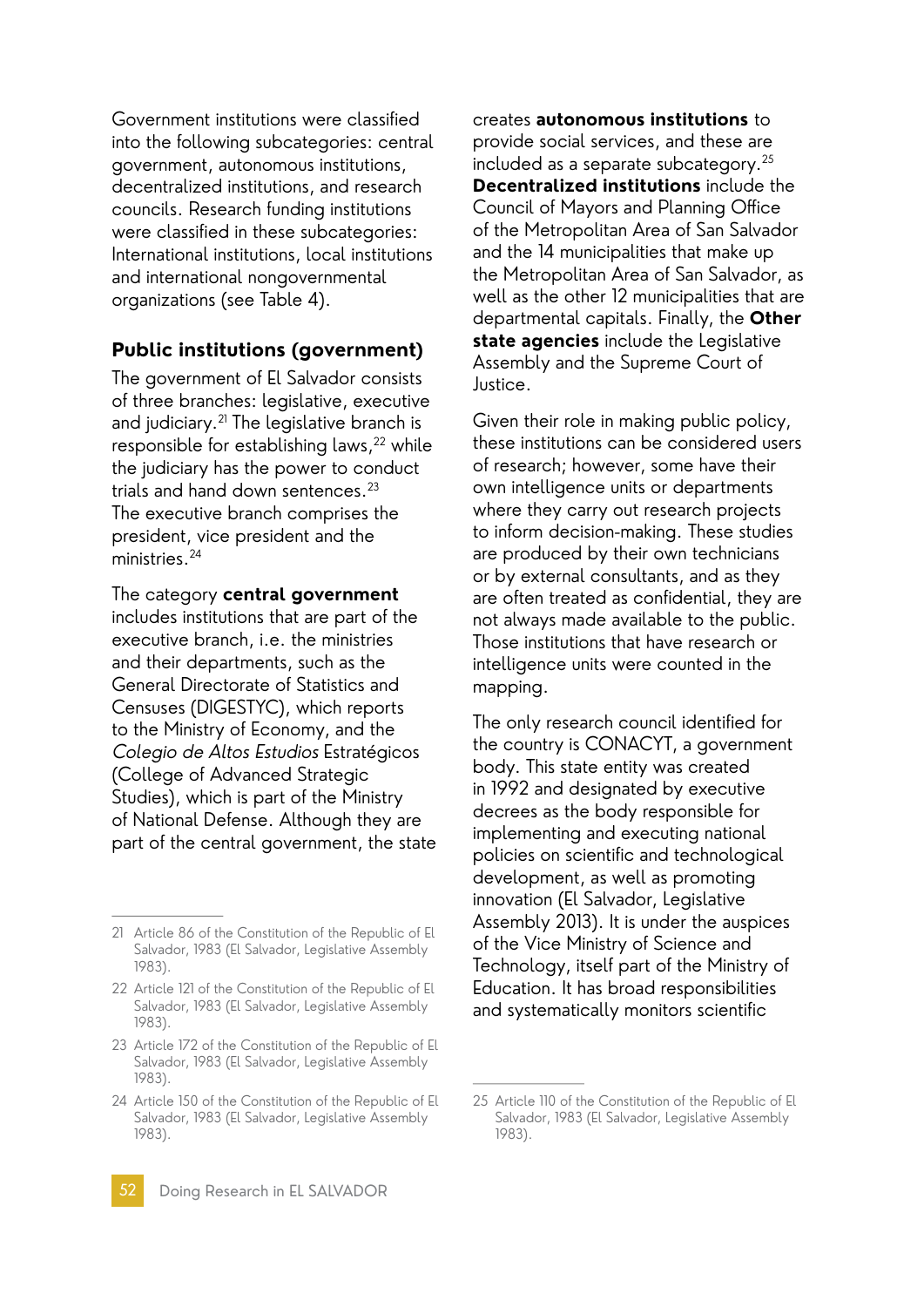Government institutions were classified into the following subcategories: central government, autonomous institutions, decentralized institutions, and research councils. Research funding institutions were classified in these subcategories: International institutions, local institutions and international nongovernmental organizations (see Table 4).

#### **Public institutions (government)**

The government of El Salvador consists of three branches: legislative, executive and judiciary.<sup>21</sup> The legislative branch is responsible for establishing laws,<sup>22</sup> while the judiciary has the power to conduct trials and hand down sentences.23 The executive branch comprises the president, vice president and the ministries.24

The category **central government**  includes institutions that are part of the executive branch, i.e. the ministries and their departments, such as the General Directorate of Statistics and Censuses (DIGESTYC), which reports to the Ministry of Economy, and the Colegio de Altos Estudios Estratégicos (College of Advanced Strategic Studies), which is part of the Ministry of National Defense. Although they are part of the central government, the state creates **autonomous institutions** to provide social services, and these are included as a separate subcategory.25 **Decentralized institutions** include the Council of Mayors and Planning Office of the Metropolitan Area of San Salvador and the 14 municipalities that make up the Metropolitan Area of San Salvador, as well as the other 12 municipalities that are departmental capitals. Finally, the **Other state agencies** include the Legislative Assembly and the Supreme Court of Justice.

Given their role in making public policy, these institutions can be considered users of research; however, some have their own intelligence units or departments where they carry out research projects to inform decision-making. These studies are produced by their own technicians or by external consultants, and as they are often treated as confidential, they are not always made available to the public. Those institutions that have research or intelligence units were counted in the mapping.

The only research council identified for the country is CONACYT, a government body. This state entity was created in 1992 and designated by executive decrees as the body responsible for implementing and executing national policies on scientific and technological development, as well as promoting innovation (El Salvador, Legislative Assembly 2013). It is under the auspices of the Vice Ministry of Science and Technology, itself part of the Ministry of Education. It has broad responsibilities and systematically monitors scientific

<sup>21</sup> Article 86 of the Constitution of the Republic of El Salvador, 1983 (El Salvador, Legislative Assembly 1983).

<sup>22</sup> Article 121 of the Constitution of the Republic of El Salvador, 1983 (El Salvador, Legislative Assembly 1983).

<sup>23</sup> Article 172 of the Constitution of the Republic of El Salvador, 1983 (El Salvador, Legislative Assembly 1983).

<sup>24</sup> Article 150 of the Constitution of the Republic of El Salvador, 1983 (El Salvador, Legislative Assembly 1983).

<sup>25</sup> Article 110 of the Constitution of the Republic of El Salvador, 1983 (El Salvador, Legislative Assembly 1983).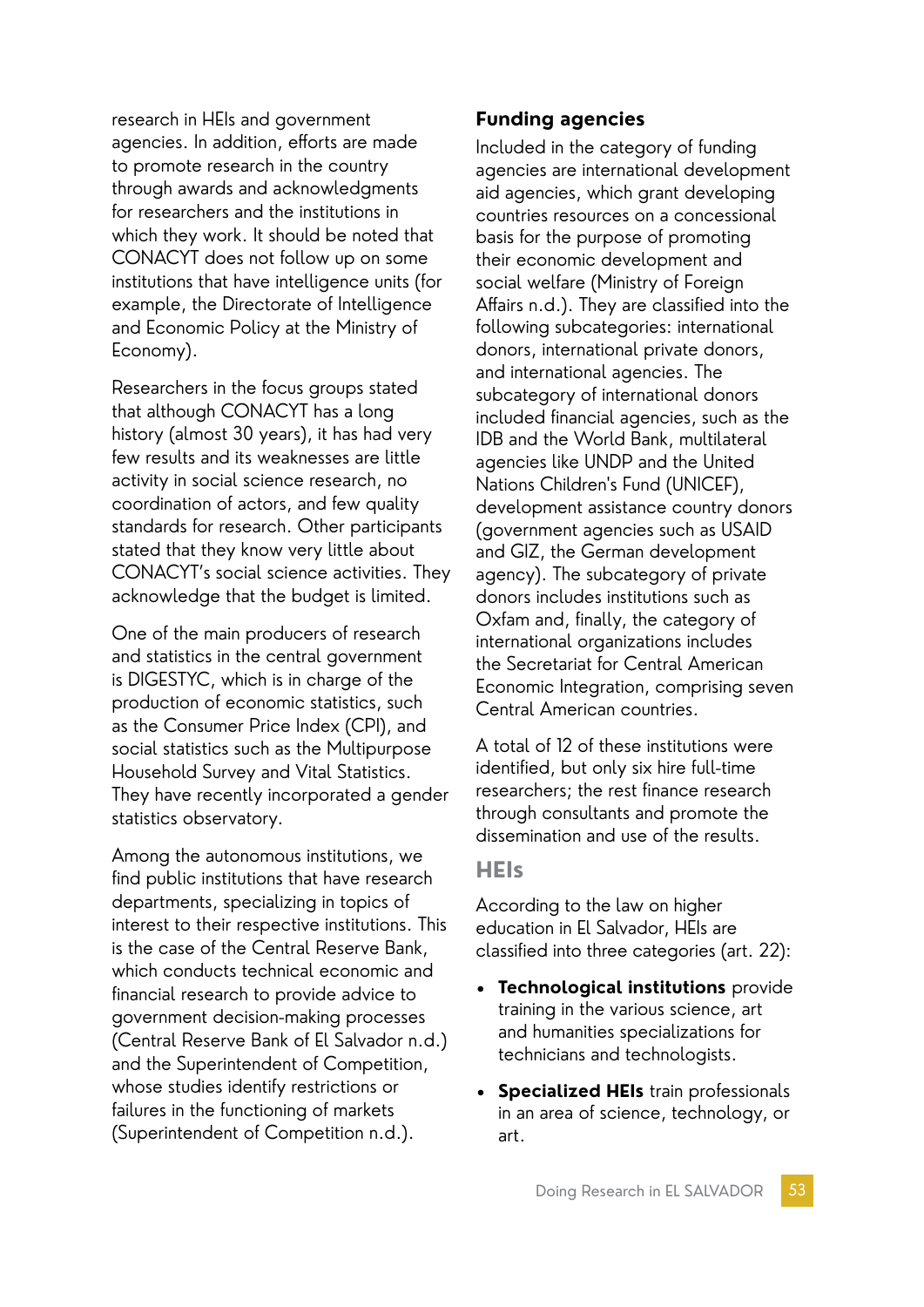research in HEIs and government agencies. In addition, efforts are made to promote research in the country through awards and acknowledgments for researchers and the institutions in which they work. It should be noted that CONACYT does not follow up on some institutions that have intelligence units (for example, the Directorate of Intelligence and Economic Policy at the Ministry of Economy).

Researchers in the focus groups stated that although CONACYT has a long history (almost 30 years), it has had very few results and its weaknesses are little activity in social science research, no coordination of actors, and few quality standards for research. Other participants stated that they know very little about CONACYT's social science activities. They acknowledge that the budget is limited.

One of the main producers of research and statistics in the central government is DIGESTYC, which is in charge of the production of economic statistics, such as the Consumer Price Index (CPI), and social statistics such as the Multipurpose Household Survey and Vital Statistics. They have recently incorporated a gender statistics observatory.

Among the autonomous institutions, we find public institutions that have research departments, specializing in topics of interest to their respective institutions. This is the case of the Central Reserve Bank, which conducts technical economic and financial research to provide advice to government decision-making processes (Central Reserve Bank of El Salvador n.d.) and the Superintendent of Competition, whose studies identify restrictions or failures in the functioning of markets (Superintendent of Competition n.d.).

### **Funding agencies**

Included in the category of funding agencies are international development aid agencies, which grant developing countries resources on a concessional basis for the purpose of promoting their economic development and social welfare (Ministry of Foreign Affairs n.d.). They are classified into the following subcategories: international donors, international private donors, and international agencies. The subcategory of international donors included financial agencies, such as the IDB and the World Bank, multilateral agencies like UNDP and the United Nations Children's Fund (UNICEF), development assistance country donors (government agencies such as USAID and GIZ, the German development agency). The subcategory of private donors includes institutions such as Oxfam and, finally, the category of international organizations includes the Secretariat for Central American Economic Integration, comprising seven Central American countries.

A total of 12 of these institutions were identified, but only six hire full-time researchers; the rest finance research through consultants and promote the dissemination and use of the results.

#### **HEIs**

According to the law on higher education in El Salvador, HEIs are classified into three categories (art. 22):

- **Technological institutions** provide training in the various science, art and humanities specializations for technicians and technologists.
- **Specialized HEIs** train professionals in an area of science, technology, or art.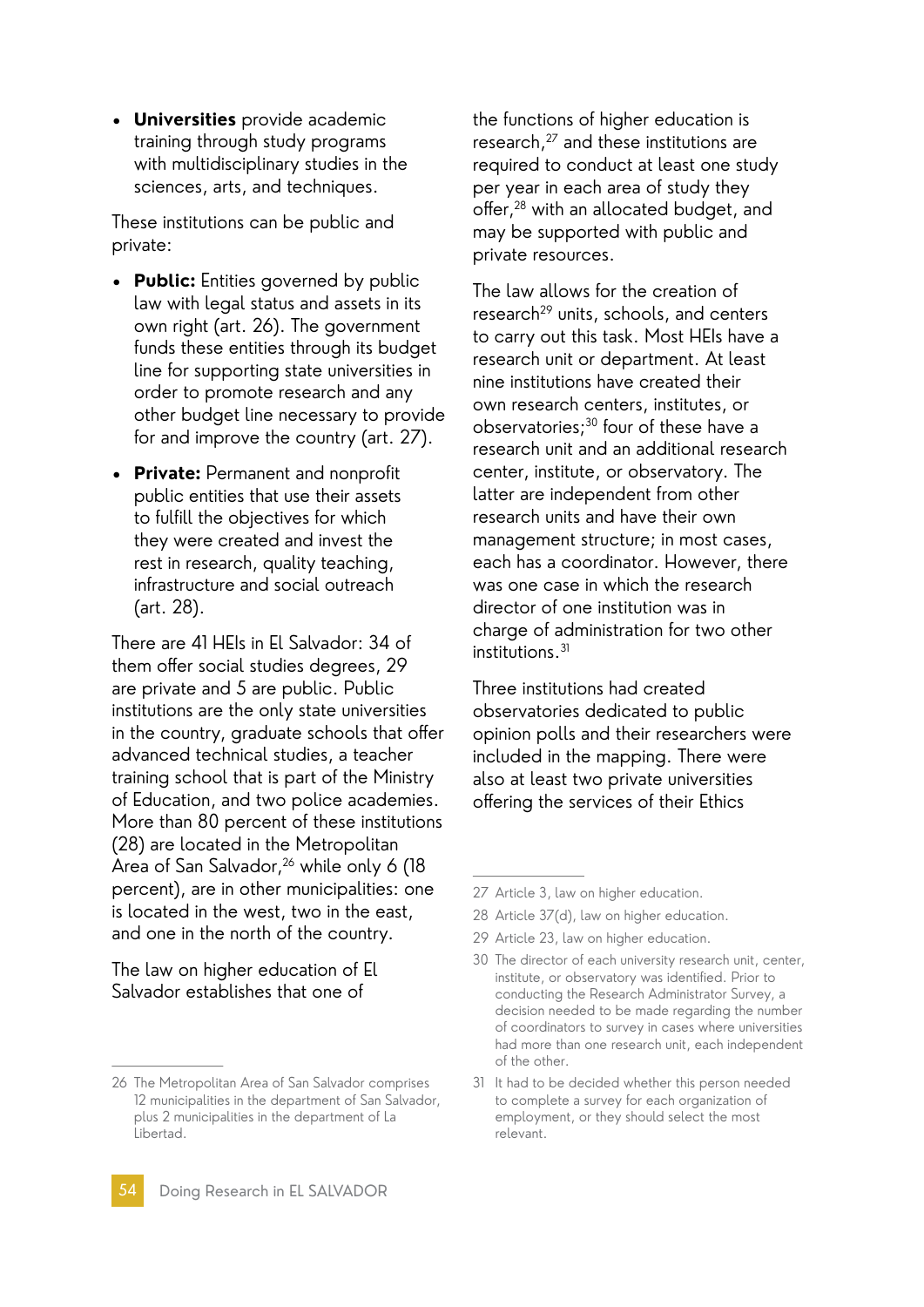• **Universities** provide academic training through study programs with multidisciplinary studies in the sciences, arts, and techniques.

These institutions can be public and private:

- **Public:** Entities governed by public law with legal status and assets in its own right (art. 26). The government funds these entities through its budget line for supporting state universities in order to promote research and any other budget line necessary to provide for and improve the country (art. 27).
- **Private:** Permanent and nonprofit public entities that use their assets to fulfill the objectives for which they were created and invest the rest in research, quality teaching, infrastructure and social outreach (art. 28).

There are 41 HEIs in El Salvador: 34 of them offer social studies degrees, 29 are private and 5 are public. Public institutions are the only state universities in the country, graduate schools that offer advanced technical studies, a teacher training school that is part of the Ministry of Education, and two police academies. More than 80 percent of these institutions (28) are located in the Metropolitan Area of San Salvador,<sup>26</sup> while only 6 (18) percent), are in other municipalities: one is located in the west, two in the east, and one in the north of the country.

The law on higher education of El Salvador establishes that one of

the functions of higher education is research,<sup>27</sup> and these institutions are required to conduct at least one study per year in each area of study they offer,28 with an allocated budget, and may be supported with public and private resources.

The law allows for the creation of research<sup>29</sup> units, schools, and centers to carry out this task. Most HEIs have a research unit or department. At least nine institutions have created their own research centers, institutes, or observatories;30 four of these have a research unit and an additional research center, institute, or observatory. The latter are independent from other research units and have their own management structure; in most cases, each has a coordinator. However, there was one case in which the research director of one institution was in charge of administration for two other institutions.<sup>31</sup>

Three institutions had created observatories dedicated to public opinion polls and their researchers were included in the mapping. There were also at least two private universities offering the services of their Ethics

29 Article 23, law on higher education.

<sup>26</sup> The Metropolitan Area of San Salvador comprises 12 municipalities in the department of San Salvador, plus 2 municipalities in the department of La Libertad.

<sup>27</sup> Article 3, law on higher education.

<sup>28</sup> Article 37(d), law on higher education.

<sup>30</sup> The director of each university research unit, center, institute, or observatory was identified. Prior to conducting the Research Administrator Survey, a decision needed to be made regarding the number of coordinators to survey in cases where universities had more than one research unit, each independent of the other.

<sup>31</sup> It had to be decided whether this person needed to complete a survey for each organization of employment, or they should select the most relevant.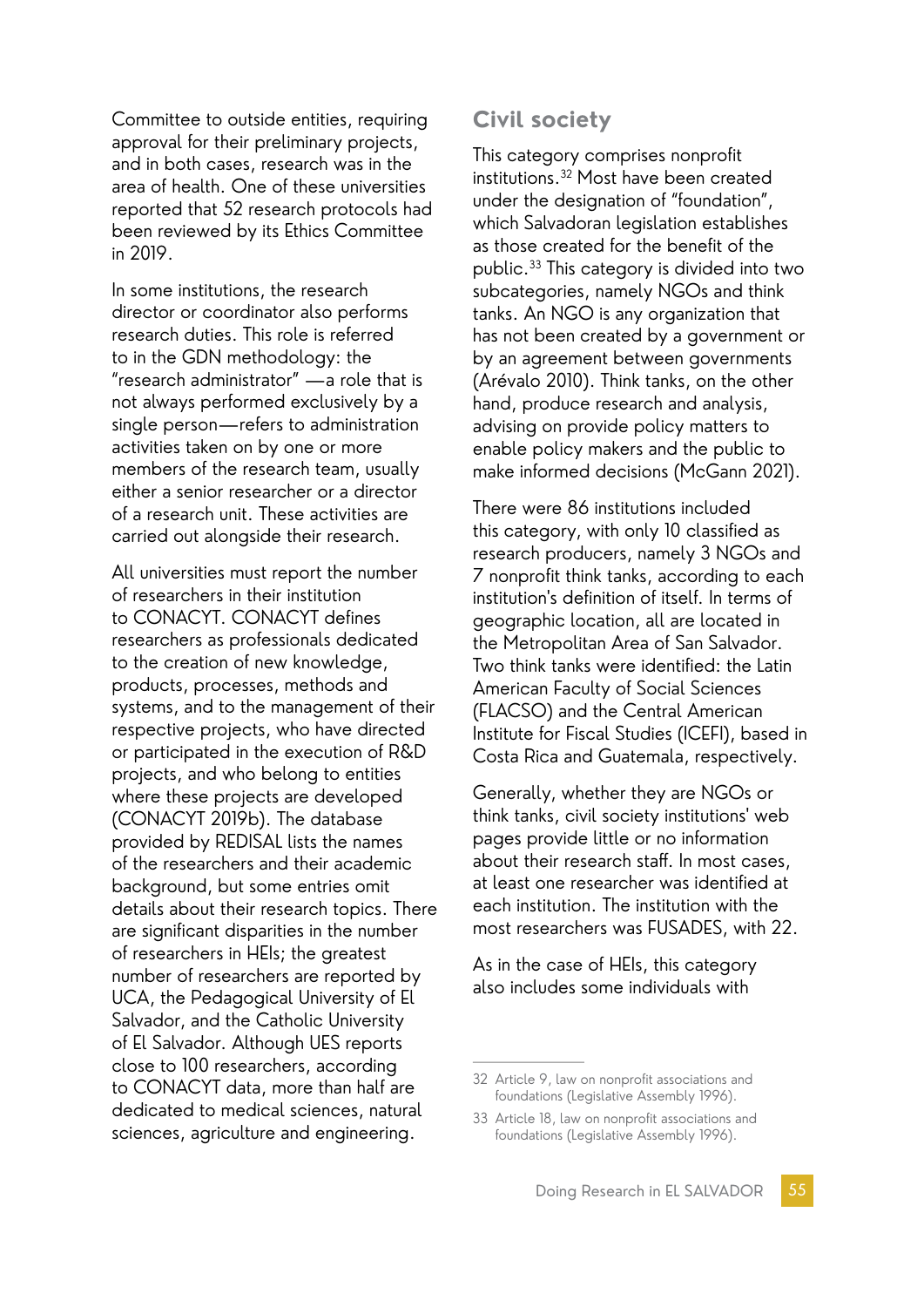Committee to outside entities, requiring approval for their preliminary projects, and in both cases, research was in the area of health. One of these universities reported that 52 research protocols had been reviewed by its Ethics Committee in 2019.

In some institutions, the research director or coordinator also performs research duties. This role is referred to in the GDN methodology: the "research administrator" —a role that is not always performed exclusively by a single person—refers to administration activities taken on by one or more members of the research team, usually either a senior researcher or a director of a research unit. These activities are carried out alongside their research.

All universities must report the number of researchers in their institution to CONACYT. CONACYT defines researchers as professionals dedicated to the creation of new knowledge, products, processes, methods and systems, and to the management of their respective projects, who have directed or participated in the execution of R&D projects, and who belong to entities where these projects are developed (CONACYT 2019b). The database provided by REDISAL lists the names of the researchers and their academic background, but some entries omit details about their research topics. There are significant disparities in the number of researchers in HEIs; the greatest number of researchers are reported by UCA, the Pedagogical University of El Salvador, and the Catholic University of El Salvador. Although UES reports close to 100 researchers, according to CONACYT data, more than half are dedicated to medical sciences, natural sciences, agriculture and engineering.

### **Civil society**

This category comprises nonprofit institutions.32 Most have been created under the designation of "foundation", which Salvadoran legislation establishes as those created for the benefit of the public.33 This category is divided into two subcategories, namely NGOs and think tanks. An NGO is any organization that has not been created by a government or by an agreement between governments (Arévalo 2010). Think tanks, on the other hand, produce research and analysis, advising on provide policy matters to enable policy makers and the public to make informed decisions (McGann 2021).

There were 86 institutions included this category, with only 10 classified as research producers, namely 3 NGOs and 7 nonprofit think tanks, according to each institution's definition of itself. In terms of geographic location, all are located in the Metropolitan Area of San Salvador. Two think tanks were identified: the Latin American Faculty of Social Sciences (FLACSO) and the Central American Institute for Fiscal Studies (ICEFI), based in Costa Rica and Guatemala, respectively.

Generally, whether they are NGOs or think tanks, civil society institutions' web pages provide little or no information about their research staff. In most cases, at least one researcher was identified at each institution. The institution with the most researchers was FUSADES, with 22.

As in the case of HEIs, this category also includes some individuals with

<sup>32</sup> Article 9, law on nonprofit associations and foundations (Legislative Assembly 1996).

<sup>33</sup> Article 18, law on nonprofit associations and foundations (Legislative Assembly 1996).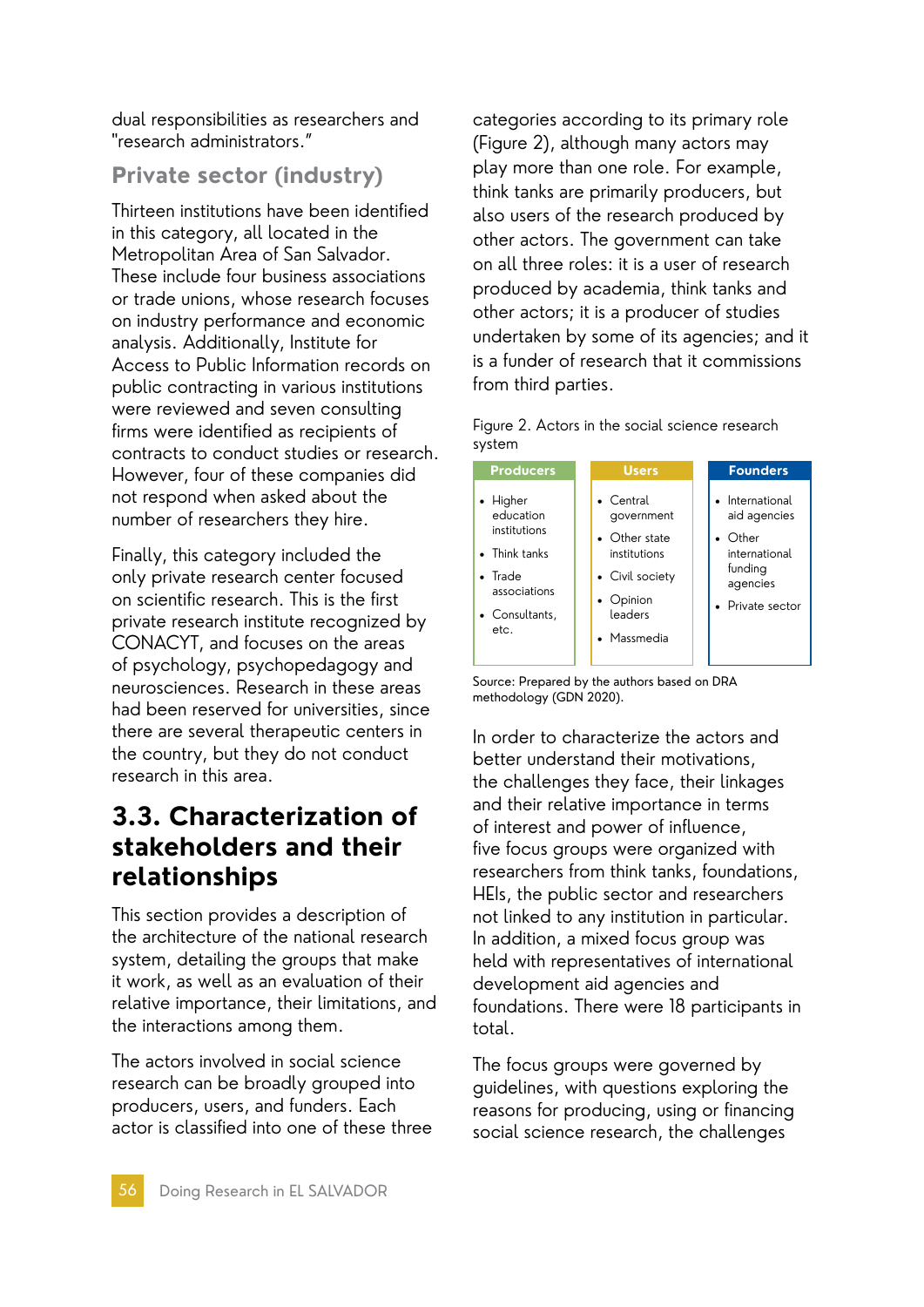dual responsibilities as researchers and "research administrators."

# **Private sector (industry)**

Thirteen institutions have been identified in this category, all located in the Metropolitan Area of San Salvador. These include four business associations or trade unions, whose research focuses on industry performance and economic analysis. Additionally, Institute for Access to Public Information records on public contracting in various institutions were reviewed and seven consulting firms were identified as recipients of contracts to conduct studies or research. However, four of these companies did not respond when asked about the number of researchers they hire.

Finally, this category included the only private research center focused on scientific research. This is the first private research institute recognized by CONACYT, and focuses on the areas of psychology, psychopedagogy and neurosciences. Research in these areas had been reserved for universities, since there are several therapeutic centers in the country, but they do not conduct research in this area.

# **3.3. Characterization of stakeholders and their relationships**

This section provides a description of the architecture of the national research system, detailing the groups that make it work, as well as an evaluation of their relative importance, their limitations, and the interactions among them.

The actors involved in social science research can be broadly grouped into producers, users, and funders. Each actor is classified into one of these three

categories according to its primary role (Figure 2), although many actors may play more than one role. For example, think tanks are primarily producers, but also users of the research produced by other actors. The government can take on all three roles: it is a user of research produced by academia, think tanks and other actors; it is a producer of studies undertaken by some of its agencies; and it is a funder of research that it commissions from third parties.

Figure 2. Actors in the social science research system



Source: Prepared by the authors based on DRA methodology (GDN 2020).

In order to characterize the actors and better understand their motivations, the challenges they face, their linkages and their relative importance in terms of interest and power of influence, five focus groups were organized with researchers from think tanks, foundations, HEIs, the public sector and researchers not linked to any institution in particular. In addition, a mixed focus group was held with representatives of international development aid agencies and foundations. There were 18 participants in total.

The focus groups were governed by guidelines, with questions exploring the reasons for producing, using or financing social science research, the challenges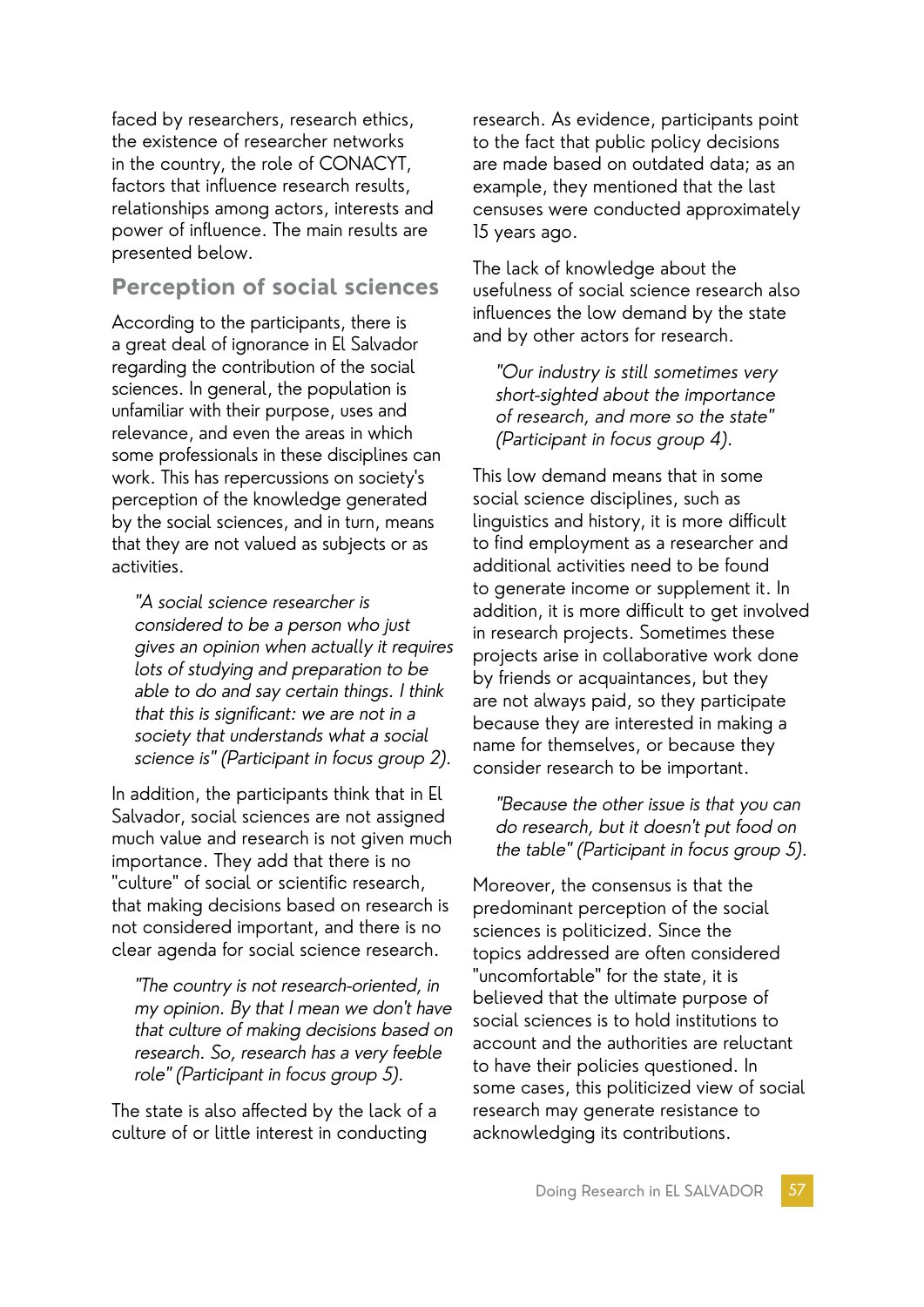faced by researchers, research ethics, the existence of researcher networks in the country, the role of CONACYT, factors that influence research results, relationships among actors, interests and power of influence. The main results are presented below.

### **Perception of social sciences**

According to the participants, there is a great deal of ignorance in El Salvador regarding the contribution of the social sciences. In general, the population is unfamiliar with their purpose, uses and relevance, and even the areas in which some professionals in these disciplines can work. This has repercussions on society's perception of the knowledge generated by the social sciences, and in turn, means that they are not valued as subjects or as activities.

"A social science researcher is considered to be a person who just gives an opinion when actually it requires lots of studying and preparation to be able to do and say certain things. I think that this is significant: we are not in a society that understands what a social science is" (Participant in focus group 2).

In addition, the participants think that in El Salvador, social sciences are not assigned much value and research is not given much importance. They add that there is no "culture" of social or scientific research, that making decisions based on research is not considered important, and there is no clear agenda for social science research.

"The country is not research-oriented, in my opinion. By that I mean we don't have that culture of making decisions based on research. So, research has a very feeble role" (Participant in focus group 5).

The state is also affected by the lack of a culture of or little interest in conducting

research. As evidence, participants point to the fact that public policy decisions are made based on outdated data; as an example, they mentioned that the last censuses were conducted approximately 15 years ago.

The lack of knowledge about the usefulness of social science research also influences the low demand by the state and by other actors for research.

"Our industry is still sometimes very short-sighted about the importance of research, and more so the state" (Participant in focus group 4).

This low demand means that in some social science disciplines, such as linguistics and history, it is more difficult to find employment as a researcher and additional activities need to be found to generate income or supplement it. In addition, it is more difficult to get involved in research projects. Sometimes these projects arise in collaborative work done by friends or acquaintances, but they are not always paid, so they participate because they are interested in making a name for themselves, or because they consider research to be important.

"Because the other issue is that you can do research, but it doesn't put food on the table" (Participant in focus group 5).

Moreover, the consensus is that the predominant perception of the social sciences is politicized. Since the topics addressed are often considered "uncomfortable" for the state, it is believed that the ultimate purpose of social sciences is to hold institutions to account and the authorities are reluctant to have their policies questioned. In some cases, this politicized view of social research may generate resistance to acknowledging its contributions.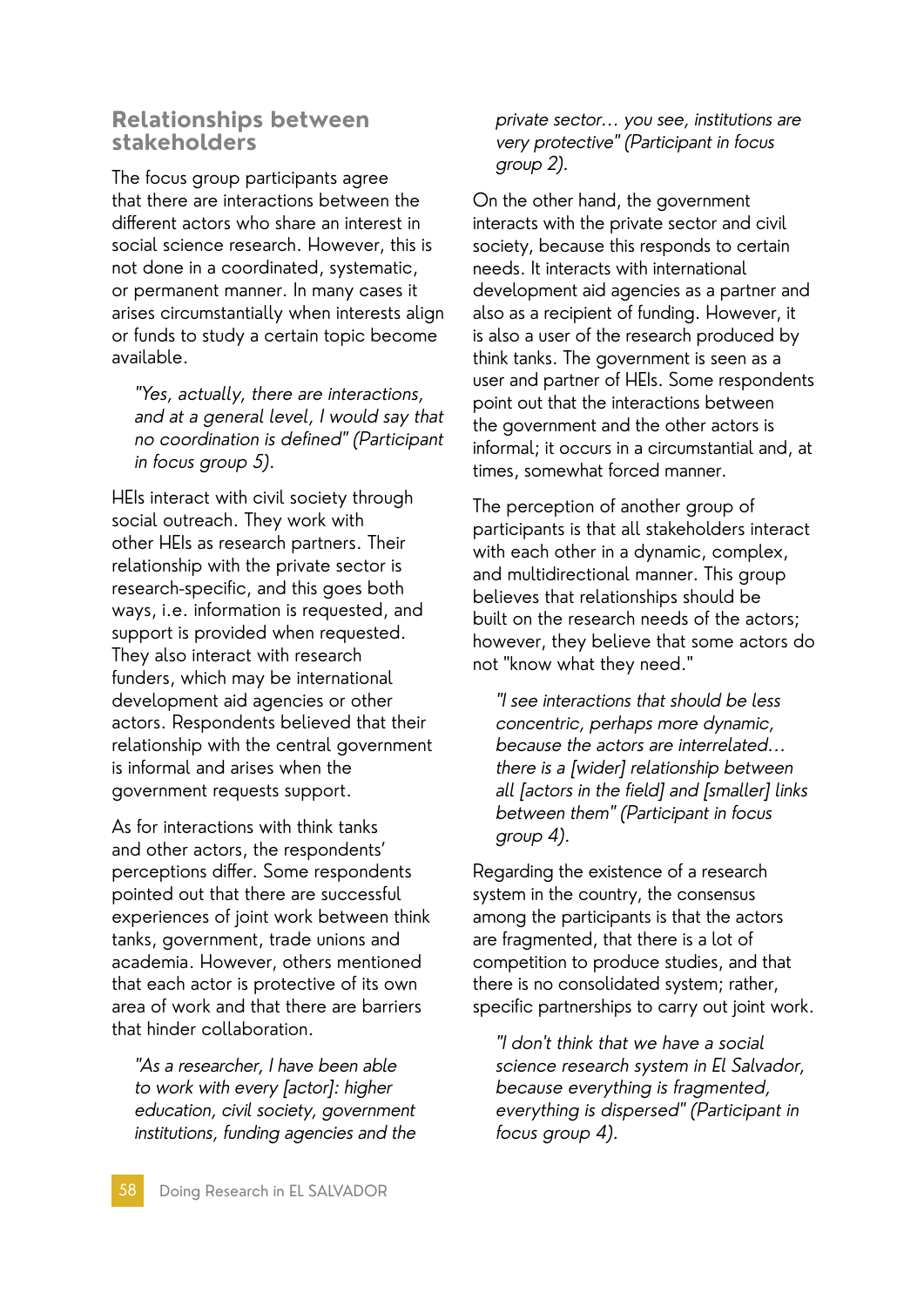#### **Relationships between stakeholders**

The focus group participants agree that there are interactions between the different actors who share an interest in social science research. However, this is not done in a coordinated, systematic, or permanent manner. In many cases it arises circumstantially when interests align or funds to study a certain topic become available.

"Yes, actually, there are interactions, and at a general level, I would say that no coordination is defined" (Participant in focus group 5).

HEIs interact with civil society through social outreach. They work with other HEIs as research partners. Their relationship with the private sector is research-specific, and this goes both ways, i.e. information is requested, and support is provided when requested. They also interact with research funders, which may be international development aid agencies or other actors. Respondents believed that their relationship with the central government is informal and arises when the government requests support.

As for interactions with think tanks and other actors, the respondents' perceptions differ. Some respondents pointed out that there are successful experiences of joint work between think tanks, government, trade unions and academia. However, others mentioned that each actor is protective of its own area of work and that there are barriers that hinder collaboration.

"As a researcher, I have been able to work with every [actor]: higher education, civil society, government institutions, funding agencies and the private sector... you see, institutions are very protective" (Participant in focus group 2).

On the other hand, the government interacts with the private sector and civil society, because this responds to certain needs. It interacts with international development aid agencies as a partner and also as a recipient of funding. However, it is also a user of the research produced by think tanks. The government is seen as a user and partner of HEIs. Some respondents point out that the interactions between the government and the other actors is informal; it occurs in a circumstantial and, at times, somewhat forced manner.

The perception of another group of participants is that all stakeholders interact with each other in a dynamic, complex, and multidirectional manner. This group believes that relationships should be built on the research needs of the actors; however, they believe that some actors do not "know what they need."

"I see interactions that should be less concentric, perhaps more dynamic, because the actors are interrelated... there is a [wider] relationship between all [actors in the field] and [smaller] links between them" (Participant in focus group 4).

Regarding the existence of a research system in the country, the consensus among the participants is that the actors are fragmented, that there is a lot of competition to produce studies, and that there is no consolidated system; rather, specific partnerships to carry out joint work.

"I don't think that we have a social science research system in El Salvador, because everything is fragmented, everything is dispersed" (Participant in focus group 4).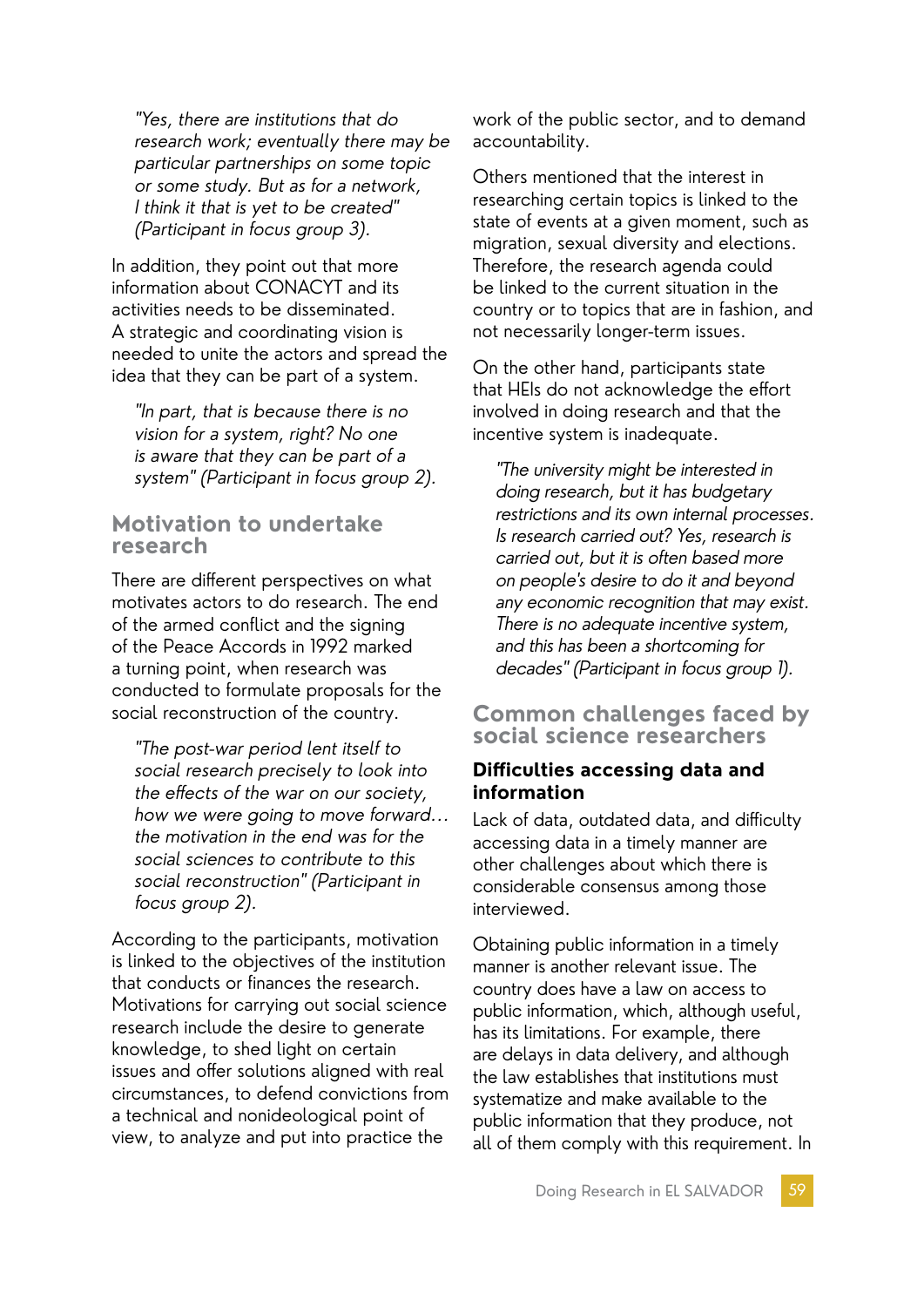"Yes, there are institutions that do research work; eventually there may be particular partnerships on some topic or some study. But as for a network, I think it that is yet to be created" (Participant in focus group 3).

In addition, they point out that more information about CONACYT and its activities needs to be disseminated. A strategic and coordinating vision is needed to unite the actors and spread the idea that they can be part of a system.

"In part, that is because there is no vision for a system, right? No one is aware that they can be part of a system" (Participant in focus group 2).

#### **Motivation to undertake research**

There are different perspectives on what motivates actors to do research. The end of the armed conflict and the signing of the Peace Accords in 1992 marked a turning point, when research was conducted to formulate proposals for the social reconstruction of the country.

"The post-war period lent itself to social research precisely to look into the effects of the war on our society, how we were going to move forward... the motivation in the end was for the social sciences to contribute to this social reconstruction" (Participant in focus group 2).

According to the participants, motivation is linked to the objectives of the institution that conducts or finances the research. Motivations for carrying out social science research include the desire to generate knowledge, to shed light on certain issues and offer solutions aligned with real circumstances, to defend convictions from a technical and nonideological point of view, to analyze and put into practice the

work of the public sector, and to demand accountability.

Others mentioned that the interest in researching certain topics is linked to the state of events at a given moment, such as migration, sexual diversity and elections. Therefore, the research agenda could be linked to the current situation in the country or to topics that are in fashion, and not necessarily longer-term issues.

On the other hand, participants state that HEIs do not acknowledge the effort involved in doing research and that the incentive system is inadequate.

"The university might be interested in doing research, but it has budgetary restrictions and its own internal processes. Is research carried out? Yes, research is carried out, but it is often based more on people's desire to do it and beyond any economic recognition that may exist. There is no adequate incentive system, and this has been a shortcoming for decades" (Participant in focus group 1).

### **Common challenges faced by social science researchers**

#### **Difficulties accessing data and information**

Lack of data, outdated data, and difficulty accessing data in a timely manner are other challenges about which there is considerable consensus among those interviewed.

Obtaining public information in a timely manner is another relevant issue. The country does have a law on access to public information, which, although useful, has its limitations. For example, there are delays in data delivery, and although the law establishes that institutions must systematize and make available to the public information that they produce, not all of them comply with this requirement. In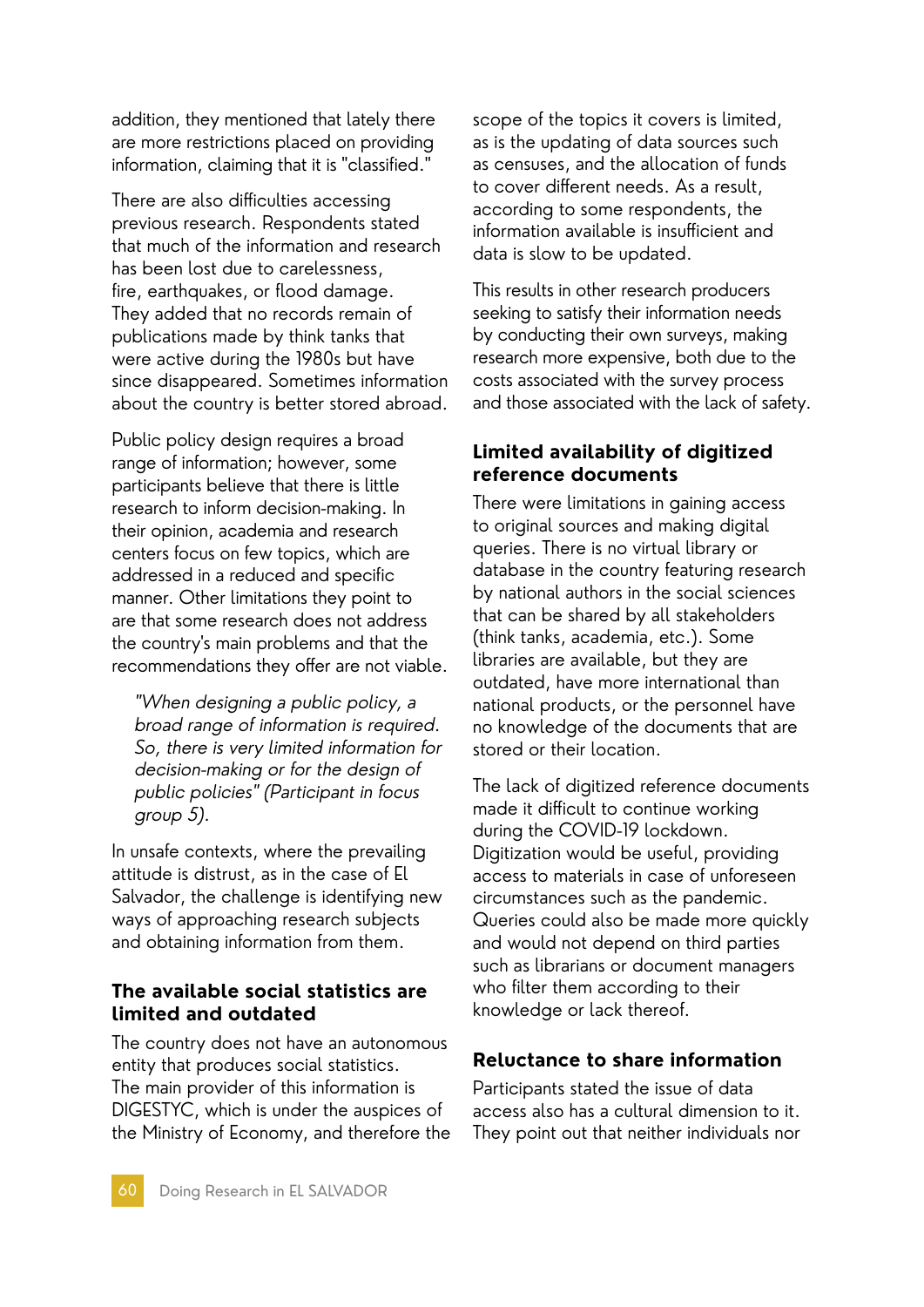addition, they mentioned that lately there are more restrictions placed on providing information, claiming that it is "classified."

There are also difficulties accessing previous research. Respondents stated that much of the information and research has been lost due to carelessness, fire, earthquakes, or flood damage. They added that no records remain of publications made by think tanks that were active during the 1980s but have since disappeared. Sometimes information about the country is better stored abroad.

Public policy design requires a broad range of information; however, some participants believe that there is little research to inform decision-making. In their opinion, academia and research centers focus on few topics, which are addressed in a reduced and specific manner. Other limitations they point to are that some research does not address the country's main problems and that the recommendations they offer are not viable.

"When designing a public policy, a broad range of information is required. So, there is very limited information for decision-making or for the design of public policies" (Participant in focus group 5).

In unsafe contexts, where the prevailing attitude is distrust, as in the case of El Salvador, the challenge is identifying new ways of approaching research subjects and obtaining information from them.

#### **The available social statistics are limited and outdated**

The country does not have an autonomous entity that produces social statistics. The main provider of this information is DIGESTYC, which is under the auspices of the Ministry of Economy, and therefore the scope of the topics it covers is limited, as is the updating of data sources such as censuses, and the allocation of funds to cover different needs. As a result, according to some respondents, the information available is insufficient and data is slow to be updated.

This results in other research producers seeking to satisfy their information needs by conducting their own surveys, making research more expensive, both due to the costs associated with the survey process and those associated with the lack of safety.

### **Limited availability of digitized reference documents**

There were limitations in gaining access to original sources and making digital queries. There is no virtual library or database in the country featuring research by national authors in the social sciences that can be shared by all stakeholders (think tanks, academia, etc.). Some libraries are available, but they are outdated, have more international than national products, or the personnel have no knowledge of the documents that are stored or their location.

The lack of digitized reference documents made it difficult to continue working during the COVID-19 lockdown. Digitization would be useful, providing access to materials in case of unforeseen circumstances such as the pandemic. Queries could also be made more quickly and would not depend on third parties such as librarians or document managers who filter them according to their knowledge or lack thereof.

### **Reluctance to share information**

Participants stated the issue of data access also has a cultural dimension to it. They point out that neither individuals nor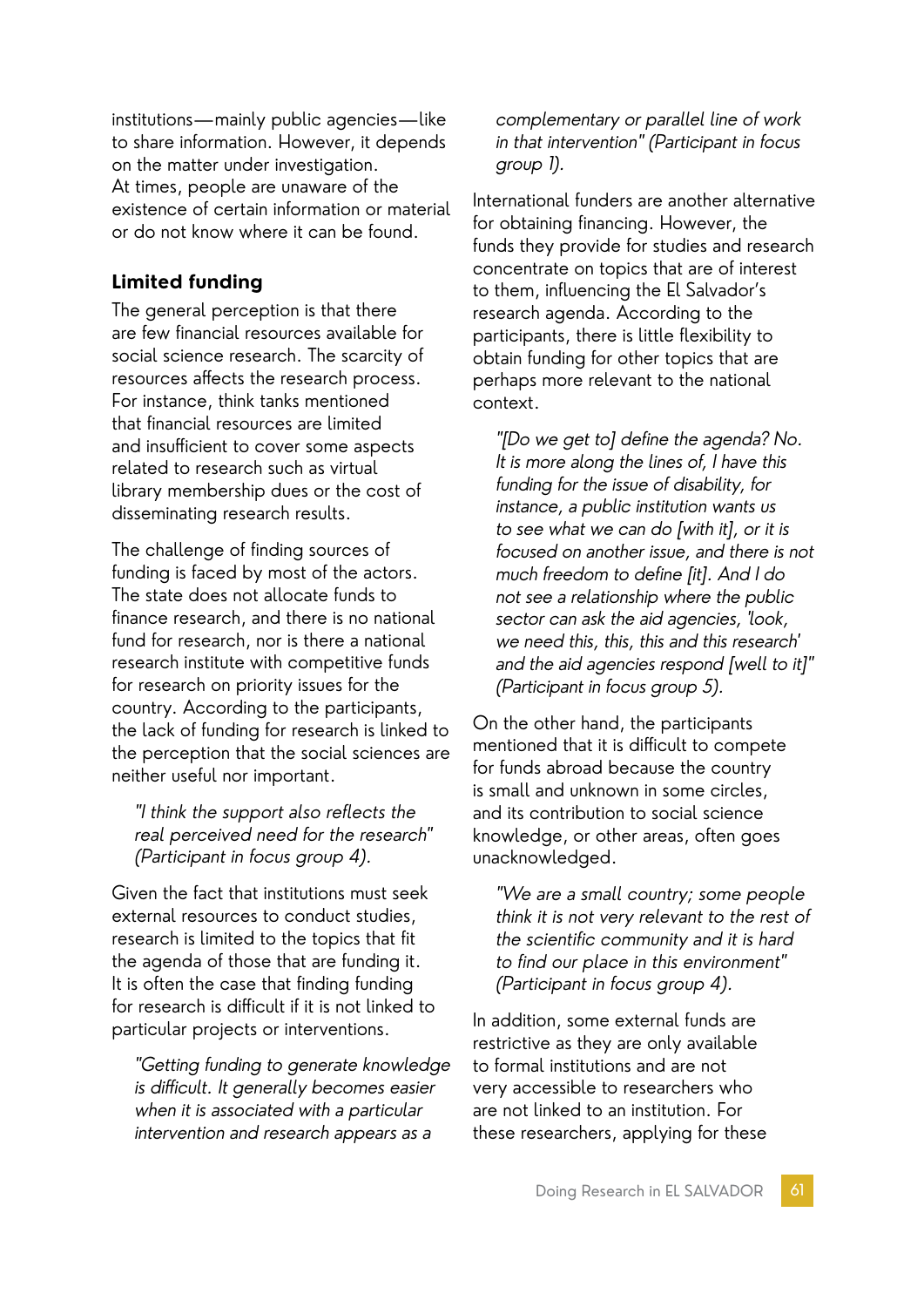institutions—mainly public agencies—like to share information. However, it depends on the matter under investigation. At times, people are unaware of the existence of certain information or material or do not know where it can be found.

### **Limited funding**

The general perception is that there are few financial resources available for social science research. The scarcity of resources affects the research process. For instance, think tanks mentioned that financial resources are limited and insufficient to cover some aspects related to research such as virtual library membership dues or the cost of disseminating research results.

The challenge of finding sources of funding is faced by most of the actors. The state does not allocate funds to finance research, and there is no national fund for research, nor is there a national research institute with competitive funds for research on priority issues for the country. According to the participants, the lack of funding for research is linked to the perception that the social sciences are neither useful nor important.

"I think the support also reflects the real perceived need for the research" (Participant in focus group 4).

Given the fact that institutions must seek external resources to conduct studies, research is limited to the topics that fit the agenda of those that are funding it. It is often the case that finding funding for research is difficult if it is not linked to particular projects or interventions.

"Getting funding to generate knowledge is difficult. It generally becomes easier when it is associated with a particular intervention and research appears as a

complementary or parallel line of work in that intervention" (Participant in focus group 1).

International funders are another alternative for obtaining financing. However, the funds they provide for studies and research concentrate on topics that are of interest to them, influencing the El Salvador's research agenda. According to the participants, there is little flexibility to obtain funding for other topics that are perhaps more relevant to the national context.

"[Do we get to] define the agenda? No. It is more along the lines of, I have this funding for the issue of disability, for instance, a public institution wants us to see what we can do [with it], or it is focused on another issue, and there is not much freedom to define [it]. And I do not see a relationship where the public sector can ask the aid agencies, 'look, we need this, this, this and this research' and the aid agencies respond [well to it]" (Participant in focus group 5).

On the other hand, the participants mentioned that it is difficult to compete for funds abroad because the country is small and unknown in some circles, and its contribution to social science knowledge, or other areas, often goes unacknowledged.

"We are a small country; some people think it is not very relevant to the rest of the scientific community and it is hard to find our place in this environment" (Participant in focus group 4).

In addition, some external funds are restrictive as they are only available to formal institutions and are not very accessible to researchers who are not linked to an institution. For these researchers, applying for these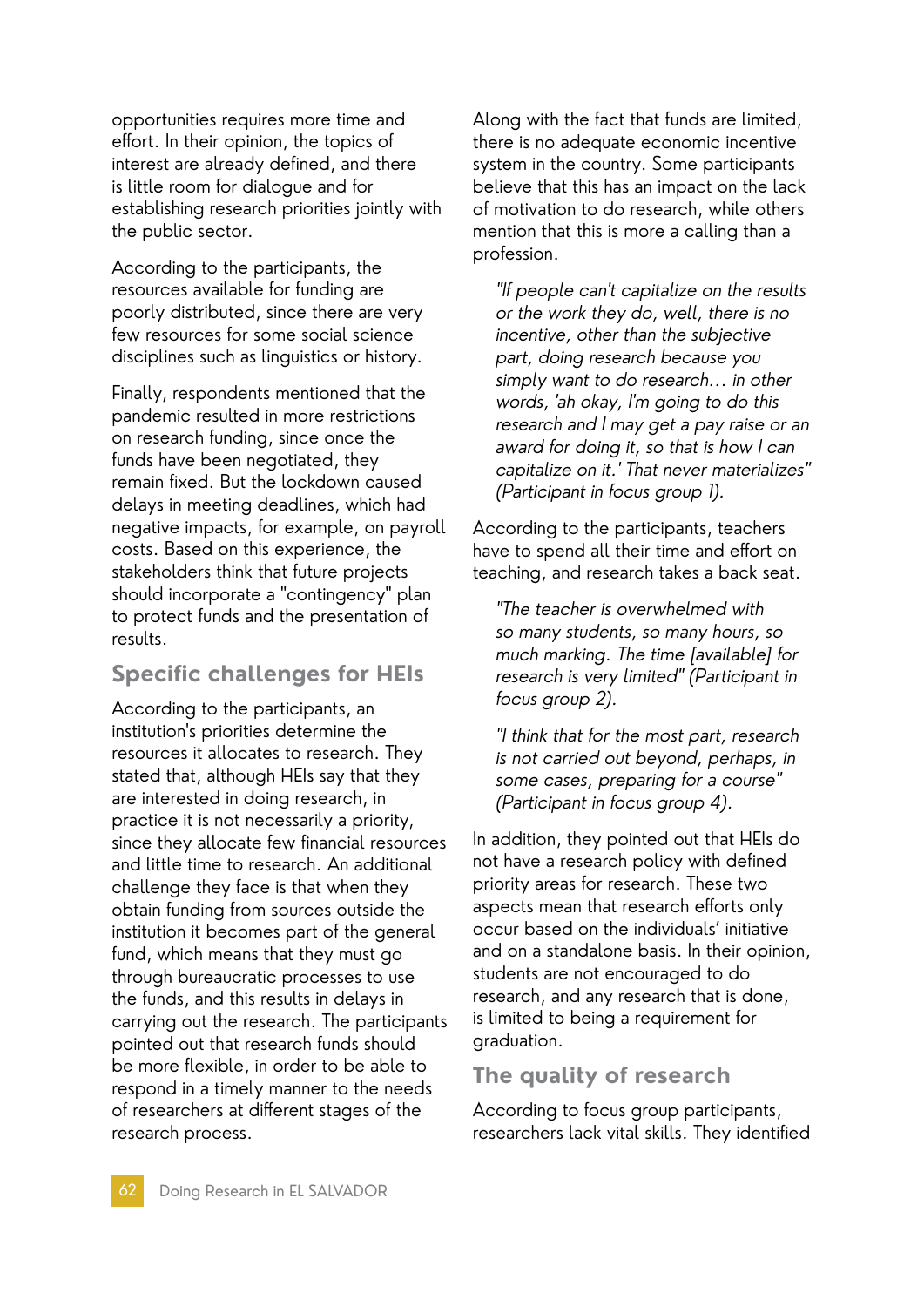opportunities requires more time and effort. In their opinion, the topics of interest are already defined, and there is little room for dialogue and for establishing research priorities jointly with the public sector.

According to the participants, the resources available for funding are poorly distributed, since there are very few resources for some social science disciplines such as linguistics or history.

Finally, respondents mentioned that the pandemic resulted in more restrictions on research funding, since once the funds have been negotiated, they remain fixed. But the lockdown caused delays in meeting deadlines, which had negative impacts, for example, on payroll costs. Based on this experience, the stakeholders think that future projects should incorporate a "contingency" plan to protect funds and the presentation of results.

# **Specific challenges for HEIs**

According to the participants, an institution's priorities determine the resources it allocates to research. They stated that, although HEIs say that they are interested in doing research, in practice it is not necessarily a priority, since they allocate few financial resources and little time to research. An additional challenge they face is that when they obtain funding from sources outside the institution it becomes part of the general fund, which means that they must go through bureaucratic processes to use the funds, and this results in delays in carrying out the research. The participants pointed out that research funds should be more flexible, in order to be able to respond in a timely manner to the needs of researchers at different stages of the research process.

Along with the fact that funds are limited, there is no adequate economic incentive system in the country. Some participants believe that this has an impact on the lack of motivation to do research, while others mention that this is more a calling than a profession.

"If people can't capitalize on the results or the work they do, well, there is no incentive, other than the subjective part, doing research because you simply want to do research... in other words, 'ah okay, I'm going to do this research and I may get a pay raise or an award for doing it, so that is how I can capitalize on it.' That never materializes" (Participant in focus group 1).

According to the participants, teachers have to spend all their time and effort on teaching, and research takes a back seat.

"The teacher is overwhelmed with so many students, so many hours, so much marking. The time [available] for research is very limited" (Participant in focus group 2).

"I think that for the most part, research is not carried out beyond, perhaps, in some cases, preparing for a course" (Participant in focus group 4).

In addition, they pointed out that HEIs do not have a research policy with defined priority areas for research. These two aspects mean that research efforts only occur based on the individuals' initiative and on a standalone basis. In their opinion, students are not encouraged to do research, and any research that is done, is limited to being a requirement for graduation.

## **The quality of research**

According to focus group participants, researchers lack vital skills. They identified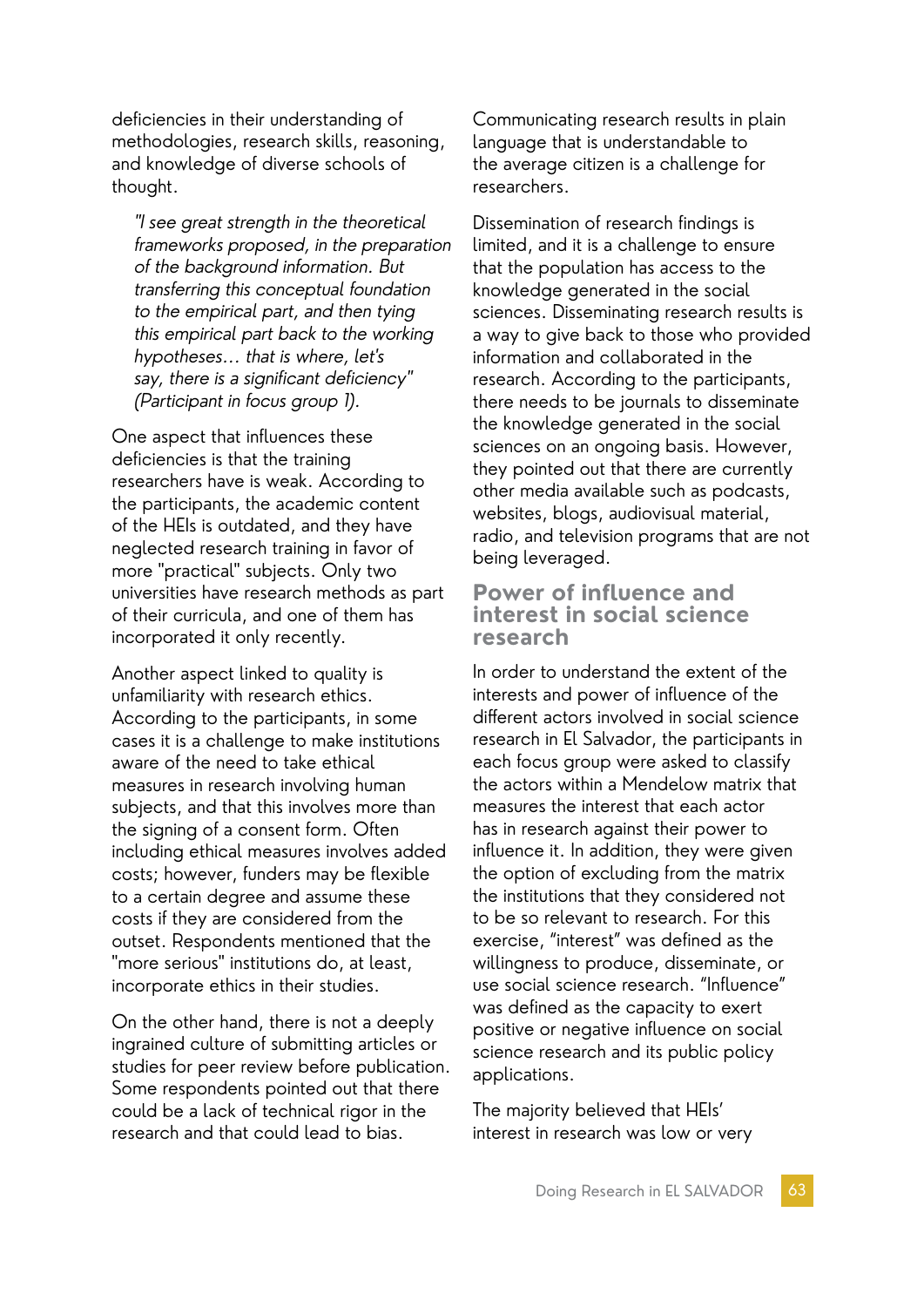deficiencies in their understanding of methodologies, research skills, reasoning, and knowledge of diverse schools of thought.

"I see great strength in the theoretical frameworks proposed, in the preparation of the background information. But transferring this conceptual foundation to the empirical part, and then tying this empirical part back to the working hypotheses... that is where, let's say, there is a significant deficiency" (Participant in focus group 1).

One aspect that influences these deficiencies is that the training researchers have is weak. According to the participants, the academic content of the HEIs is outdated, and they have neglected research training in favor of more "practical" subjects. Only two universities have research methods as part of their curricula, and one of them has incorporated it only recently.

Another aspect linked to quality is unfamiliarity with research ethics. According to the participants, in some cases it is a challenge to make institutions aware of the need to take ethical measures in research involving human subjects, and that this involves more than the signing of a consent form. Often including ethical measures involves added costs; however, funders may be flexible to a certain degree and assume these costs if they are considered from the outset. Respondents mentioned that the "more serious" institutions do, at least, incorporate ethics in their studies.

On the other hand, there is not a deeply ingrained culture of submitting articles or studies for peer review before publication. Some respondents pointed out that there could be a lack of technical rigor in the research and that could lead to bias.

Communicating research results in plain language that is understandable to the average citizen is a challenge for researchers.

Dissemination of research findings is limited, and it is a challenge to ensure that the population has access to the knowledge generated in the social sciences. Disseminating research results is a way to give back to those who provided information and collaborated in the research. According to the participants, there needs to be journals to disseminate the knowledge generated in the social sciences on an ongoing basis. However, they pointed out that there are currently other media available such as podcasts, websites, blogs, audiovisual material, radio, and television programs that are not being leveraged.

#### **Power of influence and interest in social science research**

In order to understand the extent of the interests and power of influence of the different actors involved in social science research in El Salvador, the participants in each focus group were asked to classify the actors within a Mendelow matrix that measures the interest that each actor has in research against their power to influence it. In addition, they were given the option of excluding from the matrix the institutions that they considered not to be so relevant to research. For this exercise, "interest" was defined as the willingness to produce, disseminate, or use social science research. "Influence" was defined as the capacity to exert positive or negative influence on social science research and its public policy applications.

The majority believed that HEIs' interest in research was low or very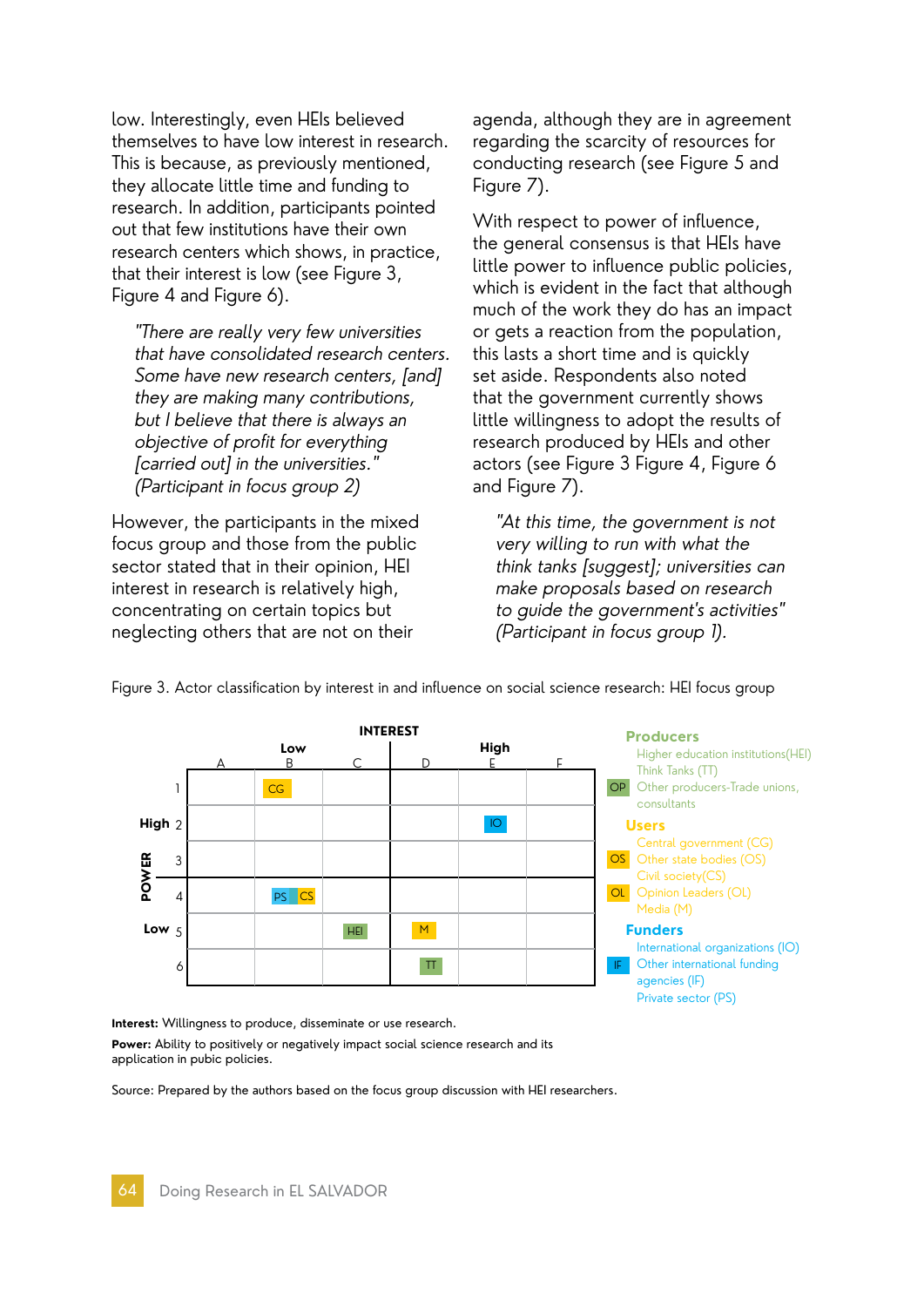low. Interestingly, even HEIs believed themselves to have low interest in research. This is because, as previously mentioned, they allocate little time and funding to research. In addition, participants pointed out that few institutions have their own research centers which shows, in practice, that their interest is low (see Figure 3, Figure 4 and Figure 6).

"There are really very few universities that have consolidated research centers. Some have new research centers, [and] they are making many contributions, but I believe that there is always an objective of profit for everything [carried out] in the universities." (Participant in focus group 2)

However, the participants in the mixed focus group and those from the public sector stated that in their opinion, HEI interest in research is relatively high, concentrating on certain topics but neglecting others that are not on their

agenda, although they are in agreement regarding the scarcity of resources for conducting research (see Figure 5 and Figure 7).

With respect to power of influence, the general consensus is that HEIs have little power to influence public policies, which is evident in the fact that although much of the work they do has an impact or gets a reaction from the population, this lasts a short time and is quickly set aside. Respondents also noted that the government currently shows little willingness to adopt the results of research produced by HEIs and other actors (see Figure 3 Figure 4, Figure 6 and Figure 7).

"At this time, the government is not very willing to run with what the think tanks [suggest]; universities can make proposals based on research to guide the government's activities" (Participant in focus group 1).



Figure 3. Actor classification by interest in and influence on social science research: HEI focus group

**Interest:** Willingness to produce, disseminate or use research.

**Power:** Ability to positively or negatively impact social science research and its application in pubic policies.

Source: Prepared by the authors based on the focus group discussion with HEI researchers.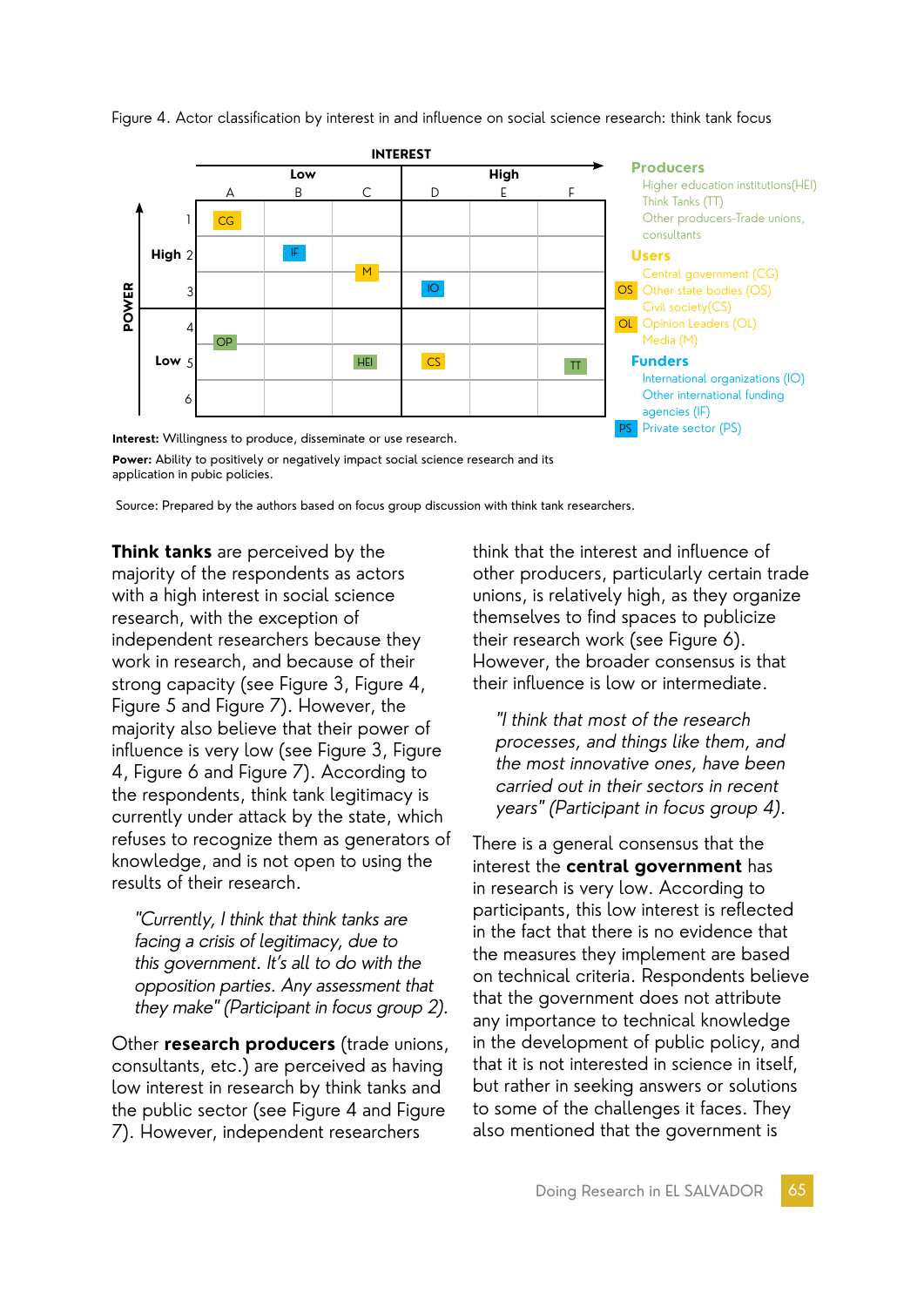

Figure 4. Actor classification by interest in and influence on social science research: think tank focus

**Power:** Ability to positively or negatively impact social science research and its application in pubic policies.

Source: Prepared by the authors based on focus group discussion with think tank researchers.

**Think tanks** are perceived by the majority of the respondents as actors with a high interest in social science research, with the exception of independent researchers because they work in research, and because of their strong capacity (see Figure 3, Figure 4, Figure 5 and Figure 7). However, the majority also believe that their power of influence is very low (see Figure 3, Figure 4, Figure 6 and Figure 7). According to the respondents, think tank legitimacy is currently under attack by the state, which refuses to recognize them as generators of knowledge, and is not open to using the results of their research.

"Currently, I think that think tanks are facing a crisis of legitimacy, due to this government. It's all to do with the opposition parties. Any assessment that they make" (Participant in focus group 2).

Other **research producers** (trade unions, consultants, etc.) are perceived as having low interest in research by think tanks and the public sector (see Figure 4 and Figure 7). However, independent researchers

think that the interest and influence of other producers, particularly certain trade unions, is relatively high, as they organize themselves to find spaces to publicize their research work (see Figure 6). However, the broader consensus is that their influence is low or intermediate.

"I think that most of the research processes, and things like them, and the most innovative ones, have been carried out in their sectors in recent years" (Participant in focus group 4).

There is a general consensus that the interest the **central government** has in research is very low. According to participants, this low interest is reflected in the fact that there is no evidence that the measures they implement are based on technical criteria. Respondents believe that the government does not attribute any importance to technical knowledge in the development of public policy, and that it is not interested in science in itself, but rather in seeking answers or solutions to some of the challenges it faces. They also mentioned that the government is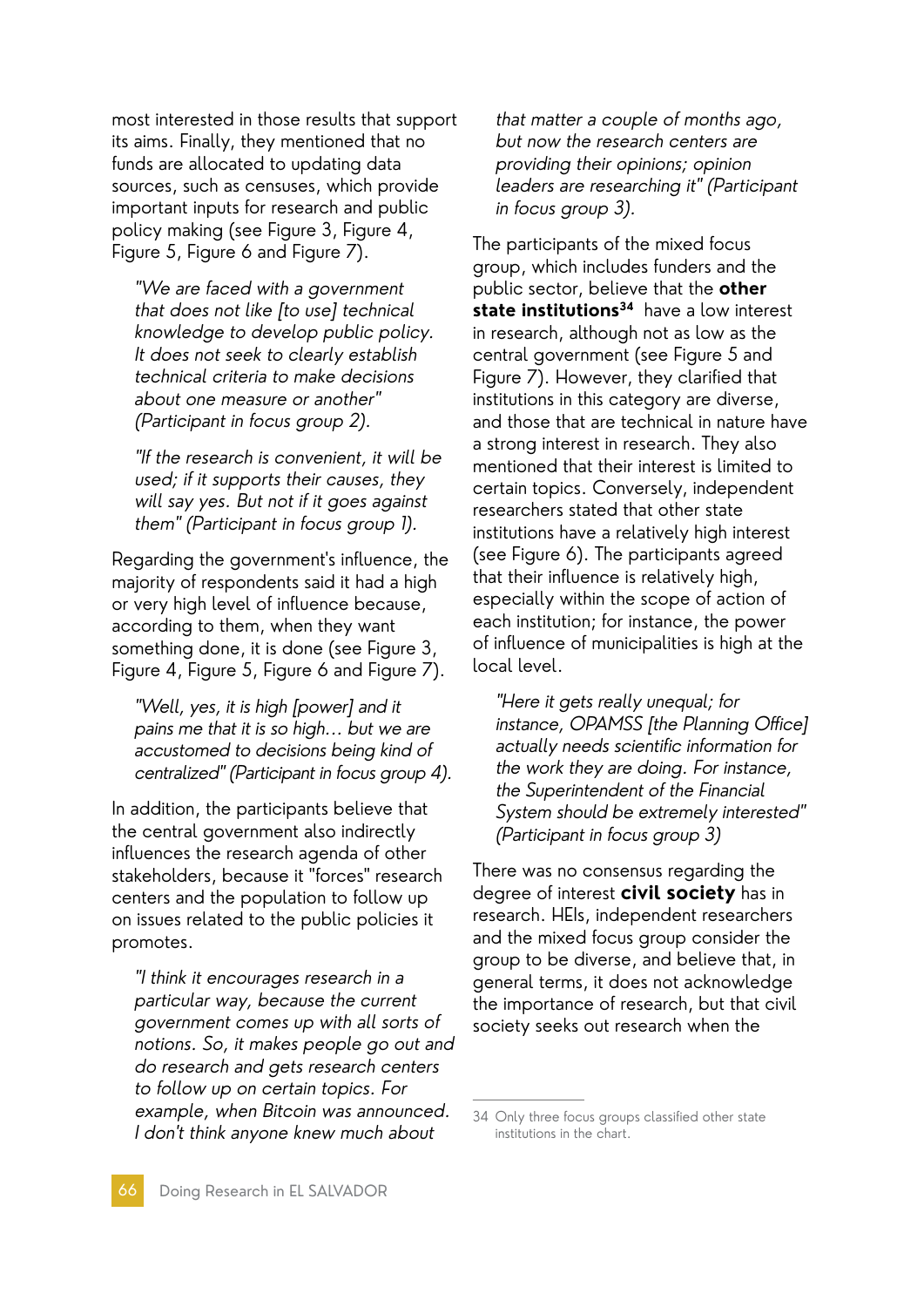most interested in those results that support its aims. Finally, they mentioned that no funds are allocated to updating data sources, such as censuses, which provide important inputs for research and public policy making (see Figure 3, Figure 4, Figure 5, Figure 6 and Figure 7).

"We are faced with a government that does not like [to use] technical knowledge to develop public policy. It does not seek to clearly establish technical criteria to make decisions about one measure or another" (Participant in focus group 2).

"If the research is convenient, it will be used; if it supports their causes, they will say yes. But not if it goes against them" (Participant in focus group 1).

Regarding the government's influence, the majority of respondents said it had a high or very high level of influence because, according to them, when they want something done, it is done (see Figure 3, Figure 4, Figure 5, Figure 6 and Figure 7).

"Well, yes, it is high [power] and it pains me that it is so high... but we are accustomed to decisions being kind of centralized" (Participant in focus group 4).

In addition, the participants believe that the central government also indirectly influences the research agenda of other stakeholders, because it "forces" research centers and the population to follow up on issues related to the public policies it promotes.

"I think it encourages research in a particular way, because the current government comes up with all sorts of notions. So, it makes people go out and do research and gets research centers to follow up on certain topics. For example, when Bitcoin was announced. I don't think anyone knew much about

that matter a couple of months ago, but now the research centers are providing their opinions; opinion leaders are researching it" (Participant in focus group 3).

The participants of the mixed focus group, which includes funders and the public sector, believe that the **other state institutions<sup>34</sup>** have a low interest in research, although not as low as the central government (see Figure 5 and Figure 7). However, they clarified that institutions in this category are diverse, and those that are technical in nature have a strong interest in research. They also mentioned that their interest is limited to certain topics. Conversely, independent researchers stated that other state institutions have a relatively high interest (see Figure 6). The participants agreed that their influence is relatively high, especially within the scope of action of each institution; for instance, the power of influence of municipalities is high at the local level.

"Here it gets really unequal; for instance, OPAMSS [the Planning Office] actually needs scientific information for the work they are doing. For instance, the Superintendent of the Financial System should be extremely interested" (Participant in focus group 3)

There was no consensus regarding the degree of interest **civil society** has in research. HEIs, independent researchers and the mixed focus group consider the group to be diverse, and believe that, in general terms, it does not acknowledge the importance of research, but that civil society seeks out research when the

<sup>34</sup> Only three focus groups classified other state institutions in the chart.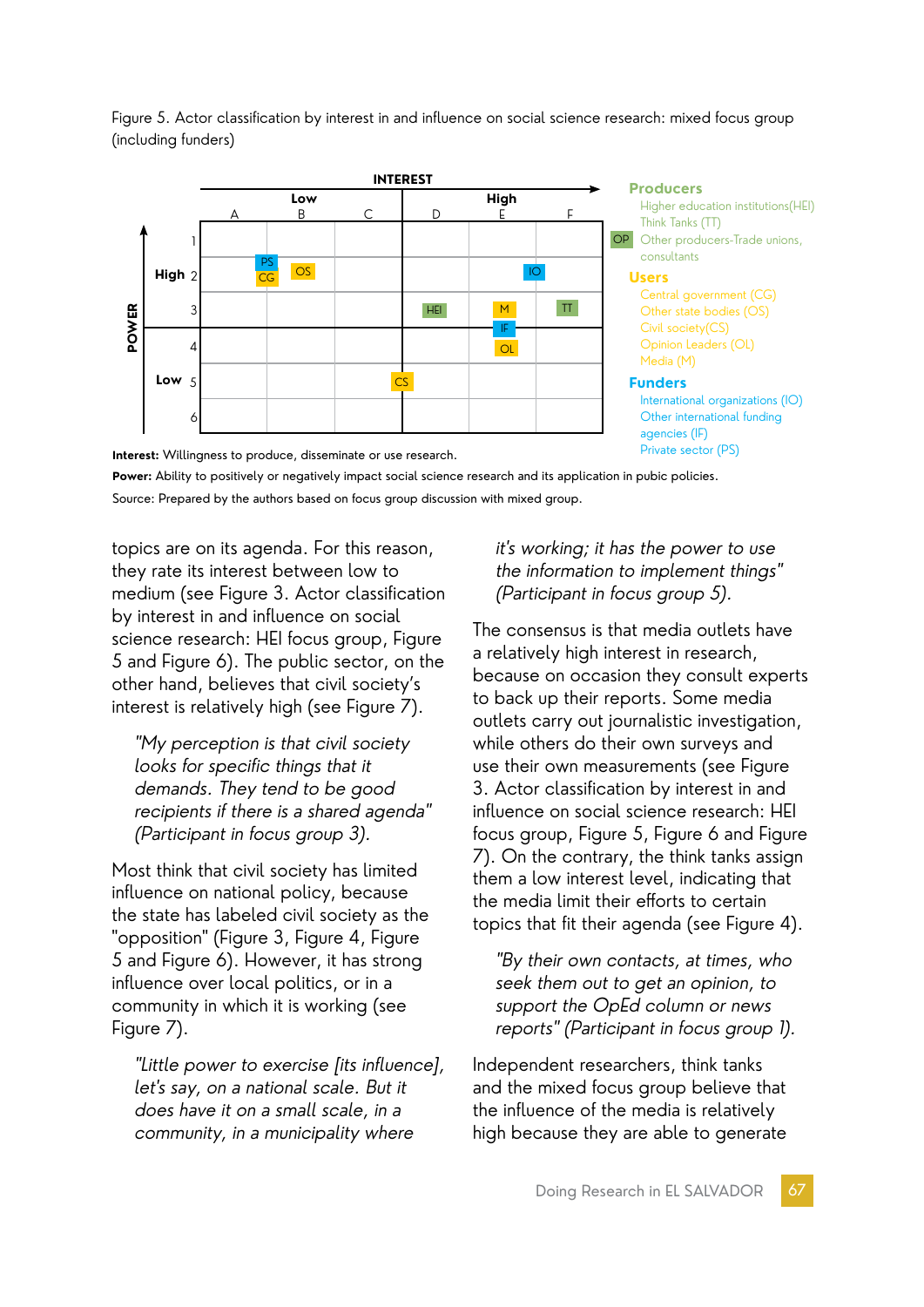

Figure 5. Actor classification by interest in and influence on social science research: mixed focus group (including funders)

**Interest:** Willingness to produce, disseminate or use research. **Power:** Ability to positively or negatively impact social science research and its application in pubic policies. Source: Prepared by the authors based on focus group discussion with mixed group.

topics are on its agenda. For this reason, they rate its interest between low to medium (see Figure 3. Actor classification by interest in and influence on social science research: HEI focus group, Figure 5 and Figure 6). The public sector, on the other hand, believes that civil society's interest is relatively high (see Figure 7).

"My perception is that civil society looks for specific things that it demands. They tend to be good recipients if there is a shared agenda" (Participant in focus group 3).

Most think that civil society has limited influence on national policy, because the state has labeled civil society as the "opposition" (Figure 3, Figure 4, Figure 5 and Figure 6). However, it has strong influence over local politics, or in a community in which it is working (see Figure 7).

"Little power to exercise [its influence], let's say, on a national scale. But it does have it on a small scale, in a community, in a municipality where

#### it's working; it has the power to use the information to implement things" (Participant in focus group 5).

The consensus is that media outlets have a relatively high interest in research, because on occasion they consult experts to back up their reports. Some media outlets carry out journalistic investigation, while others do their own surveys and use their own measurements (see Figure 3. Actor classification by interest in and influence on social science research: HEI focus group, Figure 5, Figure 6 and Figure 7). On the contrary, the think tanks assign them a low interest level, indicating that the media limit their efforts to certain topics that fit their agenda (see Figure 4).

"By their own contacts, at times, who seek them out to get an opinion, to support the OpEd column or news reports" (Participant in focus group 1).

Independent researchers, think tanks and the mixed focus group believe that the influence of the media is relatively high because they are able to generate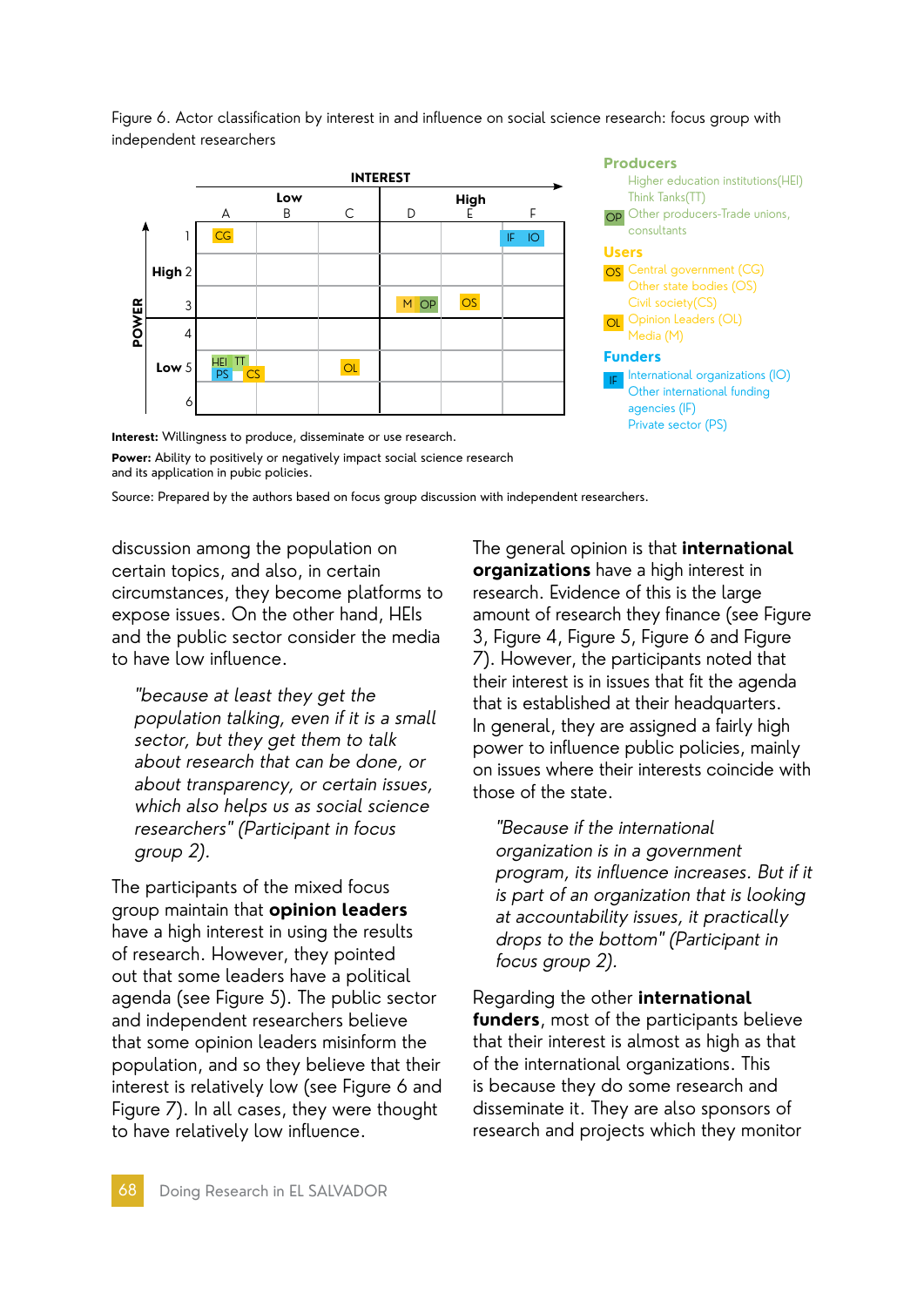

Figure 6. Actor classification by interest in and influence on social science research: focus group with

**Interest:** Willingness to produce, disseminate or use research. **Power:** Ability to positively or negatively impact social science research and its application in pubic policies.

Source: Prepared by the authors based on focus group discussion with independent researchers.

discussion among the population on certain topics, and also, in certain circumstances, they become platforms to expose issues. On the other hand, HEIs and the public sector consider the media to have low influence.

independent researchers

"because at least they get the population talking, even if it is a small sector, but they get them to talk about research that can be done, or about transparency, or certain issues, which also helps us as social science researchers" (Participant in focus group 2).

The participants of the mixed focus group maintain that **opinion leaders**  have a high interest in using the results of research. However, they pointed out that some leaders have a political agenda (see Figure 5). The public sector and independent researchers believe that some opinion leaders misinform the population, and so they believe that their interest is relatively low (see Figure 6 and Figure 7). In all cases, they were thought to have relatively low influence.

The general opinion is that **international organizations** have a high interest in research. Evidence of this is the large amount of research they finance (see Figure 3, Figure 4, Figure 5, Figure 6 and Figure 7). However, the participants noted that their interest is in issues that fit the agenda that is established at their headquarters. In general, they are assigned a fairly high power to influence public policies, mainly on issues where their interests coincide with those of the state.

"Because if the international organization is in a government program, its influence increases. But if it is part of an organization that is looking at accountability issues, it practically drops to the bottom" (Participant in focus group 2).

Regarding the other **international funders**, most of the participants believe that their interest is almost as high as that of the international organizations. This is because they do some research and disseminate it. They are also sponsors of research and projects which they monitor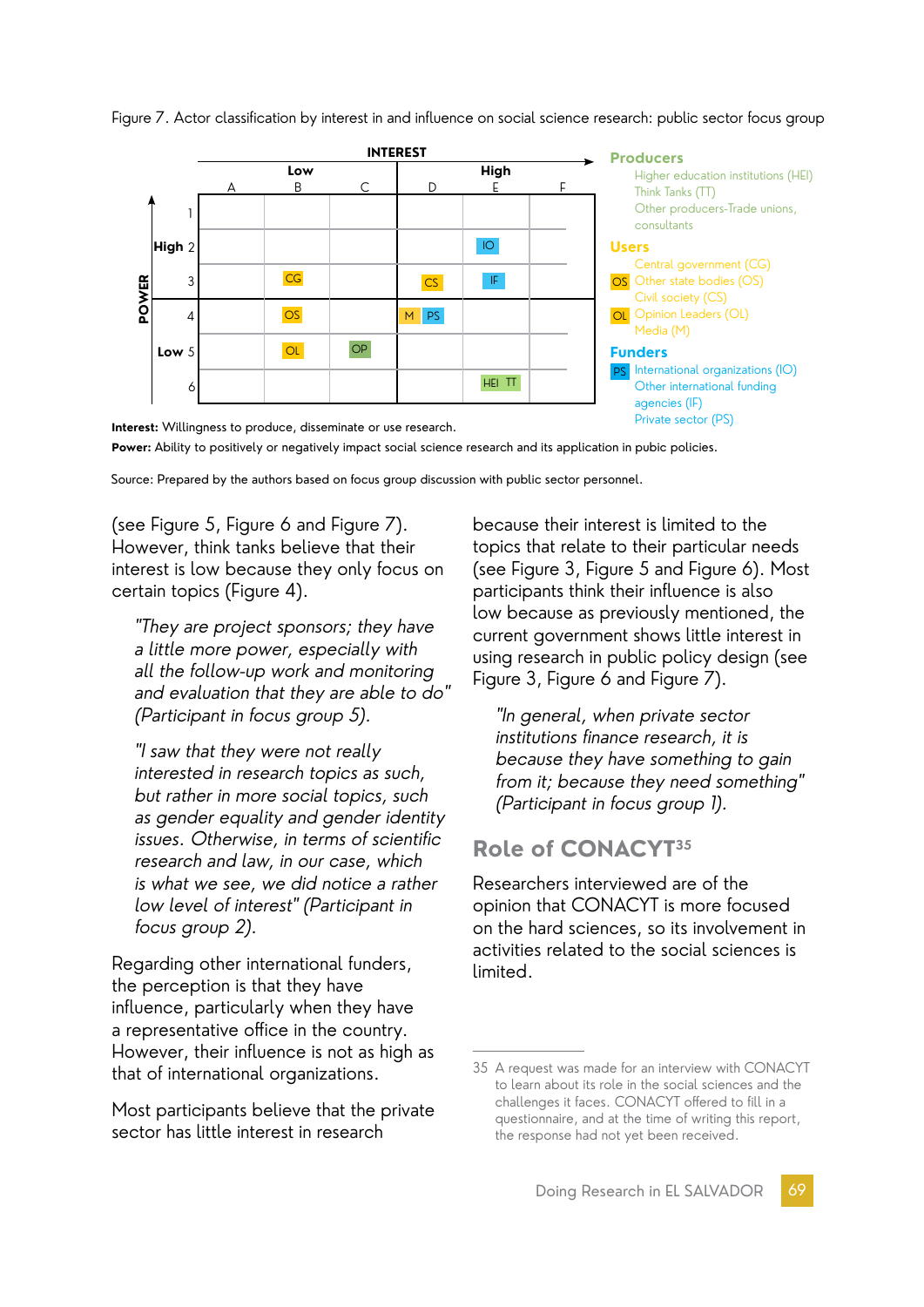

Figure 7. Actor classification by interest in and influence on social science research: public sector focus group

**Power:** Ability to positively or negatively impact social science research and its application in pubic policies.

Source: Prepared by the authors based on focus group discussion with public sector personnel.

(see Figure 5, Figure 6 and Figure 7). However, think tanks believe that their interest is low because they only focus on certain topics (Figure 4).

"They are project sponsors; they have a little more power, especially with all the follow-up work and monitoring and evaluation that they are able to do" (Participant in focus group 5).

"I saw that they were not really interested in research topics as such, but rather in more social topics, such as gender equality and gender identity issues. Otherwise, in terms of scientific research and law, in our case, which is what we see, we did notice a rather low level of interest" (Participant in focus group 2).

Regarding other international funders, the perception is that they have influence, particularly when they have a representative office in the country. However, their influence is not as high as that of international organizations.

Most participants believe that the private sector has little interest in research

because their interest is limited to the topics that relate to their particular needs (see Figure 3, Figure 5 and Figure 6). Most participants think their influence is also low because as previously mentioned, the current government shows little interest in using research in public policy design (see Figure 3, Figure 6 and Figure 7).

"In general, when private sector institutions finance research, it is because they have something to gain from it; because they need something" (Participant in focus group 1).

# **Role of CONACYT35**

Researchers interviewed are of the opinion that CONACYT is more focused on the hard sciences, so its involvement in activities related to the social sciences is limited.

<sup>35</sup> A request was made for an interview with CONACYT to learn about its role in the social sciences and the challenges it faces. CONACYT offered to fill in a questionnaire, and at the time of writing this report, the response had not yet been received.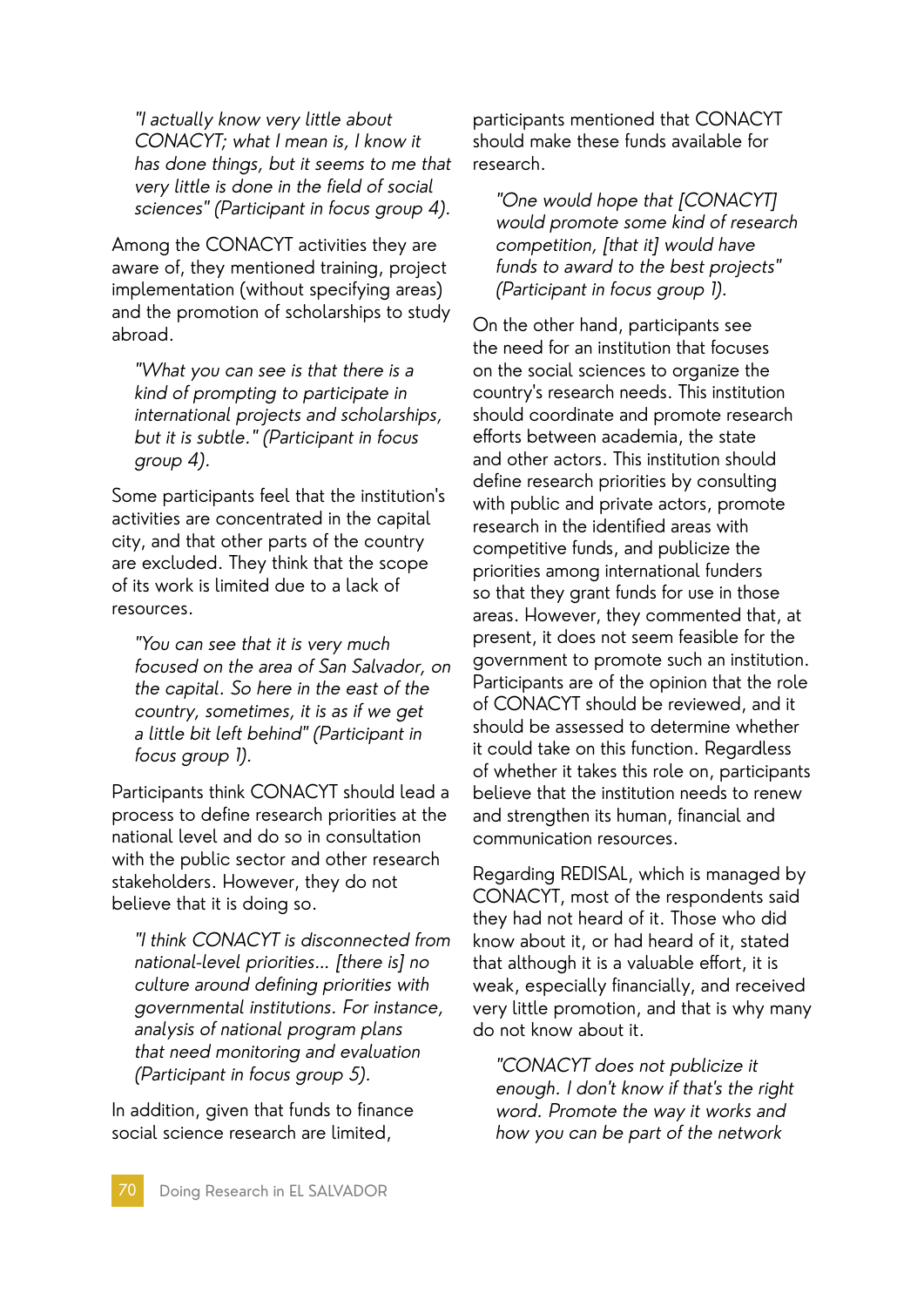"I actually know very little about CONACYT; what I mean is, I know it has done things, but it seems to me that very little is done in the field of social sciences" (Participant in focus group 4).

Among the CONACYT activities they are aware of, they mentioned training, project implementation (without specifying areas) and the promotion of scholarships to study abroad.

"What you can see is that there is a kind of prompting to participate in international projects and scholarships, but it is subtle." (Participant in focus group 4).

Some participants feel that the institution's activities are concentrated in the capital city, and that other parts of the country are excluded. They think that the scope of its work is limited due to a lack of resources.

"You can see that it is very much focused on the area of San Salvador, on the capital. So here in the east of the country, sometimes, it is as if we get a little bit left behind" (Participant in focus group 1).

Participants think CONACYT should lead a process to define research priorities at the national level and do so in consultation with the public sector and other research stakeholders. However, they do not believe that it is doing so.

"I think CONACYT is disconnected from national-level priorities… [there is] no culture around defining priorities with governmental institutions. For instance, analysis of national program plans that need monitoring and evaluation (Participant in focus group 5).

In addition, given that funds to finance social science research are limited,

participants mentioned that CONACYT should make these funds available for research.

"One would hope that [CONACYT] would promote some kind of research competition, [that it] would have funds to award to the best projects" (Participant in focus group 1).

On the other hand, participants see the need for an institution that focuses on the social sciences to organize the country's research needs. This institution should coordinate and promote research efforts between academia, the state and other actors. This institution should define research priorities by consulting with public and private actors, promote research in the identified areas with competitive funds, and publicize the priorities among international funders so that they grant funds for use in those areas. However, they commented that, at present, it does not seem feasible for the government to promote such an institution. Participants are of the opinion that the role of CONACYT should be reviewed, and it should be assessed to determine whether it could take on this function. Regardless of whether it takes this role on, participants believe that the institution needs to renew and strengthen its human, financial and communication resources.

Regarding REDISAL, which is managed by CONACYT, most of the respondents said they had not heard of it. Those who did know about it, or had heard of it, stated that although it is a valuable effort, it is weak, especially financially, and received very little promotion, and that is why many do not know about it.

"CONACYT does not publicize it enough. I don't know if that's the right word. Promote the way it works and how you can be part of the network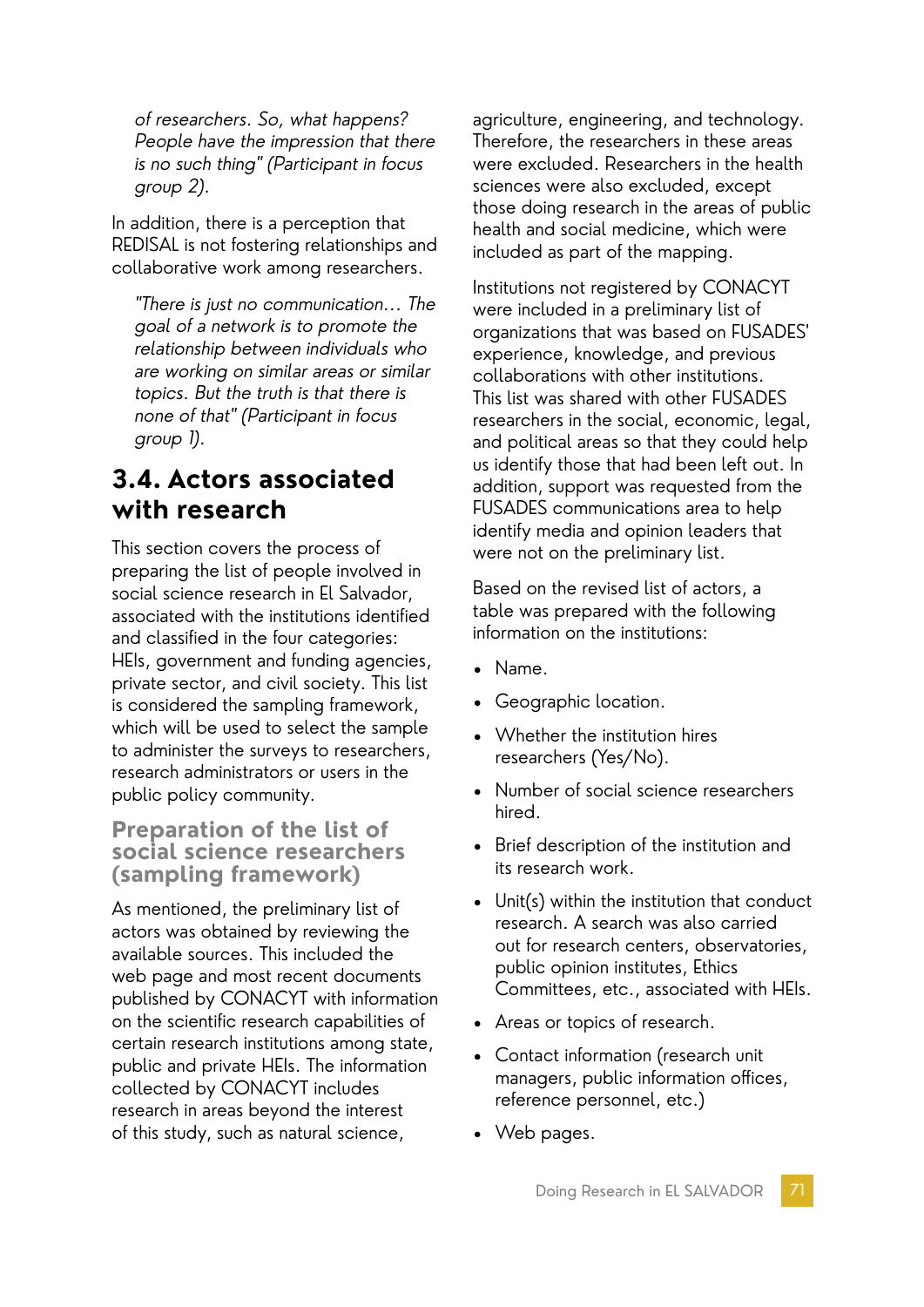of researchers. So, what happens? People have the impression that there is no such thing" (Participant in focus group 2).

In addition, there is a perception that REDISAL is not fostering relationships and collaborative work among researchers.

"There is just no communication... The goal of a network is to promote the relationship between individuals who are working on similar areas or similar topics. But the truth is that there is none of that" (Participant in focus group 1).

# **3.4. Actors associated with research**

This section covers the process of preparing the list of people involved in social science research in El Salvador, associated with the institutions identified and classified in the four categories: HEIs, government and funding agencies, private sector, and civil society. This list is considered the sampling framework, which will be used to select the sample to administer the surveys to researchers, research administrators or users in the public policy community.

### **Preparation of the list of social science researchers (sampling framework)**

As mentioned, the preliminary list of actors was obtained by reviewing the available sources. This included the web page and most recent documents published by CONACYT with information on the scientific research capabilities of certain research institutions among state, public and private HEIs. The information collected by CONACYT includes research in areas beyond the interest of this study, such as natural science,

agriculture, engineering, and technology. Therefore, the researchers in these areas were excluded. Researchers in the health sciences were also excluded, except those doing research in the areas of public health and social medicine, which were included as part of the mapping.

Institutions not registered by CONACYT were included in a preliminary list of organizations that was based on FUSADES' experience, knowledge, and previous collaborations with other institutions. This list was shared with other FUSADES researchers in the social, economic, legal, and political areas so that they could help us identify those that had been left out. In addition, support was requested from the FUSADES communications area to help identify media and opinion leaders that were not on the preliminary list.

Based on the revised list of actors, a table was prepared with the following information on the institutions:

- Name.
- Geographic location.
- Whether the institution hires researchers (Yes/No).
- Number of social science researchers hired.
- Brief description of the institution and its research work.
- Unit(s) within the institution that conduct research. A search was also carried out for research centers, observatories, public opinion institutes, Ethics Committees, etc., associated with HEIs.
- Areas or topics of research.
- Contact information (research unit managers, public information offices, reference personnel, etc.)
- Web pages.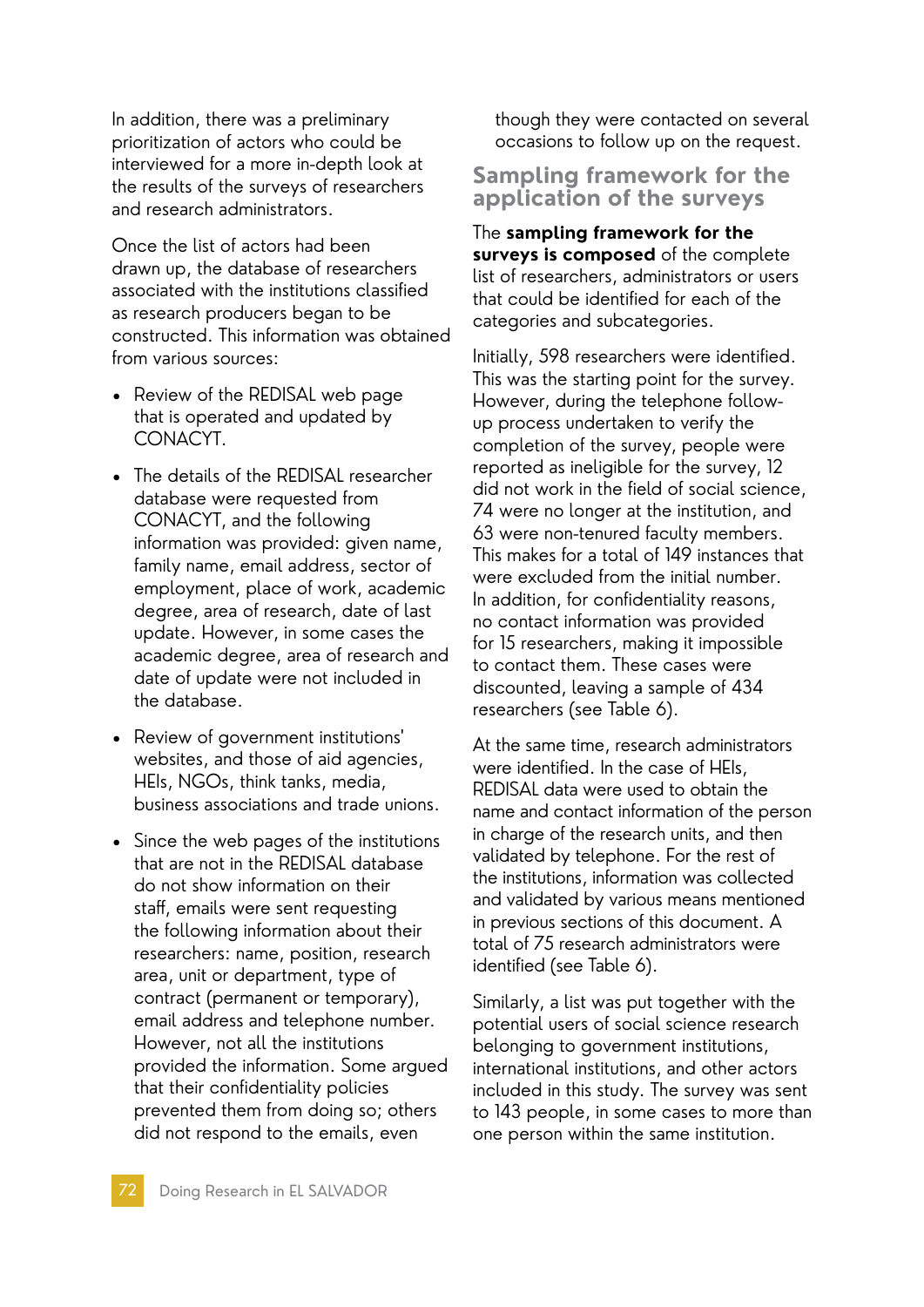In addition, there was a preliminary prioritization of actors who could be interviewed for a more in-depth look at the results of the surveys of researchers and research administrators.

Once the list of actors had been drawn up, the database of researchers associated with the institutions classified as research producers began to be constructed. This information was obtained from various sources:

- Review of the REDISAL web page that is operated and updated by CONACYT.
- The details of the REDISAL researcher database were requested from CONACYT, and the following information was provided: given name, family name, email address, sector of employment, place of work, academic degree, area of research, date of last update. However, in some cases the academic degree, area of research and date of update were not included in the database.
- Review of government institutions' websites, and those of aid agencies, HEIs, NGOs, think tanks, media, business associations and trade unions.
- Since the web pages of the institutions that are not in the REDISAL database do not show information on their staff, emails were sent requesting the following information about their researchers: name, position, research area, unit or department, type of contract (permanent or temporary), email address and telephone number. However, not all the institutions provided the information. Some argued that their confidentiality policies prevented them from doing so; others did not respond to the emails, even

though they were contacted on several occasions to follow up on the request.

#### **Sampling framework for the application of the surveys**

The **sampling framework for the surveys is composed** of the complete list of researchers, administrators or users that could be identified for each of the categories and subcategories.

Initially, 598 researchers were identified. This was the starting point for the survey. However, during the telephone followup process undertaken to verify the completion of the survey, people were reported as ineligible for the survey, 12 did not work in the field of social science, 74 were no longer at the institution, and 63 were non-tenured faculty members. This makes for a total of 149 instances that were excluded from the initial number. In addition, for confidentiality reasons, no contact information was provided for 15 researchers, making it impossible to contact them. These cases were discounted, leaving a sample of 434 researchers (see Table 6).

At the same time, research administrators were identified. In the case of HEIs, REDISAL data were used to obtain the name and contact information of the person in charge of the research units, and then validated by telephone. For the rest of the institutions, information was collected and validated by various means mentioned in previous sections of this document. A total of 75 research administrators were identified (see Table 6).

Similarly, a list was put together with the potential users of social science research belonging to government institutions, international institutions, and other actors included in this study. The survey was sent to 143 people, in some cases to more than one person within the same institution.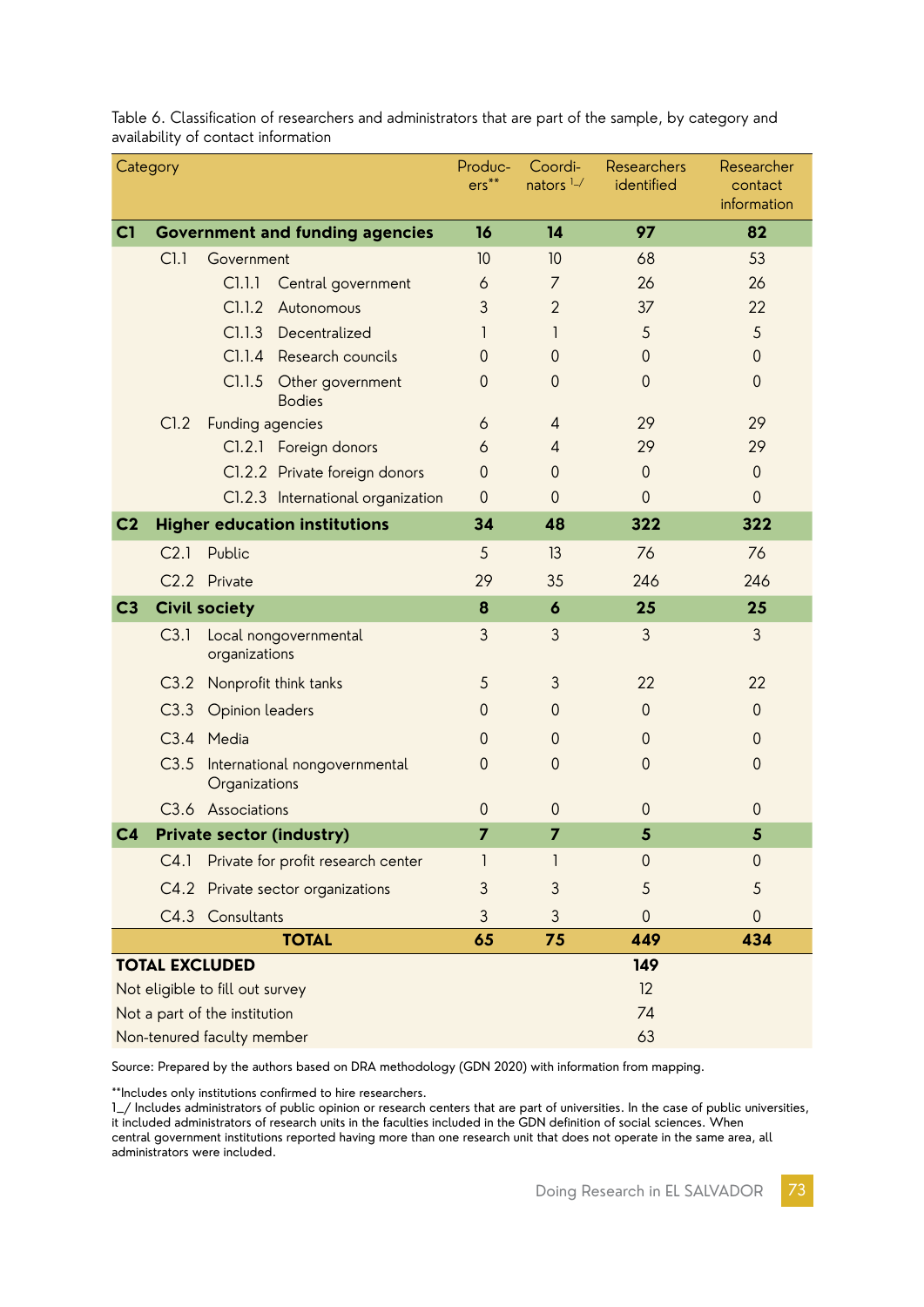| Category       |                                  |                                                | Produc-<br>$ers***$ | Coordi-<br>nators $1 - /$ | Researchers<br>identified | Researcher<br>contact<br>information |  |  |
|----------------|----------------------------------|------------------------------------------------|---------------------|---------------------------|---------------------------|--------------------------------------|--|--|
| C1             |                                  | <b>Government and funding agencies</b>         | 16                  | 14                        | 97                        | 82                                   |  |  |
|                | Cl.1                             | Government                                     | 10                  | 10                        | 68                        | 53                                   |  |  |
|                |                                  | C1.1.1<br>Central government                   | 6                   | $\overline{7}$            | 26                        | 26                                   |  |  |
|                |                                  | C1.1.2<br>Autonomous                           | 3                   | $\overline{2}$            | 37                        | 22                                   |  |  |
|                |                                  | C1.1.3<br>Decentralized                        | 1                   | 1                         | 5                         | 5                                    |  |  |
|                |                                  | Cl.I.4<br>Research councils                    | $\overline{0}$      | $\mathbf 0$               | $\mathbf{0}$              | $\theta$                             |  |  |
|                |                                  | C1.1.5<br>Other government<br><b>Bodies</b>    | $\Omega$            | $\theta$                  | $\theta$                  | $\theta$                             |  |  |
|                | CI.2                             | Funding agencies                               | 6                   | $\overline{4}$            | 29                        | 29                                   |  |  |
|                |                                  | Cl.2.1 Foreign donors                          | 6                   | $\overline{4}$            | 29                        | 29                                   |  |  |
|                |                                  | Cl.2.2 Private foreign donors                  | $\overline{0}$      | $\Omega$                  | $\mathbf{0}$              | $\mathbf{0}$                         |  |  |
|                |                                  | Cl.2.3 International organization              | $\overline{0}$      | $\theta$                  | $\theta$                  | $\overline{0}$                       |  |  |
| C <sub>2</sub> |                                  | <b>Higher education institutions</b>           | 34                  | 48                        | 322                       | 322                                  |  |  |
|                | C <sub>2.1</sub>                 | Public                                         | 5                   | 13                        | 76                        | 76                                   |  |  |
|                |                                  | C2.2 Private                                   | 29                  | 35                        | 246                       | 246                                  |  |  |
| C <sub>3</sub> |                                  | <b>Civil society</b>                           | 8                   | $\boldsymbol{6}$          | 25                        | 25                                   |  |  |
|                | C3.1                             | Local nongovernmental<br>organizations         | 3                   | 3                         | 3                         | 3                                    |  |  |
|                | C3.2                             | Nonprofit think tanks                          | 5                   | 3                         | 22                        | 22                                   |  |  |
|                | C3.3                             | Opinion leaders                                | $\theta$            | $\theta$                  | $\mathbf{0}$              | $\mathbf{0}$                         |  |  |
|                |                                  | C3.4 Media                                     | $\theta$            | $\mathbf{0}$              | $\mathbf{0}$              | $\theta$                             |  |  |
|                | C3.5                             | International nongovernmental<br>Organizations |                     | $\theta$                  | $\mathbf 0$               | $\theta$                             |  |  |
|                |                                  | C3.6 Associations                              | $\theta$            | $\mathbf 0$               | $\mathbf{0}$              | $\mathbf{0}$                         |  |  |
| C <sub>4</sub> | <b>Private sector (industry)</b> |                                                |                     | $\overline{7}$            | 5                         | 5                                    |  |  |
|                | C4.1                             | Private for profit research center             | 1                   | 1                         | 0                         | $\mathbf 0$                          |  |  |
|                | C4.2                             | Private sector organizations                   | 3                   | 3                         | 5                         | 5                                    |  |  |
|                | C4.3 Consultants                 |                                                |                     | 3                         | $\mathbf{0}$              | $\mathbf 0$                          |  |  |
|                |                                  | <b>TOTAL</b>                                   | 65                  | 75                        | 449                       | 434                                  |  |  |
|                |                                  | <b>TOTAL EXCLUDED</b>                          |                     |                           | 149                       |                                      |  |  |
|                |                                  | Not eligible to fill out survey                |                     | 12                        |                           |                                      |  |  |
|                |                                  | Not a part of the institution                  |                     | 74                        |                           |                                      |  |  |
|                |                                  | Non-tenured faculty member                     |                     | 63                        |                           |                                      |  |  |

Table 6. Classification of researchers and administrators that are part of the sample, by category and availability of contact information

Source: Prepared by the authors based on DRA methodology (GDN 2020) with information from mapping.

\*\*Includes only institutions confirmed to hire researchers.

1\_/ Includes administrators of public opinion or research centers that are part of universities. In the case of public universities, it included administrators of research units in the faculties included in the GDN definition of social sciences. When central government institutions reported having more than one research unit that does not operate in the same area, all administrators were included.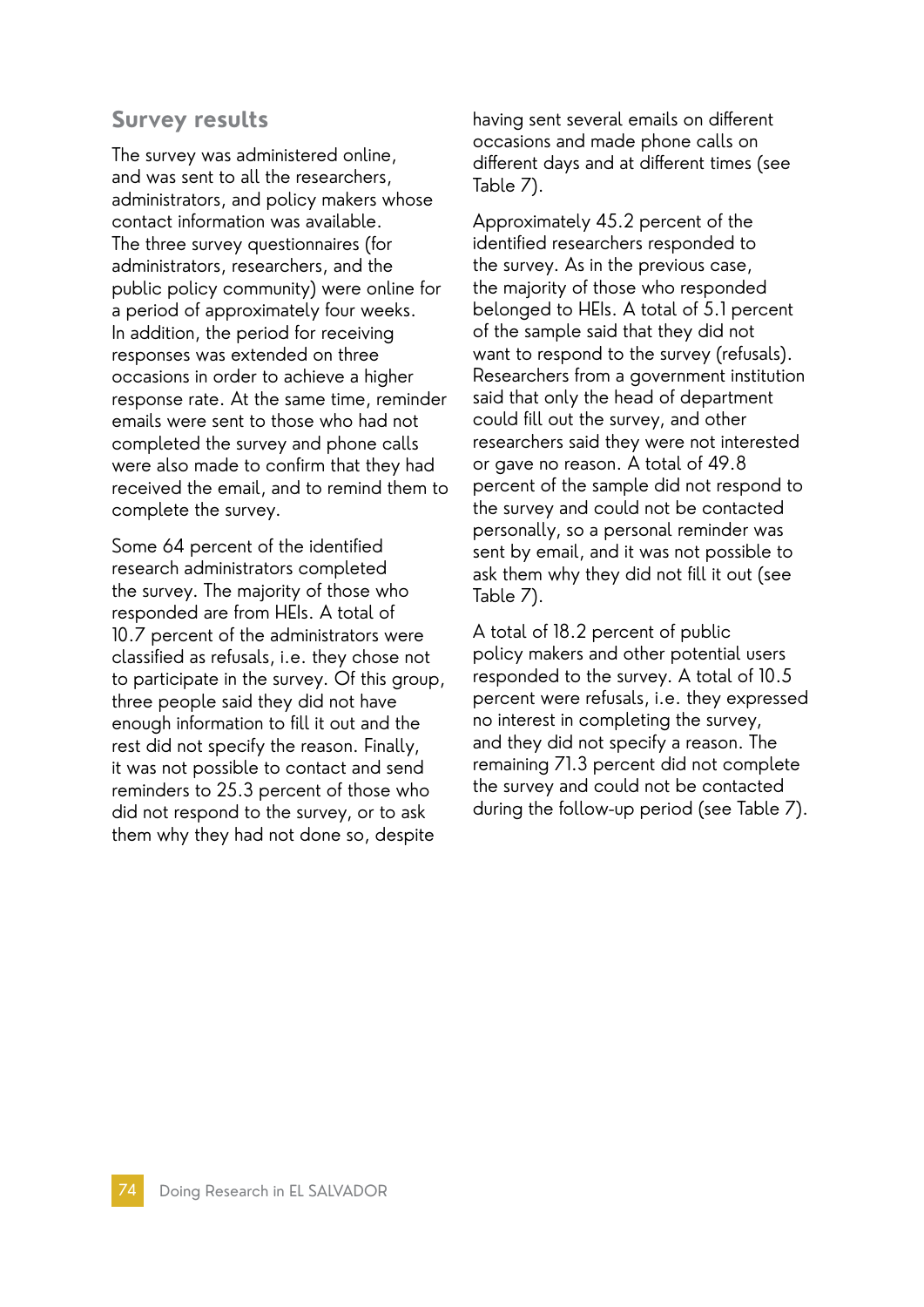### **Survey results**

The survey was administered online, and was sent to all the researchers, administrators, and policy makers whose contact information was available. The three survey questionnaires (for administrators, researchers, and the public policy community) were online for a period of approximately four weeks. In addition, the period for receiving responses was extended on three occasions in order to achieve a higher response rate. At the same time, reminder emails were sent to those who had not completed the survey and phone calls were also made to confirm that they had received the email, and to remind them to complete the survey.

Some 64 percent of the identified research administrators completed the survey. The majority of those who responded are from HEIs. A total of 10.7 percent of the administrators were classified as refusals, i.e. they chose not to participate in the survey. Of this group, three people said they did not have enough information to fill it out and the rest did not specify the reason. Finally, it was not possible to contact and send reminders to 25.3 percent of those who did not respond to the survey, or to ask them why they had not done so, despite

having sent several emails on different occasions and made phone calls on different days and at different times (see Table 7).

Approximately 45.2 percent of the identified researchers responded to the survey. As in the previous case, the majority of those who responded belonged to HEIs. A total of 5.1 percent of the sample said that they did not want to respond to the survey (refusals). Researchers from a government institution said that only the head of department could fill out the survey, and other researchers said they were not interested or gave no reason. A total of 49.8 percent of the sample did not respond to the survey and could not be contacted personally, so a personal reminder was sent by email, and it was not possible to ask them why they did not fill it out (see Table 7).

A total of 18.2 percent of public policy makers and other potential users responded to the survey. A total of 10.5 percent were refusals, i.e. they expressed no interest in completing the survey, and they did not specify a reason. The remaining 71.3 percent did not complete the survey and could not be contacted during the follow-up period (see Table 7).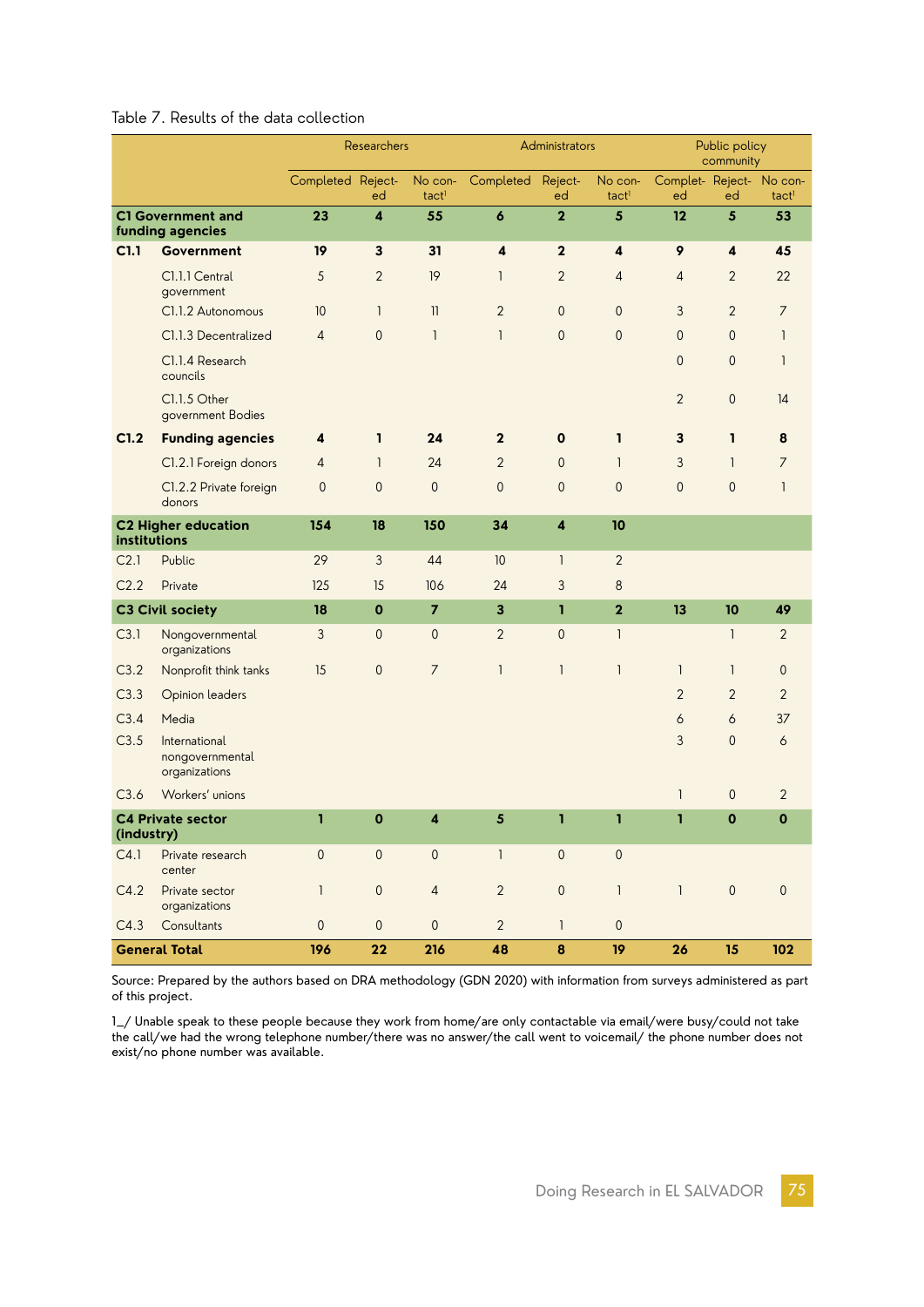#### Table 7. Results of the data collection

|                                              |                                                   | Researchers         |                |                         | Administrators          |                         |                              | Public policy<br>community     |                         |                     |
|----------------------------------------------|---------------------------------------------------|---------------------|----------------|-------------------------|-------------------------|-------------------------|------------------------------|--------------------------------|-------------------------|---------------------|
|                                              |                                                   | Completed Reject-   | ed             | No con-<br>tactl        | Completed               | Reject-<br>ed           | No con-<br>tact <sup>1</sup> | Complet- Reject- No con-<br>ed | ed                      | tact <sup>1</sup>   |
| <b>C1 Government and</b><br>funding agencies |                                                   | 23                  | 4              | 55                      | $\boldsymbol{6}$        | $\overline{2}$          | $5\phantom{.0}$              | 12                             | $5\phantom{.0}$         | 53                  |
| C1.1                                         | Government                                        | 19                  | $\mathbf{3}$   | 31                      | $\overline{\mathbf{4}}$ | $\overline{2}$          | 4                            | 9                              | $\overline{\mathbf{4}}$ | 45                  |
|                                              | Cl.1.1 Central<br>government                      | 5                   | $\overline{2}$ | 19                      | 1                       | 2                       | 4                            | $\overline{4}$                 | $\overline{2}$          | 22                  |
|                                              | Cl.1.2 Autonomous                                 | 10                  | $\mathbf{1}$   | $\mathbf{1}$            | $\overline{2}$          | $\overline{0}$          | $\mathbf{0}$                 | 3                              | $\overline{2}$          | $\overline{7}$      |
|                                              | Cl.1.3 Decentralized                              | 4                   | $\mathbf 0$    | $\mathbf{1}$            | $\mathbf{1}$            | 0                       | $\mathbf 0$                  | $\mathbf{0}$                   | $\mathsf{O}\xspace$     | 1                   |
|                                              | Cl.1.4 Research<br>councils                       |                     |                |                         |                         |                         |                              | $\mathbf{0}$                   | $\mathbf 0$             | 1                   |
|                                              | Cl.1.5 Other<br>government Bodies                 |                     |                |                         |                         |                         |                              | $\overline{2}$                 | $\mathbf 0$             | 14                  |
| C1.2                                         | <b>Funding agencies</b>                           | 4                   | 1              | 24                      | $\mathbf{2}$            | $\mathbf 0$             | ı                            | 3                              | $\mathbf{I}$            | 8                   |
|                                              | Cl.2.1 Foreign donors                             | 4                   | $\mathbf{1}$   | 24                      | $\overline{2}$          | $\mathbf{0}$            | $\mathbf{1}$                 | 3                              | $\mathbf{1}$            | 7                   |
|                                              | Cl.2.2 Private foreign<br>donors                  | $\mathbf{0}$        | $\overline{0}$ | $\overline{0}$          | $\mathbf{0}$            | 0                       | $\mathbf{0}$                 | $\mathbf{0}$                   | $\mathbf{0}$            | 1                   |
| <b>C2 Higher education</b><br>institutions   |                                                   | 154                 | 18             | 150                     | 34                      | $\overline{\mathbf{4}}$ | 10                           |                                |                         |                     |
| C <sub>2.1</sub>                             | Public                                            | 29                  | $\mathfrak{Z}$ | 44                      | 10                      | 1                       | $\overline{2}$               |                                |                         |                     |
| C <sub>2.2</sub>                             | Private                                           | 125                 | 15             | 106                     | 24                      | 3                       | 8                            |                                |                         |                     |
|                                              | <b>C3 Civil society</b>                           | 18                  | $\mathbf 0$    | $\overline{7}$          | 3                       | $\mathbf{I}$            | $\mathbf{2}$                 | 13                             | 10                      | 49                  |
| C3.1                                         | Nongovernmental<br>organizations                  | 3                   | $\theta$       | $\mathbf 0$             | $\overline{2}$          | 0                       | 1                            |                                | 1                       | 2                   |
| C3.2                                         | Nonprofit think tanks                             | 15                  | 0              | $\overline{7}$          | 1                       | $\mathbf{I}$            | $\mathbf{1}$                 | $\mathbf{1}$                   | $\mathbf{1}$            | $\mathbf{0}$        |
| C3.3                                         | Opinion leaders                                   |                     |                |                         |                         |                         |                              | 2                              | $\overline{2}$          | $\overline{2}$      |
| C3.4                                         | Media                                             |                     |                |                         |                         |                         |                              | 6                              | 6                       | 37                  |
| C3.5                                         | International<br>nongovernmental<br>organizations |                     |                |                         |                         |                         |                              | 3                              | $\mathbf 0$             | 6                   |
| C3.6                                         | Workers' unions                                   |                     |                |                         |                         |                         |                              | $\mathbf{1}$                   | $\mathbf 0$             | $\overline{2}$      |
| <b>C4 Private sector</b>                     |                                                   | ı                   | $\mathbf 0$    | $\overline{\mathbf{4}}$ | 5                       | ı                       | ı                            | ı                              | $\mathbf 0$             | $\mathbf 0$         |
| (industry)<br>C4.1<br>Private research       |                                                   | $\overline{0}$      | $\mathbf{0}$   | $\mathbf{0}$            | $\mathbf{I}$            | $\mathsf{O}\xspace$     | $\mathsf{O}\xspace$          |                                |                         |                     |
|                                              | center                                            |                     |                |                         |                         |                         |                              |                                |                         |                     |
| C4.2                                         | Private sector<br>organizations                   | $\mathbf{1}$        | $\theta$       | $\overline{4}$          | $\overline{2}$          | $\mathsf{O}\xspace$     | $\mathbf{I}$                 | $\mathbf{1}$                   | $\mathbf 0$             | $\mathsf{O}\xspace$ |
| C4.3                                         | Consultants                                       | $\mathsf{O}\xspace$ | $\mathbf{0}$   | $\mathbf{0}$            | $\overline{2}$          | $\mathbf{I}$            | $\mathsf{O}\xspace$          |                                |                         |                     |
| <b>General Total</b>                         |                                                   | 196                 | 22             | 216                     | 48                      | $\pmb{8}$               | 19                           | 26                             | 15                      | 102                 |

Source: Prepared by the authors based on DRA methodology (GDN 2020) with information from surveys administered as part of this project.

1\_/ Unable speak to these people because they work from home/are only contactable via email/were busy/could not take the call/we had the wrong telephone number/there was no answer/the call went to voicemail/ the phone number does not exist/no phone number was available.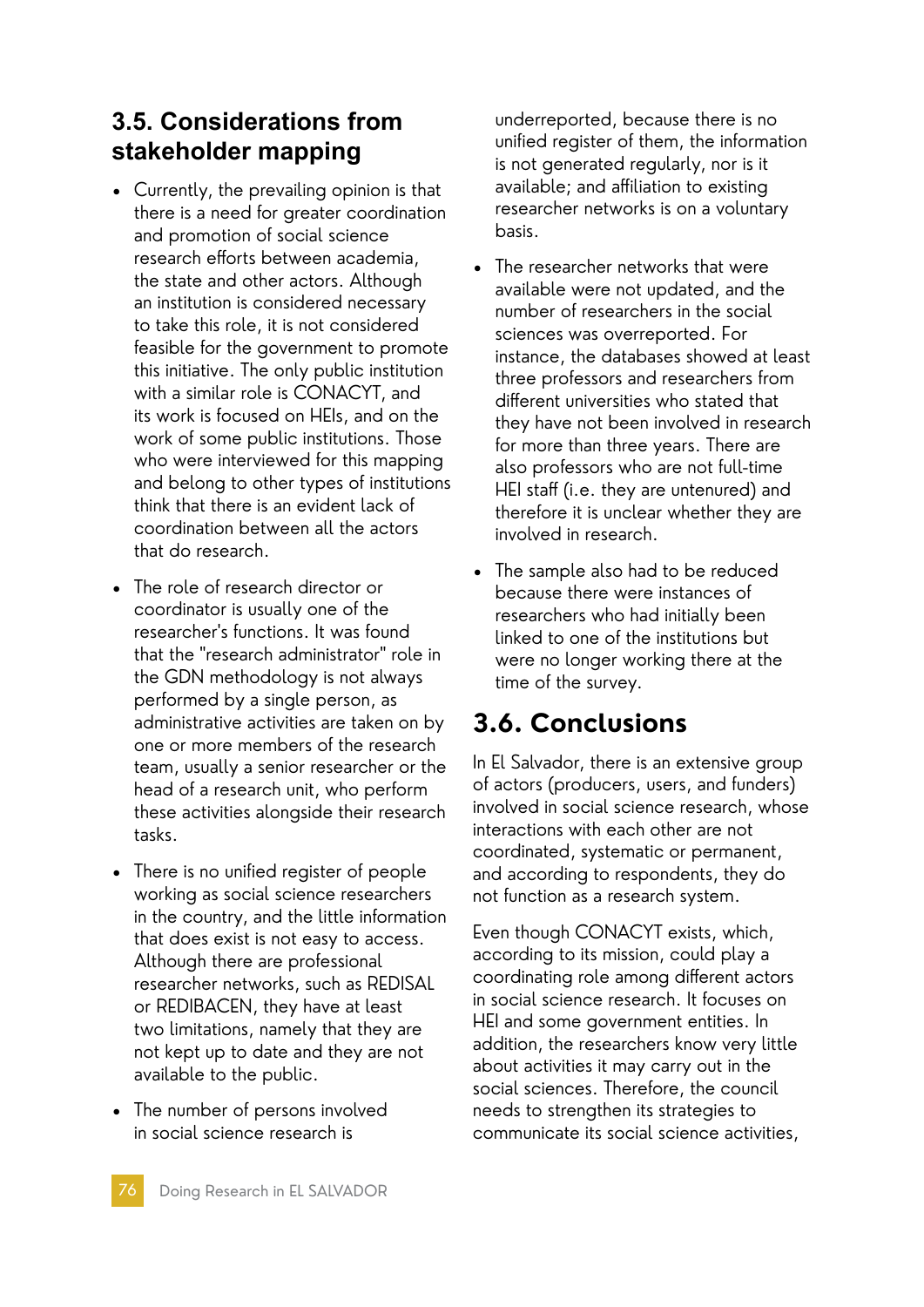# **3.5. Considerations from stakeholder mapping**

- Currently, the prevailing opinion is that there is a need for greater coordination and promotion of social science research efforts between academia, the state and other actors. Although an institution is considered necessary to take this role, it is not considered feasible for the government to promote this initiative. The only public institution with a similar role is CONACYT, and its work is focused on HEIs, and on the work of some public institutions. Those who were interviewed for this mapping and belong to other types of institutions think that there is an evident lack of coordination between all the actors that do research.
- The role of research director or coordinator is usually one of the researcher's functions. It was found that the "research administrator" role in the GDN methodology is not always performed by a single person, as administrative activities are taken on by one or more members of the research team, usually a senior researcher or the head of a research unit, who perform these activities alongside their research tasks.
- There is no unified register of people working as social science researchers in the country, and the little information that does exist is not easy to access. Although there are professional researcher networks, such as REDISAL or REDIBACEN, they have at least two limitations, namely that they are not kept up to date and they are not available to the public.
- The number of persons involved in social science research is

underreported, because there is no unified register of them, the information is not generated regularly, nor is it available; and affiliation to existing researcher networks is on a voluntary basis.

- The researcher networks that were available were not updated, and the number of researchers in the social sciences was overreported. For instance, the databases showed at least three professors and researchers from different universities who stated that they have not been involved in research for more than three years. There are also professors who are not full-time HEI staff (i.e. they are untenured) and therefore it is unclear whether they are involved in research.
- The sample also had to be reduced because there were instances of researchers who had initially been linked to one of the institutions but were no longer working there at the time of the survey.

# **3.6. Conclusions**

In El Salvador, there is an extensive group of actors (producers, users, and funders) involved in social science research, whose interactions with each other are not coordinated, systematic or permanent, and according to respondents, they do not function as a research system.

Even though CONACYT exists, which, according to its mission, could play a coordinating role among different actors in social science research. It focuses on HEI and some government entities. In addition, the researchers know very little about activities it may carry out in the social sciences. Therefore, the council needs to strengthen its strategies to communicate its social science activities,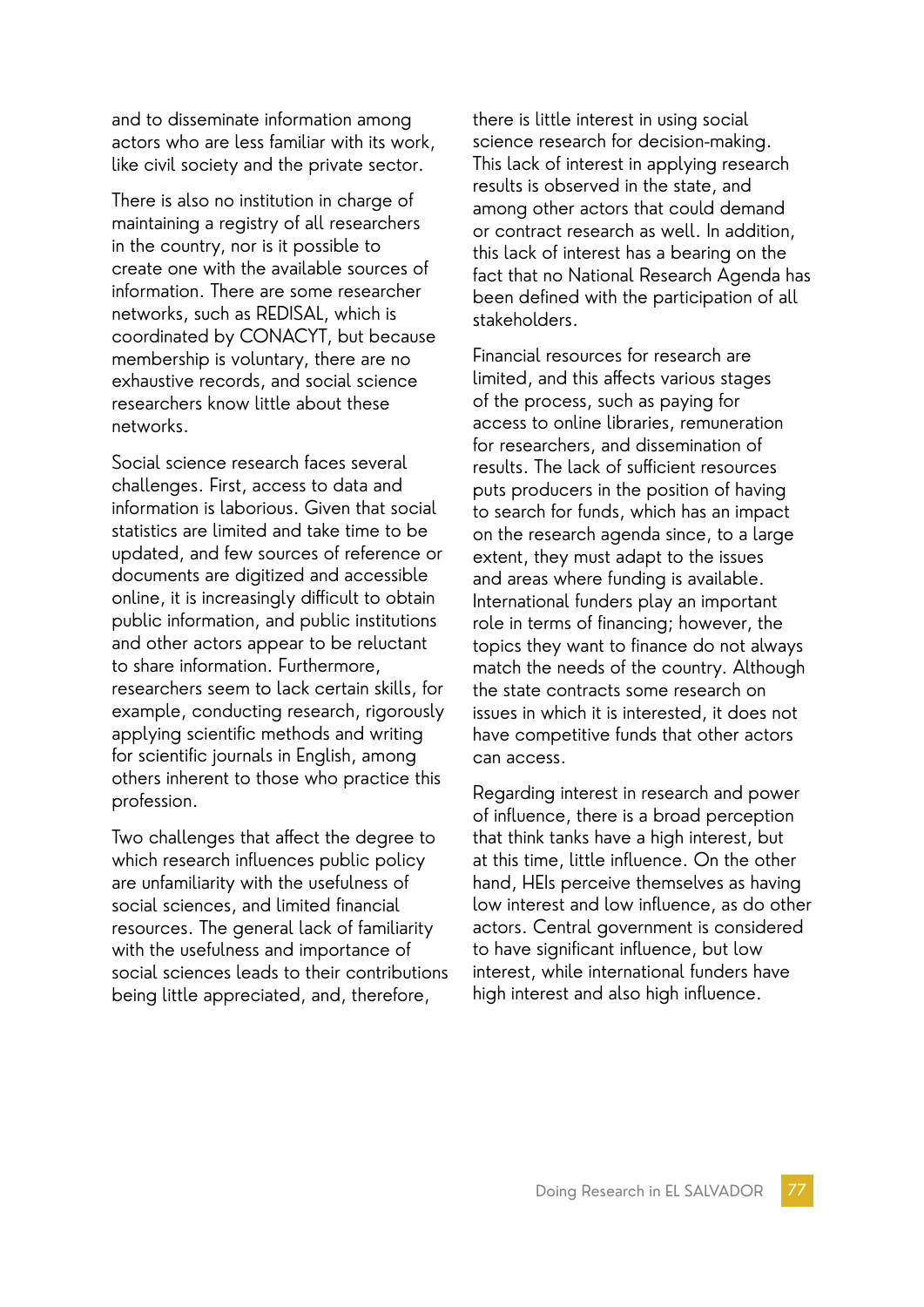and to disseminate information among actors who are less familiar with its work, like civil society and the private sector.

There is also no institution in charge of maintaining a registry of all researchers in the country, nor is it possible to create one with the available sources of information. There are some researcher networks, such as REDISAL, which is coordinated by CONACYT, but because membership is voluntary, there are no exhaustive records, and social science researchers know little about these networks.

Social science research faces several challenges. First, access to data and information is laborious. Given that social statistics are limited and take time to be updated, and few sources of reference or documents are digitized and accessible online, it is increasingly difficult to obtain public information, and public institutions and other actors appear to be reluctant to share information. Furthermore, researchers seem to lack certain skills, for example, conducting research, rigorously applying scientific methods and writing for scientific journals in English, among others inherent to those who practice this profession.

Two challenges that affect the degree to which research influences public policy are unfamiliarity with the usefulness of social sciences, and limited financial resources. The general lack of familiarity with the usefulness and importance of social sciences leads to their contributions being little appreciated, and, therefore,

there is little interest in using social science research for decision-making. This lack of interest in applying research results is observed in the state, and among other actors that could demand or contract research as well. In addition, this lack of interest has a bearing on the fact that no National Research Agenda has been defined with the participation of all stakeholders.

Financial resources for research are limited, and this affects various stages of the process, such as paying for access to online libraries, remuneration for researchers, and dissemination of results. The lack of sufficient resources puts producers in the position of having to search for funds, which has an impact on the research agenda since, to a large extent, they must adapt to the issues and areas where funding is available. International funders play an important role in terms of financing; however, the topics they want to finance do not always match the needs of the country. Although the state contracts some research on issues in which it is interested, it does not have competitive funds that other actors can access.

Regarding interest in research and power of influence, there is a broad perception that think tanks have a high interest, but at this time, little influence. On the other hand, HEIs perceive themselves as having low interest and low influence, as do other actors. Central government is considered to have significant influence, but low interest, while international funders have high interest and also high influence.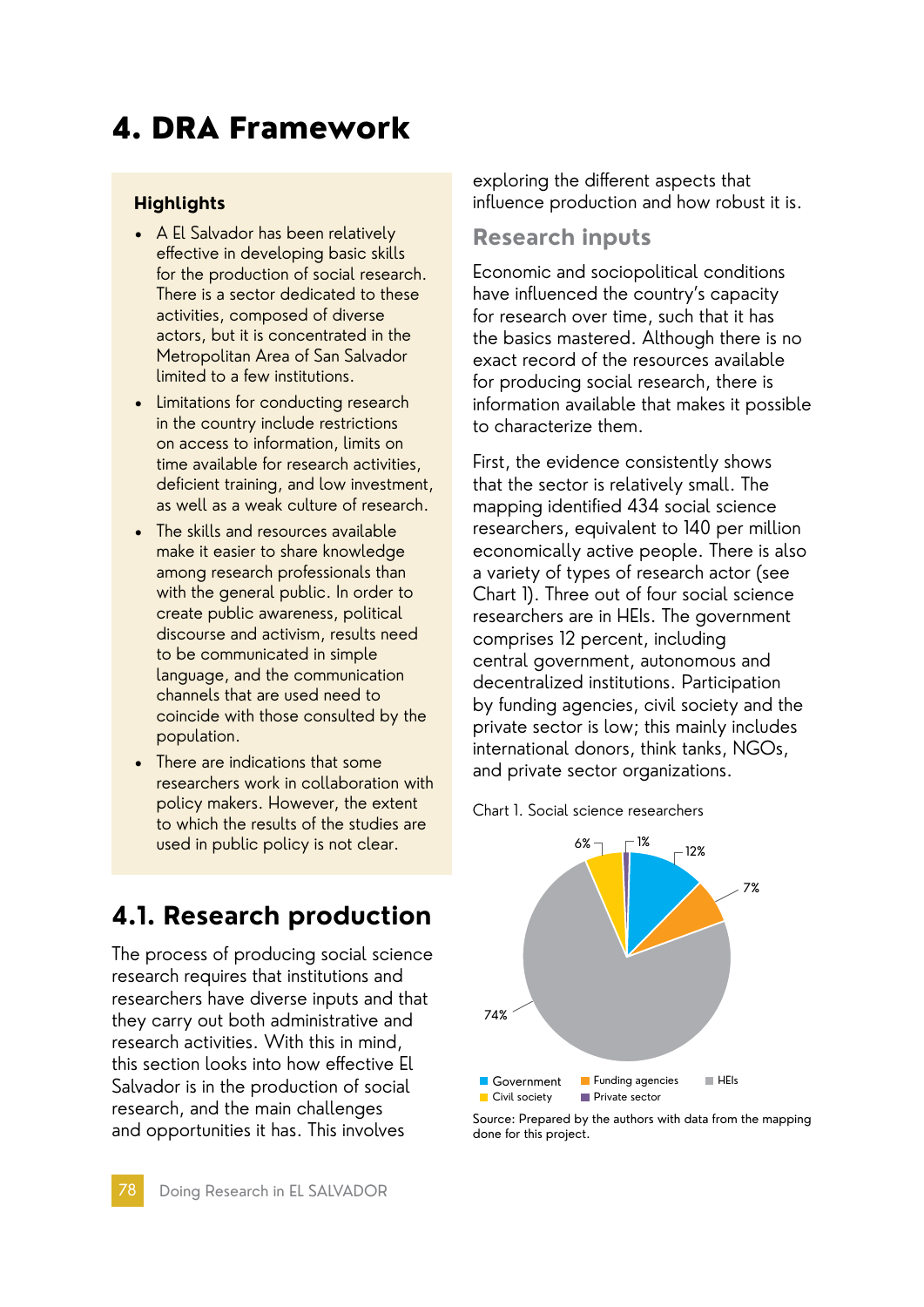# 4. DRA Framework

### **Highlights**

- A El Salvador has been relatively effective in developing basic skills for the production of social research. There is a sector dedicated to these activities, composed of diverse actors, but it is concentrated in the Metropolitan Area of San Salvador limited to a few institutions.
- Limitations for conducting research in the country include restrictions on access to information, limits on time available for research activities, deficient training, and low investment, as well as a weak culture of research.
- The skills and resources available make it easier to share knowledge among research professionals than with the general public. In order to create public awareness, political discourse and activism, results need to be communicated in simple language, and the communication channels that are used need to coincide with those consulted by the population.
- There are indications that some researchers work in collaboration with policy makers. However, the extent to which the results of the studies are used in public policy is not clear.

**4.1. Research production**

The process of producing social science research requires that institutions and researchers have diverse inputs and that they carry out both administrative and research activities. With this in mind, this section looks into how effective El Salvador is in the production of social research, and the main challenges and opportunities it has. This involves

exploring the different aspects that influence production and how robust it is.

### **Research inputs**

Economic and sociopolitical conditions have influenced the country's capacity for research over time, such that it has the basics mastered. Although there is no exact record of the resources available for producing social research, there is information available that makes it possible to characterize them.

First, the evidence consistently shows that the sector is relatively small. The mapping identified 434 social science researchers, equivalent to 140 per million economically active people. There is also a variety of types of research actor (see Chart 1). Three out of four social science researchers are in HEIs. The government comprises 12 percent, including central government, autonomous and decentralized institutions. Participation by funding agencies, civil society and the private sector is low; this mainly includes international donors, think tanks, NGOs, and private sector organizations.





Source: Prepared by the authors with data from the mapping done for this project.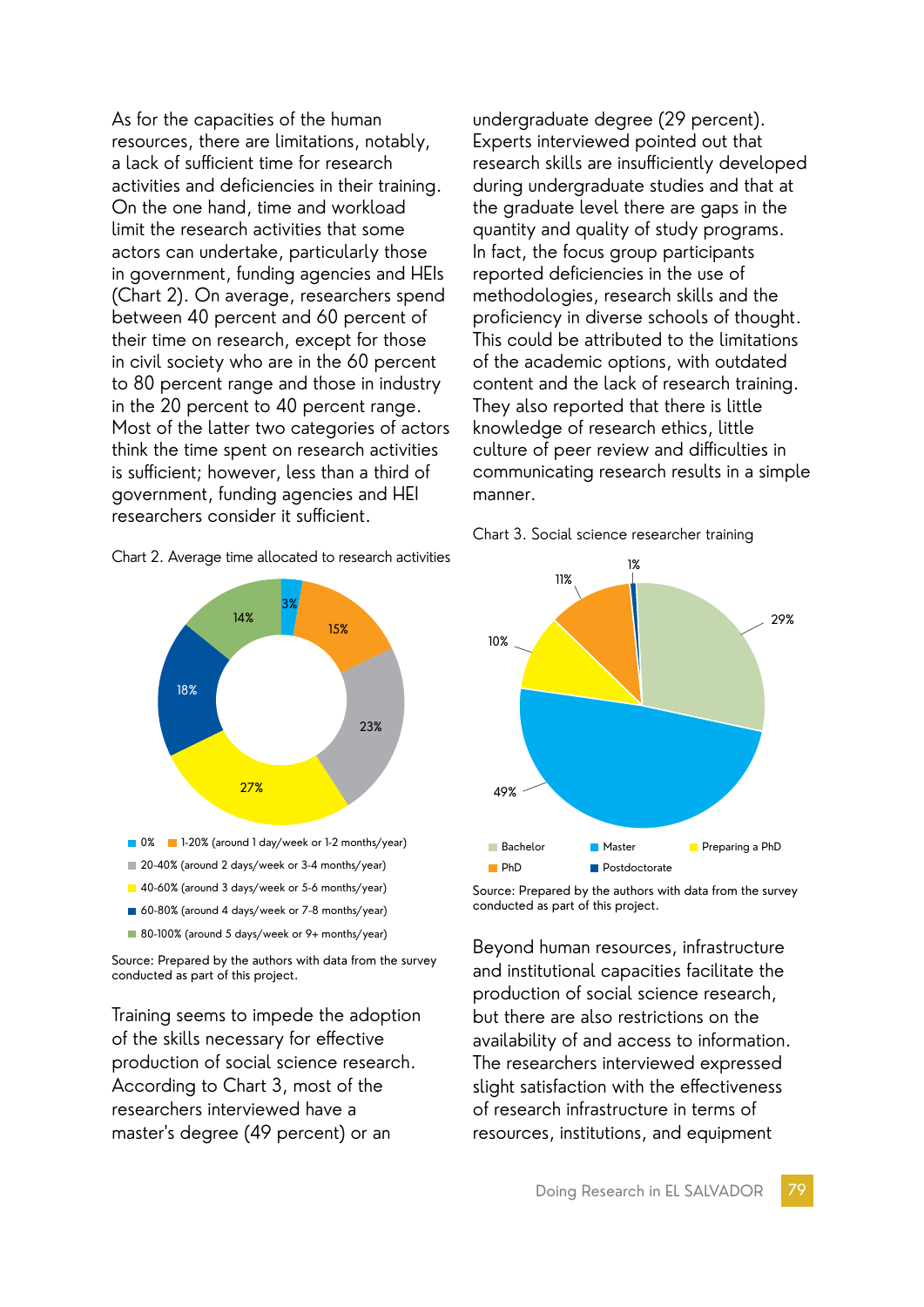As for the capacities of the human resources, there are limitations, notably, a lack of sufficient time for research activities and deficiencies in their training. On the one hand, time and workload limit the research activities that some actors can undertake, particularly those in government, funding agencies and HEIs (Chart 2). On average, researchers spend between 40 percent and 60 percent of their time on research, except for those in civil society who are in the 60 percent to 80 percent range and those in industry in the 20 percent to 40 percent range. Most of the latter two categories of actors think the time spent on research activities is sufficient; however, less than a third of government, funding agencies and HEI researchers consider it sufficient.





Source: Prepared by the authors with data from the survey conducted as part of this project.

Training seems to impede the adoption of the skills necessary for effective production of social science research. According to Chart 3, most of the researchers interviewed have a master's degree (49 percent) or an

undergraduate degree (29 percent). Experts interviewed pointed out that research skills are insufficiently developed during undergraduate studies and that at the graduate level there are gaps in the quantity and quality of study programs. In fact, the focus group participants reported deficiencies in the use of methodologies, research skills and the proficiency in diverse schools of thought. This could be attributed to the limitations of the academic options, with outdated content and the lack of research training. They also reported that there is little knowledge of research ethics, little culture of peer review and difficulties in communicating research results in a simple manner.





Source: Prepared by the authors with data from the survey conducted as part of this project.

Beyond human resources, infrastructure and institutional capacities facilitate the production of social science research, but there are also restrictions on the availability of and access to information. The researchers interviewed expressed slight satisfaction with the effectiveness of research infrastructure in terms of resources, institutions, and equipment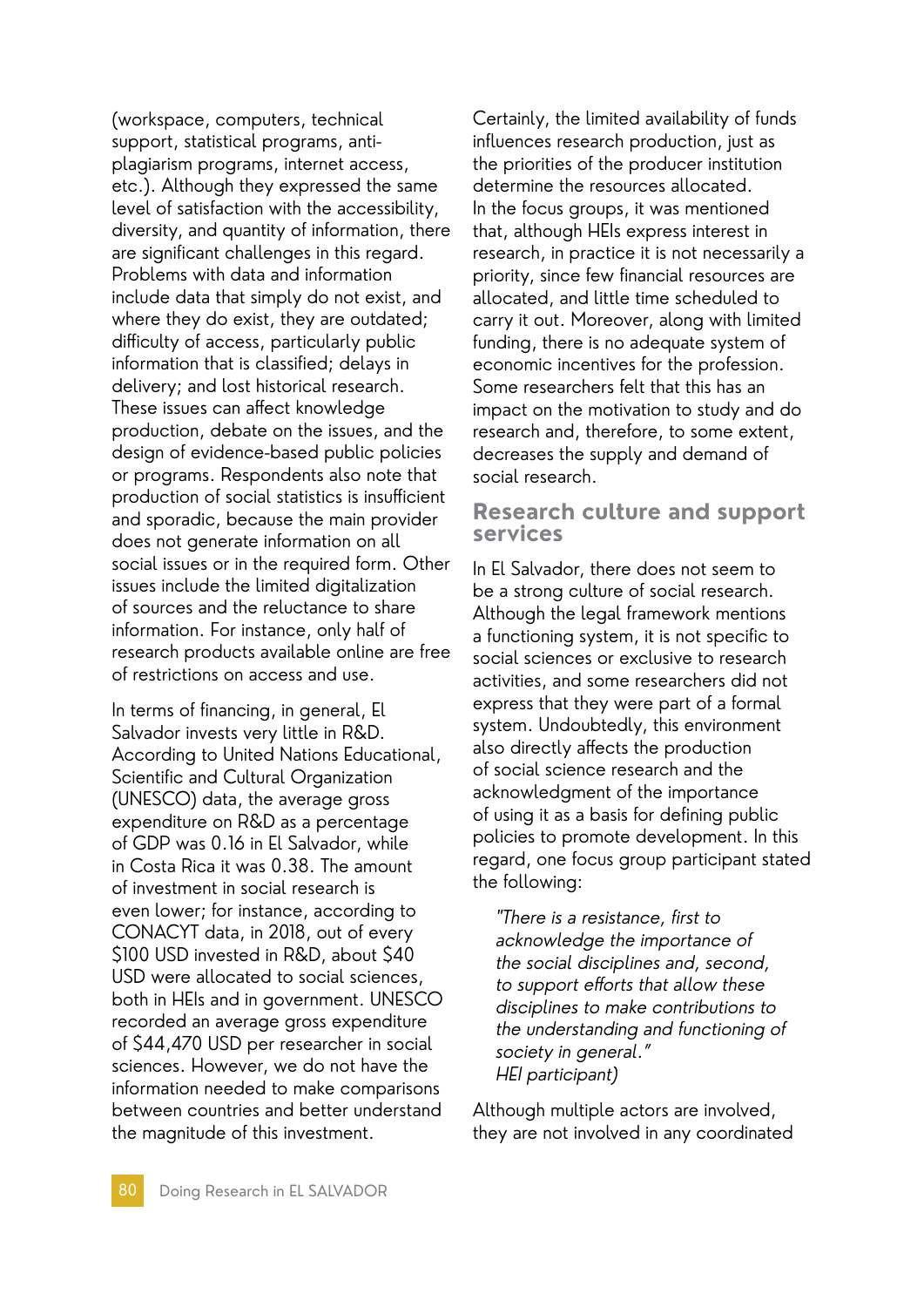(workspace, computers, technical support, statistical programs, antiplagiarism programs, internet access, etc.). Although they expressed the same level of satisfaction with the accessibility, diversity, and quantity of information, there are significant challenges in this regard. Problems with data and information include data that simply do not exist, and where they do exist, they are outdated; difficulty of access, particularly public information that is classified; delays in delivery; and lost historical research. These issues can affect knowledge production, debate on the issues, and the design of evidence-based public policies or programs. Respondents also note that production of social statistics is insufficient and sporadic, because the main provider does not generate information on all social issues or in the required form. Other issues include the limited digitalization of sources and the reluctance to share information. For instance, only half of research products available online are free of restrictions on access and use.

In terms of financing, in general, El Salvador invests very little in R&D. According to United Nations Educational, Scientific and Cultural Organization (UNESCO) data, the average gross expenditure on R&D as a percentage of GDP was 0.16 in El Salvador, while in Costa Rica it was 0.38. The amount of investment in social research is even lower; for instance, according to CONACYT data, in 2018, out of every \$100 USD invested in R&D, about \$40 USD were allocated to social sciences, both in HEIs and in government. UNESCO recorded an average gross expenditure of \$44,470 USD per researcher in social sciences. However, we do not have the information needed to make comparisons between countries and better understand the magnitude of this investment.

Certainly, the limited availability of funds influences research production, just as the priorities of the producer institution determine the resources allocated. In the focus groups, it was mentioned that, although HEIs express interest in research, in practice it is not necessarily a priority, since few financial resources are allocated, and little time scheduled to carry it out. Moreover, along with limited funding, there is no adequate system of economic incentives for the profession. Some researchers felt that this has an impact on the motivation to study and do research and, therefore, to some extent, decreases the supply and demand of social research.

### **Research culture and support services**

In El Salvador, there does not seem to be a strong culture of social research. Although the legal framework mentions a functioning system, it is not specific to social sciences or exclusive to research activities, and some researchers did not express that they were part of a formal system. Undoubtedly, this environment also directly affects the production of social science research and the acknowledgment of the importance of using it as a basis for defining public policies to promote development. In this regard, one focus group participant stated the following:

"There is a resistance, first to acknowledge the importance of the social disciplines and, second, to support efforts that allow these disciplines to make contributions to the understanding and functioning of society in general." HEI participant)

Although multiple actors are involved, they are not involved in any coordinated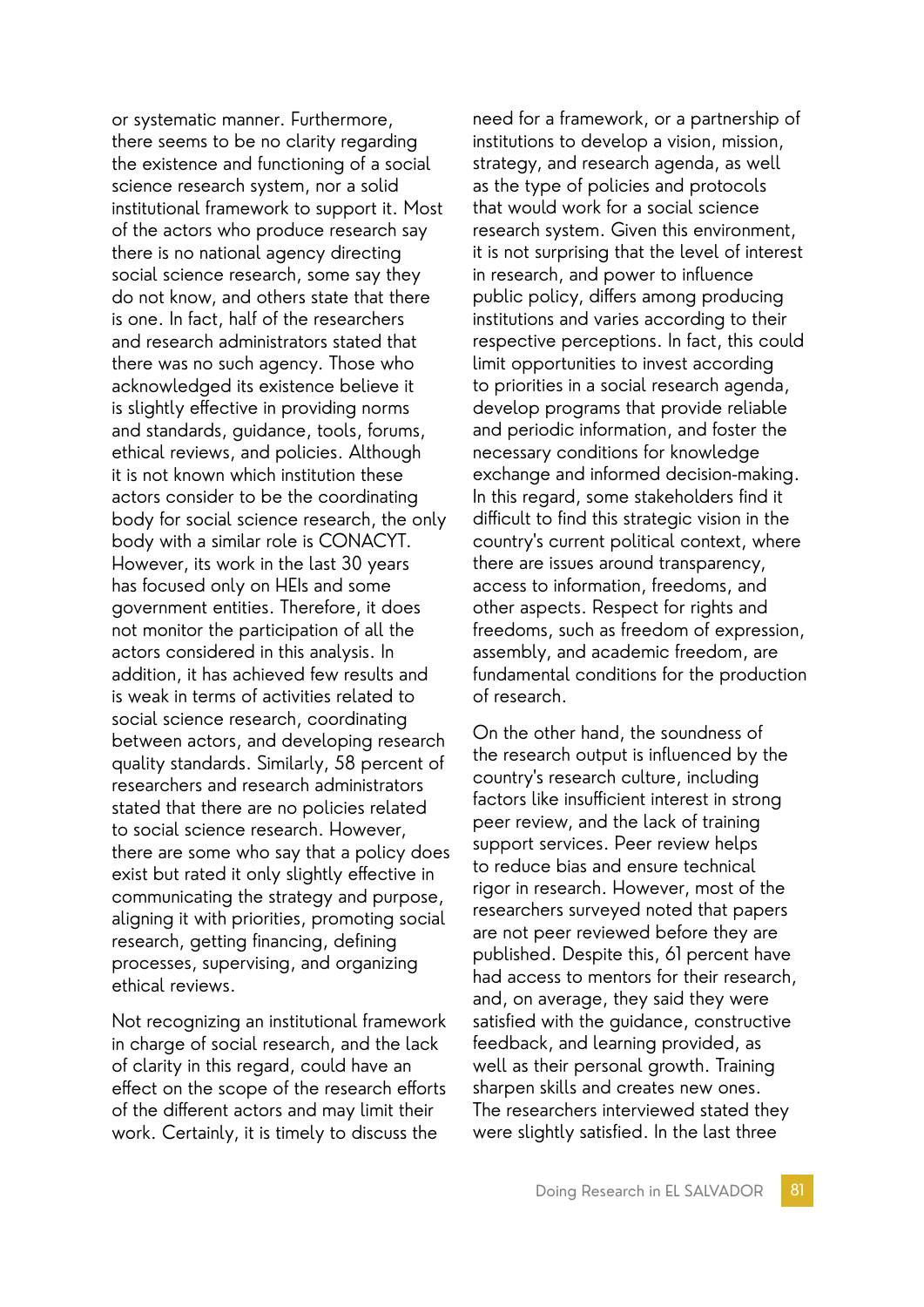or systematic manner. Furthermore, there seems to be no clarity regarding the existence and functioning of a social science research system, nor a solid institutional framework to support it. Most of the actors who produce research say there is no national agency directing social science research, some say they do not know, and others state that there is one. In fact, half of the researchers and research administrators stated that there was no such agency. Those who acknowledged its existence believe it is slightly effective in providing norms and standards, guidance, tools, forums, ethical reviews, and policies. Although it is not known which institution these actors consider to be the coordinating body for social science research, the only body with a similar role is CONACYT. However, its work in the last 30 years has focused only on HEIs and some government entities. Therefore, it does not monitor the participation of all the actors considered in this analysis. In addition, it has achieved few results and is weak in terms of activities related to social science research, coordinating between actors, and developing research quality standards. Similarly, 58 percent of researchers and research administrators stated that there are no policies related to social science research. However, there are some who say that a policy does exist but rated it only slightly effective in communicating the strategy and purpose, aligning it with priorities, promoting social research, getting financing, defining processes, supervising, and organizing ethical reviews.

Not recognizing an institutional framework in charge of social research, and the lack of clarity in this regard, could have an effect on the scope of the research efforts of the different actors and may limit their work. Certainly, it is timely to discuss the

need for a framework, or a partnership of institutions to develop a vision, mission, strategy, and research agenda, as well as the type of policies and protocols that would work for a social science research system. Given this environment, it is not surprising that the level of interest in research, and power to influence public policy, differs among producing institutions and varies according to their respective perceptions. In fact, this could limit opportunities to invest according to priorities in a social research agenda, develop programs that provide reliable and periodic information, and foster the necessary conditions for knowledge exchange and informed decision-making. In this regard, some stakeholders find it difficult to find this strategic vision in the country's current political context, where there are issues around transparency, access to information, freedoms, and other aspects. Respect for rights and freedoms, such as freedom of expression, assembly, and academic freedom, are fundamental conditions for the production of research.

On the other hand, the soundness of the research output is influenced by the country's research culture, including factors like insufficient interest in strong peer review, and the lack of training support services. Peer review helps to reduce bias and ensure technical rigor in research. However, most of the researchers surveyed noted that papers are not peer reviewed before they are published. Despite this, 61 percent have had access to mentors for their research, and, on average, they said they were satisfied with the guidance, constructive feedback, and learning provided, as well as their personal growth. Training sharpen skills and creates new ones. The researchers interviewed stated they were slightly satisfied. In the last three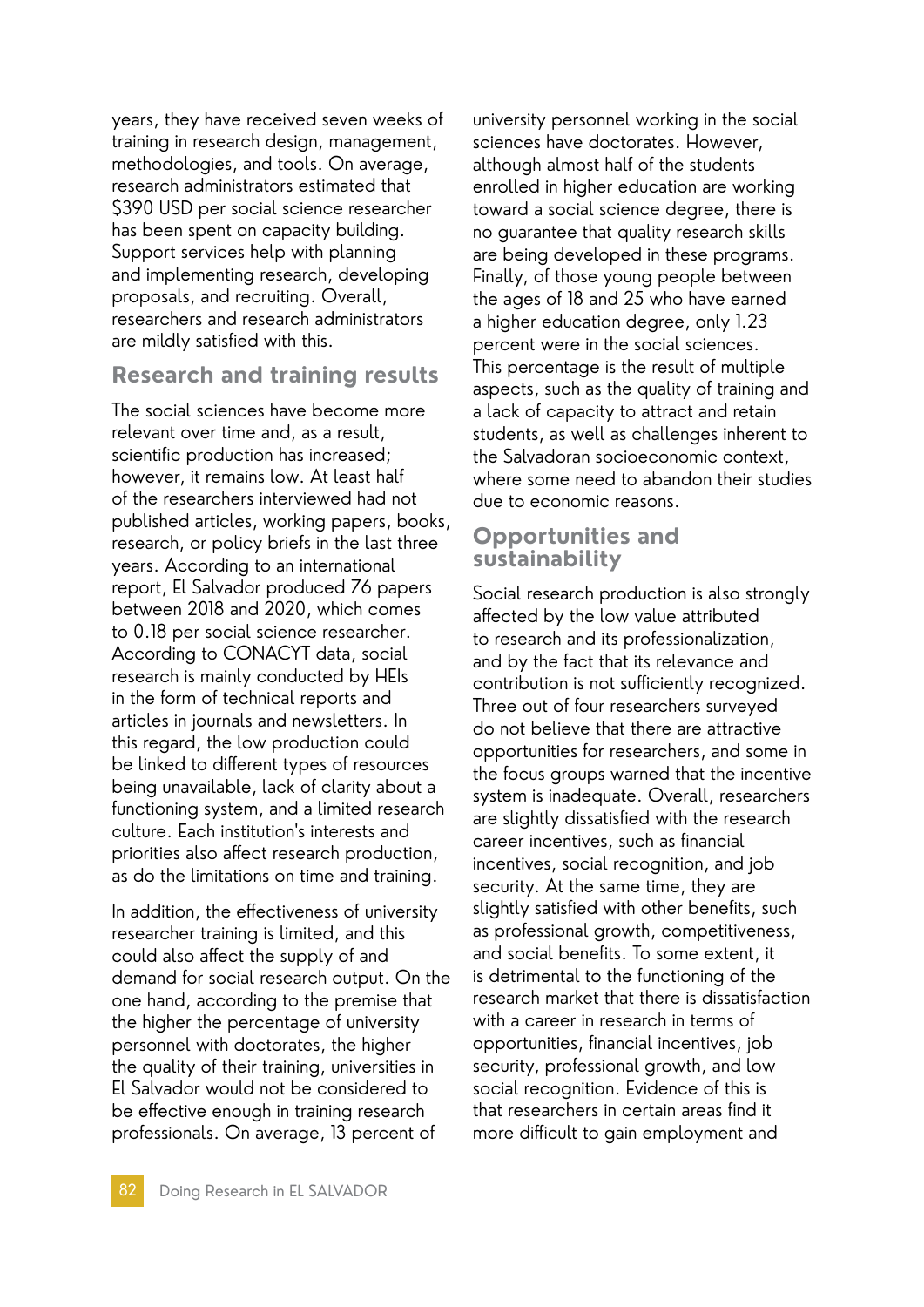years, they have received seven weeks of training in research design, management, methodologies, and tools. On average, research administrators estimated that \$390 USD per social science researcher has been spent on capacity building. Support services help with planning and implementing research, developing proposals, and recruiting. Overall, researchers and research administrators are mildly satisfied with this.

### **Research and training results**

The social sciences have become more relevant over time and, as a result, scientific production has increased; however, it remains low. At least half of the researchers interviewed had not published articles, working papers, books, research, or policy briefs in the last three years. According to an international report, El Salvador produced 76 papers between 2018 and 2020, which comes to 0.18 per social science researcher. According to CONACYT data, social research is mainly conducted by HEIs in the form of technical reports and articles in journals and newsletters. In this regard, the low production could be linked to different types of resources being unavailable, lack of clarity about a functioning system, and a limited research culture. Each institution's interests and priorities also affect research production, as do the limitations on time and training.

In addition, the effectiveness of university researcher training is limited, and this could also affect the supply of and demand for social research output. On the one hand, according to the premise that the higher the percentage of university personnel with doctorates, the higher the quality of their training, universities in El Salvador would not be considered to be effective enough in training research professionals. On average, 13 percent of

university personnel working in the social sciences have doctorates. However, although almost half of the students enrolled in higher education are working toward a social science degree, there is no guarantee that quality research skills are being developed in these programs. Finally, of those young people between the ages of 18 and 25 who have earned a higher education degree, only 1.23 percent were in the social sciences. This percentage is the result of multiple aspects, such as the quality of training and a lack of capacity to attract and retain students, as well as challenges inherent to the Salvadoran socioeconomic context, where some need to abandon their studies due to economic reasons.

### **Opportunities and sustainability**

Social research production is also strongly affected by the low value attributed to research and its professionalization, and by the fact that its relevance and contribution is not sufficiently recognized. Three out of four researchers surveyed do not believe that there are attractive opportunities for researchers, and some in the focus groups warned that the incentive system is inadequate. Overall, researchers are slightly dissatisfied with the research career incentives, such as financial incentives, social recognition, and job security. At the same time, they are slightly satisfied with other benefits, such as professional growth, competitiveness, and social benefits. To some extent, it is detrimental to the functioning of the research market that there is dissatisfaction with a career in research in terms of opportunities, financial incentives, job security, professional growth, and low social recognition. Evidence of this is that researchers in certain areas find it more difficult to gain employment and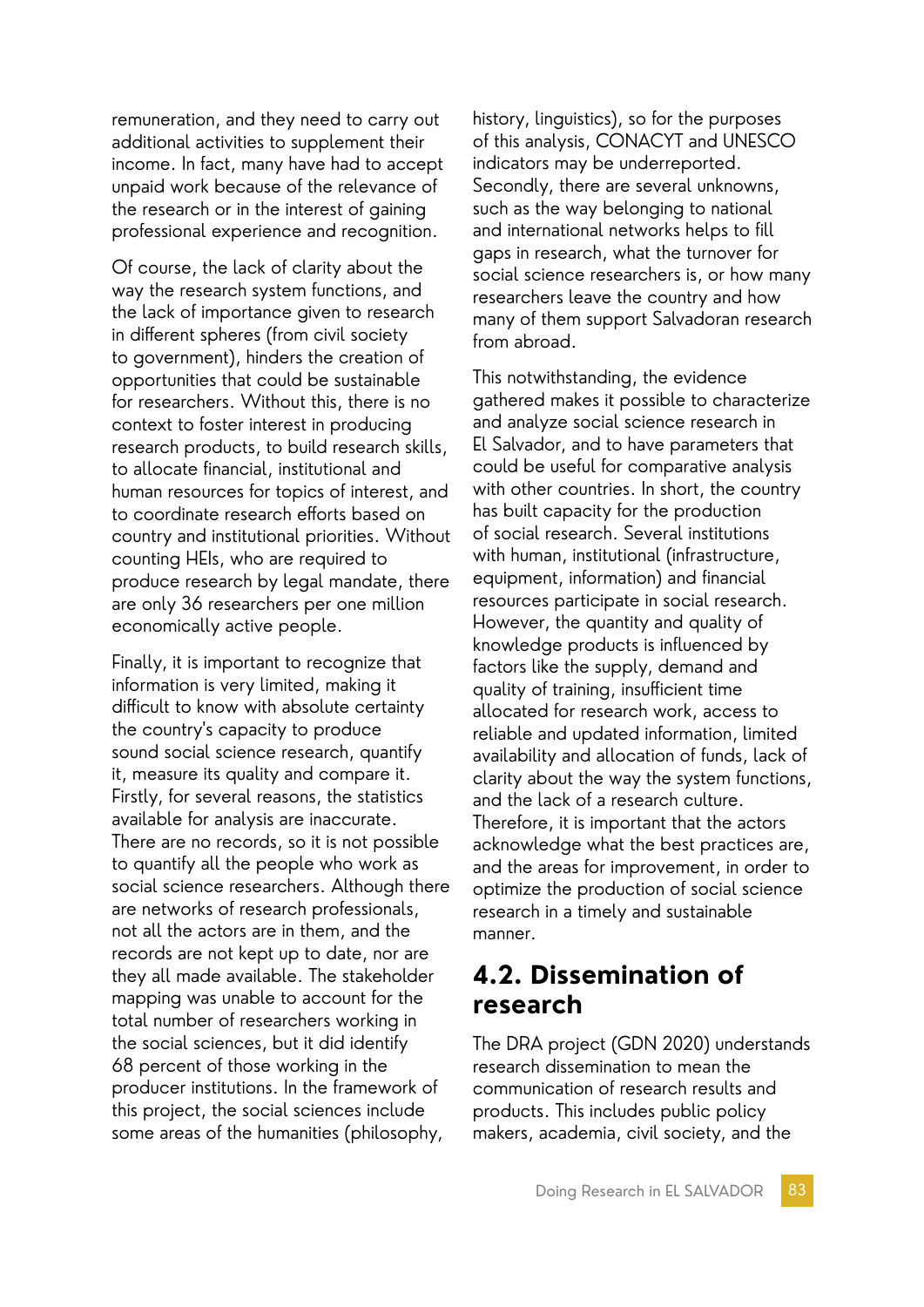remuneration, and they need to carry out additional activities to supplement their income. In fact, many have had to accept unpaid work because of the relevance of the research or in the interest of gaining professional experience and recognition.

Of course, the lack of clarity about the way the research system functions, and the lack of importance given to research in different spheres (from civil society to government), hinders the creation of opportunities that could be sustainable for researchers. Without this, there is no context to foster interest in producing research products, to build research skills, to allocate financial, institutional and human resources for topics of interest, and to coordinate research efforts based on country and institutional priorities. Without counting HEIs, who are required to produce research by legal mandate, there are only 36 researchers per one million economically active people.

Finally, it is important to recognize that information is very limited, making it difficult to know with absolute certainty the country's capacity to produce sound social science research, quantify it, measure its quality and compare it. Firstly, for several reasons, the statistics available for analysis are inaccurate. There are no records, so it is not possible to quantify all the people who work as social science researchers. Although there are networks of research professionals, not all the actors are in them, and the records are not kept up to date, nor are they all made available. The stakeholder mapping was unable to account for the total number of researchers working in the social sciences, but it did identify 68 percent of those working in the producer institutions. In the framework of this project, the social sciences include some areas of the humanities (philosophy,

history, linguistics), so for the purposes of this analysis, CONACYT and UNESCO indicators may be underreported. Secondly, there are several unknowns, such as the way belonging to national and international networks helps to fill gaps in research, what the turnover for social science researchers is, or how many researchers leave the country and how many of them support Salvadoran research from abroad.

This notwithstanding, the evidence gathered makes it possible to characterize and analyze social science research in El Salvador, and to have parameters that could be useful for comparative analysis with other countries. In short, the country has built capacity for the production of social research. Several institutions with human, institutional (infrastructure, equipment, information) and financial resources participate in social research. However, the quantity and quality of knowledge products is influenced by factors like the supply, demand and quality of training, insufficient time allocated for research work, access to reliable and updated information, limited availability and allocation of funds, lack of clarity about the way the system functions, and the lack of a research culture. Therefore, it is important that the actors acknowledge what the best practices are, and the areas for improvement, in order to optimize the production of social science research in a timely and sustainable manner.

## **4.2. Dissemination of research**

The DRA project (GDN 2020) understands research dissemination to mean the communication of research results and products. This includes public policy makers, academia, civil society, and the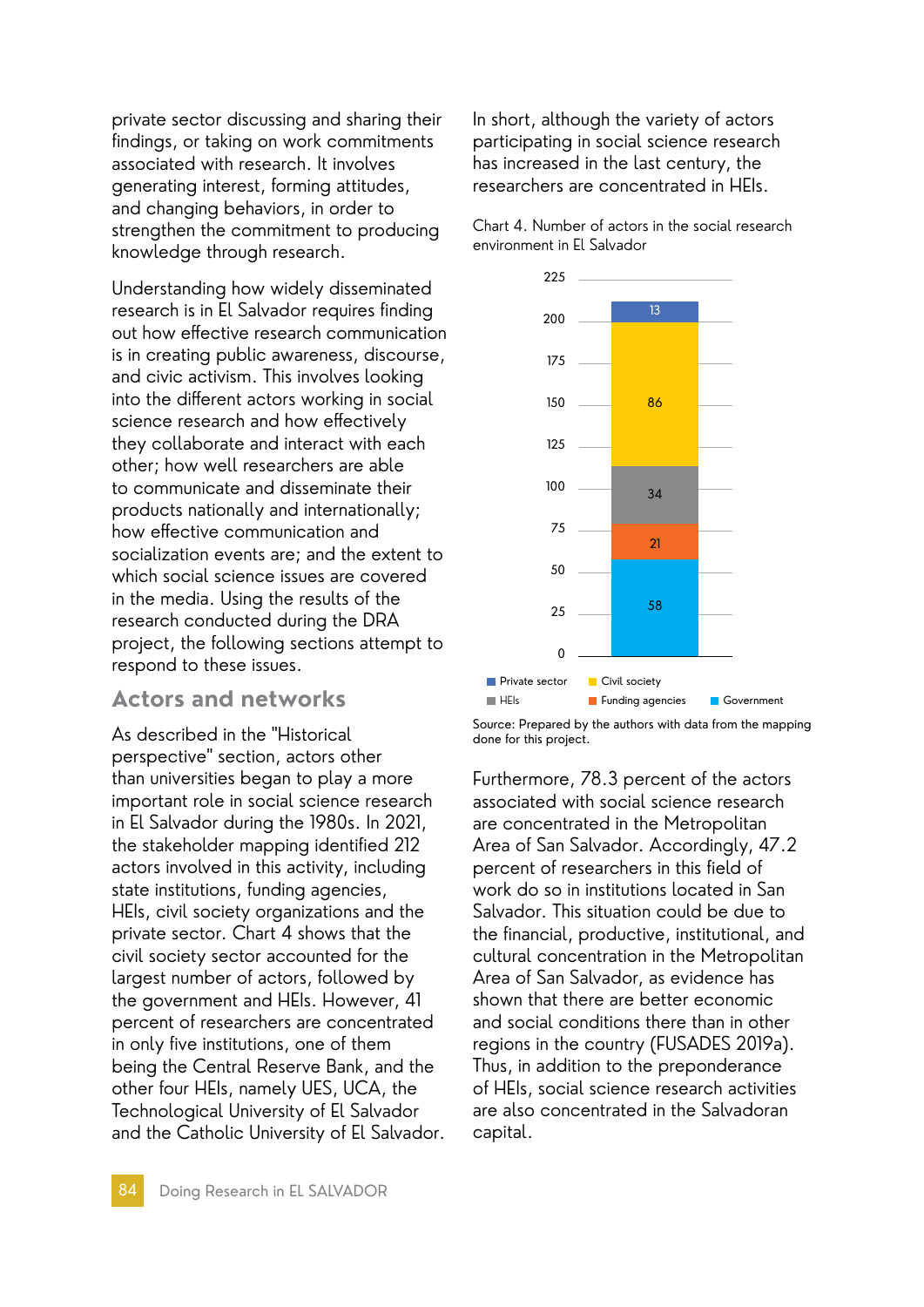private sector discussing and sharing their findings, or taking on work commitments associated with research. It involves generating interest, forming attitudes, and changing behaviors, in order to strengthen the commitment to producing knowledge through research.

Understanding how widely disseminated research is in El Salvador requires finding out how effective research communication is in creating public awareness, discourse, and civic activism. This involves looking into the different actors working in social science research and how effectively they collaborate and interact with each other; how well researchers are able to communicate and disseminate their products nationally and internationally; how effective communication and socialization events are; and the extent to which social science issues are covered in the media. Using the results of the research conducted during the DRA project, the following sections attempt to respond to these issues.

### **Actors and networks**

As described in the "Historical perspective" section, actors other than universities began to play a more important role in social science research in El Salvador during the 1980s. In 2021, the stakeholder mapping identified 212 actors involved in this activity, including state institutions, funding agencies, HEIs, civil society organizations and the private sector. Chart 4 shows that the civil society sector accounted for the largest number of actors, followed by the government and HEIs. However, 41 percent of researchers are concentrated in only five institutions, one of them being the Central Reserve Bank, and the other four HEIs, namely UES, UCA, the Technological University of El Salvador and the Catholic University of El Salvador. In short, although the variety of actors participating in social science research has increased in the last century, the researchers are concentrated in HEIs.

Chart 4. Number of actors in the social research environment in El Salvador



Source: Prepared by the authors with data from the mapping done for this project.

Furthermore, 78.3 percent of the actors associated with social science research are concentrated in the Metropolitan Area of San Salvador. Accordingly, 47.2 percent of researchers in this field of work do so in institutions located in San Salvador. This situation could be due to the financial, productive, institutional, and cultural concentration in the Metropolitan Area of San Salvador, as evidence has shown that there are better economic and social conditions there than in other regions in the country (FUSADES 2019a). Thus, in addition to the preponderance of HEIs, social science research activities are also concentrated in the Salvadoran capital.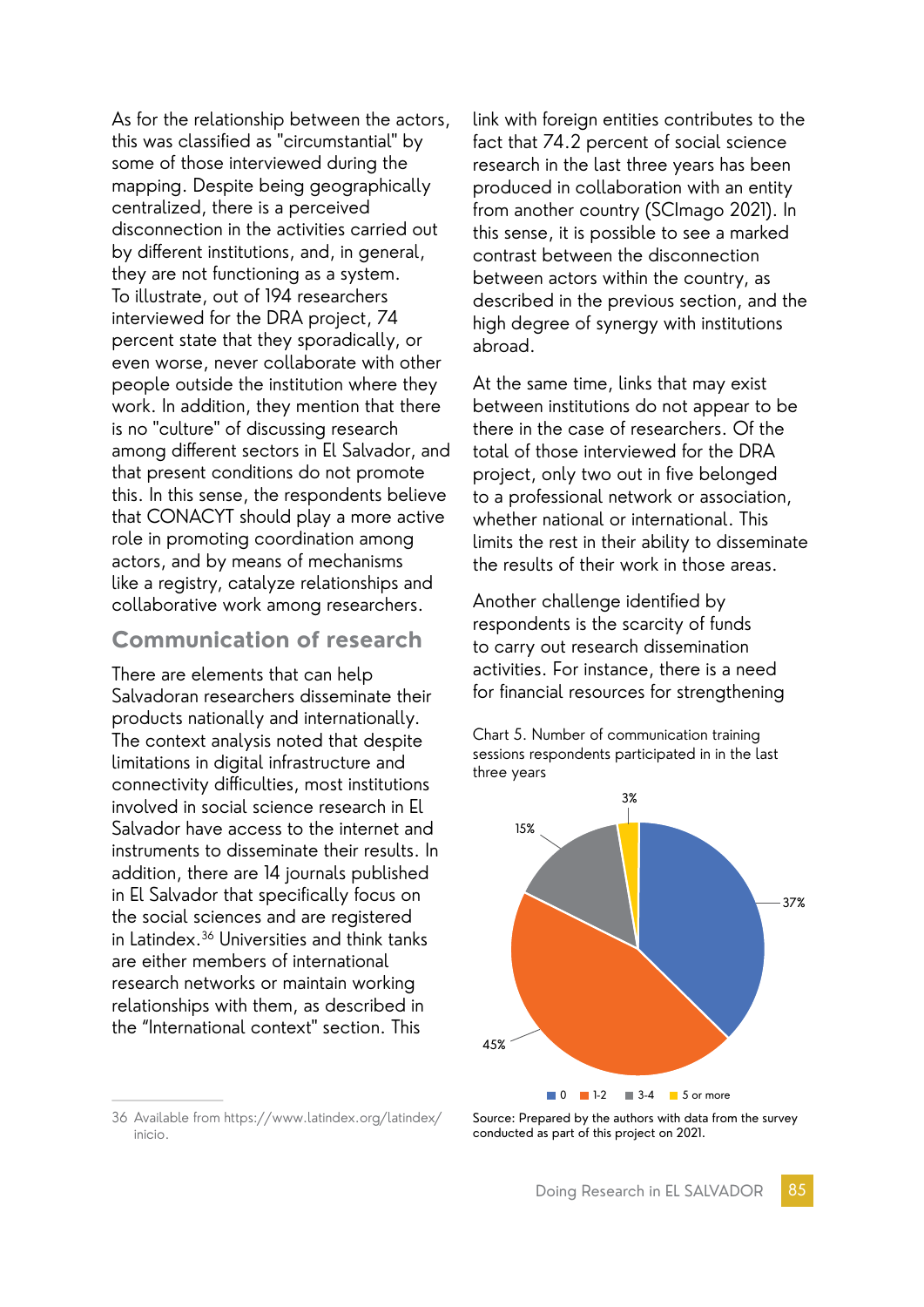As for the relationship between the actors, this was classified as "circumstantial" by some of those interviewed during the mapping. Despite being geographically centralized, there is a perceived disconnection in the activities carried out by different institutions, and, in general, they are not functioning as a system. To illustrate, out of 194 researchers interviewed for the DRA project, 74 percent state that they sporadically, or even worse, never collaborate with other people outside the institution where they work. In addition, they mention that there is no "culture" of discussing research among different sectors in El Salvador, and that present conditions do not promote this. In this sense, the respondents believe that CONACYT should play a more active role in promoting coordination among actors, and by means of mechanisms like a registry, catalyze relationships and collaborative work among researchers.

### **Communication of research**

There are elements that can help Salvadoran researchers disseminate their products nationally and internationally. The context analysis noted that despite limitations in digital infrastructure and connectivity difficulties, most institutions involved in social science research in El Salvador have access to the internet and instruments to disseminate their results. In addition, there are 14 journals published in El Salvador that specifically focus on the social sciences and are registered in Latindex.36 Universities and think tanks are either members of international research networks or maintain working relationships with them, as described in the "International context" section. This

36 Available from https://www.latindex.org/latindex/ inicio.

link with foreign entities contributes to the fact that 74.2 percent of social science research in the last three years has been produced in collaboration with an entity from another country (SCImago 2021). In this sense, it is possible to see a marked contrast between the disconnection between actors within the country, as described in the previous section, and the high degree of synergy with institutions abroad.

At the same time, links that may exist between institutions do not appear to be there in the case of researchers. Of the total of those interviewed for the DRA project, only two out in five belonged to a professional network or association, whether national or international. This limits the rest in their ability to disseminate the results of their work in those areas.

Another challenge identified by respondents is the scarcity of funds to carry out research dissemination activities. For instance, there is a need for financial resources for strengthening

Chart 5. Number of communication training sessions respondents participated in in the last three years



Source: Prepared by the authors with data from the survey conducted as part of this project on 2021.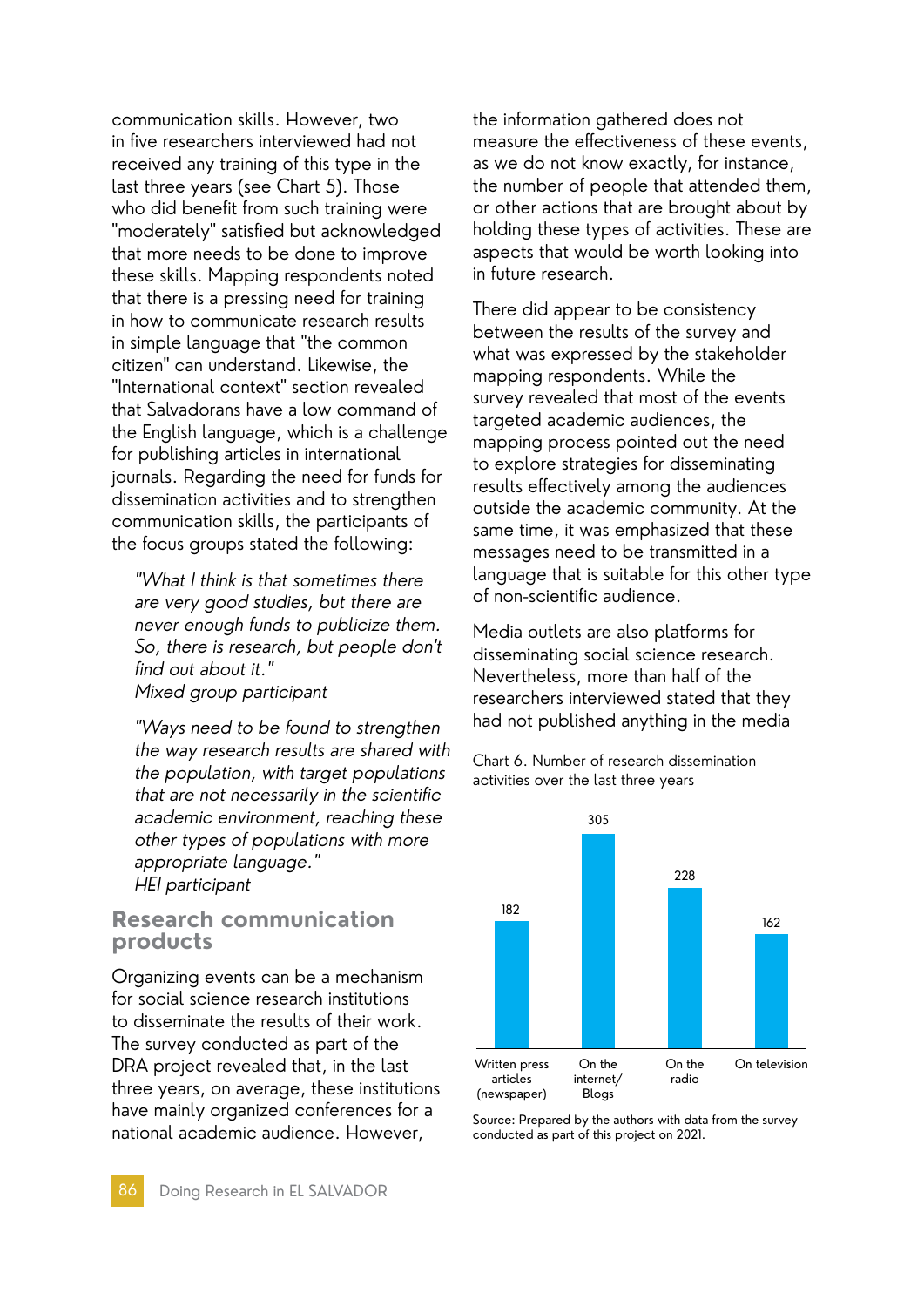communication skills. However, two in five researchers interviewed had not received any training of this type in the last three years (see Chart 5). Those who did benefit from such training were "moderately" satisfied but acknowledged that more needs to be done to improve these skills. Mapping respondents noted that there is a pressing need for training in how to communicate research results in simple language that "the common citizen" can understand. Likewise, the "International context" section revealed that Salvadorans have a low command of the English language, which is a challenge for publishing articles in international journals. Regarding the need for funds for dissemination activities and to strengthen communication skills, the participants of the focus groups stated the following:

"What I think is that sometimes there are very good studies, but there are never enough funds to publicize them. So, there is research, but people don't find out about it." Mixed group participant

"Ways need to be found to strengthen the way research results are shared with the population, with target populations that are not necessarily in the scientific academic environment, reaching these other types of populations with more appropriate language." HEI participant

#### **Research communication products**

Organizing events can be a mechanism for social science research institutions to disseminate the results of their work. The survey conducted as part of the DRA project revealed that, in the last three years, on average, these institutions have mainly organized conferences for a national academic audience. However,

the information gathered does not measure the effectiveness of these events, as we do not know exactly, for instance, the number of people that attended them, or other actions that are brought about by holding these types of activities. These are aspects that would be worth looking into in future research.

There did appear to be consistency between the results of the survey and what was expressed by the stakeholder mapping respondents. While the survey revealed that most of the events targeted academic audiences, the mapping process pointed out the need to explore strategies for disseminating results effectively among the audiences outside the academic community. At the same time, it was emphasized that these messages need to be transmitted in a language that is suitable for this other type of non-scientific audience.

Media outlets are also platforms for disseminating social science research. Nevertheless, more than half of the researchers interviewed stated that they had not published anything in the media





Source: Prepared by the authors with data from the survey conducted as part of this project on 2021.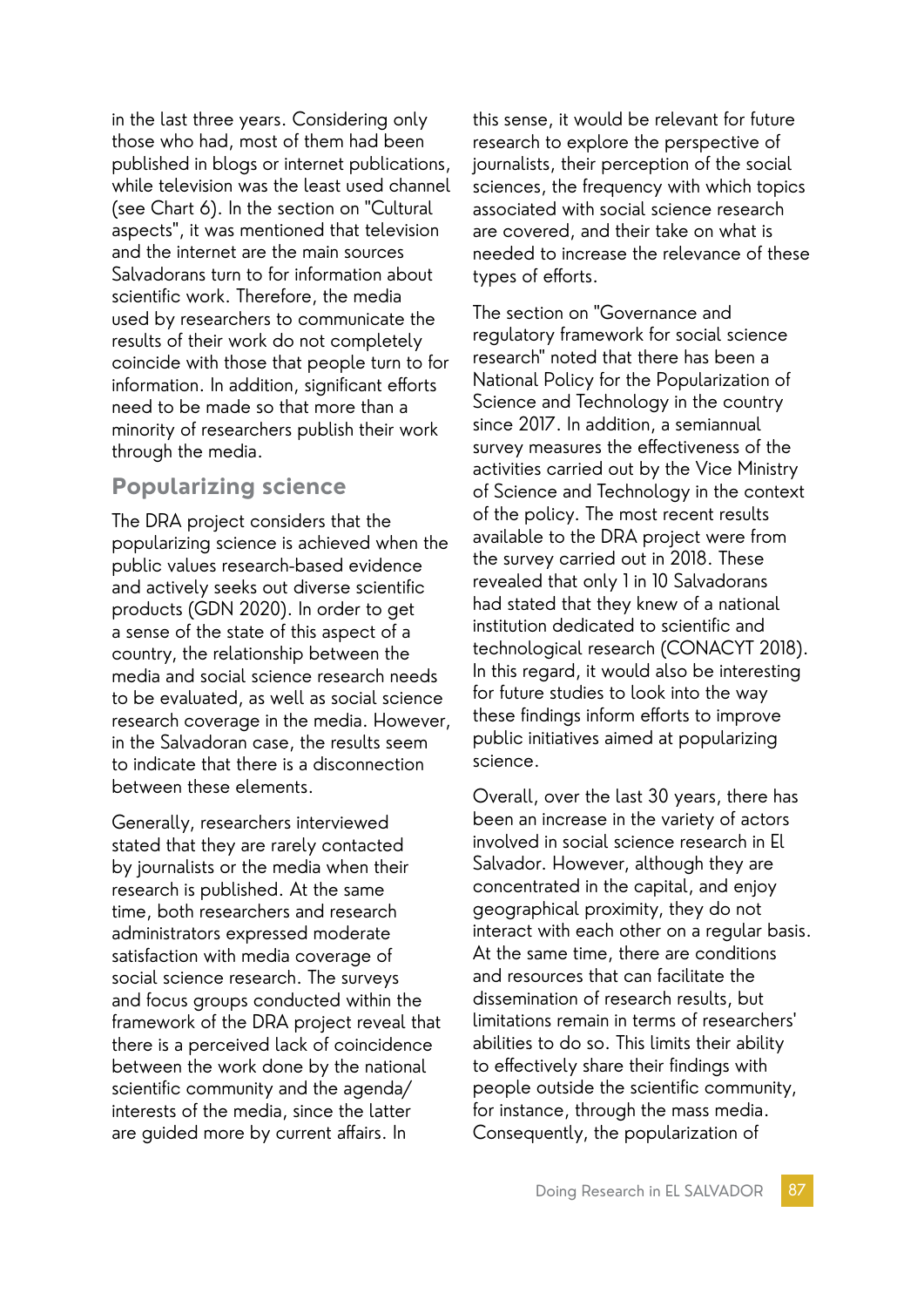in the last three years. Considering only those who had, most of them had been published in blogs or internet publications, while television was the least used channel (see Chart 6). In the section on "Cultural aspects", it was mentioned that television and the internet are the main sources Salvadorans turn to for information about scientific work. Therefore, the media used by researchers to communicate the results of their work do not completely coincide with those that people turn to for information. In addition, significant efforts need to be made so that more than a minority of researchers publish their work through the media.

## **Popularizing science**

The DRA project considers that the popularizing science is achieved when the public values research-based evidence and actively seeks out diverse scientific products (GDN 2020). In order to get a sense of the state of this aspect of a country, the relationship between the media and social science research needs to be evaluated, as well as social science research coverage in the media. However, in the Salvadoran case, the results seem to indicate that there is a disconnection between these elements.

Generally, researchers interviewed stated that they are rarely contacted by journalists or the media when their research is published. At the same time, both researchers and research administrators expressed moderate satisfaction with media coverage of social science research. The surveys and focus groups conducted within the framework of the DRA project reveal that there is a perceived lack of coincidence between the work done by the national scientific community and the agenda/ interests of the media, since the latter are guided more by current affairs. In

this sense, it would be relevant for future research to explore the perspective of journalists, their perception of the social sciences, the frequency with which topics associated with social science research are covered, and their take on what is needed to increase the relevance of these types of efforts.

The section on "Governance and regulatory framework for social science research" noted that there has been a National Policy for the Popularization of Science and Technology in the country since 2017. In addition, a semiannual survey measures the effectiveness of the activities carried out by the Vice Ministry of Science and Technology in the context of the policy. The most recent results available to the DRA project were from the survey carried out in 2018. These revealed that only 1 in 10 Salvadorans had stated that they knew of a national institution dedicated to scientific and technological research (CONACYT 2018). In this regard, it would also be interesting for future studies to look into the way these findings inform efforts to improve public initiatives aimed at popularizing science.

Overall, over the last 30 years, there has been an increase in the variety of actors involved in social science research in El Salvador. However, although they are concentrated in the capital, and enjoy geographical proximity, they do not interact with each other on a regular basis. At the same time, there are conditions and resources that can facilitate the dissemination of research results, but limitations remain in terms of researchers' abilities to do so. This limits their ability to effectively share their findings with people outside the scientific community, for instance, through the mass media. Consequently, the popularization of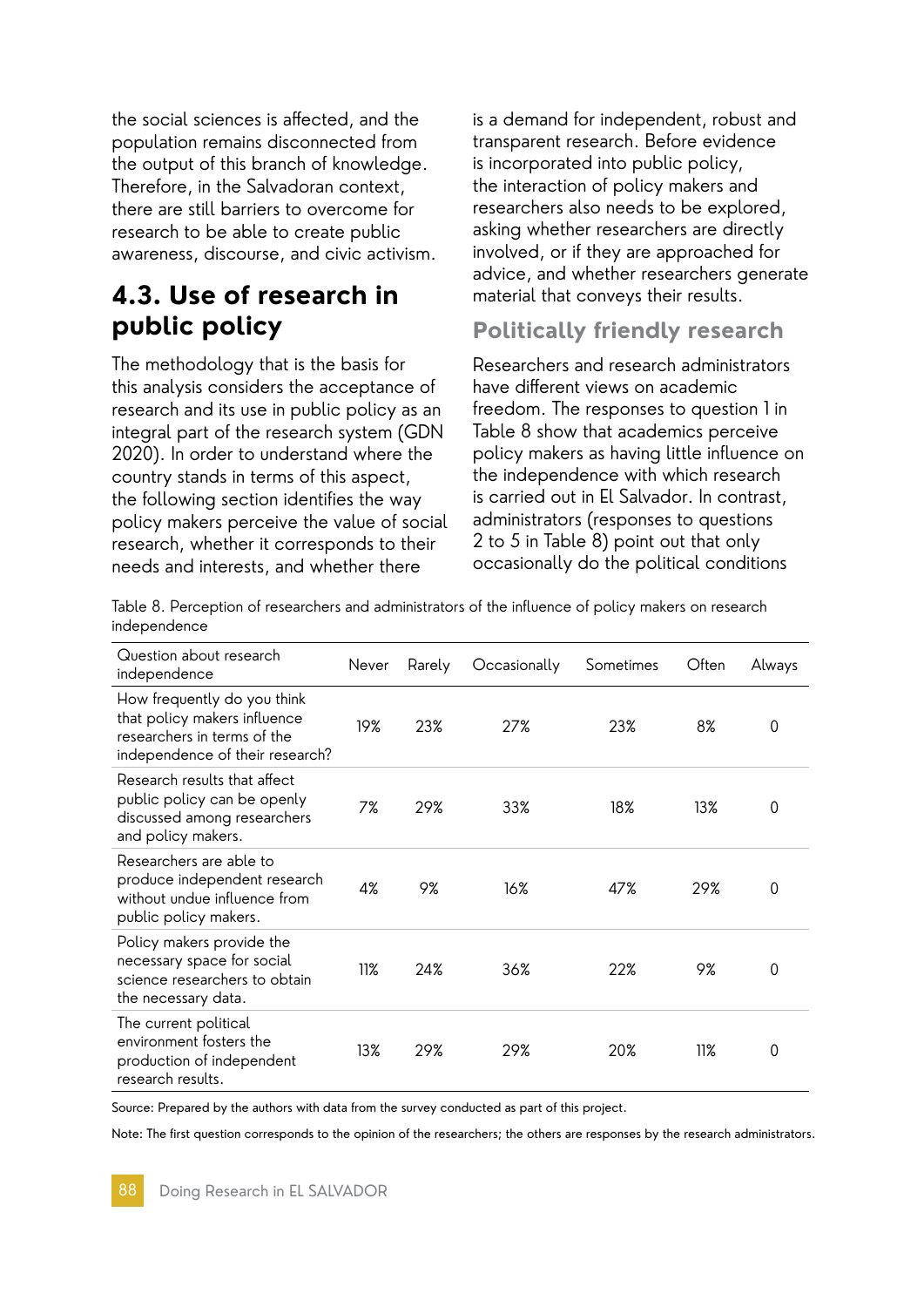the social sciences is affected, and the population remains disconnected from the output of this branch of knowledge. Therefore, in the Salvadoran context, there are still barriers to overcome for research to be able to create public awareness, discourse, and civic activism.

# **4.3. Use of research in public policy**

The methodology that is the basis for this analysis considers the acceptance of research and its use in public policy as an integral part of the research system (GDN 2020). In order to understand where the country stands in terms of this aspect, the following section identifies the way policy makers perceive the value of social research, whether it corresponds to their needs and interests, and whether there

is a demand for independent, robust and transparent research. Before evidence is incorporated into public policy, the interaction of policy makers and researchers also needs to be explored, asking whether researchers are directly involved, or if they are approached for advice, and whether researchers generate material that conveys their results.

## **Politically friendly research**

Researchers and research administrators have different views on academic freedom. The responses to question 1 in Table 8 show that academics perceive policy makers as having little influence on the independence with which research is carried out in El Salvador. In contrast, administrators (responses to questions 2 to 5 in Table 8) point out that only occasionally do the political conditions

Table 8. Perception of researchers and administrators of the influence of policy makers on research independence

| Question about research<br>independence                                                                                       | Never | Rarely | Occasionally | Sometimes | Often | Always |
|-------------------------------------------------------------------------------------------------------------------------------|-------|--------|--------------|-----------|-------|--------|
| How frequently do you think<br>that policy makers influence<br>researchers in terms of the<br>independence of their research? | 19%   | 23%    | 27%          | 23%       | 8%    | 0      |
| Research results that affect<br>public policy can be openly<br>discussed among researchers<br>and policy makers.              | 7%    | 29%    | 33%          | 18%       | 13%   | 0      |
| Researchers are able to<br>produce independent research<br>without undue influence from<br>public policy makers.              | 4%    | 9%     | 16%          | 47%       | 29%   | 0      |
| Policy makers provide the<br>necessary space for social<br>science researchers to obtain<br>the necessary data.               | 11%   | 24%    | 36%          | 22%       | 9%    | 0      |
| The current political<br>environment fosters the<br>production of independent<br>research results.                            | 13%   | 29%    | 29%          | 20%       | 11%   | 0      |

Source: Prepared by the authors with data from the survey conducted as part of this project.

Note: The first question corresponds to the opinion of the researchers; the others are responses by the research administrators.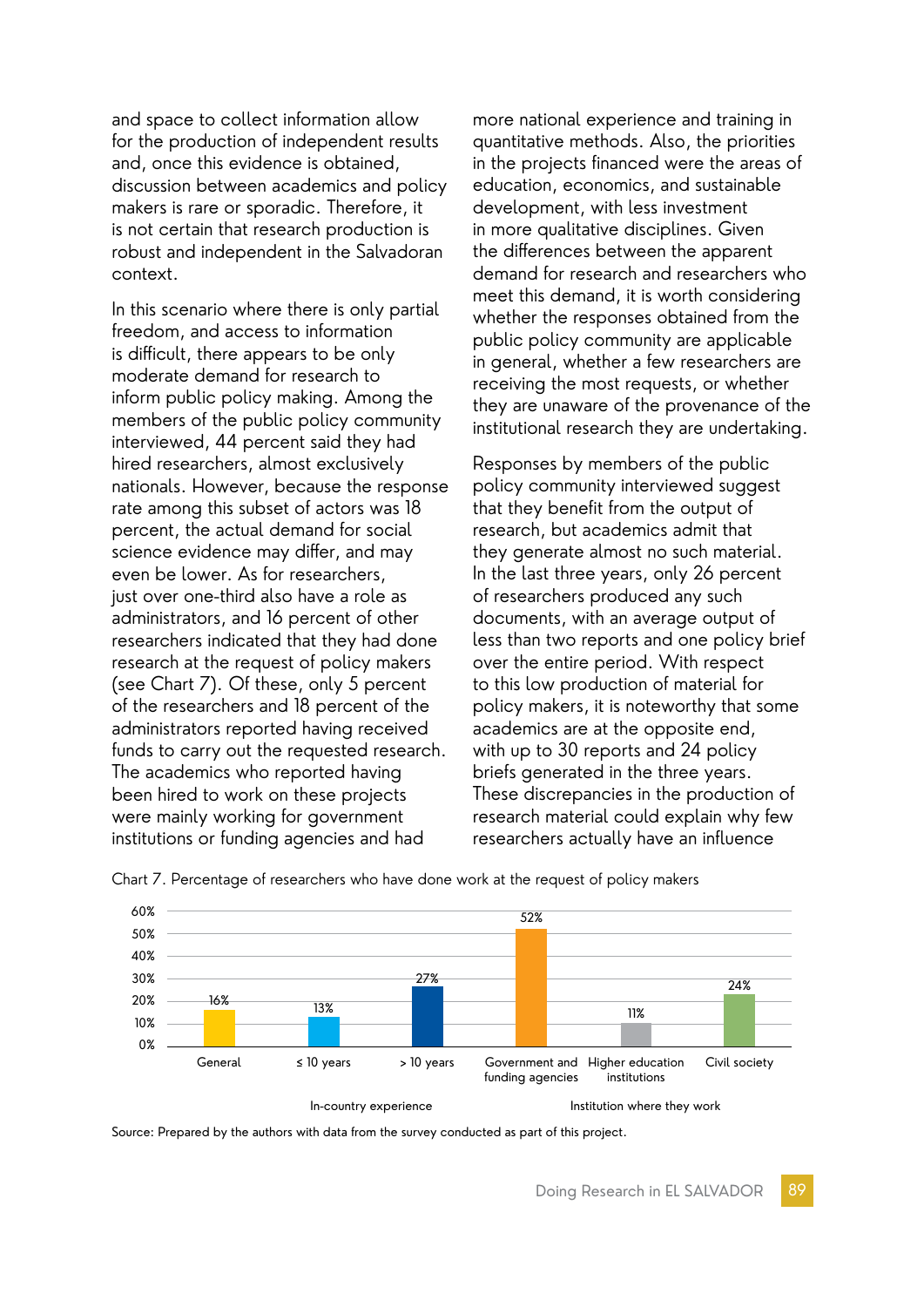and space to collect information allow for the production of independent results and, once this evidence is obtained, discussion between academics and policy makers is rare or sporadic. Therefore, it is not certain that research production is robust and independent in the Salvadoran context.

In this scenario where there is only partial freedom, and access to information is difficult, there appears to be only moderate demand for research to inform public policy making. Among the members of the public policy community interviewed, 44 percent said they had hired researchers, almost exclusively nationals. However, because the response rate among this subset of actors was 18 percent, the actual demand for social science evidence may differ, and may even be lower. As for researchers, just over one-third also have a role as administrators, and 16 percent of other researchers indicated that they had done research at the request of policy makers (see Chart 7). Of these, only 5 percent of the researchers and 18 percent of the administrators reported having received funds to carry out the requested research. The academics who reported having been hired to work on these projects were mainly working for government institutions or funding agencies and had

more national experience and training in quantitative methods. Also, the priorities in the projects financed were the areas of education, economics, and sustainable development, with less investment in more qualitative disciplines. Given the differences between the apparent demand for research and researchers who meet this demand, it is worth considering whether the responses obtained from the public policy community are applicable in general, whether a few researchers are receiving the most requests, or whether they are unaware of the provenance of the institutional research they are undertaking.

Responses by members of the public policy community interviewed suggest that they benefit from the output of research, but academics admit that they generate almost no such material. In the last three years, only 26 percent of researchers produced any such documents, with an average output of less than two reports and one policy brief over the entire period. With respect to this low production of material for policy makers, it is noteworthy that some academics are at the opposite end, with up to 30 reports and 24 policy briefs generated in the three years. These discrepancies in the production of research material could explain why few researchers actually have an influence



Chart 7. Percentage of researchers who have done work at the request of policy makers

Source: Prepared by the authors with data from the survey conducted as part of this project.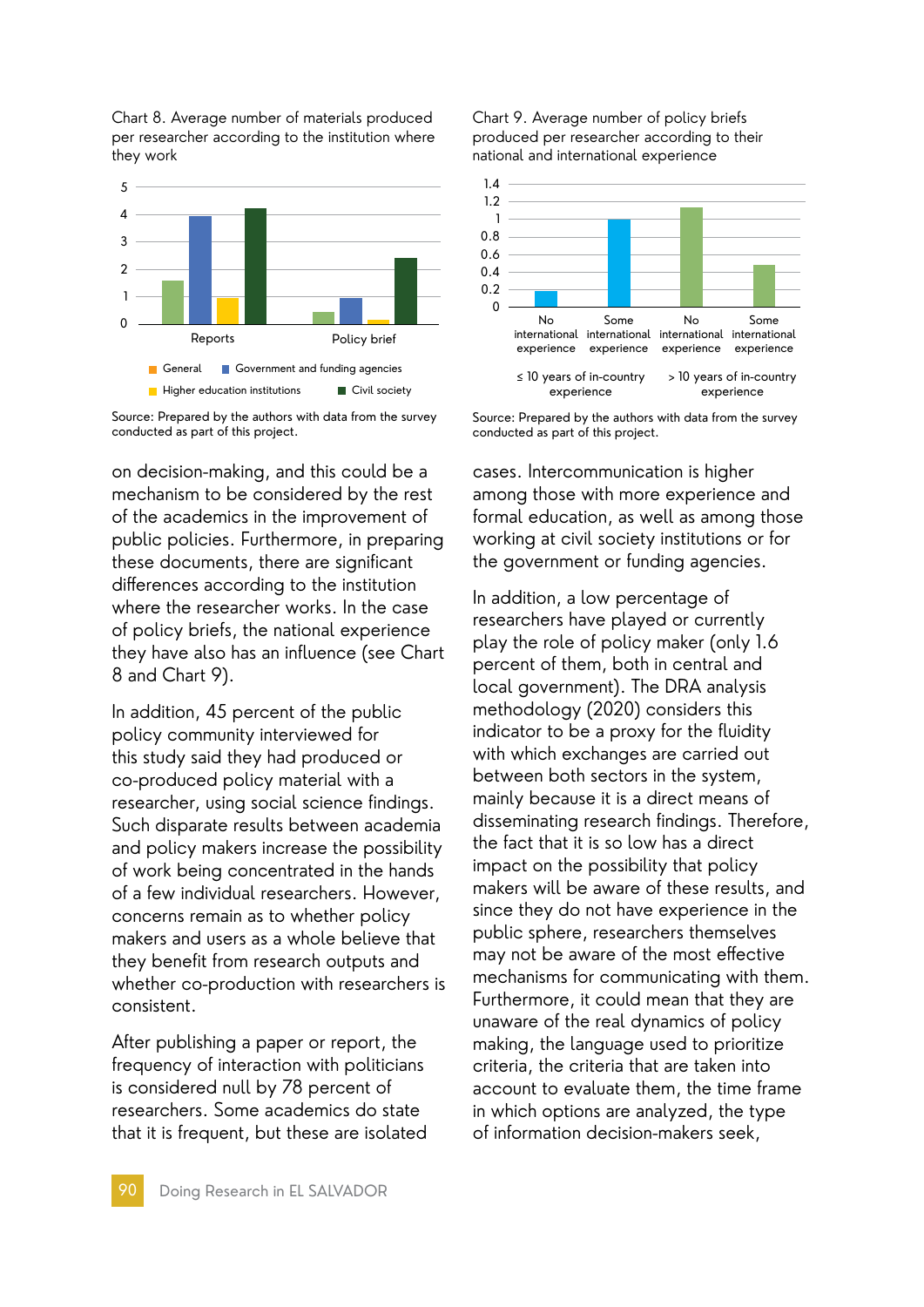Chart 8. Average number of materials produced per researcher according to the institution where they work



Source: Prepared by the authors with data from the survey conducted as part of this project.

on decision-making, and this could be a mechanism to be considered by the rest of the academics in the improvement of public policies. Furthermore, in preparing these documents, there are significant differences according to the institution where the researcher works. In the case of policy briefs, the national experience they have also has an influence (see Chart 8 and Chart 9).

In addition, 45 percent of the public policy community interviewed for this study said they had produced or co-produced policy material with a researcher, using social science findings. Such disparate results between academia and policy makers increase the possibility of work being concentrated in the hands of a few individual researchers. However, concerns remain as to whether policy makers and users as a whole believe that they benefit from research outputs and whether co-production with researchers is consistent.

After publishing a paper or report, the frequency of interaction with politicians is considered null by 78 percent of researchers. Some academics do state that it is frequent, but these are isolated Chart 9. Average number of policy briefs produced per researcher according to their national and international experience



Source: Prepared by the authors with data from the survey conducted as part of this project.

cases. Intercommunication is higher among those with more experience and formal education, as well as among those working at civil society institutions or for the government or funding agencies.

In addition, a low percentage of researchers have played or currently play the role of policy maker (only 1.6 percent of them, both in central and local government). The DRA analysis methodology (2020) considers this indicator to be a proxy for the fluidity with which exchanges are carried out between both sectors in the system, mainly because it is a direct means of disseminating research findings. Therefore, the fact that it is so low has a direct impact on the possibility that policy makers will be aware of these results, and since they do not have experience in the public sphere, researchers themselves may not be aware of the most effective mechanisms for communicating with them. Furthermore, it could mean that they are unaware of the real dynamics of policy making, the language used to prioritize criteria, the criteria that are taken into account to evaluate them, the time frame in which options are analyzed, the type of information decision-makers seek,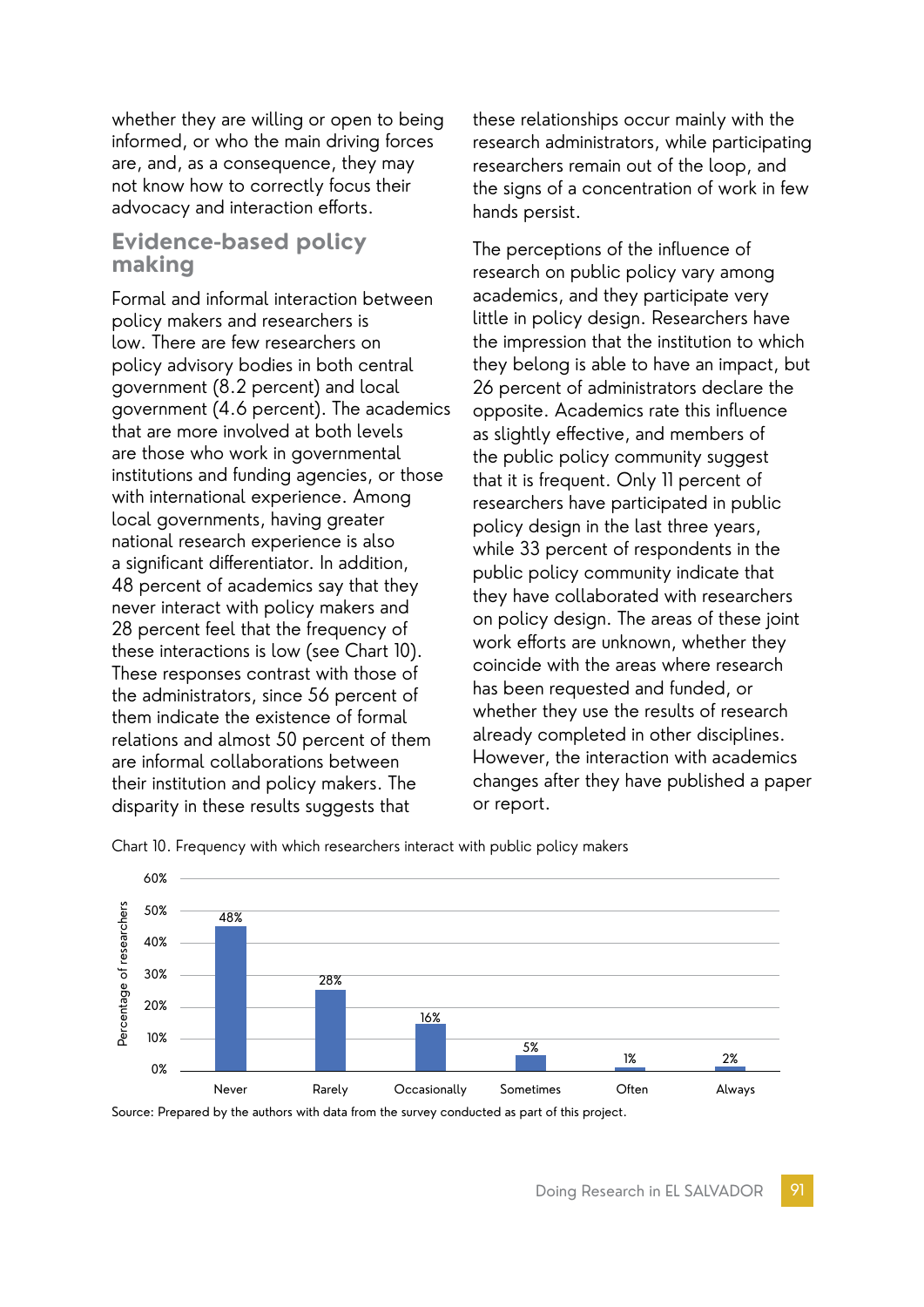whether they are willing or open to being informed, or who the main driving forces are, and, as a consequence, they may not know how to correctly focus their advocacy and interaction efforts.

### **Evidence-based policy making**

Formal and informal interaction between policy makers and researchers is low. There are few researchers on policy advisory bodies in both central government (8.2 percent) and local government (4.6 percent). The academics that are more involved at both levels are those who work in governmental institutions and funding agencies, or those with international experience. Among local governments, having greater national research experience is also a significant differentiator. In addition, 48 percent of academics say that they never interact with policy makers and 28 percent feel that the frequency of these interactions is low (see Chart 10). These responses contrast with those of the administrators, since 56 percent of them indicate the existence of formal relations and almost 50 percent of them are informal collaborations between their institution and policy makers. The disparity in these results suggests that

these relationships occur mainly with the research administrators, while participating researchers remain out of the loop, and the signs of a concentration of work in few hands persist.

The perceptions of the influence of research on public policy vary among academics, and they participate very little in policy design. Researchers have the impression that the institution to which they belong is able to have an impact, but 26 percent of administrators declare the opposite. Academics rate this influence as slightly effective, and members of the public policy community suggest that it is frequent. Only 11 percent of researchers have participated in public policy design in the last three years, while 33 percent of respondents in the public policy community indicate that they have collaborated with researchers on policy design. The areas of these joint work efforts are unknown, whether they coincide with the areas where research has been requested and funded, or whether they use the results of research already completed in other disciplines. However, the interaction with academics changes after they have published a paper or report.



Chart 10. Frequency with which researchers interact with public policy makers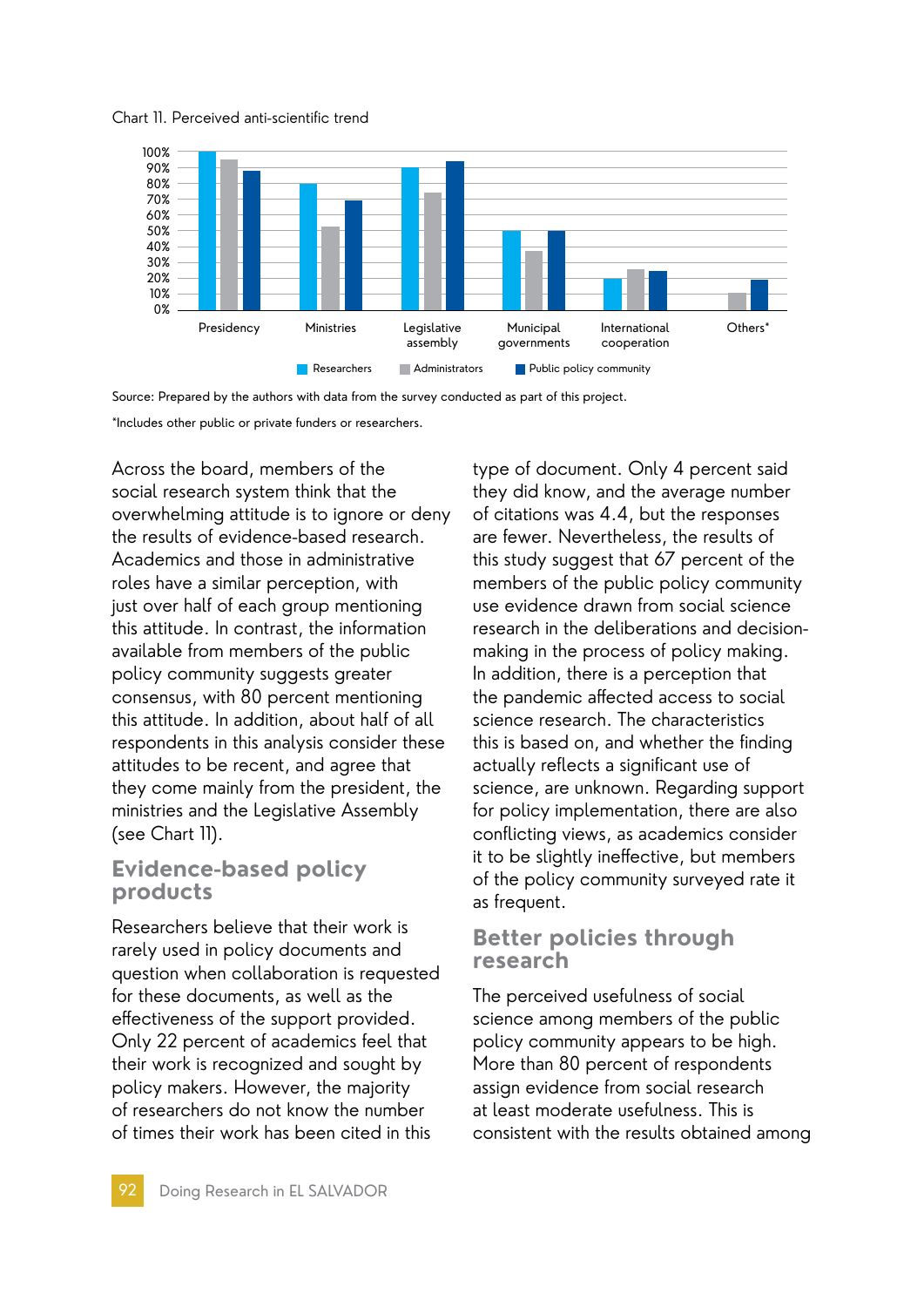



Source: Prepared by the authors with data from the survey conducted as part of this project. \*Includes other public or private funders or researchers.

Across the board, members of the social research system think that the overwhelming attitude is to ignore or deny the results of evidence-based research. Academics and those in administrative roles have a similar perception, with just over half of each group mentioning this attitude. In contrast, the information available from members of the public policy community suggests greater consensus, with 80 percent mentioning this attitude. In addition, about half of all respondents in this analysis consider these attitudes to be recent, and agree that they come mainly from the president, the ministries and the Legislative Assembly (see Chart 11).

## **Evidence-based policy products**

Researchers believe that their work is rarely used in policy documents and question when collaboration is requested for these documents, as well as the effectiveness of the support provided. Only 22 percent of academics feel that their work is recognized and sought by policy makers. However, the majority of researchers do not know the number of times their work has been cited in this

type of document. Only 4 percent said they did know, and the average number of citations was 4.4, but the responses are fewer. Nevertheless, the results of this study suggest that 67 percent of the members of the public policy community use evidence drawn from social science research in the deliberations and decisionmaking in the process of policy making. In addition, there is a perception that the pandemic affected access to social science research. The characteristics this is based on, and whether the finding actually reflects a significant use of science, are unknown. Regarding support for policy implementation, there are also conflicting views, as academics consider it to be slightly ineffective, but members of the policy community surveyed rate it as frequent.

## **Better policies through research**

The perceived usefulness of social science among members of the public policy community appears to be high. More than 80 percent of respondents assign evidence from social research at least moderate usefulness. This is consistent with the results obtained among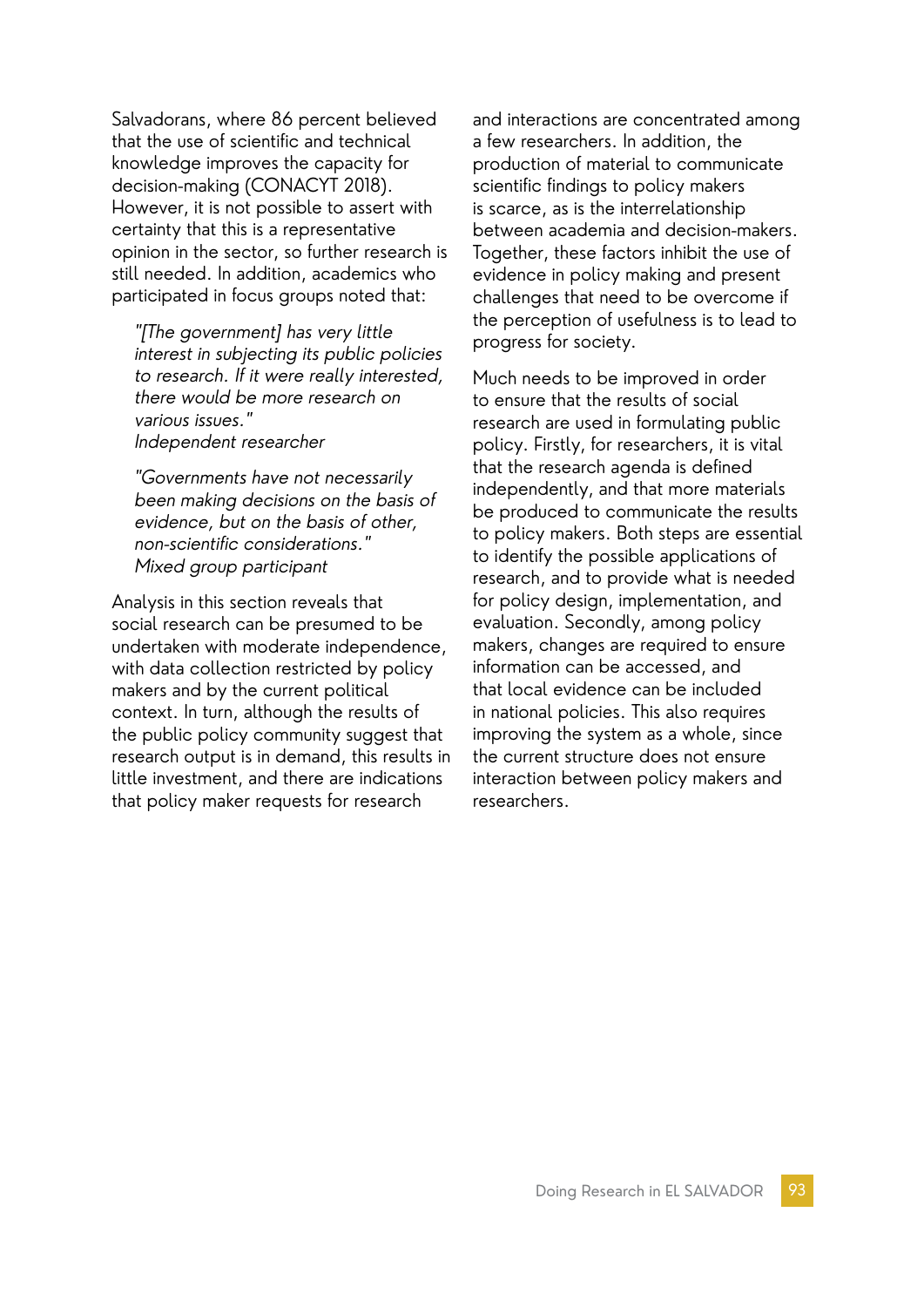Salvadorans, where 86 percent believed that the use of scientific and technical knowledge improves the capacity for decision-making (CONACYT 2018). However, it is not possible to assert with certainty that this is a representative opinion in the sector, so further research is still needed. In addition, academics who participated in focus groups noted that:

"[The government] has very little interest in subjecting its public policies to research. If it were really interested, there would be more research on various issues." Independent researcher

"Governments have not necessarily been making decisions on the basis of evidence, but on the basis of other, non-scientific considerations." Mixed group participant

Analysis in this section reveals that social research can be presumed to be undertaken with moderate independence, with data collection restricted by policy makers and by the current political context. In turn, although the results of the public policy community suggest that research output is in demand, this results in little investment, and there are indications that policy maker requests for research

and interactions are concentrated among a few researchers. In addition, the production of material to communicate scientific findings to policy makers is scarce, as is the interrelationship between academia and decision-makers. Together, these factors inhibit the use of evidence in policy making and present challenges that need to be overcome if the perception of usefulness is to lead to progress for society.

Much needs to be improved in order to ensure that the results of social research are used in formulating public policy. Firstly, for researchers, it is vital that the research agenda is defined independently, and that more materials be produced to communicate the results to policy makers. Both steps are essential to identify the possible applications of research, and to provide what is needed for policy design, implementation, and evaluation. Secondly, among policy makers, changes are required to ensure information can be accessed, and that local evidence can be included in national policies. This also requires improving the system as a whole, since the current structure does not ensure interaction between policy makers and researchers.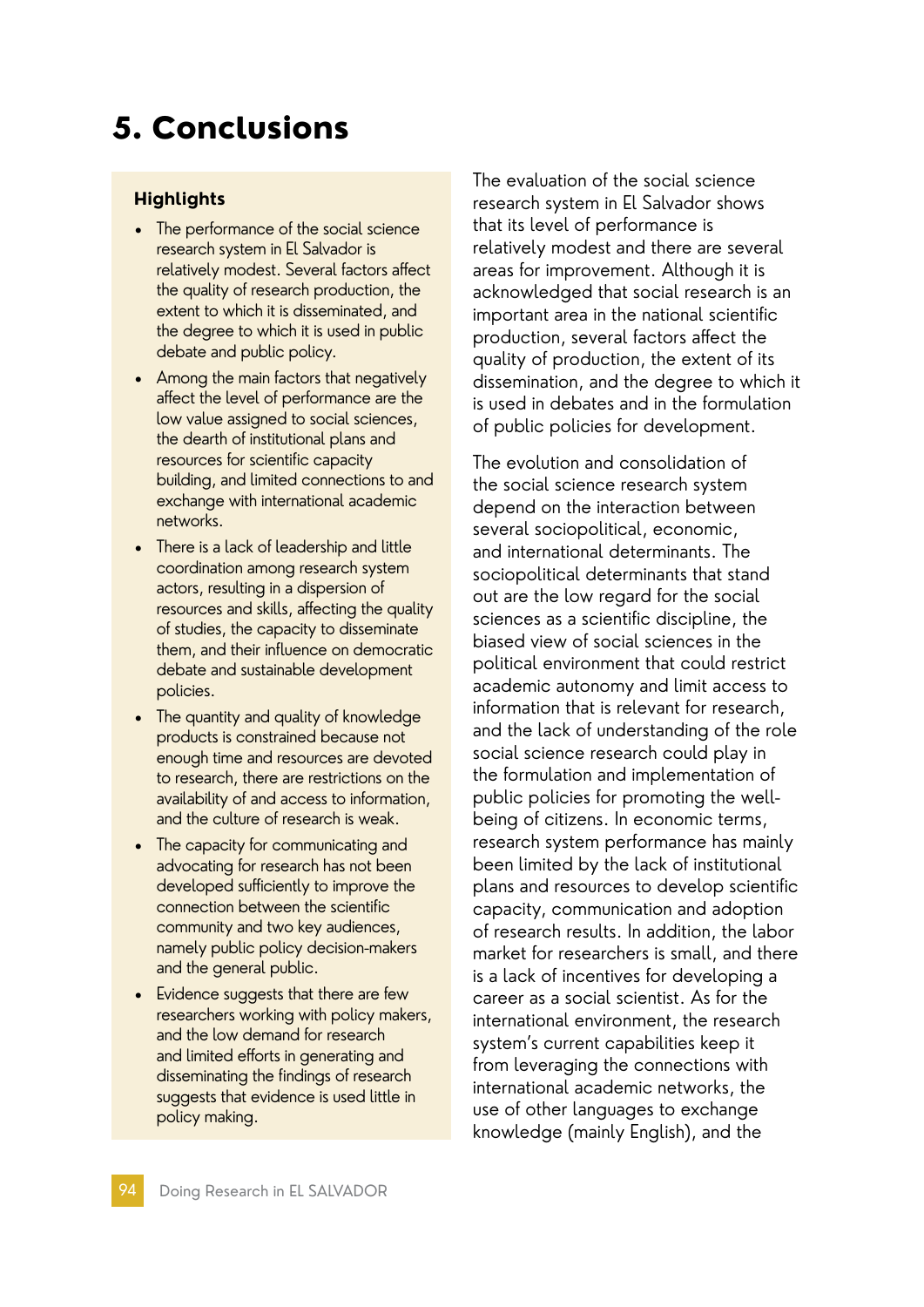# 5. Conclusions

#### **Highlights**

- The performance of the social science research system in El Salvador is relatively modest. Several factors affect the quality of research production, the extent to which it is disseminated, and the degree to which it is used in public debate and public policy.
- Among the main factors that negatively affect the level of performance are the low value assigned to social sciences, the dearth of institutional plans and resources for scientific capacity building, and limited connections to and exchange with international academic networks.
- There is a lack of leadership and little coordination among research system actors, resulting in a dispersion of resources and skills, affecting the quality of studies, the capacity to disseminate them, and their influence on democratic debate and sustainable development policies.
- The quantity and quality of knowledge products is constrained because not enough time and resources are devoted to research, there are restrictions on the availability of and access to information, and the culture of research is weak.
- The capacity for communicating and advocating for research has not been developed sufficiently to improve the connection between the scientific community and two key audiences, namely public policy decision-makers and the general public.
- Evidence suggests that there are few researchers working with policy makers, and the low demand for research and limited efforts in generating and disseminating the findings of research suggests that evidence is used little in policy making.

The evaluation of the social science research system in El Salvador shows that its level of performance is relatively modest and there are several areas for improvement. Although it is acknowledged that social research is an important area in the national scientific production, several factors affect the quality of production, the extent of its dissemination, and the degree to which it is used in debates and in the formulation of public policies for development.

The evolution and consolidation of the social science research system depend on the interaction between several sociopolitical, economic, and international determinants. The sociopolitical determinants that stand out are the low regard for the social sciences as a scientific discipline, the biased view of social sciences in the political environment that could restrict academic autonomy and limit access to information that is relevant for research, and the lack of understanding of the role social science research could play in the formulation and implementation of public policies for promoting the wellbeing of citizens. In economic terms, research system performance has mainly been limited by the lack of institutional plans and resources to develop scientific capacity, communication and adoption of research results. In addition, the labor market for researchers is small, and there is a lack of incentives for developing a career as a social scientist. As for the international environment, the research system's current capabilities keep it from leveraging the connections with international academic networks, the use of other languages to exchange knowledge (mainly English), and the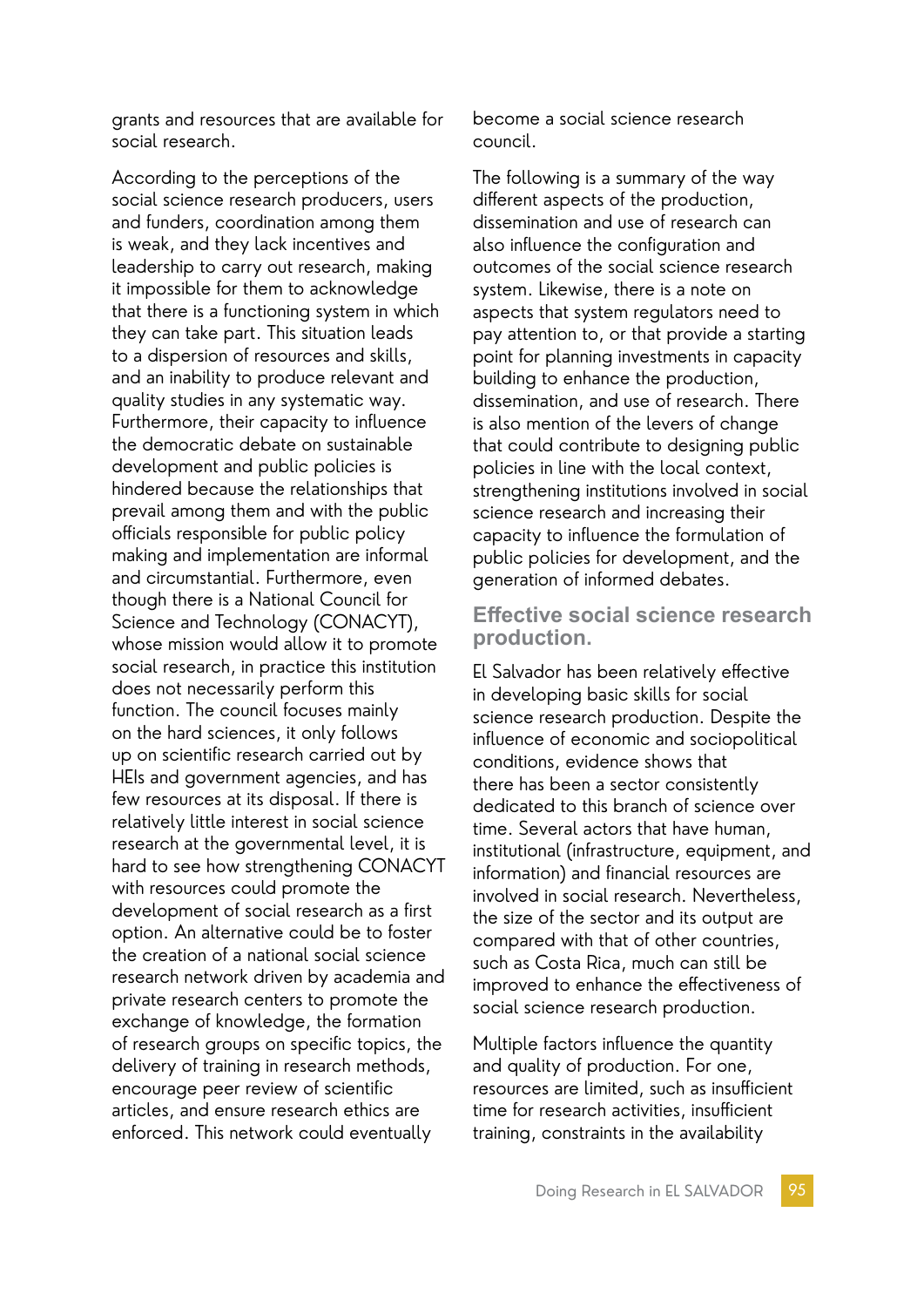grants and resources that are available for social research.

According to the perceptions of the social science research producers, users and funders, coordination among them is weak, and they lack incentives and leadership to carry out research, making it impossible for them to acknowledge that there is a functioning system in which they can take part. This situation leads to a dispersion of resources and skills, and an inability to produce relevant and quality studies in any systematic way. Furthermore, their capacity to influence the democratic debate on sustainable development and public policies is hindered because the relationships that prevail among them and with the public officials responsible for public policy making and implementation are informal and circumstantial. Furthermore, even though there is a National Council for Science and Technology (CONACYT), whose mission would allow it to promote social research, in practice this institution does not necessarily perform this function. The council focuses mainly on the hard sciences, it only follows up on scientific research carried out by HEIs and government agencies, and has few resources at its disposal. If there is relatively little interest in social science research at the governmental level, it is hard to see how strengthening CONACYT with resources could promote the development of social research as a first option. An alternative could be to foster the creation of a national social science research network driven by academia and private research centers to promote the exchange of knowledge, the formation of research groups on specific topics, the delivery of training in research methods, encourage peer review of scientific articles, and ensure research ethics are enforced. This network could eventually

become a social science research council.

The following is a summary of the way different aspects of the production, dissemination and use of research can also influence the configuration and outcomes of the social science research system. Likewise, there is a note on aspects that system regulators need to pay attention to, or that provide a starting point for planning investments in capacity building to enhance the production, dissemination, and use of research. There is also mention of the levers of change that could contribute to designing public policies in line with the local context, strengthening institutions involved in social science research and increasing their capacity to influence the formulation of public policies for development, and the generation of informed debates.

### **Effective social science research production.**

El Salvador has been relatively effective in developing basic skills for social science research production. Despite the influence of economic and sociopolitical conditions, evidence shows that there has been a sector consistently dedicated to this branch of science over time. Several actors that have human, institutional (infrastructure, equipment, and information) and financial resources are involved in social research. Nevertheless, the size of the sector and its output are compared with that of other countries, such as Costa Rica, much can still be improved to enhance the effectiveness of social science research production.

Multiple factors influence the quantity and quality of production. For one, resources are limited, such as insufficient time for research activities, insufficient training, constraints in the availability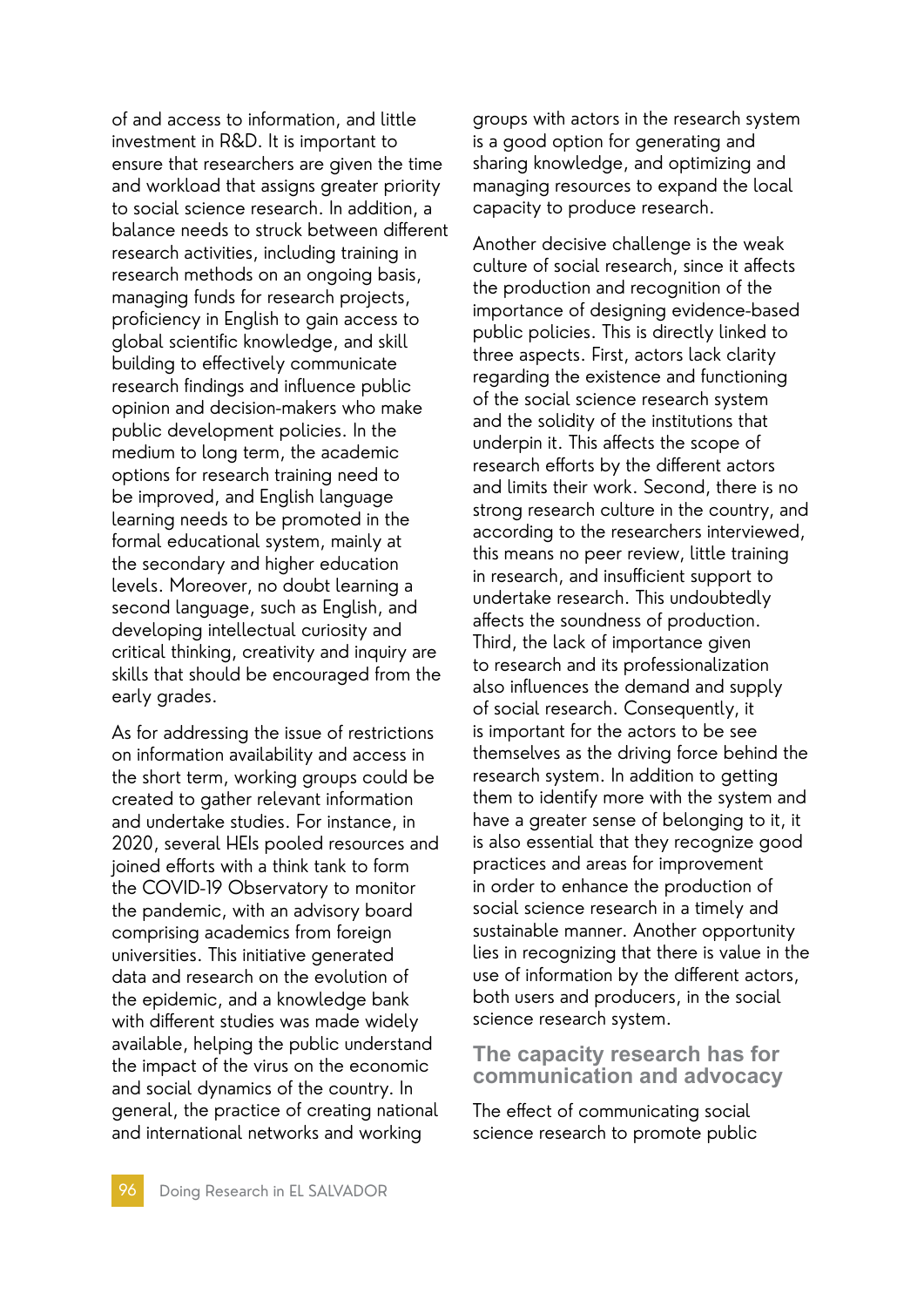of and access to information, and little investment in R&D. It is important to ensure that researchers are given the time and workload that assigns greater priority to social science research. In addition, a balance needs to struck between different research activities, including training in research methods on an ongoing basis, managing funds for research projects, proficiency in English to gain access to global scientific knowledge, and skill building to effectively communicate research findings and influence public opinion and decision-makers who make public development policies. In the medium to long term, the academic options for research training need to be improved, and English language learning needs to be promoted in the formal educational system, mainly at the secondary and higher education levels. Moreover, no doubt learning a second language, such as English, and developing intellectual curiosity and critical thinking, creativity and inquiry are skills that should be encouraged from the early grades.

As for addressing the issue of restrictions on information availability and access in the short term, working groups could be created to gather relevant information and undertake studies. For instance, in 2020, several HEIs pooled resources and joined efforts with a think tank to form the COVID-19 Observatory to monitor the pandemic, with an advisory board comprising academics from foreign universities. This initiative generated data and research on the evolution of the epidemic, and a knowledge bank with different studies was made widely available, helping the public understand the impact of the virus on the economic and social dynamics of the country. In general, the practice of creating national and international networks and working

groups with actors in the research system is a good option for generating and sharing knowledge, and optimizing and managing resources to expand the local capacity to produce research.

Another decisive challenge is the weak culture of social research, since it affects the production and recognition of the importance of designing evidence-based public policies. This is directly linked to three aspects. First, actors lack clarity regarding the existence and functioning of the social science research system and the solidity of the institutions that underpin it. This affects the scope of research efforts by the different actors and limits their work. Second, there is no strong research culture in the country, and according to the researchers interviewed, this means no peer review, little training in research, and insufficient support to undertake research. This undoubtedly affects the soundness of production. Third, the lack of importance given to research and its professionalization also influences the demand and supply of social research. Consequently, it is important for the actors to be see themselves as the driving force behind the research system. In addition to getting them to identify more with the system and have a greater sense of belonging to it, it is also essential that they recognize good practices and areas for improvement in order to enhance the production of social science research in a timely and sustainable manner. Another opportunity lies in recognizing that there is value in the use of information by the different actors, both users and producers, in the social science research system.

### **The capacity research has for communication and advocacy**

The effect of communicating social science research to promote public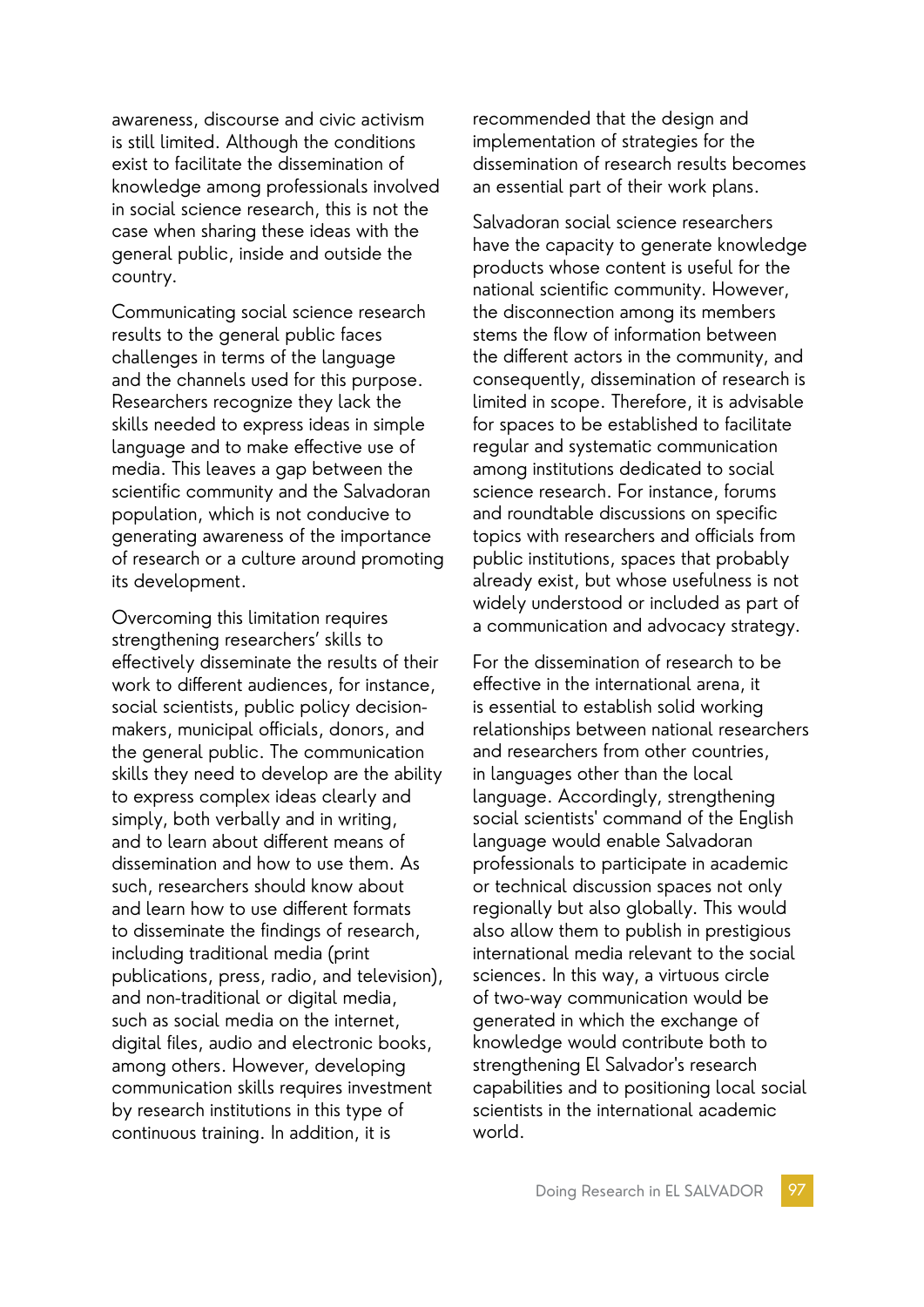awareness, discourse and civic activism is still limited. Although the conditions exist to facilitate the dissemination of knowledge among professionals involved in social science research, this is not the case when sharing these ideas with the general public, inside and outside the country.

Communicating social science research results to the general public faces challenges in terms of the language and the channels used for this purpose. Researchers recognize they lack the skills needed to express ideas in simple language and to make effective use of media. This leaves a gap between the scientific community and the Salvadoran population, which is not conducive to generating awareness of the importance of research or a culture around promoting its development.

Overcoming this limitation requires strengthening researchers' skills to effectively disseminate the results of their work to different audiences, for instance, social scientists, public policy decisionmakers, municipal officials, donors, and the general public. The communication skills they need to develop are the ability to express complex ideas clearly and simply, both verbally and in writing, and to learn about different means of dissemination and how to use them. As such, researchers should know about and learn how to use different formats to disseminate the findings of research, including traditional media (print publications, press, radio, and television), and non-traditional or digital media, such as social media on the internet, digital files, audio and electronic books, among others. However, developing communication skills requires investment by research institutions in this type of continuous training. In addition, it is

recommended that the design and implementation of strategies for the dissemination of research results becomes an essential part of their work plans.

Salvadoran social science researchers have the capacity to generate knowledge products whose content is useful for the national scientific community. However, the disconnection among its members stems the flow of information between the different actors in the community, and consequently, dissemination of research is limited in scope. Therefore, it is advisable for spaces to be established to facilitate regular and systematic communication among institutions dedicated to social science research. For instance, forums and roundtable discussions on specific topics with researchers and officials from public institutions, spaces that probably already exist, but whose usefulness is not widely understood or included as part of a communication and advocacy strategy.

For the dissemination of research to be effective in the international arena, it is essential to establish solid working relationships between national researchers and researchers from other countries, in languages other than the local language. Accordingly, strengthening social scientists' command of the English language would enable Salvadoran professionals to participate in academic or technical discussion spaces not only regionally but also globally. This would also allow them to publish in prestigious international media relevant to the social sciences. In this way, a virtuous circle of two-way communication would be generated in which the exchange of knowledge would contribute both to strengthening El Salvador's research capabilities and to positioning local social scientists in the international academic world.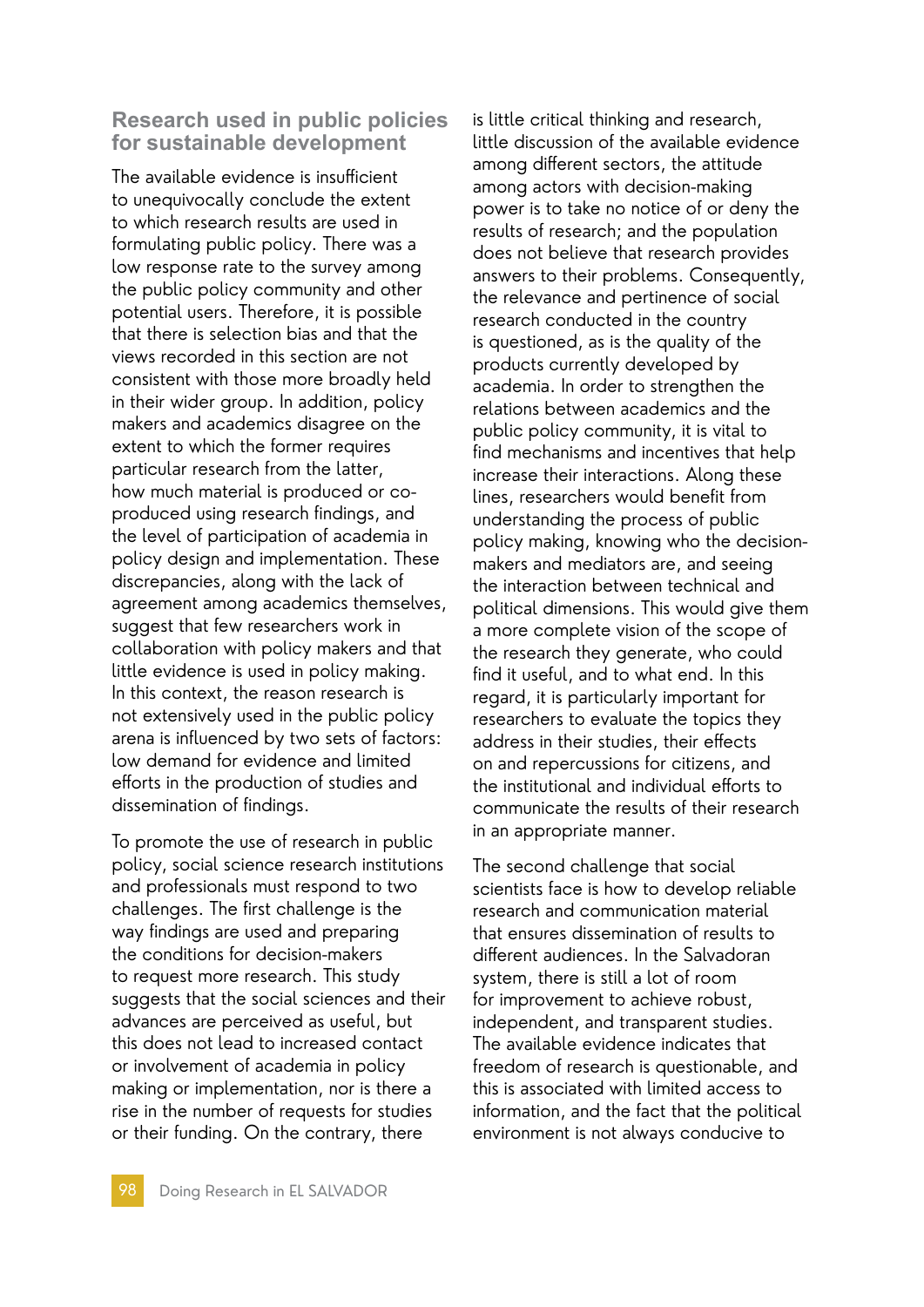### **Research used in public policies for sustainable development**

The available evidence is insufficient to unequivocally conclude the extent to which research results are used in formulating public policy. There was a low response rate to the survey among the public policy community and other potential users. Therefore, it is possible that there is selection bias and that the views recorded in this section are not consistent with those more broadly held in their wider group. In addition, policy makers and academics disagree on the extent to which the former requires particular research from the latter, how much material is produced or coproduced using research findings, and the level of participation of academia in policy design and implementation. These discrepancies, along with the lack of agreement among academics themselves, suggest that few researchers work in collaboration with policy makers and that little evidence is used in policy making. In this context, the reason research is not extensively used in the public policy arena is influenced by two sets of factors: low demand for evidence and limited efforts in the production of studies and dissemination of findings.

To promote the use of research in public policy, social science research institutions and professionals must respond to two challenges. The first challenge is the way findings are used and preparing the conditions for decision-makers to request more research. This study suggests that the social sciences and their advances are perceived as useful, but this does not lead to increased contact or involvement of academia in policy making or implementation, nor is there a rise in the number of requests for studies or their funding. On the contrary, there

is little critical thinking and research, little discussion of the available evidence among different sectors, the attitude among actors with decision-making power is to take no notice of or deny the results of research; and the population does not believe that research provides answers to their problems. Consequently, the relevance and pertinence of social research conducted in the country is questioned, as is the quality of the products currently developed by academia. In order to strengthen the relations between academics and the public policy community, it is vital to find mechanisms and incentives that help increase their interactions. Along these lines, researchers would benefit from understanding the process of public policy making, knowing who the decisionmakers and mediators are, and seeing the interaction between technical and political dimensions. This would give them a more complete vision of the scope of the research they generate, who could find it useful, and to what end. In this regard, it is particularly important for researchers to evaluate the topics they address in their studies, their effects on and repercussions for citizens, and the institutional and individual efforts to communicate the results of their research in an appropriate manner.

The second challenge that social scientists face is how to develop reliable research and communication material that ensures dissemination of results to different audiences. In the Salvadoran system, there is still a lot of room for improvement to achieve robust, independent, and transparent studies. The available evidence indicates that freedom of research is questionable, and this is associated with limited access to information, and the fact that the political environment is not always conducive to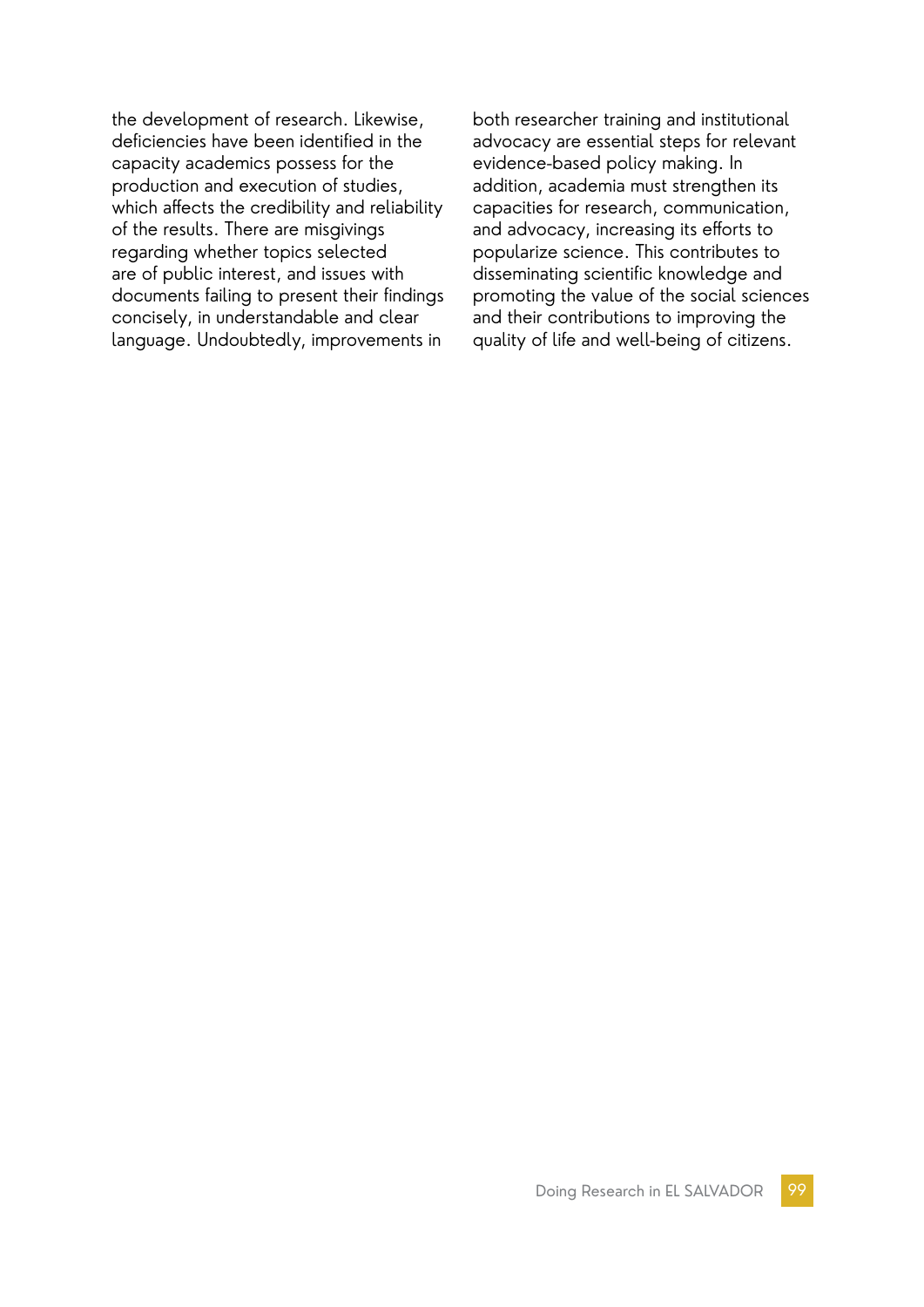the development of research. Likewise, deficiencies have been identified in the capacity academics possess for the production and execution of studies, which affects the credibility and reliability of the results. There are misgivings regarding whether topics selected are of public interest, and issues with documents failing to present their findings concisely, in understandable and clear language. Undoubtedly, improvements in

both researcher training and institutional advocacy are essential steps for relevant evidence-based policy making. In addition, academia must strengthen its capacities for research, communication, and advocacy, increasing its efforts to popularize science. This contributes to disseminating scientific knowledge and promoting the value of the social sciences and their contributions to improving the quality of life and well-being of citizens.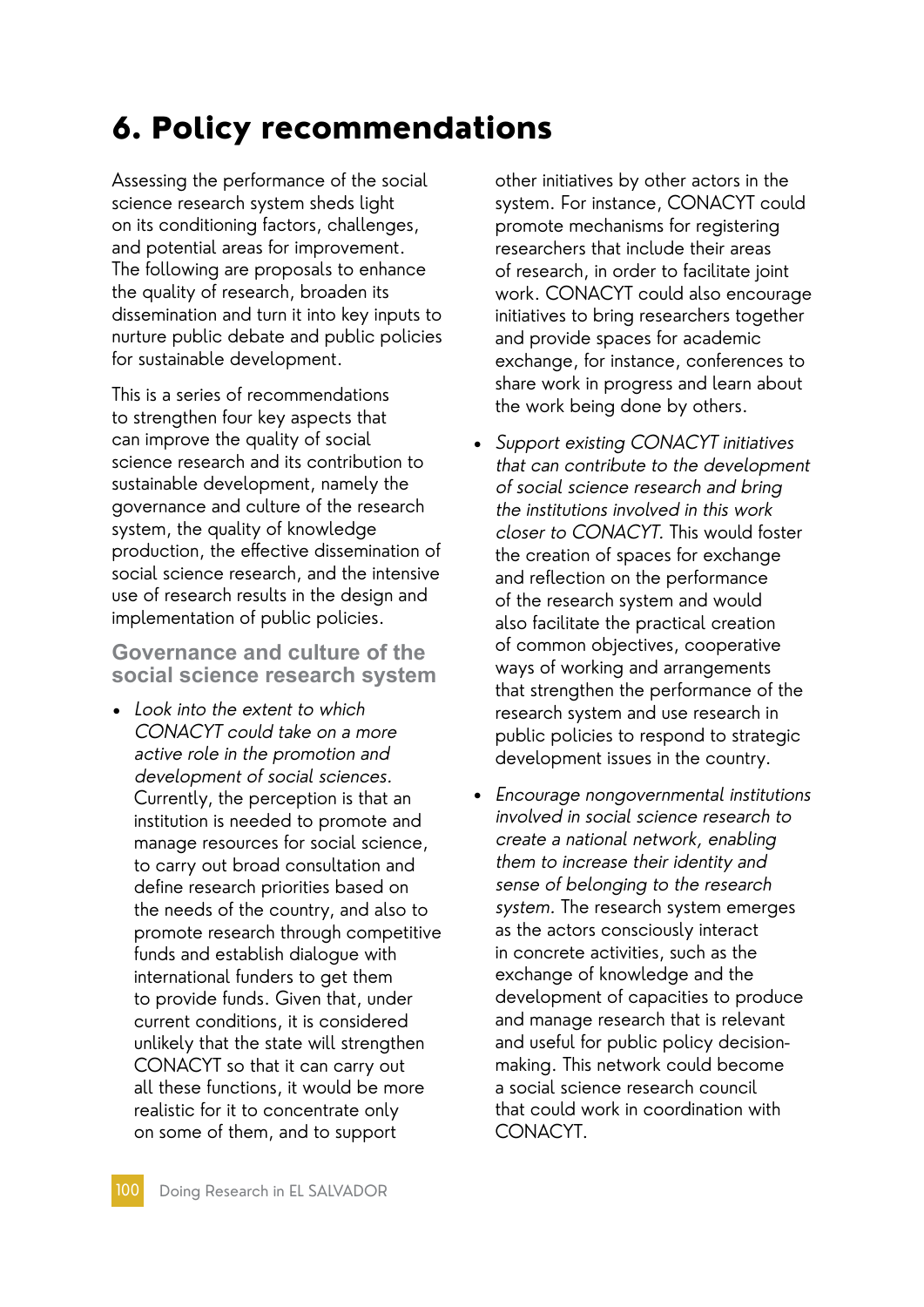# 6. Policy recommendations

Assessing the performance of the social science research system sheds light on its conditioning factors, challenges, and potential areas for improvement. The following are proposals to enhance the quality of research, broaden its dissemination and turn it into key inputs to nurture public debate and public policies for sustainable development.

This is a series of recommendations to strengthen four key aspects that can improve the quality of social science research and its contribution to sustainable development, namely the governance and culture of the research system, the quality of knowledge production, the effective dissemination of social science research, and the intensive use of research results in the design and implementation of public policies.

**Governance and culture of the social science research system**

• Look into the extent to which CONACYT could take on a more active role in the promotion and development of social sciences. Currently, the perception is that an institution is needed to promote and manage resources for social science, to carry out broad consultation and define research priorities based on the needs of the country, and also to promote research through competitive funds and establish dialogue with international funders to get them to provide funds. Given that, under current conditions, it is considered unlikely that the state will strengthen CONACYT so that it can carry out all these functions, it would be more realistic for it to concentrate only on some of them, and to support

other initiatives by other actors in the system. For instance, CONACYT could promote mechanisms for registering researchers that include their areas of research, in order to facilitate joint work. CONACYT could also encourage initiatives to bring researchers together and provide spaces for academic exchange, for instance, conferences to share work in progress and learn about the work being done by others.

- Support existing CONACYT initiatives that can contribute to the development of social science research and bring the institutions involved in this work closer to CONACYT. This would foster the creation of spaces for exchange and reflection on the performance of the research system and would also facilitate the practical creation of common objectives, cooperative ways of working and arrangements that strengthen the performance of the research system and use research in public policies to respond to strategic development issues in the country.
- Encourage nongovernmental institutions involved in social science research to create a national network, enabling them to increase their identity and sense of belonging to the research system. The research system emerges as the actors consciously interact in concrete activities, such as the exchange of knowledge and the development of capacities to produce and manage research that is relevant and useful for public policy decisionmaking. This network could become a social science research council that could work in coordination with CONACYT.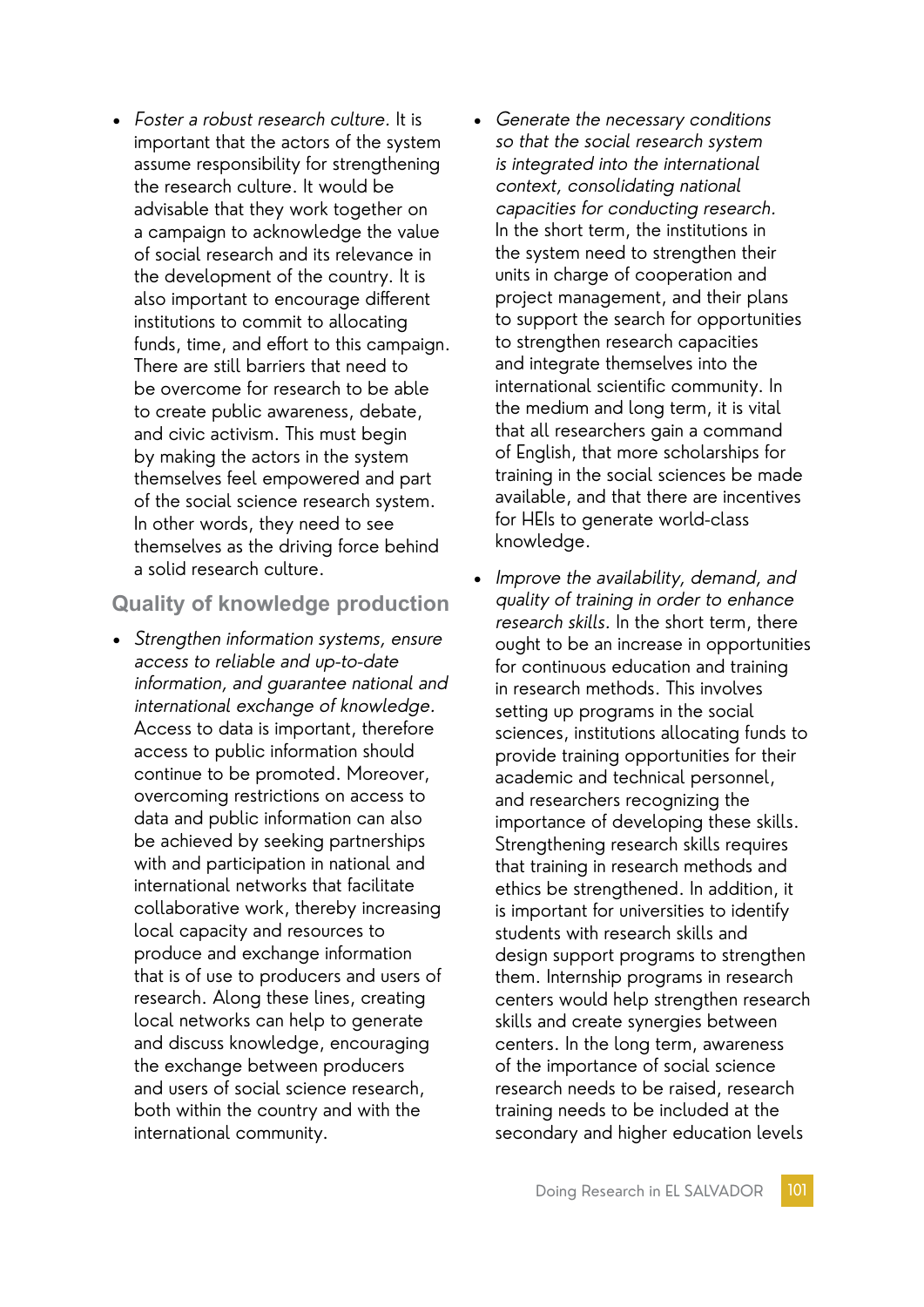• Foster a robust research culture. It is important that the actors of the system assume responsibility for strengthening the research culture. It would be advisable that they work together on a campaign to acknowledge the value of social research and its relevance in the development of the country. It is also important to encourage different institutions to commit to allocating funds, time, and effort to this campaign. There are still barriers that need to be overcome for research to be able to create public awareness, debate, and civic activism. This must begin by making the actors in the system themselves feel empowered and part of the social science research system. In other words, they need to see themselves as the driving force behind a solid research culture.

### **Quality of knowledge production**

- Strengthen information systems, ensure access to reliable and up-to-date information, and guarantee national and international exchange of knowledge. Access to data is important, therefore access to public information should continue to be promoted. Moreover, overcoming restrictions on access to data and public information can also be achieved by seeking partnerships with and participation in national and international networks that facilitate collaborative work, thereby increasing local capacity and resources to produce and exchange information that is of use to producers and users of research. Along these lines, creating local networks can help to generate and discuss knowledge, encouraging the exchange between producers and users of social science research, both within the country and with the international community.
- Generate the necessary conditions so that the social research system is integrated into the international context, consolidating national capacities for conducting research. In the short term, the institutions in the system need to strengthen their units in charge of cooperation and project management, and their plans to support the search for opportunities to strengthen research capacities and integrate themselves into the international scientific community. In the medium and long term, it is vital that all researchers gain a command of English, that more scholarships for training in the social sciences be made available, and that there are incentives for HEIs to generate world-class knowledge.
- Improve the availability, demand, and quality of training in order to enhance research skills. In the short term, there ought to be an increase in opportunities for continuous education and training in research methods. This involves setting up programs in the social sciences, institutions allocating funds to provide training opportunities for their academic and technical personnel, and researchers recognizing the importance of developing these skills. Strengthening research skills requires that training in research methods and ethics be strengthened. In addition, it is important for universities to identify students with research skills and design support programs to strengthen them. Internship programs in research centers would help strengthen research skills and create synergies between centers. In the long term, awareness of the importance of social science research needs to be raised, research training needs to be included at the secondary and higher education levels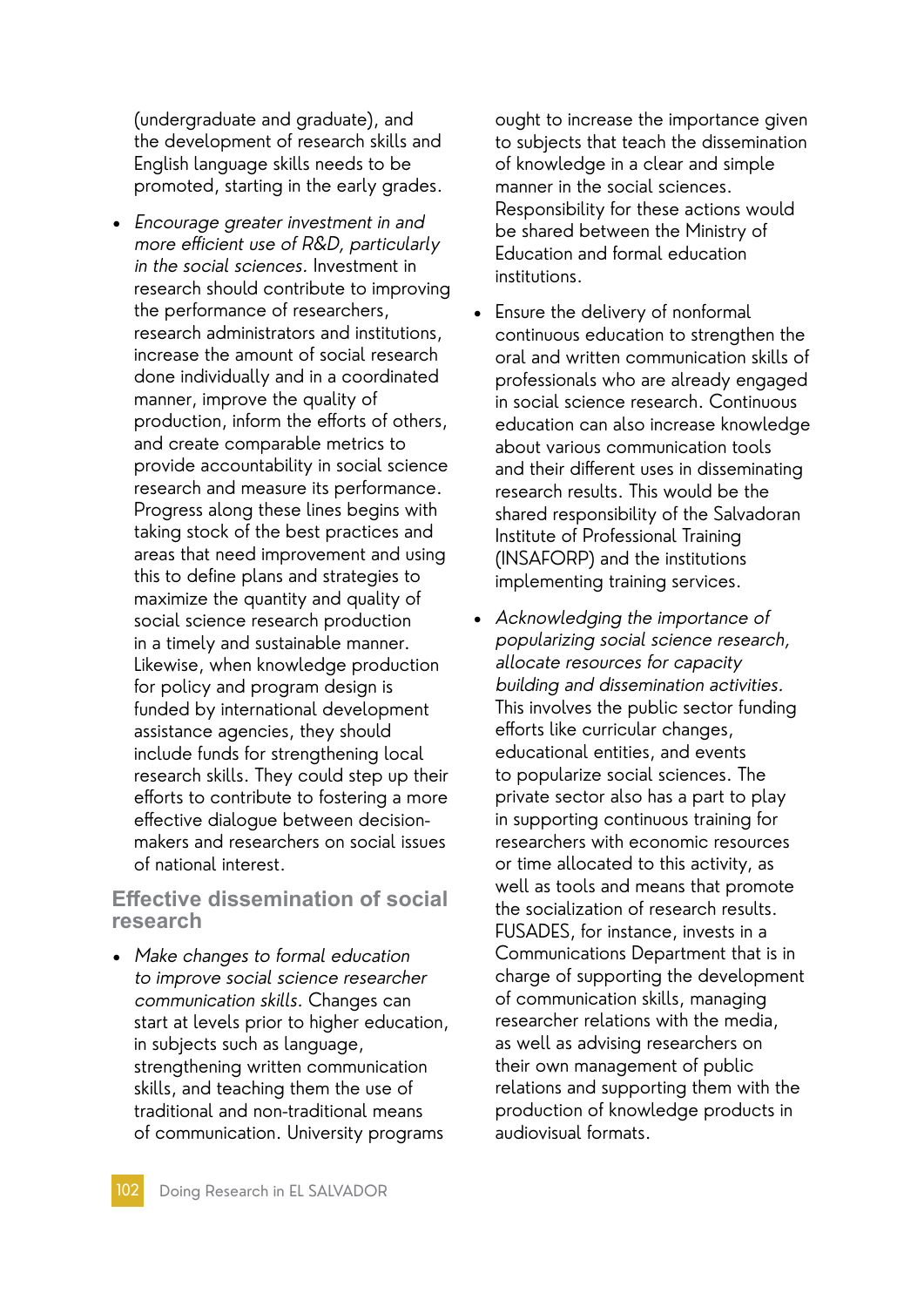(undergraduate and graduate), and the development of research skills and English language skills needs to be promoted, starting in the early grades.

• Encourage greater investment in and more efficient use of R&D, particularly in the social sciences. Investment in research should contribute to improving the performance of researchers, research administrators and institutions, increase the amount of social research done individually and in a coordinated manner, improve the quality of production, inform the efforts of others, and create comparable metrics to provide accountability in social science research and measure its performance. Progress along these lines begins with taking stock of the best practices and areas that need improvement and using this to define plans and strategies to maximize the quantity and quality of social science research production in a timely and sustainable manner. Likewise, when knowledge production for policy and program design is funded by international development assistance agencies, they should include funds for strengthening local research skills. They could step up their efforts to contribute to fostering a more effective dialogue between decisionmakers and researchers on social issues of national interest.

### **Effective dissemination of social research**

• Make changes to formal education to improve social science researcher communication skills. Changes can start at levels prior to higher education, in subjects such as language, strengthening written communication skills, and teaching them the use of traditional and non-traditional means of communication. University programs

ought to increase the importance given to subjects that teach the dissemination of knowledge in a clear and simple manner in the social sciences. Responsibility for these actions would be shared between the Ministry of Education and formal education institutions.

- Ensure the delivery of nonformal continuous education to strengthen the oral and written communication skills of professionals who are already engaged in social science research. Continuous education can also increase knowledge about various communication tools and their different uses in disseminating research results. This would be the shared responsibility of the Salvadoran Institute of Professional Training (INSAFORP) and the institutions implementing training services.
- Acknowledging the importance of popularizing social science research, allocate resources for capacity building and dissemination activities. This involves the public sector funding efforts like curricular changes, educational entities, and events to popularize social sciences. The private sector also has a part to play in supporting continuous training for researchers with economic resources or time allocated to this activity, as well as tools and means that promote the socialization of research results. FUSADES, for instance, invests in a Communications Department that is in charge of supporting the development of communication skills, managing researcher relations with the media, as well as advising researchers on their own management of public relations and supporting them with the production of knowledge products in audiovisual formats.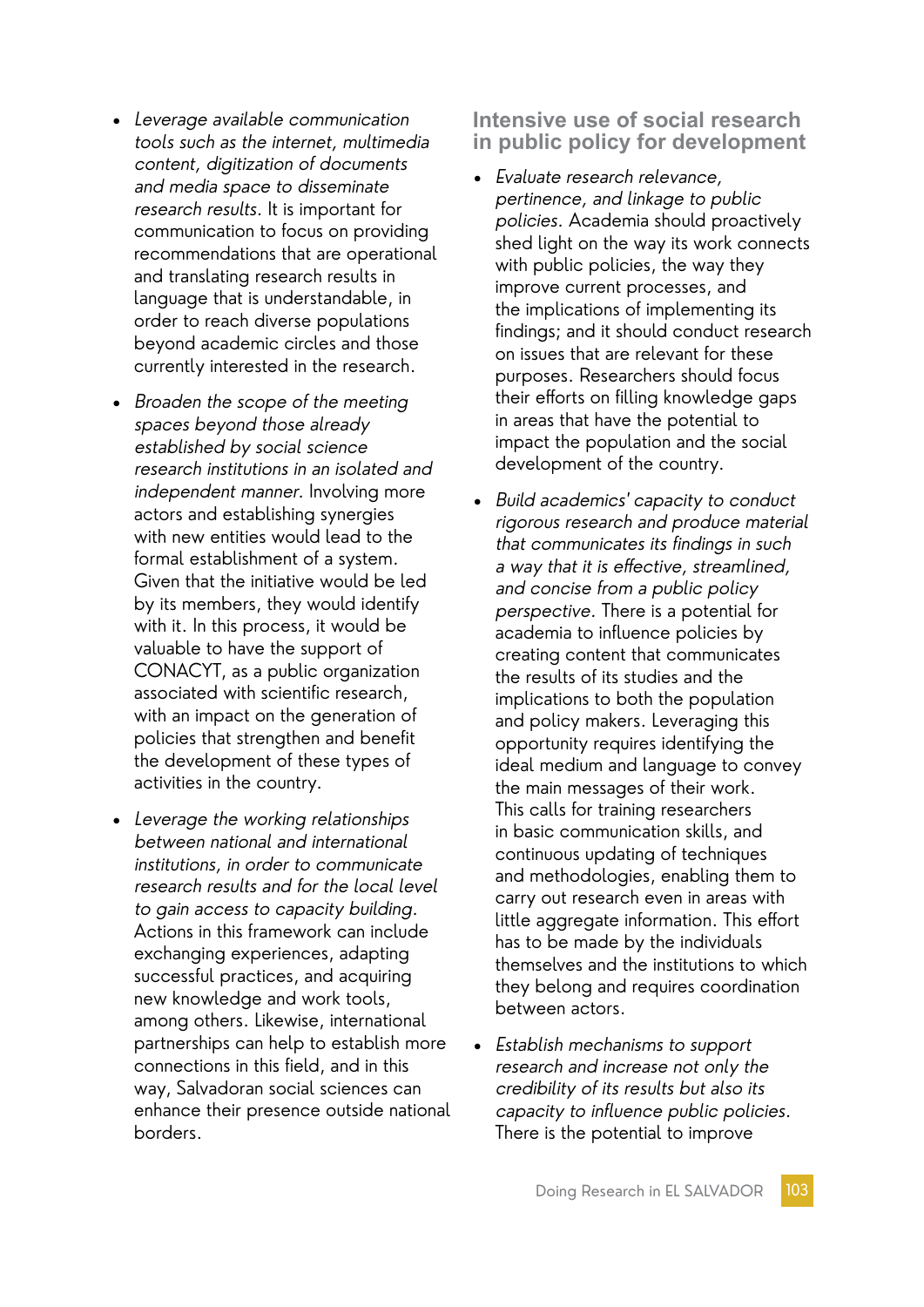- Leverage available communication tools such as the internet, multimedia content, digitization of documents and media space to disseminate research results. It is important for communication to focus on providing recommendations that are operational and translating research results in language that is understandable, in order to reach diverse populations beyond academic circles and those currently interested in the research.
- Broaden the scope of the meeting spaces beyond those already established by social science research institutions in an isolated and independent manner. Involving more actors and establishing synergies with new entities would lead to the formal establishment of a system. Given that the initiative would be led by its members, they would identify with it. In this process, it would be valuable to have the support of CONACYT, as a public organization associated with scientific research, with an impact on the generation of policies that strengthen and benefit the development of these types of activities in the country.
- Leverage the working relationships between national and international institutions, in order to communicate research results and for the local level to gain access to capacity building. Actions in this framework can include exchanging experiences, adapting successful practices, and acquiring new knowledge and work tools, among others. Likewise, international partnerships can help to establish more connections in this field, and in this way, Salvadoran social sciences can enhance their presence outside national borders.

**Intensive use of social research in public policy for development**

- Evaluate research relevance, pertinence, and linkage to public policies. Academia should proactively shed light on the way its work connects with public policies, the way they improve current processes, and the implications of implementing its findings; and it should conduct research on issues that are relevant for these purposes. Researchers should focus their efforts on filling knowledge gaps in areas that have the potential to impact the population and the social development of the country.
- Build academics' capacity to conduct rigorous research and produce material that communicates its findings in such a way that it is effective, streamlined, and concise from a public policy perspective. There is a potential for academia to influence policies by creating content that communicates the results of its studies and the implications to both the population and policy makers. Leveraging this opportunity requires identifying the ideal medium and language to convey the main messages of their work. This calls for training researchers in basic communication skills, and continuous updating of techniques and methodologies, enabling them to carry out research even in areas with little aggregate information. This effort has to be made by the individuals themselves and the institutions to which they belong and requires coordination between actors.
- Establish mechanisms to support research and increase not only the credibility of its results but also its capacity to influence public policies. There is the potential to improve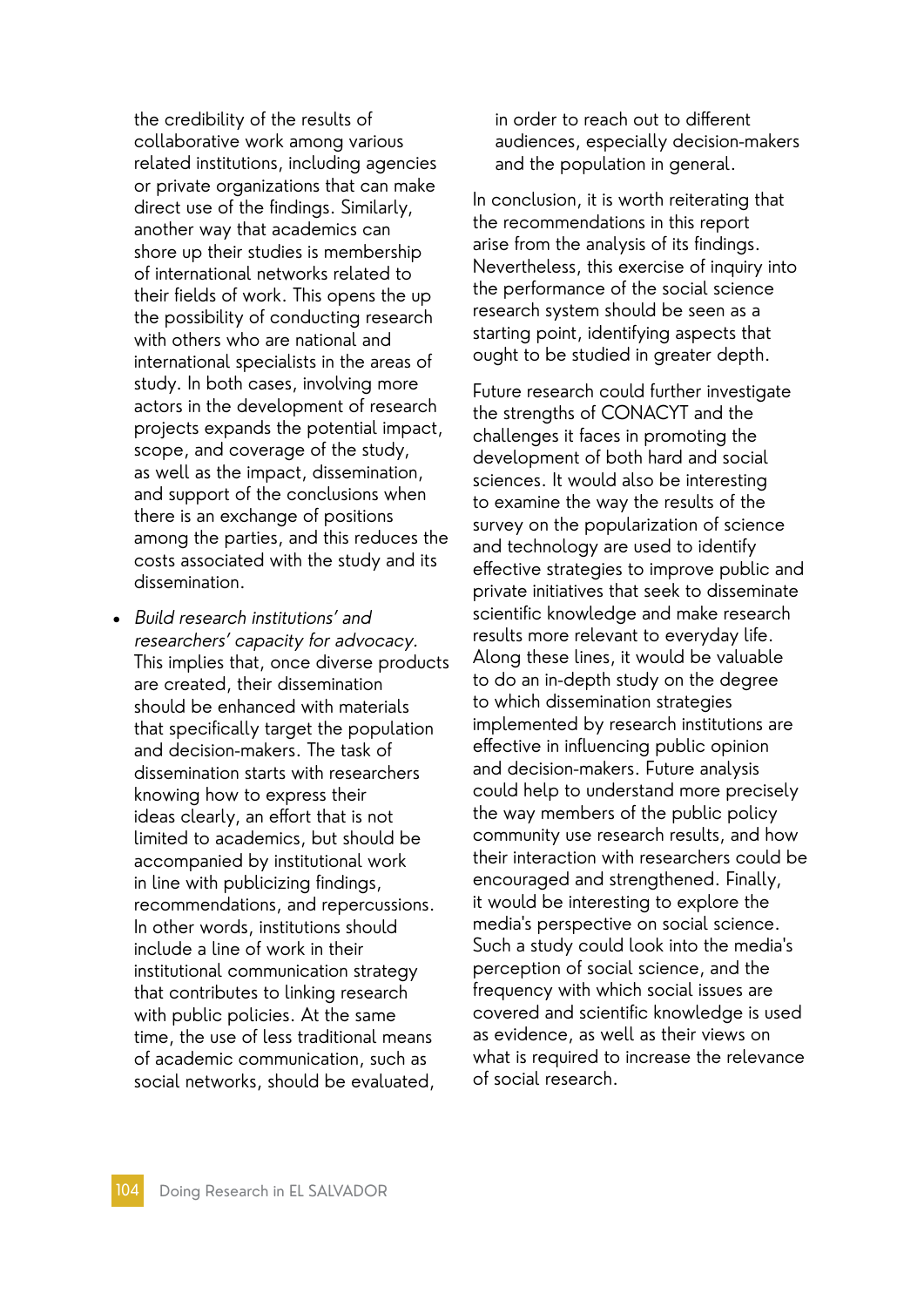the credibility of the results of collaborative work among various related institutions, including agencies or private organizations that can make direct use of the findings. Similarly, another way that academics can shore up their studies is membership of international networks related to their fields of work. This opens the up the possibility of conducting research with others who are national and international specialists in the areas of study. In both cases, involving more actors in the development of research projects expands the potential impact, scope, and coverage of the study, as well as the impact, dissemination, and support of the conclusions when there is an exchange of positions among the parties, and this reduces the costs associated with the study and its dissemination.

• Build research institutions' and researchers' capacity for advocacy. This implies that, once diverse products are created, their dissemination should be enhanced with materials that specifically target the population and decision-makers. The task of dissemination starts with researchers knowing how to express their ideas clearly, an effort that is not limited to academics, but should be accompanied by institutional work in line with publicizing findings, recommendations, and repercussions. In other words, institutions should include a line of work in their institutional communication strategy that contributes to linking research with public policies. At the same time, the use of less traditional means of academic communication, such as social networks, should be evaluated,

in order to reach out to different audiences, especially decision-makers and the population in general.

In conclusion, it is worth reiterating that the recommendations in this report arise from the analysis of its findings. Nevertheless, this exercise of inquiry into the performance of the social science research system should be seen as a starting point, identifying aspects that ought to be studied in greater depth.

Future research could further investigate the strengths of CONACYT and the challenges it faces in promoting the development of both hard and social sciences. It would also be interesting to examine the way the results of the survey on the popularization of science and technology are used to identify effective strategies to improve public and private initiatives that seek to disseminate scientific knowledge and make research results more relevant to everyday life. Along these lines, it would be valuable to do an in-depth study on the degree to which dissemination strategies implemented by research institutions are effective in influencing public opinion and decision-makers. Future analysis could help to understand more precisely the way members of the public policy community use research results, and how their interaction with researchers could be encouraged and strengthened. Finally, it would be interesting to explore the media's perspective on social science. Such a study could look into the media's perception of social science, and the frequency with which social issues are covered and scientific knowledge is used as evidence, as well as their views on what is required to increase the relevance of social research.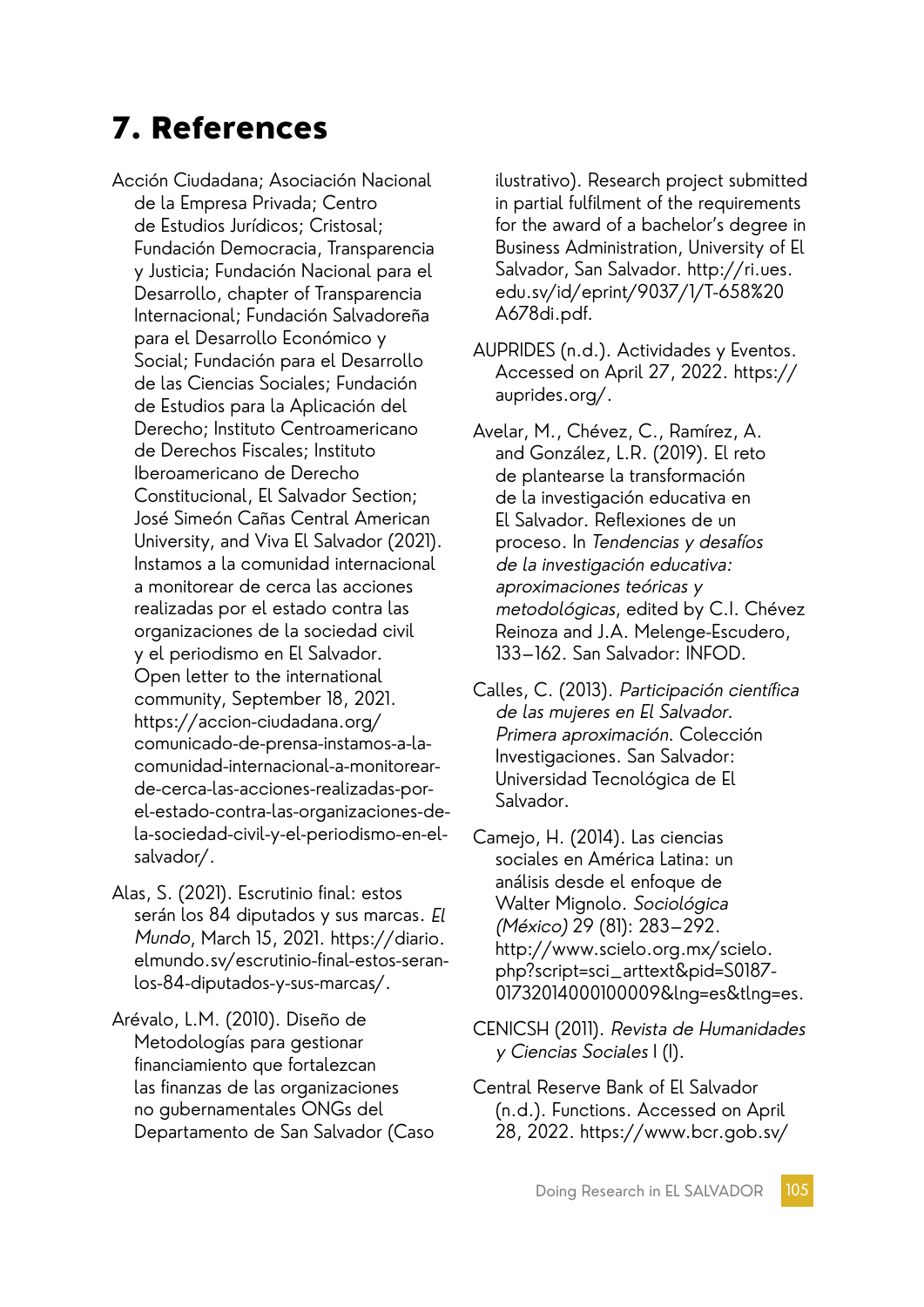# 7. References

Acción Ciudadana; Asociación Nacional de la Empresa Privada; Centro de Estudios Jurídicos; Cristosal; Fundación Democracia, Transparencia y Justicia; Fundación Nacional para el Desarrollo, chapter of Transparencia Internacional; Fundación Salvadoreña para el Desarrollo Económico y Social; Fundación para el Desarrollo de las Ciencias Sociales; Fundación de Estudios para la Aplicación del Derecho; Instituto Centroamericano de Derechos Fiscales; Instituto Iberoamericano de Derecho Constitucional, El Salvador Section; José Simeón Cañas Central American University, and Viva El Salvador (2021). Instamos a la comunidad internacional a monitorear de cerca las acciones realizadas por el estado contra las organizaciones de la sociedad civil y el periodismo en El Salvador. Open letter to the international community, September 18, 2021. https://accion-ciudadana.org/ comunicado-de-prensa-instamos-a-lacomunidad-internacional-a-monitorearde-cerca-las-acciones-realizadas-porel-estado-contra-las-organizaciones-dela-sociedad-civil-y-el-periodismo-en-elsalvador/.

Alas, S. (2021). Escrutinio final: estos serán los 84 diputados y sus marcas. El Mundo, March 15, 2021. https://diario. elmundo.sv/escrutinio-final-estos-seranlos-84-diputados-y-sus-marcas/.

Arévalo, L.M. (2010). Diseño de Metodologías para gestionar financiamiento que fortalezcan las finanzas de las organizaciones no gubernamentales ONGs del Departamento de San Salvador (Caso ilustrativo). Research project submitted in partial fulfilment of the requirements for the award of a bachelor's degree in Business Administration, University of El Salvador, San Salvador. http://ri.ues. edu.sv/id/eprint/9037/1/T-658%20 A678di.pdf.

AUPRIDES (n.d.). Actividades y Eventos. Accessed on April 27, 2022. https:// auprides.org/.

Avelar, M., Chévez, C., Ramírez, A. and González, L.R. (2019). El reto de plantearse la transformación de la investigación educativa en El Salvador. Reflexiones de un proceso. In Tendencias y desafíos de la investigación educativa: aproximaciones teóricas y metodológicas, edited by C.I. Chévez Reinoza and J.A. Melenge-Escudero, 133–162. San Salvador: INFOD.

Calles, C. (2013). Participación científica de las mujeres en El Salvador. Primera aproximación. Colección Investigaciones. San Salvador: Universidad Tecnológica de El Salvador.

Camejo, H. (2014). Las ciencias sociales en América Latina: un análisis desde el enfoque de Walter Mignolo. Sociológica (México) 29 (81): 283–292. http://www.scielo.org.mx/scielo. php?script=sci\_arttext&pid=S0187- 01732014000100009&lng=es&tlng=es.

- CENICSH (2011). Revista de Humanidades <sup>y</sup>Ciencias Sociales I (I).
- Central Reserve Bank of El Salvador (n.d.). Functions. Accessed on April 28, 2022. https://www.bcr.gob.sv/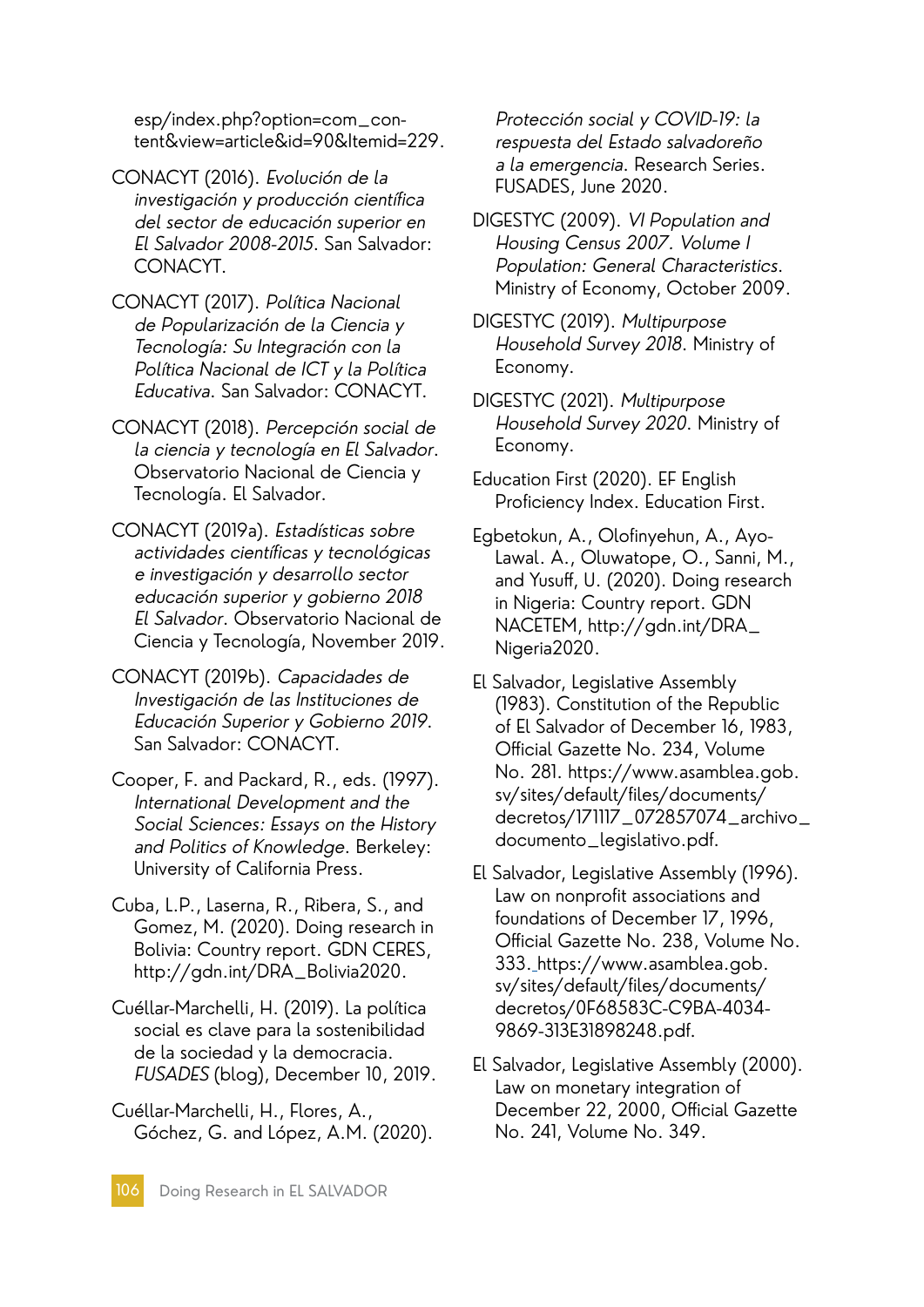esp/index.php?option=com\_content&view=article&id=90&Itemid=229.

- CONACYT (2016). Evolución de la investigación y producción científica del sector de educación superior en El Salvador 2008-2015. San Salvador: CONACYT.
- CONACYT (2017). Política Nacional de Popularización de la Ciencia y Tecnología: Su Integración con la Política Nacional de ICT y la Política Educativa. San Salvador: CONACYT.
- CONACYT (2018). Percepción social de la ciencia y tecnología en El Salvador. Observatorio Nacional de Ciencia y Tecnología. El Salvador.
- CONACYT (2019a). Estadísticas sobre actividades científicas y tecnológicas e investigación y desarrollo sector educación superior y gobierno 2018 El Salvador. Observatorio Nacional de Ciencia y Tecnología, November 2019.
- CONACYT (2019b). Capacidades de Investigación de las Instituciones de Educación Superior y Gobierno 2019. San Salvador: CONACYT.
- Cooper, F. and Packard, R., eds. (1997). International Development and the Social Sciences: Essays on the History and Politics of Knowledge. Berkeley: University of California Press.
- Cuba, L.P., Laserna, R., Ribera, S., and Gomez, M. (2020). Doing research in Bolivia: Country report. GDN CERES, http://gdn.int/DRA\_Bolivia2020.
- Cuéllar-Marchelli, H. (2019). La política social es clave para la sostenibilidad de la sociedad y la democracia. FUSADES (blog), December 10, 2019.
- Cuéllar-Marchelli, H., Flores, A., Góchez, G. and López, A.M. (2020).

Protección social y COVID-19: la respuesta del Estado salvadoreño a la emergencia. Research Series. FUSADES, June 2020.

- DIGESTYC (2009). VI Population and Housing Census 2007. Volume I Population: General Characteristics. Ministry of Economy, October 2009.
- DIGESTYC (2019). Multipurpose Household Survey 2018. Ministry of Economy.
- DIGESTYC (2021). Multipurpose Household Survey 2020. Ministry of Economy.
- Education First (2020). EF English Proficiency Index. Education First.
- Egbetokun, A., Olofinyehun, A., Ayo-Lawal. A., Oluwatope, O., Sanni, M., and Yusuff, U. (2020). Doing research in Nigeria: Country report. GDN NACETEM, http://gdn.int/DRA\_ Nigeria2020.
- El Salvador, Legislative Assembly (1983). Constitution of the Republic of El Salvador of December 16, 1983, Official Gazette No. 234, Volume No. 281. https://www.asamblea.gob. sv/sites/default/files/documents/ decretos/171117\_072857074\_archivo\_ documento\_legislativo.pdf.
- El Salvador, Legislative Assembly (1996). Law on nonprofit associations and foundations of December 17, 1996, Official Gazette No. 238, Volume No. 333. https://www.asamblea.gob. sv/sites/default/files/documents/ decretos/0F68583C-C9BA-4034- 9869-313E31898248.pdf.
- El Salvador, Legislative Assembly (2000). Law on monetary integration of December 22, 2000, Official Gazette No. 241, Volume No. 349.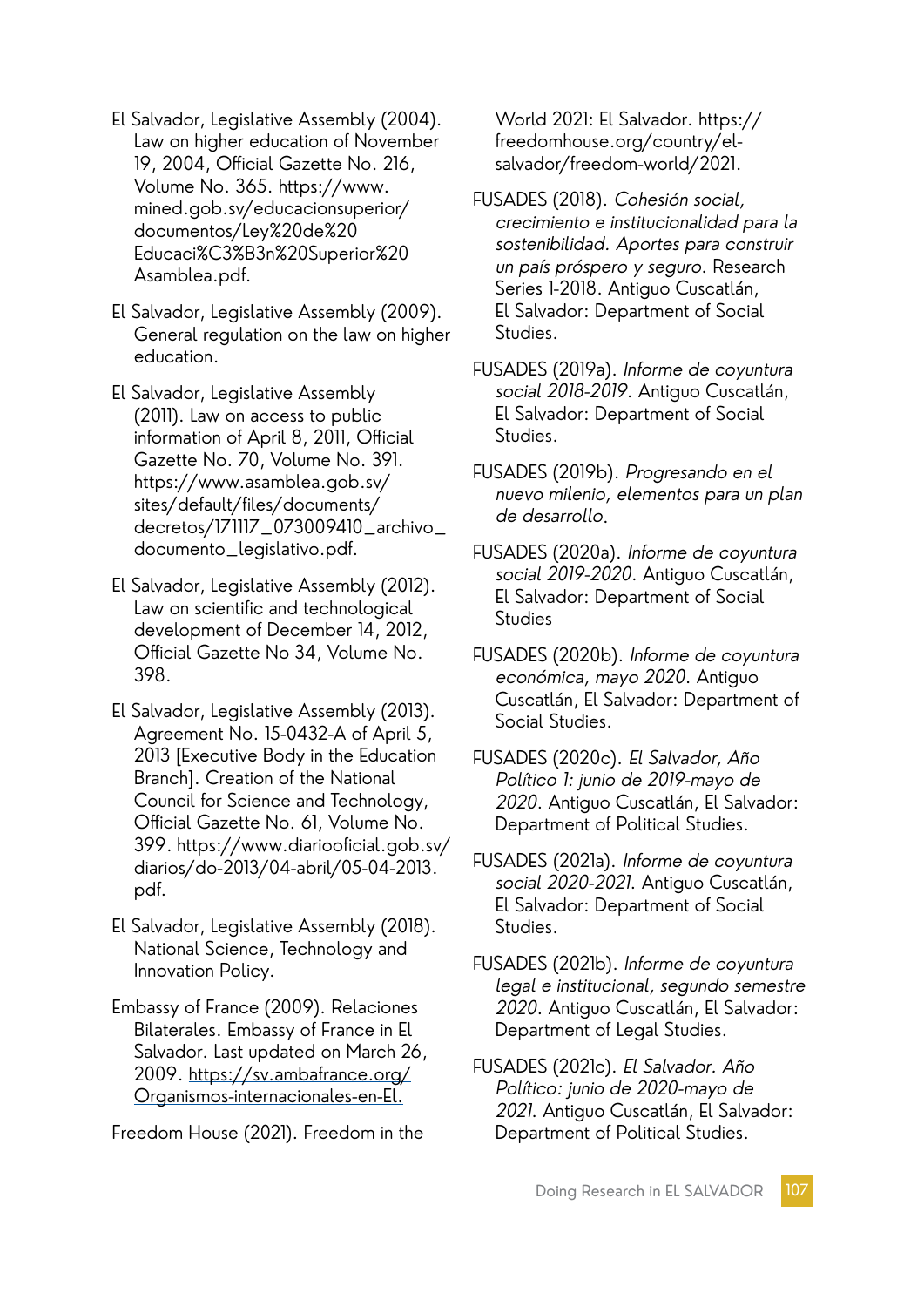- El Salvador, Legislative Assembly (2004). Law on higher education of November 19, 2004, Official Gazette No. 216, Volume No. 365. https://www. mined.gob.sv/educacionsuperior/ documentos/Ley%20de%20 Educaci%C3%B3n%20Superior%20 Asamblea.pdf.
- El Salvador, Legislative Assembly (2009). General regulation on the law on higher education.
- El Salvador, Legislative Assembly (2011). Law on access to public information of April 8, 2011, Official Gazette No. 70, Volume No. 391. https://www.asamblea.gob.sv/ sites/default/files/documents/ decretos/171117\_073009410\_archivo\_ documento\_legislativo.pdf.
- El Salvador, Legislative Assembly (2012). Law on scientific and technological development of December 14, 2012, Official Gazette No 34, Volume No. 398.
- El Salvador, Legislative Assembly (2013). Agreement No. 15-0432-A of April 5, 2013 [Executive Body in the Education Branch]. Creation of the National Council for Science and Technology, Official Gazette No. 61, Volume No. 399. https://www.diariooficial.gob.sv/ diarios/do-2013/04-abril/05-04-2013. pdf.
- El Salvador, Legislative Assembly (2018). National Science, Technology and Innovation Policy.
- Embassy of France (2009). Relaciones Bilaterales. Embassy of France in El Salvador. Last updated on March 26, 2009. https://sv.ambafrance.org/ Organismos-internacionales-en-El.

Freedom House (2021). Freedom in the

World 2021: El Salvador. https:// freedomhouse.org/country/elsalvador/freedom-world/2021.

- FUSADES (2018). Cohesión social, crecimiento e institucionalidad para la sostenibilidad. Aportes para construir un país próspero y seguro. Research Series 1-2018. Antiguo Cuscatlán, El Salvador: Department of Social Studies.
- FUSADES (2019a). Informe de coyuntura social 2018-2019. Antiguo Cuscatlán, El Salvador: Department of Social Studies.
- FUSADES (2019b). Progresando en el nuevo milenio, elementos para un plan de desarrollo.
- FUSADES (2020a). Informe de coyuntura social 2019-2020. Antiguo Cuscatlán, El Salvador: Department of Social **Studies**
- FUSADES (2020b). Informe de coyuntura económica, mayo 2020. Antiguo Cuscatlán, El Salvador: Department of Social Studies.
- FUSADES (2020c). El Salvador, Año Político 1: junio de 2019-mayo de 2020. Antiguo Cuscatlán, El Salvador: Department of Political Studies.
- FUSADES (2021a). Informe de coyuntura social 2020-2021. Antiguo Cuscatlán, El Salvador: Department of Social Studies.
- FUSADES (2021b). Informe de coyuntura legal e institucional, segundo semestre 2020. Antiguo Cuscatlán, El Salvador: Department of Legal Studies.
- FUSADES (2021c). El Salvador. Año Político: junio de 2020-mayo de 2021. Antiguo Cuscatlán, El Salvador: Department of Political Studies.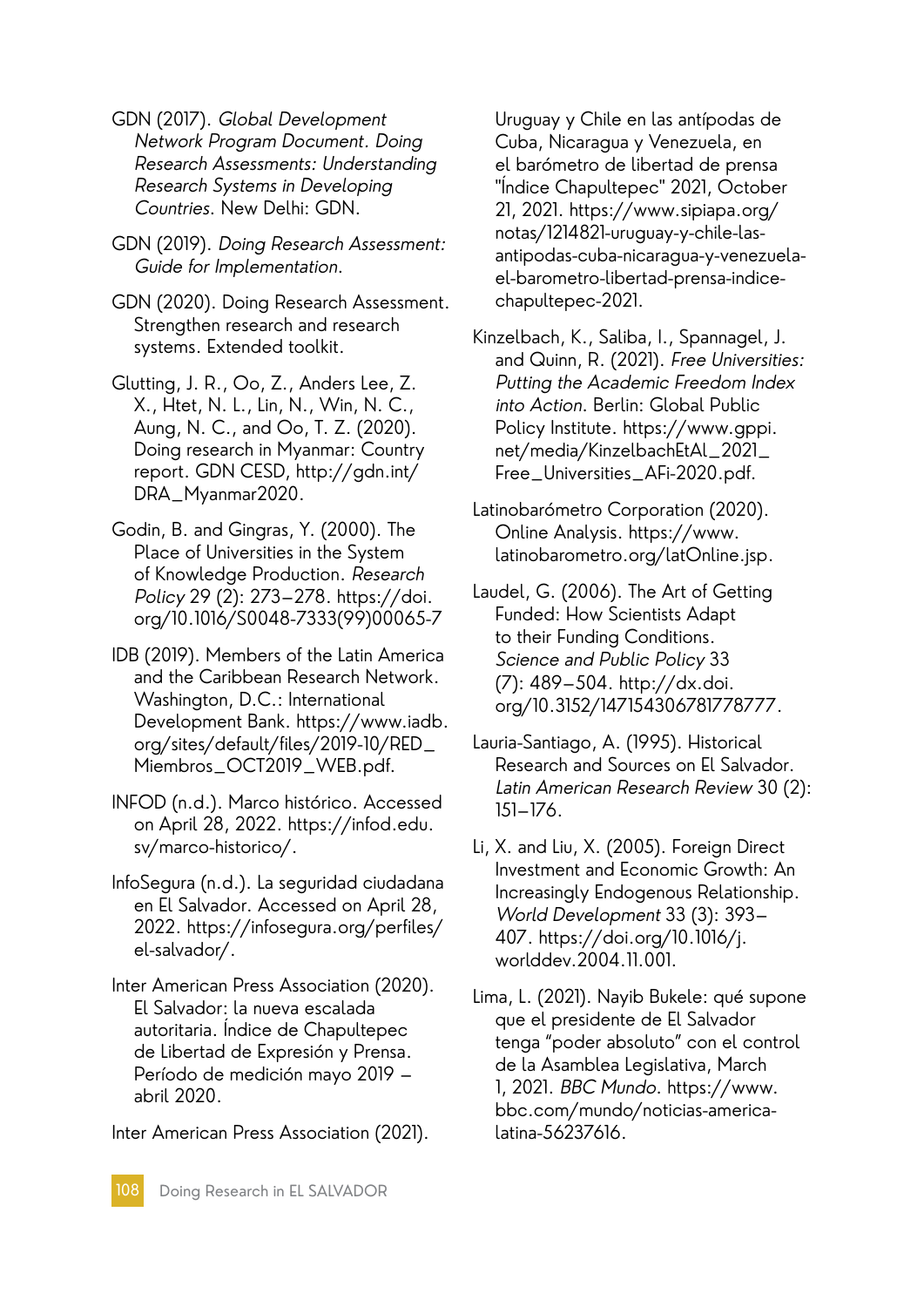GDN (2017). Global Development Network Program Document. Doing Research Assessments: Understanding Research Systems in Developing Countries. New Delhi: GDN.

GDN (2019). Doing Research Assessment: Guide for Implementation.

GDN (2020). Doing Research Assessment. Strengthen research and research systems. Extended toolkit.

Glutting, J. R., Oo, Z., Anders Lee, Z. X., Htet, N. L., Lin, N., Win, N. C., Aung, N. C., and Oo, T. Z. (2020). Doing research in Myanmar: Country report. GDN CESD, http://gdn.int/ DRA\_Myanmar2020.

Godin, B. and Gingras, Y. (2000). The Place of Universities in the System of Knowledge Production. Research Policy 29 (2): 273–278. https://doi. org/10.1016/S0048-7333(99)00065-7

IDB (2019). Members of the Latin America and the Caribbean Research Network. Washington, D.C.: International Development Bank. https://www.iadb. org/sites/default/files/2019-10/RED\_ Miembros\_OCT2019\_WEB.pdf.

INFOD (n.d.). Marco histórico. Accessed on April 28, 2022. https://infod.edu. sv/marco-historico/.

InfoSegura (n.d.). La seguridad ciudadana en El Salvador. Accessed on April 28, 2022. https://infosegura.org/perfiles/ el-salvador/.

Inter American Press Association (2020). El Salvador: la nueva escalada autoritaria. Índice de Chapultepec de Libertad de Expresión y Prensa. Período de medición mayo 2019 – abril 2020.

Inter American Press Association (2021).

Uruguay y Chile en las antípodas de Cuba, Nicaragua y Venezuela, en el barómetro de libertad de prensa "Índice Chapultepec" 2021, October 21, 2021. https://www.sipiapa.org/ notas/1214821-uruguay-y-chile-lasantipodas-cuba-nicaragua-y-venezuelael-barometro-libertad-prensa-indicechapultepec-2021.

Kinzelbach, K., Saliba, I., Spannagel, J. and Quinn, R. (2021). Free Universities: Putting the Academic Freedom Index into Action. Berlin: Global Public Policy Institute. https://www.gppi. net/media/KinzelbachEtAl\_2021\_ Free\_Universities\_AFi-2020.pdf.

Latinobarómetro Corporation (2020). Online Analysis. https://www. latinobarometro.org/latOnline.jsp.

Laudel, G. (2006). The Art of Getting Funded: How Scientists Adapt to their Funding Conditions. Science and Public Policy 33 (7): 489–504. http://dx.doi. org/10.3152/147154306781778777.

Lauria-Santiago, A. (1995). Historical Research and Sources on El Salvador. Latin American Research Review 30 (2): 151–176.

Li, X. and Liu, X. (2005). Foreign Direct Investment and Economic Growth: An Increasingly Endogenous Relationship. World Development 33 (3): 393– 407. https://doi.org/10.1016/j. worlddev.2004.11.001.

Lima, L. (2021). Nayib Bukele: qué supone que el presidente de El Salvador tenga "poder absoluto" con el control de la Asamblea Legislativa, March 1, 2021. BBC Mundo. https://www. bbc.com/mundo/noticias-americalatina-56237616.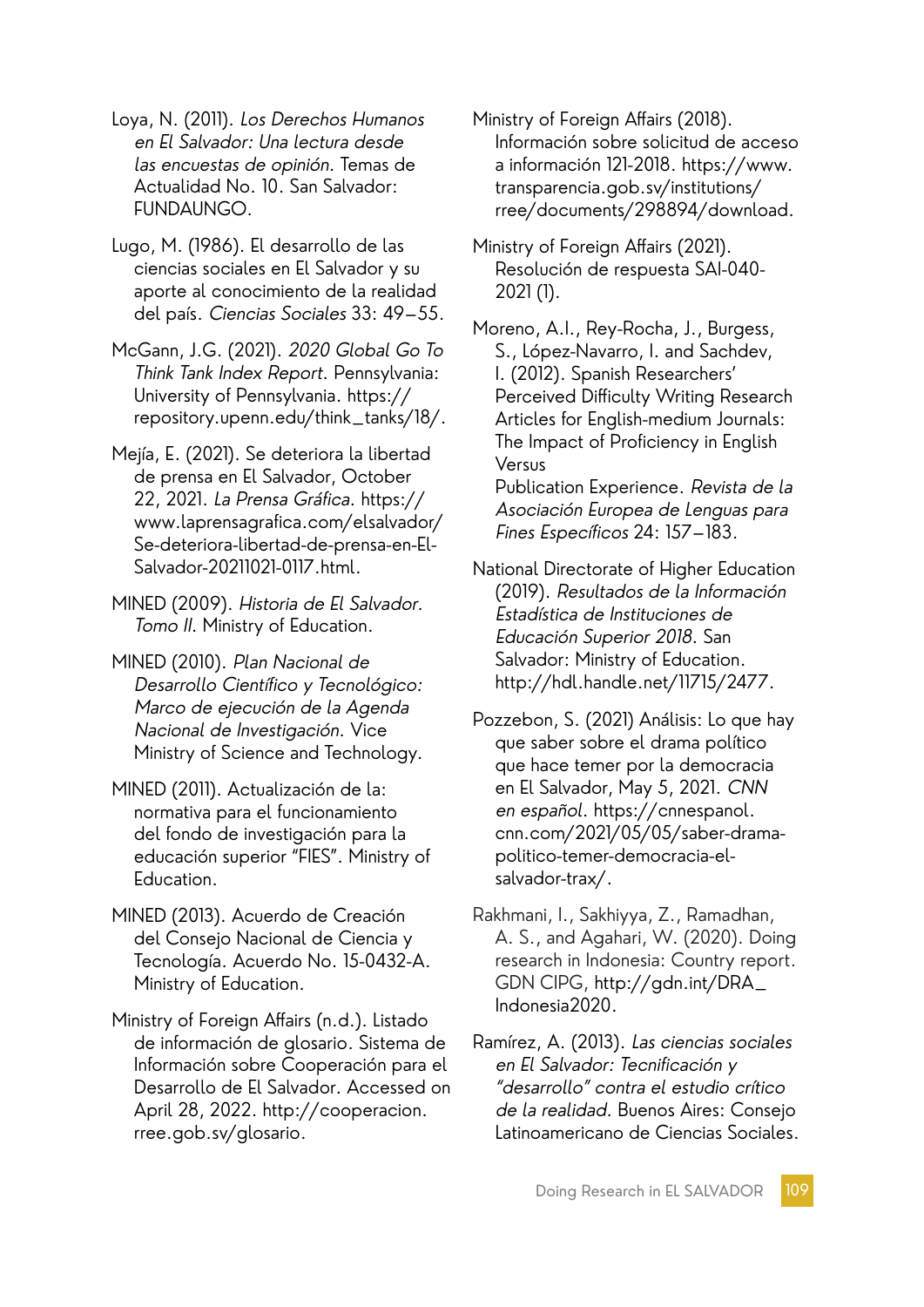Loya, N. (2011). Los Derechos Humanos en El Salvador: Una lectura desde las encuestas de opinión. Temas de Actualidad No. 10. San Salvador: FUNDAUNGO.

Lugo, M. (1986). El desarrollo de las ciencias sociales en El Salvador y su aporte al conocimiento de la realidad del país. Ciencias Sociales 33: 49–55.

McGann, J.G. (2021). 2020 Global Go To Think Tank Index Report. Pennsylvania: University of Pennsylvania. https:// repository.upenn.edu/think\_tanks/18/.

Mejía, E. (2021). Se deteriora la libertad de prensa en El Salvador, October 22, 2021. La Prensa Gráfica. https:// www.laprensagrafica.com/elsalvador/ Se-deteriora-libertad-de-prensa-en-El-Salvador-20211021-0117.html.

MINED (2009). Historia de El Salvador. Tomo II. Ministry of Education.

MINED (2010). Plan Nacional de Desarrollo Científico y Tecnológico: Marco de ejecución de la Agenda Nacional de Investigación. Vice Ministry of Science and Technology.

MINED (2011). Actualización de la: normativa para el funcionamiento del fondo de investigación para la educación superior "FIES". Ministry of Education.

MINED (2013). Acuerdo de Creación del Consejo Nacional de Ciencia y Tecnología. Acuerdo No. 15-0432-A. Ministry of Education.

Ministry of Foreign Affairs (n.d.). Listado de información de glosario. Sistema de Información sobre Cooperación para el Desarrollo de El Salvador. Accessed on April 28, 2022. http://cooperacion. rree.gob.sv/glosario.

Ministry of Foreign Affairs (2018). Información sobre solicitud de acceso a información 121-2018. https://www. transparencia.gob.sv/institutions/ rree/documents/298894/download.

Ministry of Foreign Affairs (2021). Resolución de respuesta SAI-040- 2021 (1).

Moreno, A.I., Rey-Rocha, J., Burgess, S., López-Navarro, I. and Sachdev, I. (2012). Spanish Researchers' Perceived Difficulty Writing Research Articles for English-medium Journals: The Impact of Proficiency in English Versus Publication Experience. Revista de la Asociación Europea de Lenguas para

National Directorate of Higher Education (2019). Resultados de la Información Estadística de Instituciones de Educación Superior 2018. San Salvador: Ministry of Education. http://hdl.handle.net/11715/2477.

Fines Específicos 24: 157–183.

Pozzebon, S. (2021) Análisis: Lo que hay que saber sobre el drama político que hace temer por la democracia en El Salvador, May 5, 2021. CNN en español. https://cnnespanol. cnn.com/2021/05/05/saber-dramapolitico-temer-democracia-elsalvador-trax/.

Rakhmani, I., Sakhiyya, Z., Ramadhan, A. S., and Agahari, W. (2020). Doing research in Indonesia: Country report. GDN CIPG, http://gdn.int/DRA\_ Indonesia2020.

Ramírez, A. (2013). Las ciencias sociales en El Salvador: Tecnificación y "desarrollo" contra el estudio crítico de la realidad. Buenos Aires: Consejo Latinoamericano de Ciencias Sociales.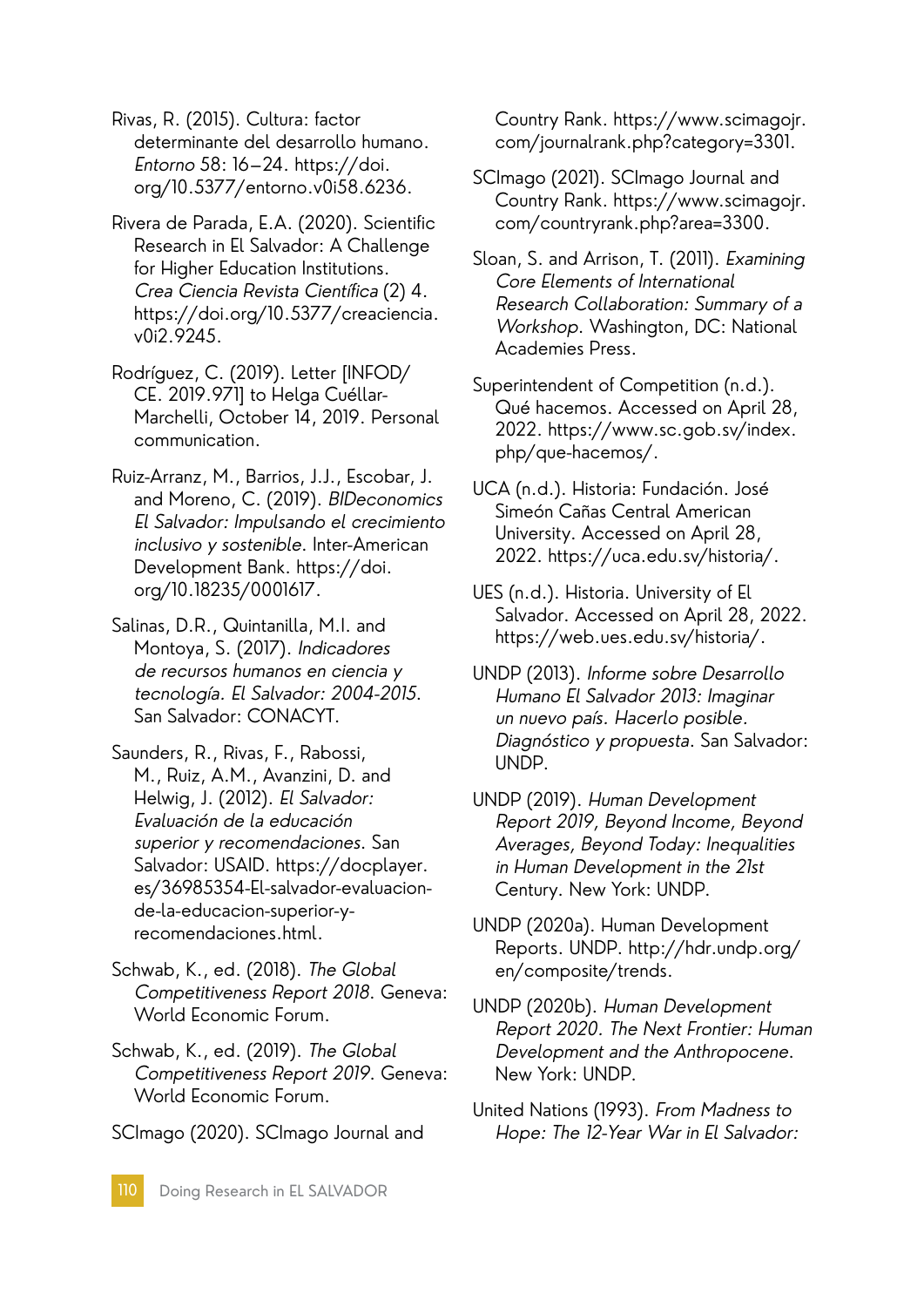Rivas, R. (2015). Cultura: factor determinante del desarrollo humano. Entorno 58: 16–24. https://doi. org/10.5377/entorno.v0i58.6236.

- Rivera de Parada, E.A. (2020). Scientific Research in El Salvador: A Challenge for Higher Education Institutions. Crea Ciencia Revista Científica (2) 4. https://doi.org/10.5377/creaciencia. v0i2.9245.
- Rodríguez, C. (2019). Letter [INFOD/ CE. 2019.971] to Helga Cuéllar-Marchelli, October 14, 2019. Personal communication.
- Ruiz-Arranz, M., Barrios, J.J., Escobar, J. and Moreno, C. (2019). BIDeconomics El Salvador: Impulsando el crecimiento inclusivo y sostenible. Inter-American Development Bank. https://doi. org/10.18235/0001617.
- Salinas, D.R., Quintanilla, M.I. and Montoya, S. (2017). Indicadores de recursos humanos en ciencia y tecnología. El Salvador: 2004-2015. San Salvador: CONACYT.
- Saunders, R., Rivas, F., Rabossi, M., Ruiz, A.M., Avanzini, D. and Helwig, J. (2012). El Salvador: Evaluación de la educación superior y recomendaciones. San Salvador: USAID. https://docplayer. es/36985354-El-salvador-evaluacionde-la-educacion-superior-yrecomendaciones.html.
- Schwab, K., ed. (2018). The Global Competitiveness Report 2018. Geneva: World Economic Forum.
- Schwab, K., ed. (2019). The Global Competitiveness Report 2019. Geneva: World Economic Forum.

SCImago (2020). SCImago Journal and

Country Rank. https://www.scimagojr. com/journalrank.php?category=3301.

- SCImago (2021). SCImago Journal and Country Rank. https://www.scimagojr. com/countryrank.php?area=3300.
- Sloan, S. and Arrison, T. (2011). Examining Core Elements of International Research Collaboration: Summary of a Workshop. Washington, DC: National Academies Press.
- Superintendent of Competition (n.d.). Qué hacemos. Accessed on April 28, 2022. https://www.sc.gob.sv/index. php/que-hacemos/.
- UCA (n.d.). Historia: Fundación. José Simeón Cañas Central American University. Accessed on April 28, 2022. https://uca.edu.sv/historia/.
- UES (n.d.). Historia. University of El Salvador. Accessed on April 28, 2022. https://web.ues.edu.sv/historia/.
- UNDP (2013). Informe sobre Desarrollo Humano El Salvador 2013: Imaginar un nuevo país. Hacerlo posible. Diagnóstico y propuesta. San Salvador: UNDP.
- UNDP (2019). Human Development Report 2019, Beyond Income, Beyond Averages, Beyond Today: Inequalities in Human Development in the 21st Century. New York: UNDP.
- UNDP (2020a). Human Development Reports. UNDP. http://hdr.undp.org/ en/composite/trends.
- UNDP (2020b). Human Development Report 2020. The Next Frontier: Human Development and the Anthropocene. New York: UNDP.
- United Nations (1993). From Madness to Hope: The 12-Year War in El Salvador: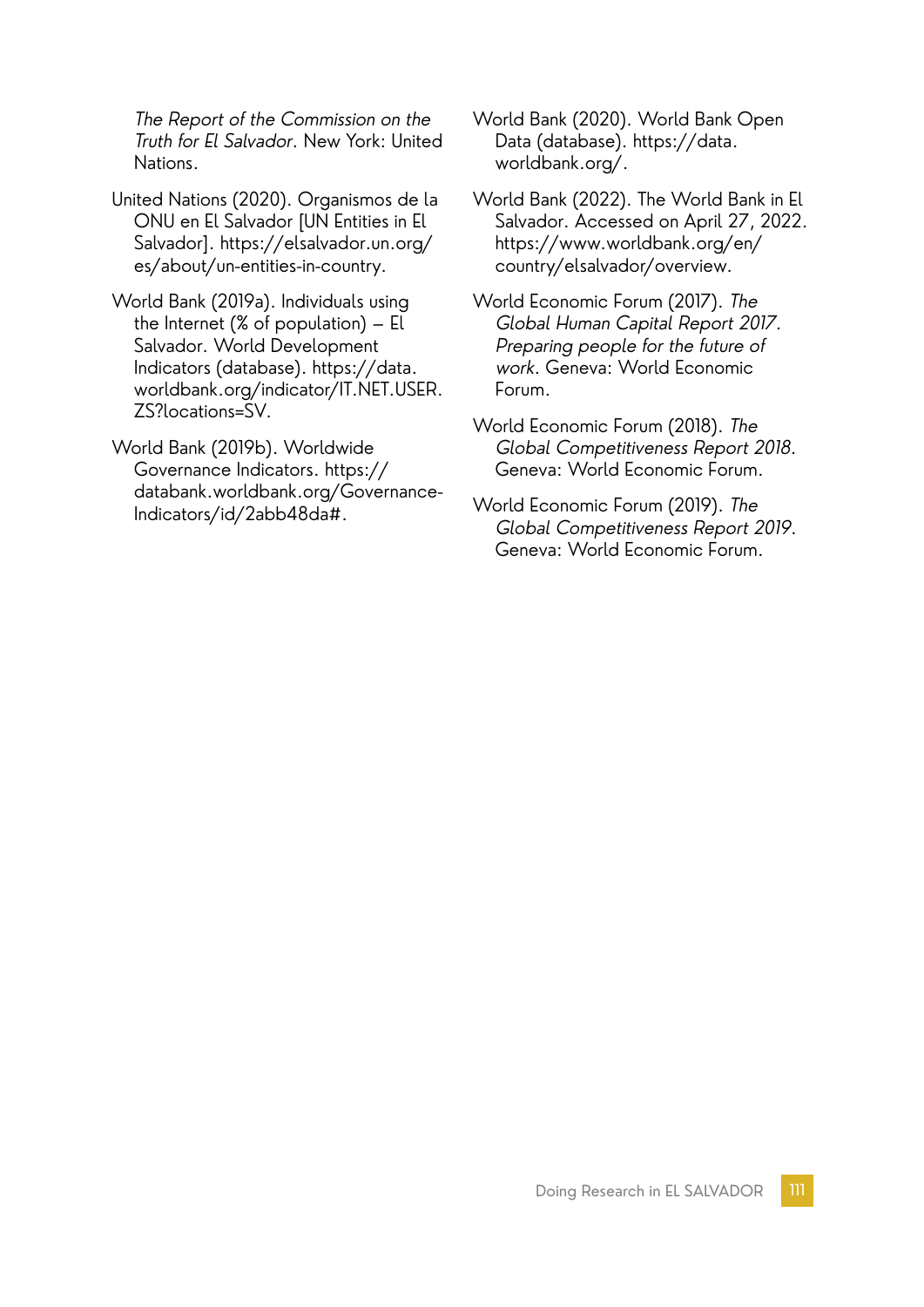The Report of the Commission on the Truth for El Salvador. New York: United Nations.

- United Nations (2020). Organismos de la ONU en El Salvador [UN Entities in El Salvador]. https://elsalvador.un.org/ es/about/un-entities-in-country.
- World Bank (2019a). Individuals using the Internet (% of population) – El Salvador. World Development Indicators (database). https://data. worldbank.org/indicator/IT.NET.USER. ZS?locations=SV.
- World Bank (2019b). Worldwide Governance Indicators. https:// databank.worldbank.org/Governance-Indicators/id/2abb48da#.
- World Bank (2020). World Bank Open Data (database). https://data. worldbank.org/.
- World Bank (2022). The World Bank in El Salvador. Accessed on April 27, 2022. https://www.worldbank.org/en/ country/elsalvador/overview.
- World Economic Forum (2017). The Global Human Capital Report 2017. Preparing people for the future of work. Geneva: World Economic Forum.
- World Economic Forum (2018). The Global Competitiveness Report 2018. Geneva: World Economic Forum.
- World Economic Forum (2019). The Global Competitiveness Report 2019. Geneva: World Economic Forum.